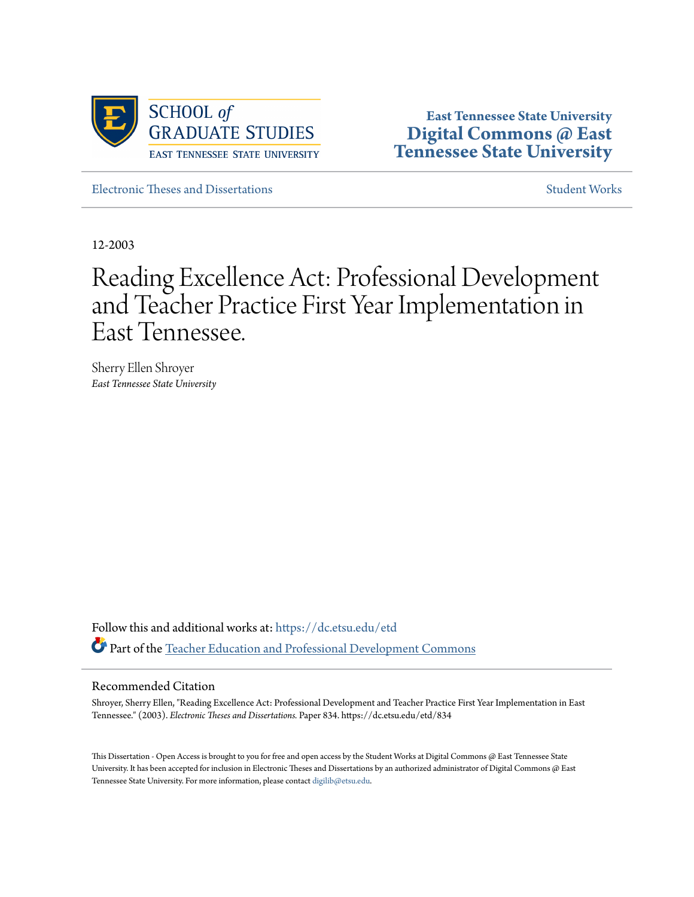

**East Tennessee State University [Digital Commons @ East](https://dc.etsu.edu?utm_source=dc.etsu.edu%2Fetd%2F834&utm_medium=PDF&utm_campaign=PDFCoverPages) [Tennessee State University](https://dc.etsu.edu?utm_source=dc.etsu.edu%2Fetd%2F834&utm_medium=PDF&utm_campaign=PDFCoverPages)**

[Electronic Theses and Dissertations](https://dc.etsu.edu/etd?utm_source=dc.etsu.edu%2Fetd%2F834&utm_medium=PDF&utm_campaign=PDFCoverPages) [Student Works](https://dc.etsu.edu/student-works?utm_source=dc.etsu.edu%2Fetd%2F834&utm_medium=PDF&utm_campaign=PDFCoverPages) Student Works Student Works

12-2003

# Reading Excellence Act: Professional Development and Teacher Practice First Year Implementation in East Tennessee.

Sherry Ellen Shroyer *East Tennessee State University*

Follow this and additional works at: [https://dc.etsu.edu/etd](https://dc.etsu.edu/etd?utm_source=dc.etsu.edu%2Fetd%2F834&utm_medium=PDF&utm_campaign=PDFCoverPages) Part of the [Teacher Education and Professional Development Commons](http://network.bepress.com/hgg/discipline/803?utm_source=dc.etsu.edu%2Fetd%2F834&utm_medium=PDF&utm_campaign=PDFCoverPages)

#### Recommended Citation

Shroyer, Sherry Ellen, "Reading Excellence Act: Professional Development and Teacher Practice First Year Implementation in East Tennessee." (2003). *Electronic Theses and Dissertations.* Paper 834. https://dc.etsu.edu/etd/834

This Dissertation - Open Access is brought to you for free and open access by the Student Works at Digital Commons @ East Tennessee State University. It has been accepted for inclusion in Electronic Theses and Dissertations by an authorized administrator of Digital Commons @ East Tennessee State University. For more information, please contact [digilib@etsu.edu.](mailto:digilib@etsu.edu)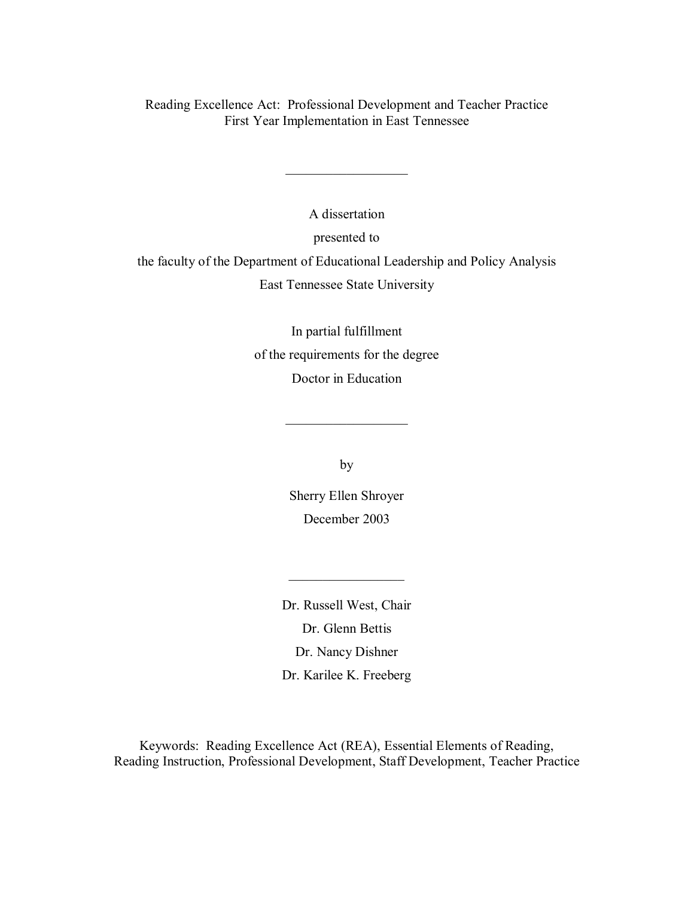Reading Excellence Act: Professional Development and Teacher Practice First Year Implementation in East Tennessee

> A dissertation presented to

 $\mathcal{L}_\text{max}$  , we are the set of the set of the set of the set of the set of the set of the set of the set of the set of the set of the set of the set of the set of the set of the set of the set of the set of the set of

the faculty of the Department of Educational Leadership and Policy Analysis East Tennessee State University

> In partial fulfillment of the requirements for the degree Doctor in Education

> > by

 $\mathcal{L}_\text{max}$  , we are the set of the set of the set of the set of the set of the set of the set of the set of the set of the set of the set of the set of the set of the set of the set of the set of the set of the set of

Sherry Ellen Shroyer December 2003

 $\frac{1}{2}$  ,  $\frac{1}{2}$  ,  $\frac{1}{2}$  ,  $\frac{1}{2}$  ,  $\frac{1}{2}$  ,  $\frac{1}{2}$  ,  $\frac{1}{2}$  ,  $\frac{1}{2}$  ,  $\frac{1}{2}$ 

Dr. Russell West, Chair Dr. Glenn Bettis Dr. Nancy Dishner Dr. Karilee K. Freeberg

Keywords: Reading Excellence Act (REA), Essential Elements of Reading, Reading Instruction, Professional Development, Staff Development, Teacher Practice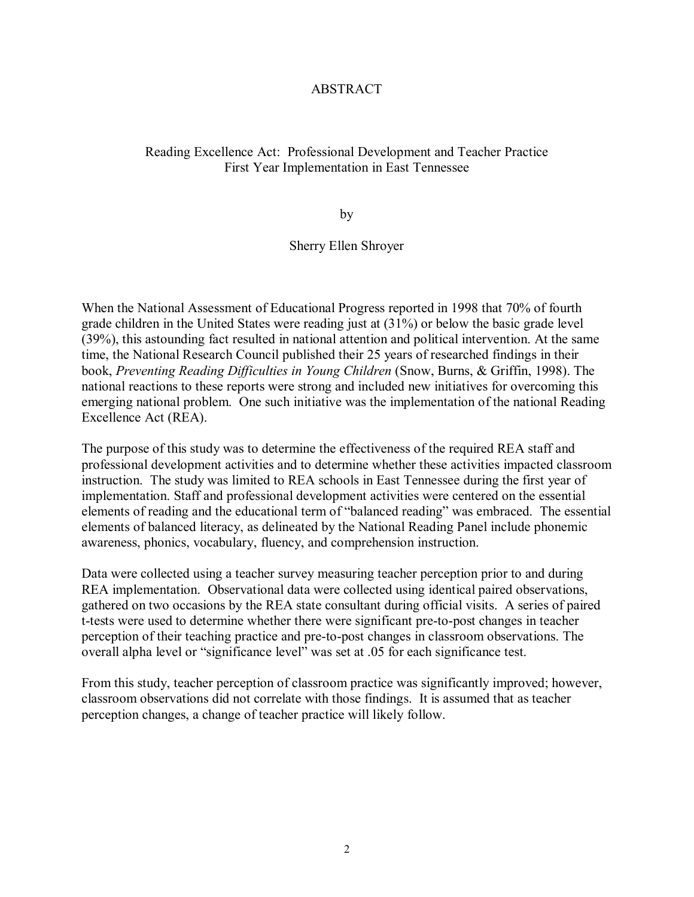# ABSTRACT

# Reading Excellence Act: Professional Development and Teacher Practice First Year Implementation in East Tennessee

by

## Sherry Ellen Shroyer

When the National Assessment of Educational Progress reported in 1998 that 70% of fourth grade children in the United States were reading just at (31%) or below the basic grade level (39%), this astounding fact resulted in national attention and political intervention. At the same time, the National Research Council published their 25 years of researched findings in their book, *Preventing Reading Difficulties in Young Children* (Snow, Burns, & Griffin, 1998). The national reactions to these reports were strong and included new initiatives for overcoming this emerging national problem. One such initiative was the implementation of the national Reading Excellence Act (REA).

The purpose of this study was to determine the effectiveness of the required REA staff and professional development activities and to determine whether these activities impacted classroom instruction. The study was limited to REA schools in East Tennessee during the first year of implementation. Staff and professional development activities were centered on the essential elements of reading and the educational term of "balanced reading" was embraced. The essential elements of balanced literacy, as delineated by the National Reading Panel include phonemic awareness, phonics, vocabulary, fluency, and comprehension instruction.

Data were collected using a teacher survey measuring teacher perception prior to and during REA implementation. Observational data were collected using identical paired observations, gathered on two occasions by the REA state consultant during official visits. A series of paired t-tests were used to determine whether there were significant pre-to-post changes in teacher perception of their teaching practice and pre-to-post changes in classroom observations. The overall alpha level or "significance level" was set at .05 for each significance test.

From this study, teacher perception of classroom practice was significantly improved; however, classroom observations did not correlate with those findings. It is assumed that as teacher perception changes, a change of teacher practice will likely follow.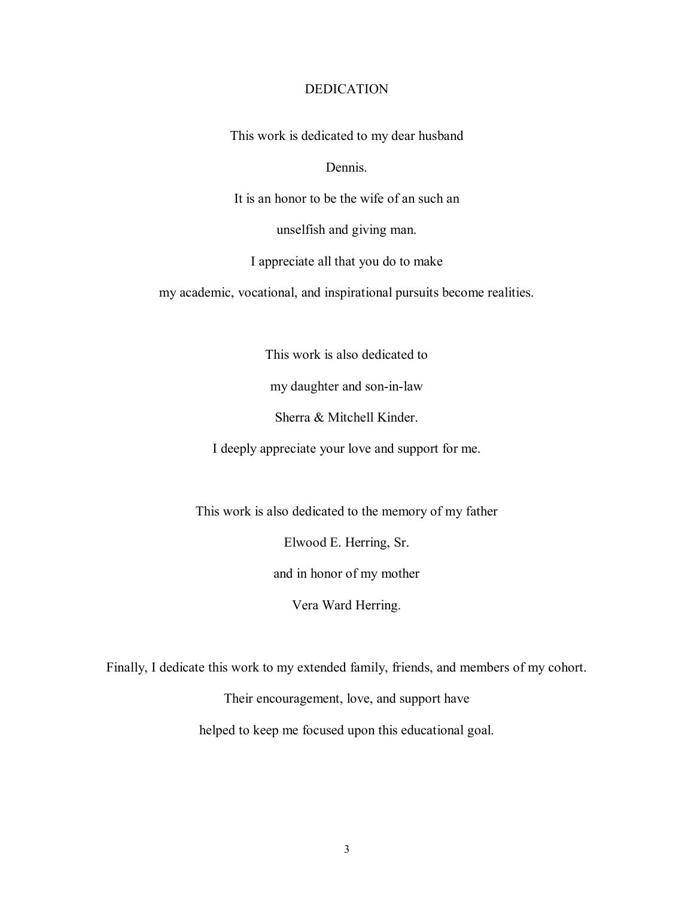# DEDICATION

This work is dedicated to my dear husband

Dennis.

It is an honor to be the wife of an such an

unselfish and giving man.

I appreciate all that you do to make

my academic, vocational, and inspirational pursuits become realities.

This work is also dedicated to

my daughter and son-in-law

Sherra & Mitchell Kinder.

I deeply appreciate your love and support for me.

This work is also dedicated to the memory of my father

Elwood E. Herring, Sr.

and in honor of my mother

Vera Ward Herring.

Finally, I dedicate this work to my extended family, friends, and members of my cohort.

Their encouragement, love, and support have

helped to keep me focused upon this educational goal.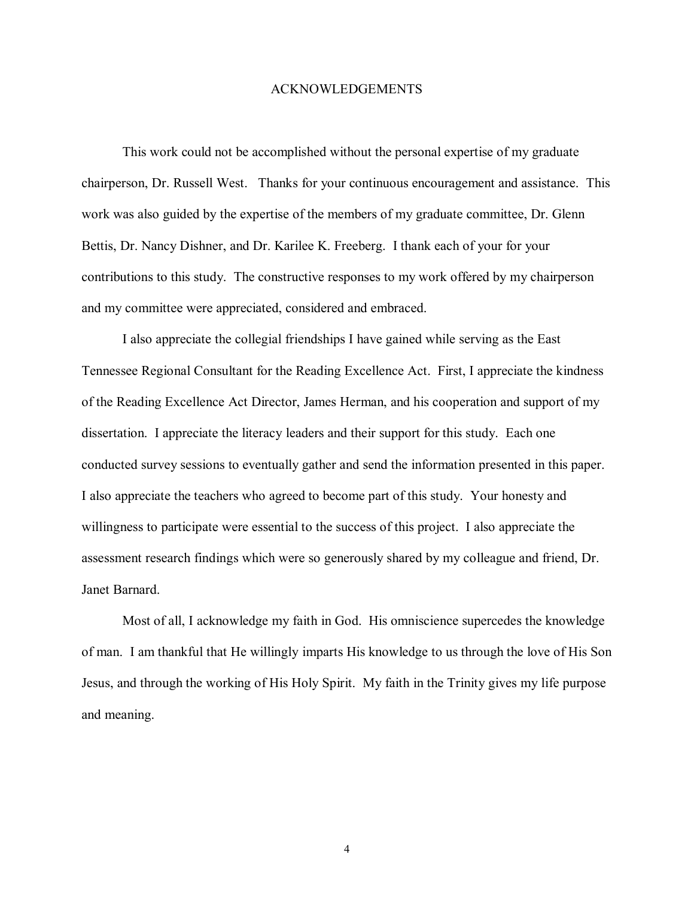#### ACKNOWLEDGEMENTS

 This work could not be accomplished without the personal expertise of my graduate chairperson, Dr. Russell West. Thanks for your continuous encouragement and assistance. This work was also guided by the expertise of the members of my graduate committee, Dr. Glenn Bettis, Dr. Nancy Dishner, and Dr. Karilee K. Freeberg. I thank each of your for your contributions to this study. The constructive responses to my work offered by my chairperson and my committee were appreciated, considered and embraced.

 I also appreciate the collegial friendships I have gained while serving as the East Tennessee Regional Consultant for the Reading Excellence Act. First, I appreciate the kindness of the Reading Excellence Act Director, James Herman, and his cooperation and support of my dissertation. I appreciate the literacy leaders and their support for this study. Each one conducted survey sessions to eventually gather and send the information presented in this paper. I also appreciate the teachers who agreed to become part of this study. Your honesty and willingness to participate were essential to the success of this project. I also appreciate the assessment research findings which were so generously shared by my colleague and friend, Dr. Janet Barnard.

 Most of all, I acknowledge my faith in God. His omniscience supercedes the knowledge of man. I am thankful that He willingly imparts His knowledge to us through the love of His Son Jesus, and through the working of His Holy Spirit. My faith in the Trinity gives my life purpose and meaning.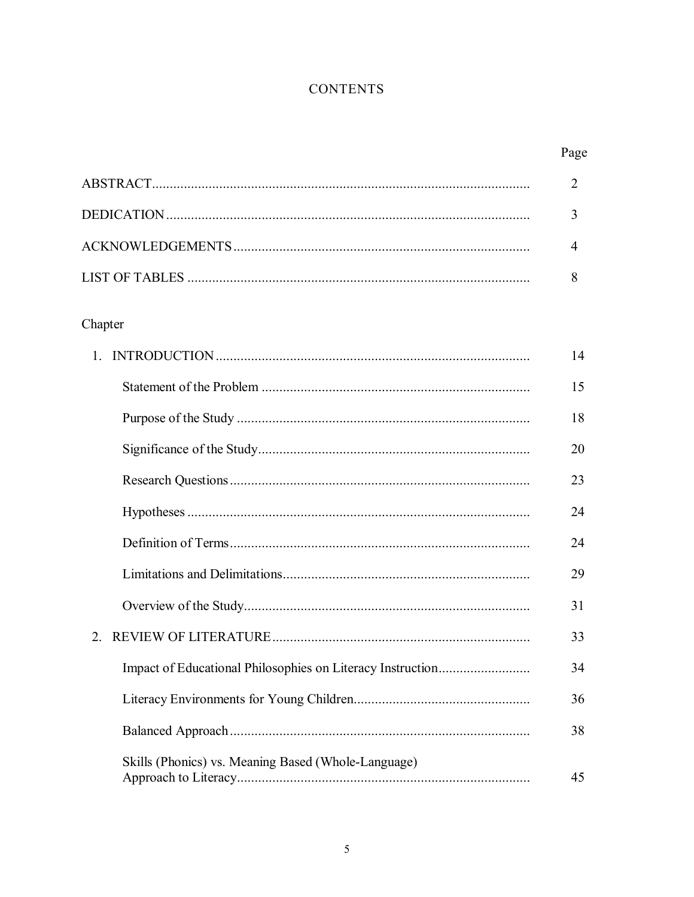# **CONTENTS**

|                                                     | $\overline{2}$ |
|-----------------------------------------------------|----------------|
|                                                     | 3              |
|                                                     | $\overline{4}$ |
|                                                     | 8              |
| Chapter                                             |                |
|                                                     | 14             |
|                                                     | 15             |
|                                                     | 18             |
|                                                     | 20             |
|                                                     | 23             |
|                                                     | 24             |
|                                                     | 24             |
|                                                     | 29             |
|                                                     | 31             |
| $2^{\circ}$                                         | 33             |
|                                                     | 34             |
|                                                     | 36             |
|                                                     | 38             |
| Skills (Phonics) vs. Meaning Based (Whole-Language) | 45             |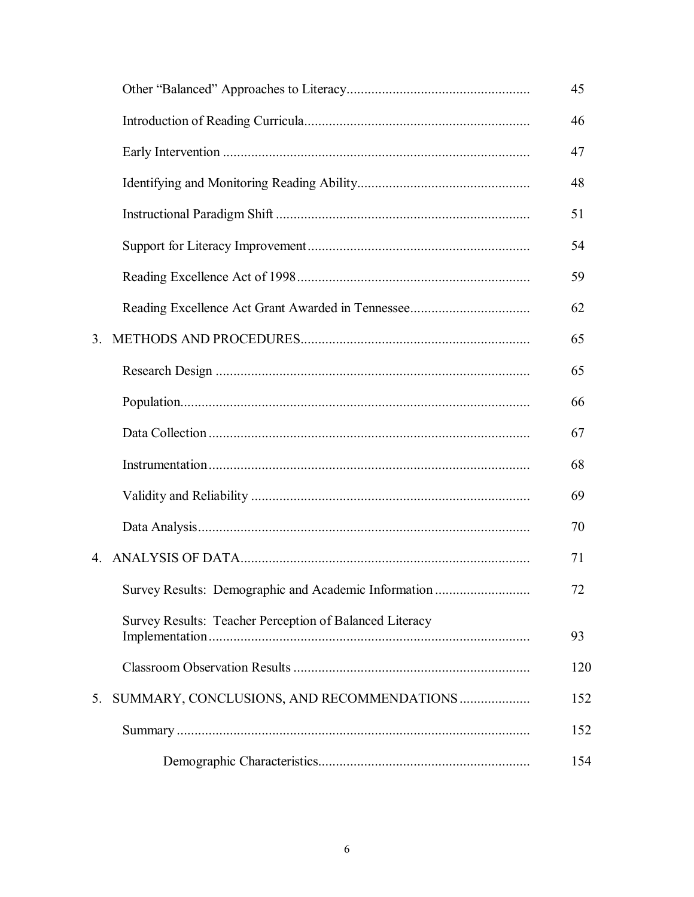|                                                         | 45  |
|---------------------------------------------------------|-----|
|                                                         | 46  |
|                                                         | 47  |
|                                                         | 48  |
|                                                         | 51  |
|                                                         | 54  |
|                                                         | 59  |
|                                                         | 62  |
| 3 <sub>1</sub>                                          | 65  |
|                                                         | 65  |
|                                                         | 66  |
|                                                         | 67  |
|                                                         | 68  |
|                                                         | 69  |
|                                                         | 70  |
| 4.                                                      | 71  |
| Survey Results: Demographic and Academic Information    | 72  |
| Survey Results: Teacher Perception of Balanced Literacy | 93  |
|                                                         | 120 |
| SUMMARY, CONCLUSIONS, AND RECOMMENDATIONS<br>5.         | 152 |
|                                                         | 152 |
|                                                         | 154 |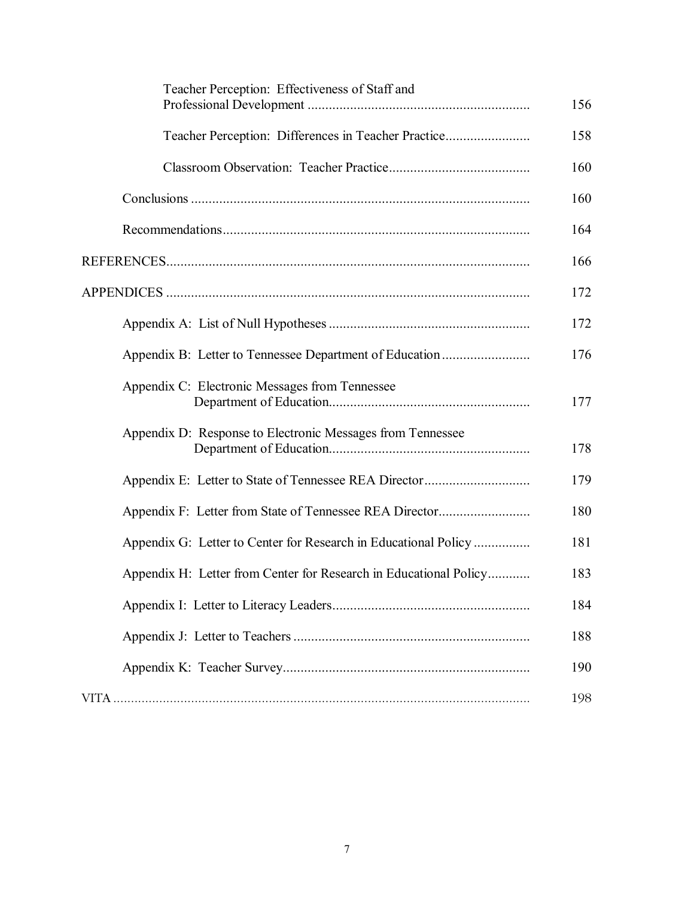| Teacher Perception: Effectiveness of Staff and                    | 156 |
|-------------------------------------------------------------------|-----|
| Teacher Perception: Differences in Teacher Practice               | 158 |
|                                                                   | 160 |
|                                                                   | 160 |
|                                                                   | 164 |
|                                                                   | 166 |
|                                                                   | 172 |
|                                                                   | 172 |
| Appendix B: Letter to Tennessee Department of Education           | 176 |
| Appendix C: Electronic Messages from Tennessee                    | 177 |
| Appendix D: Response to Electronic Messages from Tennessee        | 178 |
|                                                                   | 179 |
|                                                                   | 180 |
| Appendix G: Letter to Center for Research in Educational Policy   | 181 |
| Appendix H: Letter from Center for Research in Educational Policy | 183 |
|                                                                   | 184 |
|                                                                   | 188 |
|                                                                   | 190 |
|                                                                   | 198 |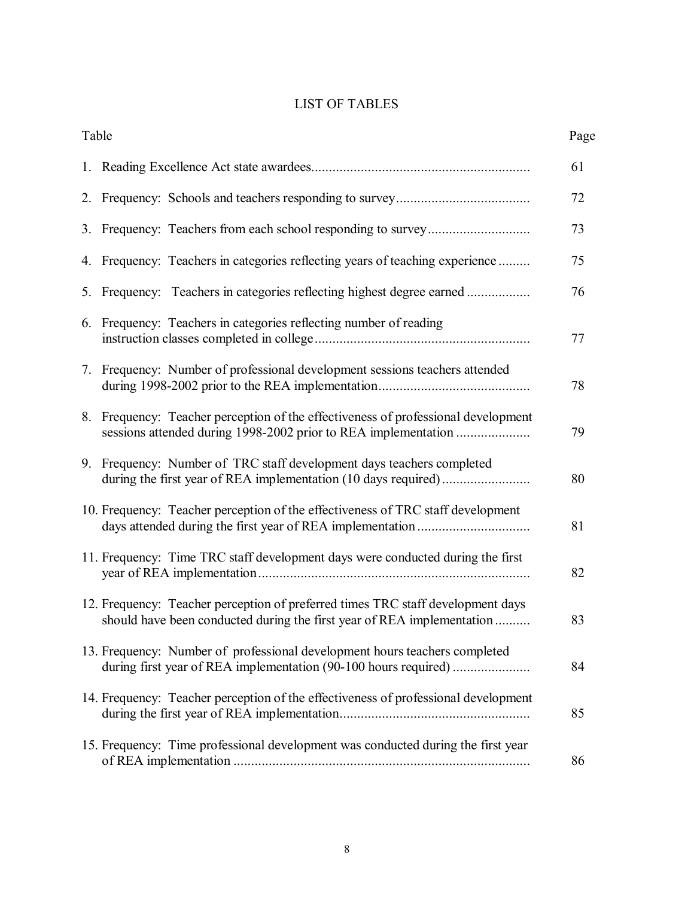# LIST OF TABLES

|    | Table                                                                                                                                                     | Page |
|----|-----------------------------------------------------------------------------------------------------------------------------------------------------------|------|
|    |                                                                                                                                                           | 61   |
|    |                                                                                                                                                           | 72   |
|    |                                                                                                                                                           | 73   |
|    | 4. Frequency: Teachers in categories reflecting years of teaching experience                                                                              | 75   |
|    | 5. Frequency: Teachers in categories reflecting highest degree earned                                                                                     | 76   |
|    | 6. Frequency: Teachers in categories reflecting number of reading                                                                                         | 77   |
| 7. | Frequency: Number of professional development sessions teachers attended                                                                                  | 78   |
|    | 8. Frequency: Teacher perception of the effectiveness of professional development                                                                         | 79   |
| 9. | Frequency: Number of TRC staff development days teachers completed                                                                                        | 80   |
|    | 10. Frequency: Teacher perception of the effectiveness of TRC staff development                                                                           | 81   |
|    | 11. Frequency: Time TRC staff development days were conducted during the first                                                                            | 82   |
|    | 12. Frequency: Teacher perception of preferred times TRC staff development days<br>should have been conducted during the first year of REA implementation | 83   |
|    | 13. Frequency: Number of professional development hours teachers completed<br>during first year of REA implementation (90-100 hours required)             | 84   |
|    | 14. Frequency: Teacher perception of the effectiveness of professional development                                                                        | 85   |
|    | 15. Frequency: Time professional development was conducted during the first year                                                                          | 86   |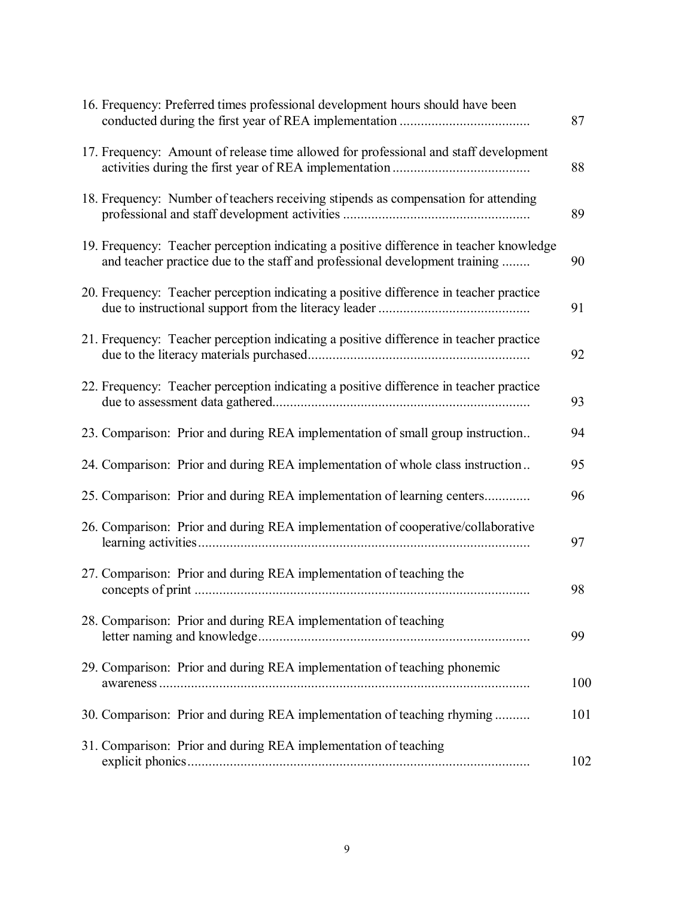| 16. Frequency: Preferred times professional development hours should have been                                                                                         | 87  |
|------------------------------------------------------------------------------------------------------------------------------------------------------------------------|-----|
| 17. Frequency: Amount of release time allowed for professional and staff development                                                                                   | 88  |
| 18. Frequency: Number of teachers receiving stipends as compensation for attending                                                                                     | 89  |
| 19. Frequency: Teacher perception indicating a positive difference in teacher knowledge<br>and teacher practice due to the staff and professional development training | 90  |
| 20. Frequency: Teacher perception indicating a positive difference in teacher practice                                                                                 | 91  |
| 21. Frequency: Teacher perception indicating a positive difference in teacher practice                                                                                 | 92  |
| 22. Frequency: Teacher perception indicating a positive difference in teacher practice                                                                                 | 93  |
| 23. Comparison: Prior and during REA implementation of small group instruction                                                                                         | 94  |
| 24. Comparison: Prior and during REA implementation of whole class instruction                                                                                         | 95  |
| 25. Comparison: Prior and during REA implementation of learning centers                                                                                                | 96  |
| 26. Comparison: Prior and during REA implementation of cooperative/collaborative                                                                                       | 97  |
| 27. Comparison: Prior and during REA implementation of teaching the                                                                                                    | 98  |
| 28. Comparison: Prior and during REA implementation of teaching                                                                                                        | 99  |
| 29. Comparison: Prior and during REA implementation of teaching phonemic                                                                                               | 100 |
| 30. Comparison: Prior and during REA implementation of teaching rhyming                                                                                                | 101 |
| 31. Comparison: Prior and during REA implementation of teaching                                                                                                        | 102 |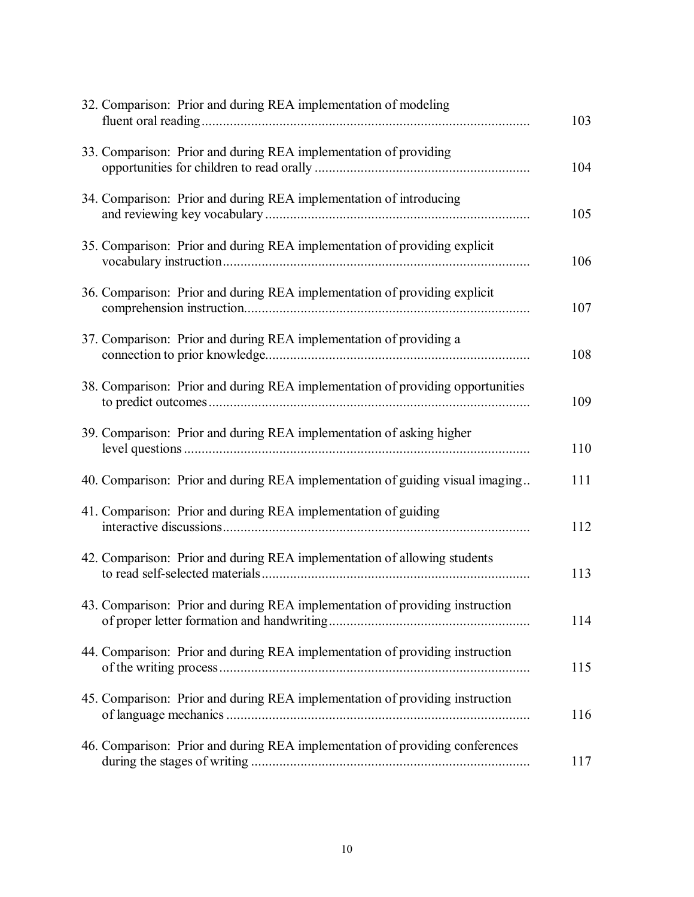| 32. Comparison: Prior and during REA implementation of modeling                | 103 |
|--------------------------------------------------------------------------------|-----|
| 33. Comparison: Prior and during REA implementation of providing               | 104 |
| 34. Comparison: Prior and during REA implementation of introducing             | 105 |
| 35. Comparison: Prior and during REA implementation of providing explicit      | 106 |
| 36. Comparison: Prior and during REA implementation of providing explicit      | 107 |
| 37. Comparison: Prior and during REA implementation of providing a             | 108 |
| 38. Comparison: Prior and during REA implementation of providing opportunities | 109 |
| 39. Comparison: Prior and during REA implementation of asking higher           | 110 |
| 40. Comparison: Prior and during REA implementation of guiding visual imaging  | 111 |
| 41. Comparison: Prior and during REA implementation of guiding                 | 112 |
| 42. Comparison: Prior and during REA implementation of allowing students       | 113 |
| 43. Comparison: Prior and during REA implementation of providing instruction   | 114 |
| 44. Comparison: Prior and during REA implementation of providing instruction   | 115 |
| 45. Comparison: Prior and during REA implementation of providing instruction   | 116 |
| 46. Comparison: Prior and during REA implementation of providing conferences   | 117 |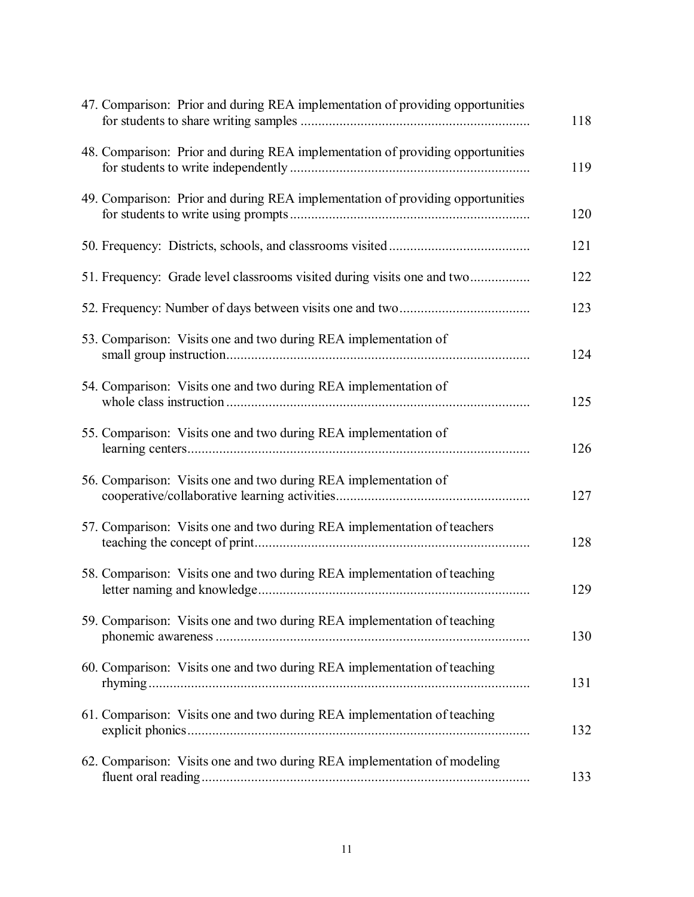| 47. Comparison: Prior and during REA implementation of providing opportunities | 118 |
|--------------------------------------------------------------------------------|-----|
| 48. Comparison: Prior and during REA implementation of providing opportunities | 119 |
| 49. Comparison: Prior and during REA implementation of providing opportunities | 120 |
|                                                                                | 121 |
| 51. Frequency: Grade level classrooms visited during visits one and two        | 122 |
|                                                                                | 123 |
| 53. Comparison: Visits one and two during REA implementation of                | 124 |
| 54. Comparison: Visits one and two during REA implementation of                | 125 |
| 55. Comparison: Visits one and two during REA implementation of                | 126 |
| 56. Comparison: Visits one and two during REA implementation of                | 127 |
| 57. Comparison: Visits one and two during REA implementation of teachers       | 128 |
| 58. Comparison: Visits one and two during REA implementation of teaching       | 129 |
| 59. Comparison: Visits one and two during REA implementation of teaching       | 130 |
| 60. Comparison: Visits one and two during REA implementation of teaching       | 131 |
| 61. Comparison: Visits one and two during REA implementation of teaching       | 132 |
| 62. Comparison: Visits one and two during REA implementation of modeling       | 133 |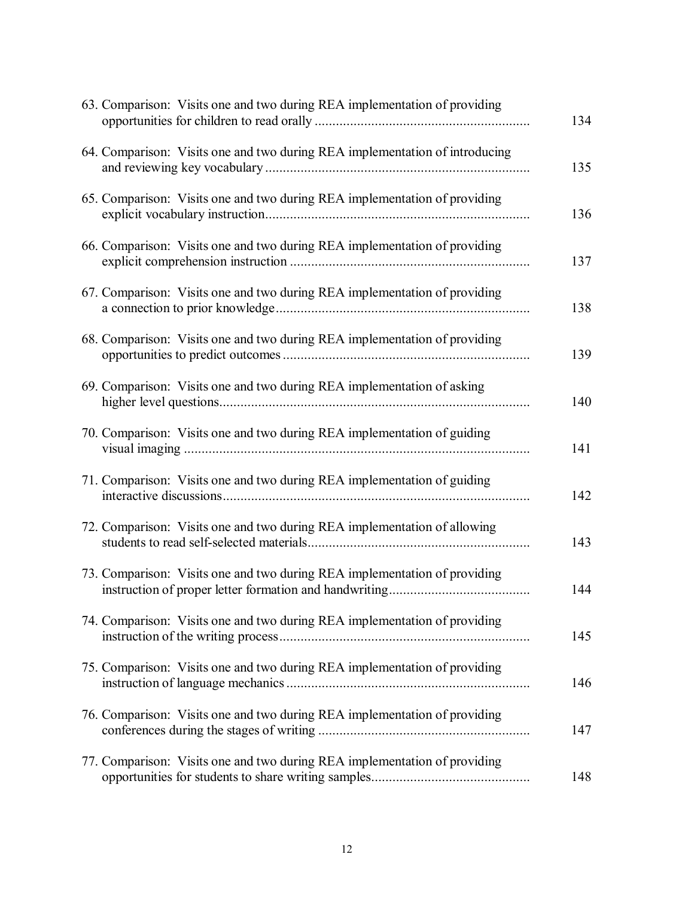| 63. Comparison: Visits one and two during REA implementation of providing   | 134 |
|-----------------------------------------------------------------------------|-----|
| 64. Comparison: Visits one and two during REA implementation of introducing | 135 |
| 65. Comparison: Visits one and two during REA implementation of providing   | 136 |
| 66. Comparison: Visits one and two during REA implementation of providing   | 137 |
| 67. Comparison: Visits one and two during REA implementation of providing   | 138 |
| 68. Comparison: Visits one and two during REA implementation of providing   | 139 |
| 69. Comparison: Visits one and two during REA implementation of asking      | 140 |
| 70. Comparison: Visits one and two during REA implementation of guiding     | 141 |
| 71. Comparison: Visits one and two during REA implementation of guiding     | 142 |
| 72. Comparison: Visits one and two during REA implementation of allowing    | 143 |
| 73. Comparison: Visits one and two during REA implementation of providing   | 144 |
| 74. Comparison: Visits one and two during REA implementation of providing   | 145 |
| 75. Comparison: Visits one and two during REA implementation of providing   | 146 |
| 76. Comparison: Visits one and two during REA implementation of providing   | 147 |
| 77. Comparison: Visits one and two during REA implementation of providing   | 148 |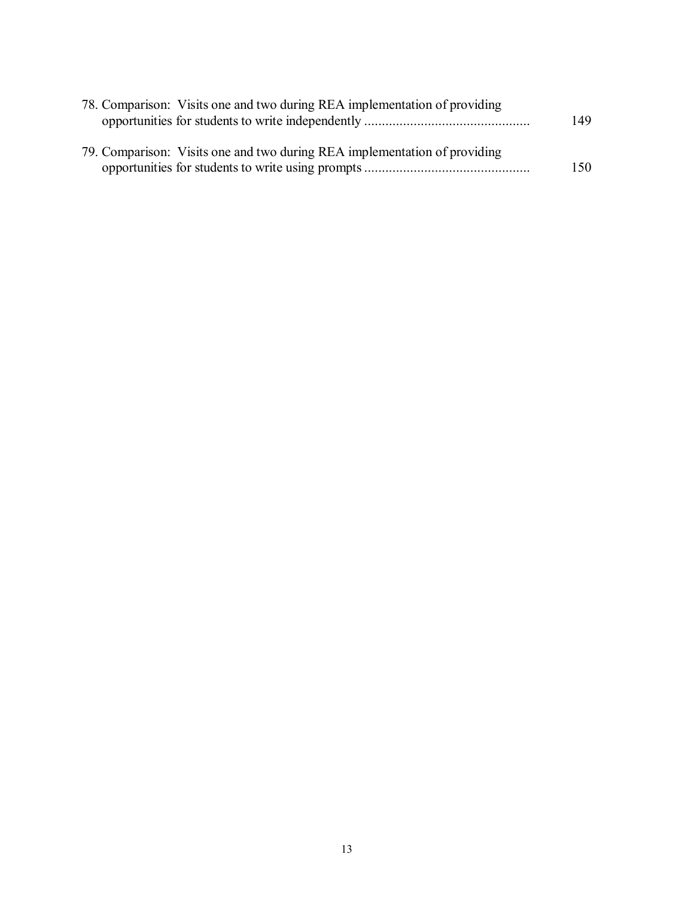| 78. Comparison: Visits one and two during REA implementation of providing | 149 |
|---------------------------------------------------------------------------|-----|
|                                                                           |     |
| 79. Comparison: Visits one and two during REA implementation of providing |     |
|                                                                           | 150 |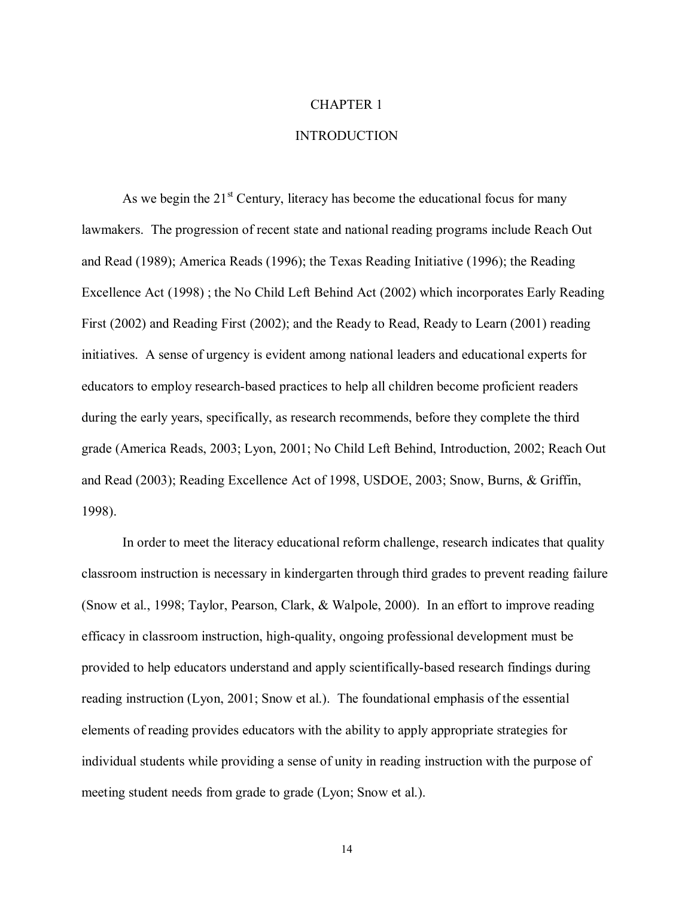#### CHAPTER 1

## INTRODUCTION

As we begin the  $21<sup>st</sup>$  Century, literacy has become the educational focus for many lawmakers. The progression of recent state and national reading programs include Reach Out and Read (1989); America Reads (1996); the Texas Reading Initiative (1996); the Reading Excellence Act (1998) ; the No Child Left Behind Act (2002) which incorporates Early Reading First (2002) and Reading First (2002); and the Ready to Read, Ready to Learn (2001) reading initiatives. A sense of urgency is evident among national leaders and educational experts for educators to employ research-based practices to help all children become proficient readers during the early years, specifically, as research recommends, before they complete the third grade (America Reads, 2003; Lyon, 2001; No Child Left Behind, Introduction, 2002; Reach Out and Read (2003); Reading Excellence Act of 1998, USDOE, 2003; Snow, Burns, & Griffin, 1998).

In order to meet the literacy educational reform challenge, research indicates that quality classroom instruction is necessary in kindergarten through third grades to prevent reading failure (Snow et al., 1998; Taylor, Pearson, Clark, & Walpole, 2000). In an effort to improve reading efficacy in classroom instruction, high-quality, ongoing professional development must be provided to help educators understand and apply scientifically-based research findings during reading instruction (Lyon, 2001; Snow et al.). The foundational emphasis of the essential elements of reading provides educators with the ability to apply appropriate strategies for individual students while providing a sense of unity in reading instruction with the purpose of meeting student needs from grade to grade (Lyon; Snow et al.).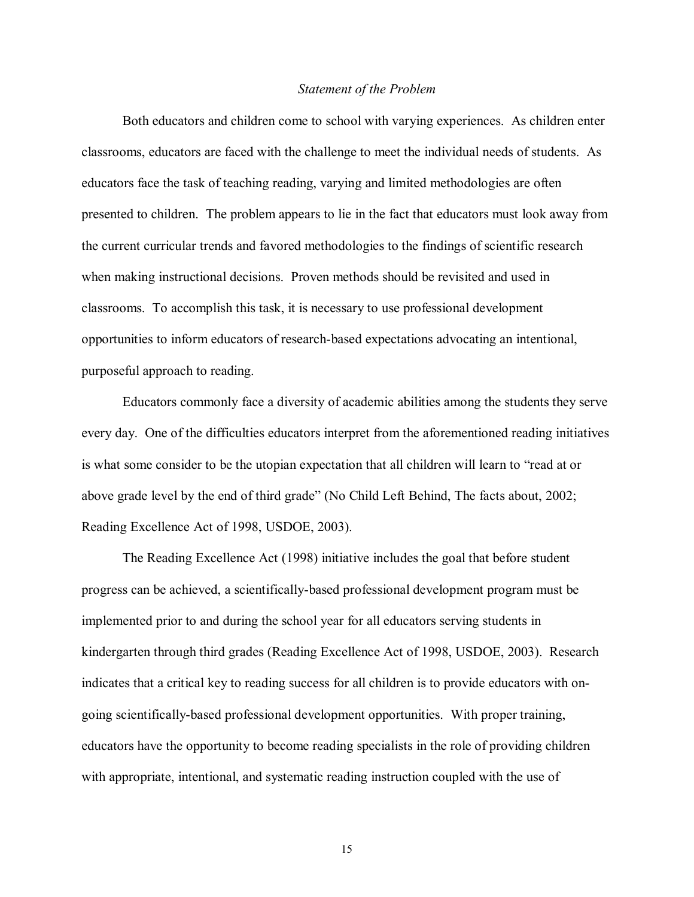#### *Statement of the Problem*

Both educators and children come to school with varying experiences. As children enter classrooms, educators are faced with the challenge to meet the individual needs of students. As educators face the task of teaching reading, varying and limited methodologies are often presented to children. The problem appears to lie in the fact that educators must look away from the current curricular trends and favored methodologies to the findings of scientific research when making instructional decisions. Proven methods should be revisited and used in classrooms. To accomplish this task, it is necessary to use professional development opportunities to inform educators of research-based expectations advocating an intentional, purposeful approach to reading.

Educators commonly face a diversity of academic abilities among the students they serve every day. One of the difficulties educators interpret from the aforementioned reading initiatives is what some consider to be the utopian expectation that all children will learn to "read at or above grade level by the end of third grade" (No Child Left Behind, The facts about, 2002; Reading Excellence Act of 1998, USDOE, 2003).

The Reading Excellence Act (1998) initiative includes the goal that before student progress can be achieved, a scientifically-based professional development program must be implemented prior to and during the school year for all educators serving students in kindergarten through third grades (Reading Excellence Act of 1998, USDOE, 2003). Research indicates that a critical key to reading success for all children is to provide educators with ongoing scientifically-based professional development opportunities. With proper training, educators have the opportunity to become reading specialists in the role of providing children with appropriate, intentional, and systematic reading instruction coupled with the use of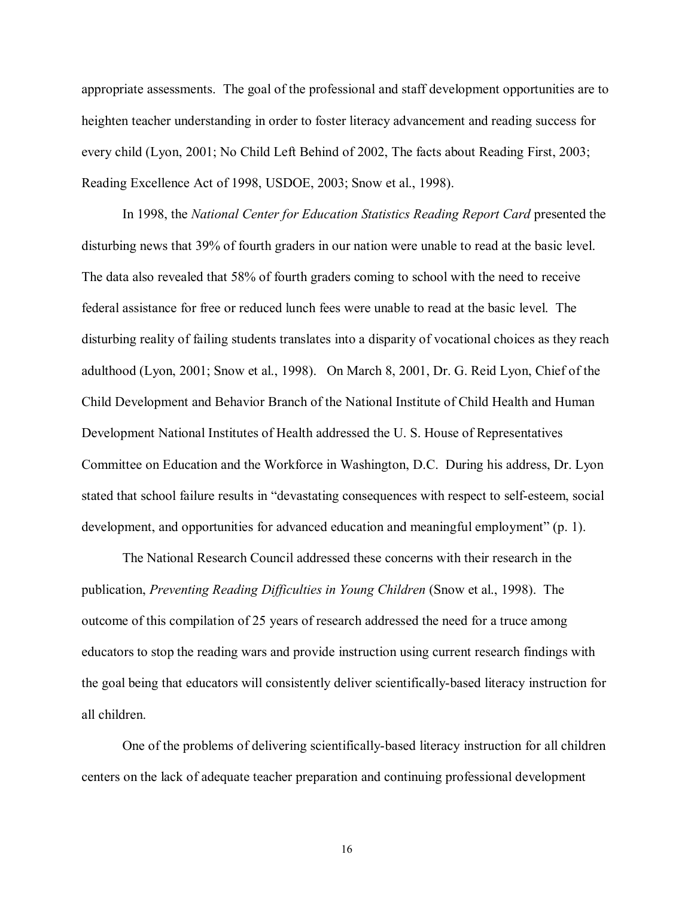appropriate assessments. The goal of the professional and staff development opportunities are to heighten teacher understanding in order to foster literacy advancement and reading success for every child (Lyon, 2001; No Child Left Behind of 2002, The facts about Reading First, 2003; Reading Excellence Act of 1998, USDOE, 2003; Snow et al., 1998).

In 1998, the *National Center for Education Statistics Reading Report Card* presented the disturbing news that 39% of fourth graders in our nation were unable to read at the basic level. The data also revealed that 58% of fourth graders coming to school with the need to receive federal assistance for free or reduced lunch fees were unable to read at the basic level. The disturbing reality of failing students translates into a disparity of vocational choices as they reach adulthood (Lyon, 2001; Snow et al., 1998). On March 8, 2001, Dr. G. Reid Lyon, Chief of the Child Development and Behavior Branch of the National Institute of Child Health and Human Development National Institutes of Health addressed the U. S. House of Representatives Committee on Education and the Workforce in Washington, D.C. During his address, Dr. Lyon stated that school failure results in "devastating consequences with respect to self-esteem, social development, and opportunities for advanced education and meaningful employment" (p. 1).

The National Research Council addressed these concerns with their research in the publication, *Preventing Reading Difficulties in Young Children* (Snow et al., 1998). The outcome of this compilation of 25 years of research addressed the need for a truce among educators to stop the reading wars and provide instruction using current research findings with the goal being that educators will consistently deliver scientifically-based literacy instruction for all children.

One of the problems of delivering scientifically-based literacy instruction for all children centers on the lack of adequate teacher preparation and continuing professional development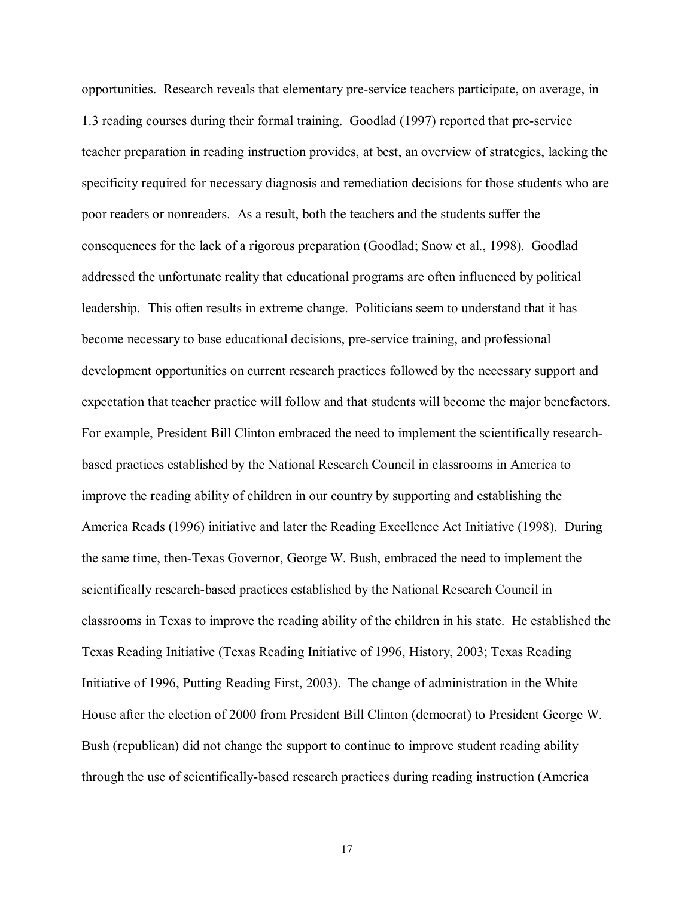opportunities. Research reveals that elementary pre-service teachers participate, on average, in 1.3 reading courses during their formal training. Goodlad (1997) reported that pre-service teacher preparation in reading instruction provides, at best, an overview of strategies, lacking the specificity required for necessary diagnosis and remediation decisions for those students who are poor readers or nonreaders. As a result, both the teachers and the students suffer the consequences for the lack of a rigorous preparation (Goodlad; Snow et al., 1998). Goodlad addressed the unfortunate reality that educational programs are often influenced by political leadership. This often results in extreme change. Politicians seem to understand that it has become necessary to base educational decisions, pre-service training, and professional development opportunities on current research practices followed by the necessary support and expectation that teacher practice will follow and that students will become the major benefactors. For example, President Bill Clinton embraced the need to implement the scientifically researchbased practices established by the National Research Council in classrooms in America to improve the reading ability of children in our country by supporting and establishing the America Reads (1996) initiative and later the Reading Excellence Act Initiative (1998). During the same time, then-Texas Governor, George W. Bush, embraced the need to implement the scientifically research-based practices established by the National Research Council in classrooms in Texas to improve the reading ability of the children in his state. He established the Texas Reading Initiative (Texas Reading Initiative of 1996, History, 2003; Texas Reading Initiative of 1996, Putting Reading First, 2003). The change of administration in the White House after the election of 2000 from President Bill Clinton (democrat) to President George W. Bush (republican) did not change the support to continue to improve student reading ability through the use of scientifically-based research practices during reading instruction (America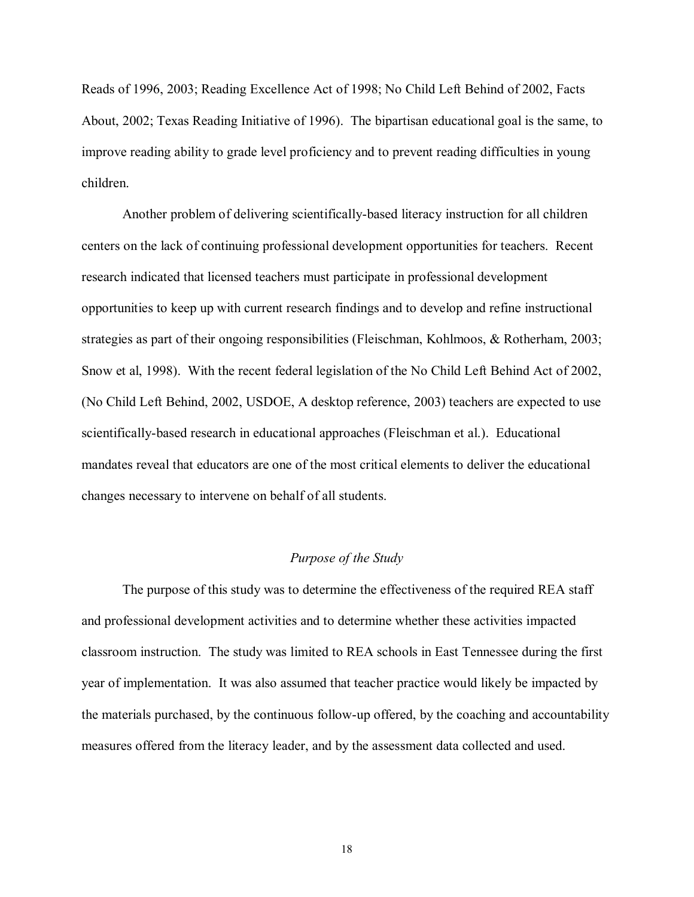Reads of 1996, 2003; Reading Excellence Act of 1998; No Child Left Behind of 2002, Facts About, 2002; Texas Reading Initiative of 1996). The bipartisan educational goal is the same, to improve reading ability to grade level proficiency and to prevent reading difficulties in young children.

Another problem of delivering scientifically-based literacy instruction for all children centers on the lack of continuing professional development opportunities for teachers. Recent research indicated that licensed teachers must participate in professional development opportunities to keep up with current research findings and to develop and refine instructional strategies as part of their ongoing responsibilities (Fleischman, Kohlmoos, & Rotherham, 2003; Snow et al, 1998). With the recent federal legislation of the No Child Left Behind Act of 2002, (No Child Left Behind, 2002, USDOE, A desktop reference, 2003) teachers are expected to use scientifically-based research in educational approaches (Fleischman et al.). Educational mandates reveal that educators are one of the most critical elements to deliver the educational changes necessary to intervene on behalf of all students.

# *Purpose of the Study*

The purpose of this study was to determine the effectiveness of the required REA staff and professional development activities and to determine whether these activities impacted classroom instruction. The study was limited to REA schools in East Tennessee during the first year of implementation. It was also assumed that teacher practice would likely be impacted by the materials purchased, by the continuous follow-up offered, by the coaching and accountability measures offered from the literacy leader, and by the assessment data collected and used.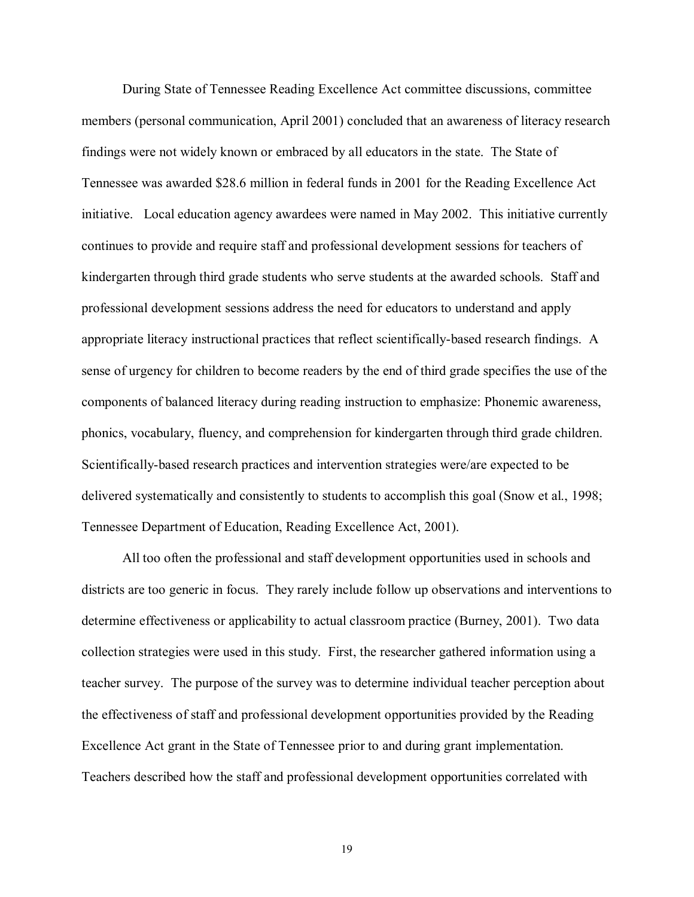During State of Tennessee Reading Excellence Act committee discussions, committee members (personal communication, April 2001) concluded that an awareness of literacy research findings were not widely known or embraced by all educators in the state. The State of Tennessee was awarded \$28.6 million in federal funds in 2001 for the Reading Excellence Act initiative. Local education agency awardees were named in May 2002. This initiative currently continues to provide and require staff and professional development sessions for teachers of kindergarten through third grade students who serve students at the awarded schools. Staff and professional development sessions address the need for educators to understand and apply appropriate literacy instructional practices that reflect scientifically-based research findings. A sense of urgency for children to become readers by the end of third grade specifies the use of the components of balanced literacy during reading instruction to emphasize: Phonemic awareness, phonics, vocabulary, fluency, and comprehension for kindergarten through third grade children. Scientifically-based research practices and intervention strategies were/are expected to be delivered systematically and consistently to students to accomplish this goal (Snow et al., 1998; Tennessee Department of Education, Reading Excellence Act, 2001).

All too often the professional and staff development opportunities used in schools and districts are too generic in focus. They rarely include follow up observations and interventions to determine effectiveness or applicability to actual classroom practice (Burney, 2001). Two data collection strategies were used in this study. First, the researcher gathered information using a teacher survey. The purpose of the survey was to determine individual teacher perception about the effectiveness of staff and professional development opportunities provided by the Reading Excellence Act grant in the State of Tennessee prior to and during grant implementation. Teachers described how the staff and professional development opportunities correlated with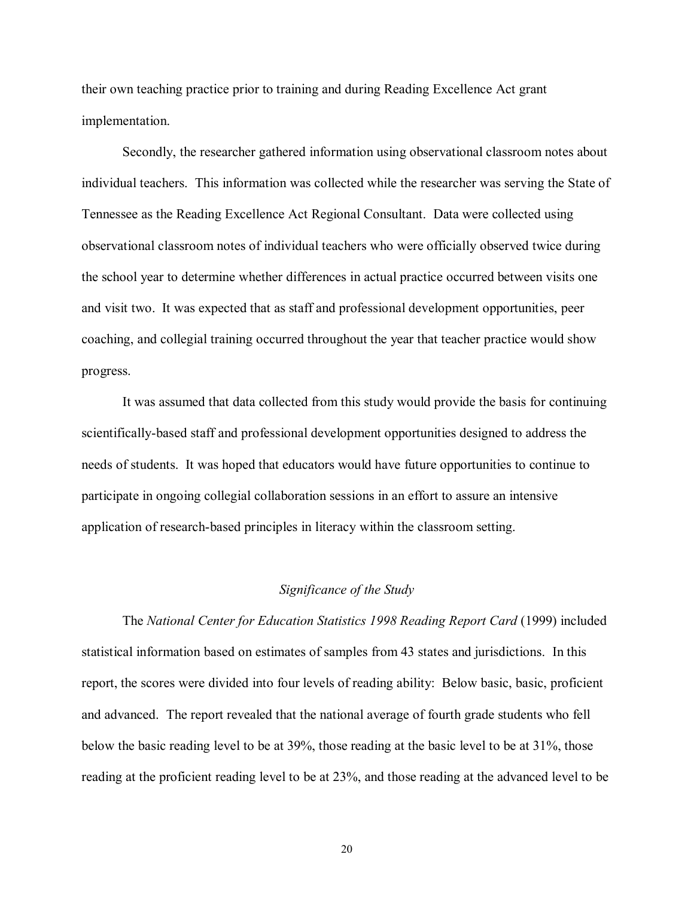their own teaching practice prior to training and during Reading Excellence Act grant implementation.

Secondly, the researcher gathered information using observational classroom notes about individual teachers. This information was collected while the researcher was serving the State of Tennessee as the Reading Excellence Act Regional Consultant. Data were collected using observational classroom notes of individual teachers who were officially observed twice during the school year to determine whether differences in actual practice occurred between visits one and visit two. It was expected that as staff and professional development opportunities, peer coaching, and collegial training occurred throughout the year that teacher practice would show progress.

It was assumed that data collected from this study would provide the basis for continuing scientifically-based staff and professional development opportunities designed to address the needs of students. It was hoped that educators would have future opportunities to continue to participate in ongoing collegial collaboration sessions in an effort to assure an intensive application of research-based principles in literacy within the classroom setting.

#### *Significance of the Study*

The *National Center for Education Statistics 1998 Reading Report Card* (1999) included statistical information based on estimates of samples from 43 states and jurisdictions. In this report, the scores were divided into four levels of reading ability: Below basic, basic, proficient and advanced. The report revealed that the national average of fourth grade students who fell below the basic reading level to be at 39%, those reading at the basic level to be at 31%, those reading at the proficient reading level to be at 23%, and those reading at the advanced level to be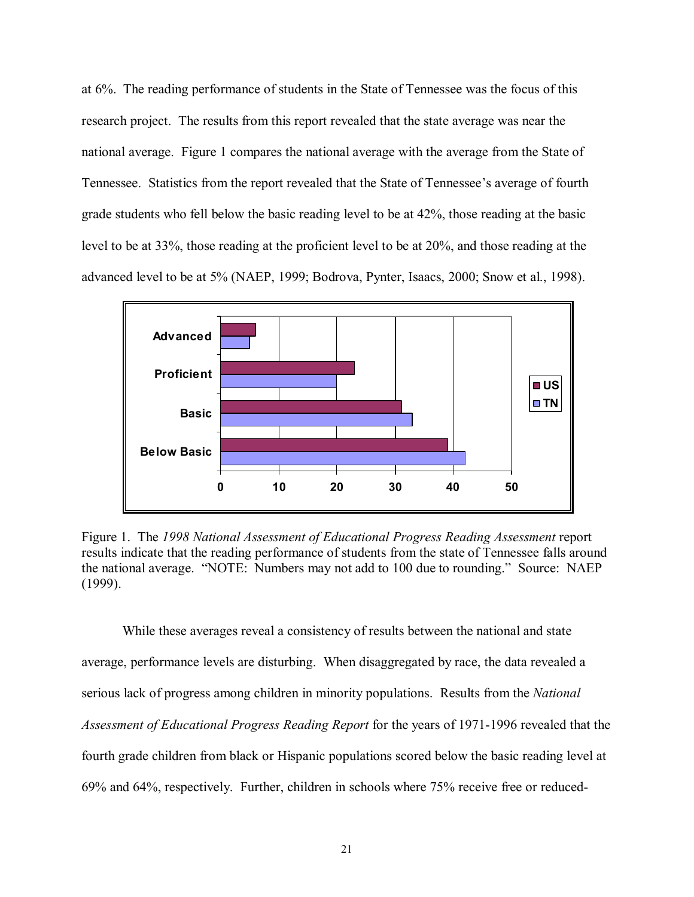at 6%. The reading performance of students in the State of Tennessee was the focus of this research project. The results from this report revealed that the state average was near the national average. Figure 1 compares the national average with the average from the State of Tennessee. Statistics from the report revealed that the State of Tennessee's average of fourth grade students who fell below the basic reading level to be at 42%, those reading at the basic level to be at 33%, those reading at the proficient level to be at 20%, and those reading at the advanced level to be at 5% (NAEP, 1999; Bodrova, Pynter, Isaacs, 2000; Snow et al., 1998).



Figure 1. The *1998 National Assessment of Educational Progress Reading Assessment* report results indicate that the reading performance of students from the state of Tennessee falls around the national average. "NOTE: Numbers may not add to 100 due to rounding." Source: NAEP (1999).

While these averages reveal a consistency of results between the national and state average, performance levels are disturbing. When disaggregated by race, the data revealed a serious lack of progress among children in minority populations. Results from the *National Assessment of Educational Progress Reading Report* for the years of 1971-1996 revealed that the fourth grade children from black or Hispanic populations scored below the basic reading level at 69% and 64%, respectively. Further, children in schools where 75% receive free or reduced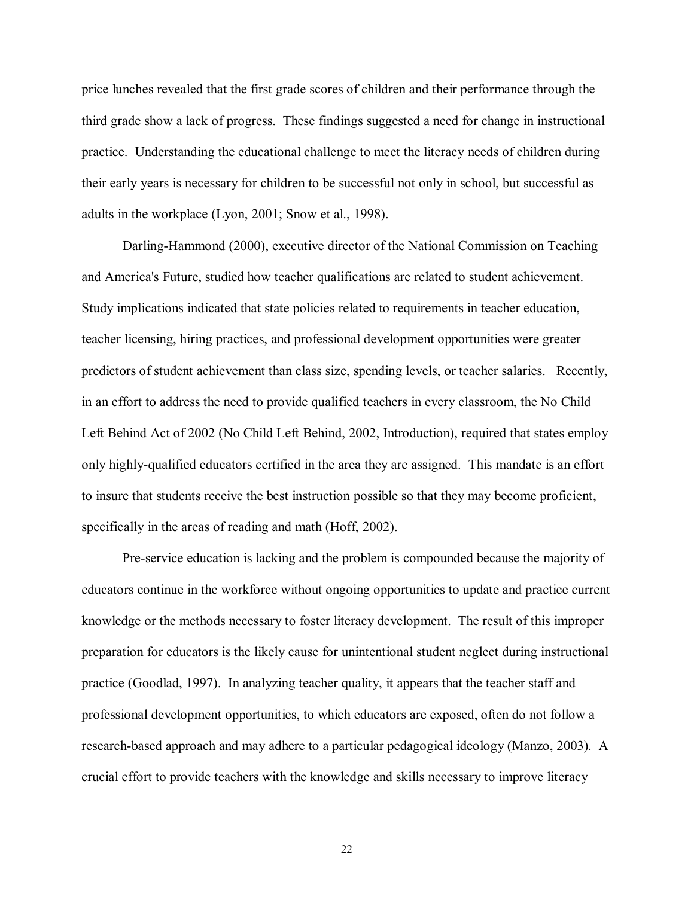price lunches revealed that the first grade scores of children and their performance through the third grade show a lack of progress. These findings suggested a need for change in instructional practice. Understanding the educational challenge to meet the literacy needs of children during their early years is necessary for children to be successful not only in school, but successful as adults in the workplace (Lyon, 2001; Snow et al., 1998).

Darling-Hammond (2000), executive director of the National Commission on Teaching and America's Future, studied how teacher qualifications are related to student achievement. Study implications indicated that state policies related to requirements in teacher education, teacher licensing, hiring practices, and professional development opportunities were greater predictors of student achievement than class size, spending levels, or teacher salaries. Recently, in an effort to address the need to provide qualified teachers in every classroom, the No Child Left Behind Act of 2002 (No Child Left Behind, 2002, Introduction), required that states employ only highly-qualified educators certified in the area they are assigned. This mandate is an effort to insure that students receive the best instruction possible so that they may become proficient, specifically in the areas of reading and math (Hoff, 2002).

Pre-service education is lacking and the problem is compounded because the majority of educators continue in the workforce without ongoing opportunities to update and practice current knowledge or the methods necessary to foster literacy development. The result of this improper preparation for educators is the likely cause for unintentional student neglect during instructional practice (Goodlad, 1997). In analyzing teacher quality, it appears that the teacher staff and professional development opportunities, to which educators are exposed, often do not follow a research-based approach and may adhere to a particular pedagogical ideology (Manzo, 2003). A crucial effort to provide teachers with the knowledge and skills necessary to improve literacy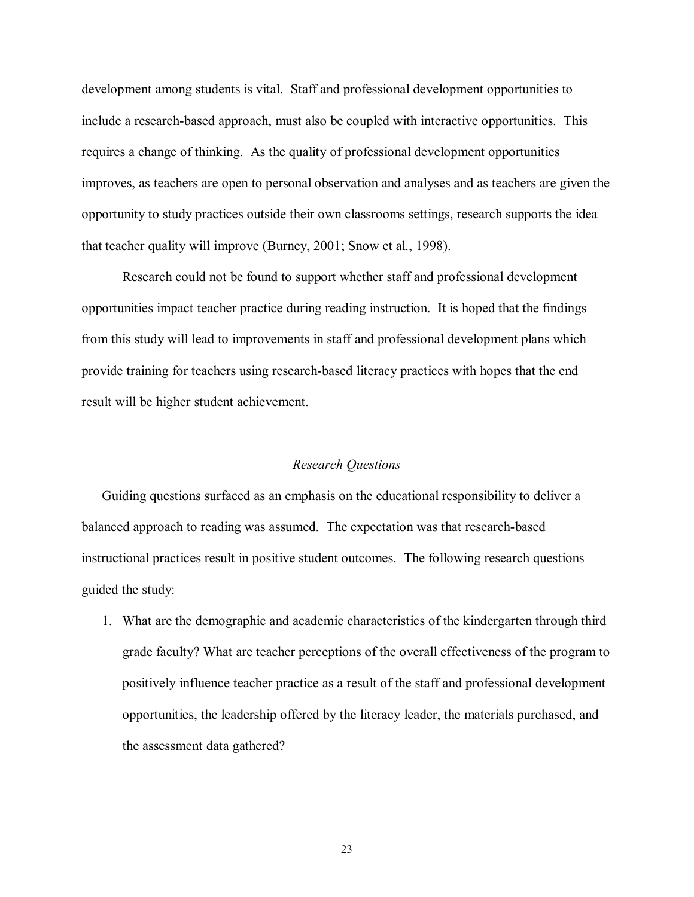development among students is vital. Staff and professional development opportunities to include a research-based approach, must also be coupled with interactive opportunities. This requires a change of thinking. As the quality of professional development opportunities improves, as teachers are open to personal observation and analyses and as teachers are given the opportunity to study practices outside their own classrooms settings, research supports the idea that teacher quality will improve (Burney, 2001; Snow et al., 1998).

Research could not be found to support whether staff and professional development opportunities impact teacher practice during reading instruction. It is hoped that the findings from this study will lead to improvements in staff and professional development plans which provide training for teachers using research-based literacy practices with hopes that the end result will be higher student achievement.

# *Research Questions*

Guiding questions surfaced as an emphasis on the educational responsibility to deliver a balanced approach to reading was assumed. The expectation was that research-based instructional practices result in positive student outcomes. The following research questions guided the study:

1. What are the demographic and academic characteristics of the kindergarten through third grade faculty? What are teacher perceptions of the overall effectiveness of the program to positively influence teacher practice as a result of the staff and professional development opportunities, the leadership offered by the literacy leader, the materials purchased, and the assessment data gathered?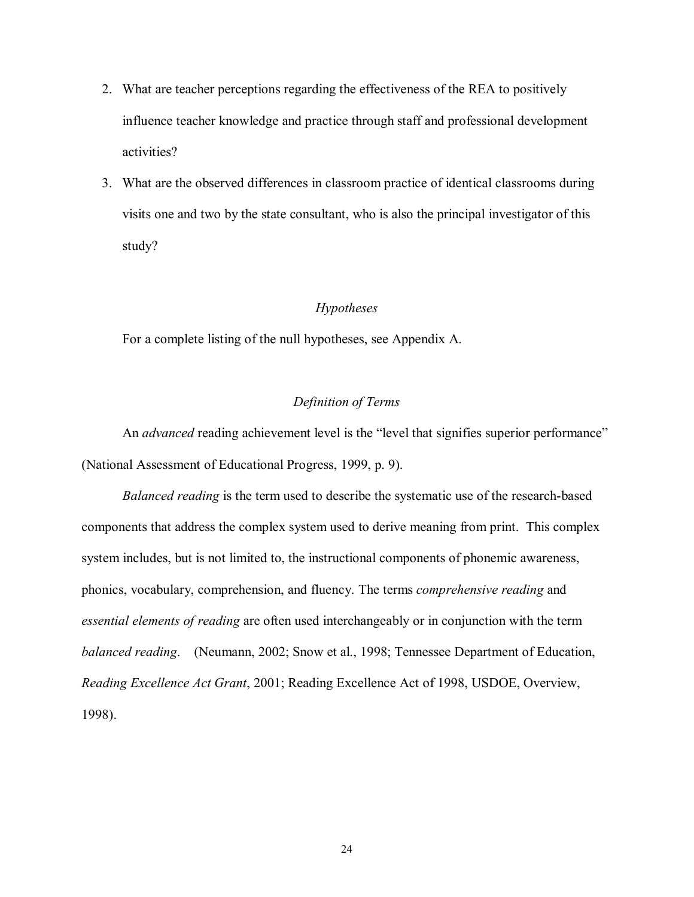- 2. What are teacher perceptions regarding the effectiveness of the REA to positively influence teacher knowledge and practice through staff and professional development activities?
- 3. What are the observed differences in classroom practice of identical classrooms during visits one and two by the state consultant, who is also the principal investigator of this study?

# *Hypotheses*

For a complete listing of the null hypotheses, see Appendix A.

# *Definition of Terms*

An *advanced* reading achievement level is the "level that signifies superior performance" (National Assessment of Educational Progress, 1999, p. 9).

 *Balanced reading* is the term used to describe the systematic use of the research-based components that address the complex system used to derive meaning from print. This complex system includes, but is not limited to, the instructional components of phonemic awareness, phonics, vocabulary, comprehension, and fluency. The terms *comprehensive reading* and *essential elements of reading* are often used interchangeably or in conjunction with the term *balanced reading*. (Neumann, 2002; Snow et al., 1998; Tennessee Department of Education, *Reading Excellence Act Grant*, 2001; Reading Excellence Act of 1998, USDOE, Overview, 1998).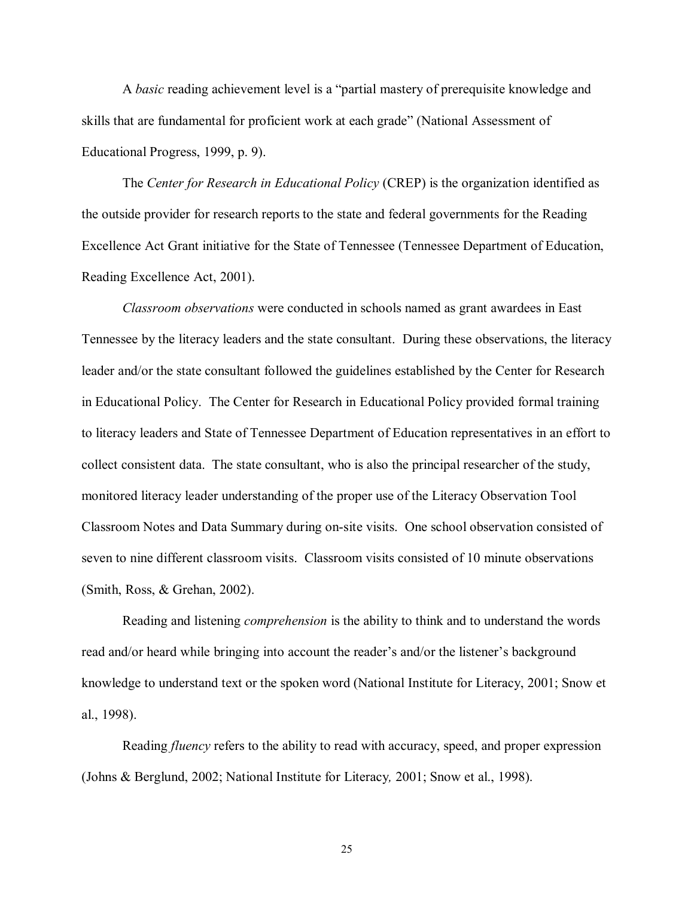A *basic* reading achievement level is a "partial mastery of prerequisite knowledge and skills that are fundamental for proficient work at each grade" (National Assessment of Educational Progress, 1999, p. 9).

 The *Center for Research in Educational Policy* (CREP) is the organization identified as the outside provider for research reports to the state and federal governments for the Reading Excellence Act Grant initiative for the State of Tennessee (Tennessee Department of Education, Reading Excellence Act, 2001).

*Classroom observations* were conducted in schools named as grant awardees in East Tennessee by the literacy leaders and the state consultant. During these observations, the literacy leader and/or the state consultant followed the guidelines established by the Center for Research in Educational Policy. The Center for Research in Educational Policy provided formal training to literacy leaders and State of Tennessee Department of Education representatives in an effort to collect consistent data. The state consultant, who is also the principal researcher of the study, monitored literacy leader understanding of the proper use of the Literacy Observation Tool Classroom Notes and Data Summary during on-site visits. One school observation consisted of seven to nine different classroom visits. Classroom visits consisted of 10 minute observations (Smith, Ross, & Grehan, 2002).

 Reading and listening *comprehension* is the ability to think and to understand the words read and/or heard while bringing into account the reader's and/or the listener's background knowledge to understand text or the spoken word (National Institute for Literacy, 2001; Snow et al., 1998).

 Reading *fluency* refers to the ability to read with accuracy, speed, and proper expression (Johns & Berglund, 2002; National Institute for Literacy*,* 2001; Snow et al., 1998).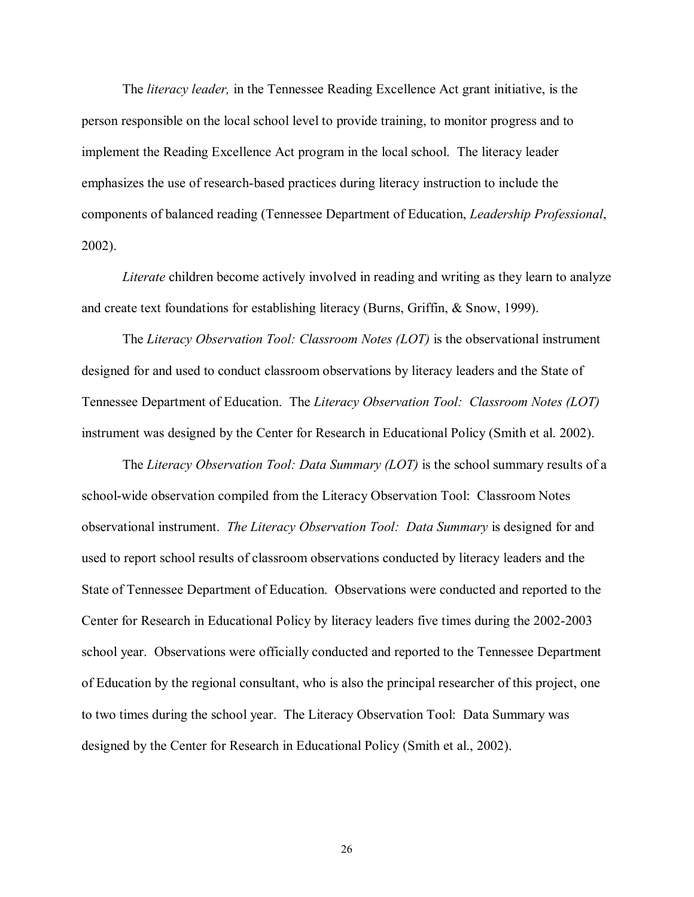The *literacy leader,* in the Tennessee Reading Excellence Act grant initiative, is the person responsible on the local school level to provide training, to monitor progress and to implement the Reading Excellence Act program in the local school. The literacy leader emphasizes the use of research-based practices during literacy instruction to include the components of balanced reading (Tennessee Department of Education, *Leadership Professional*, 2002).

*Literate* children become actively involved in reading and writing as they learn to analyze and create text foundations for establishing literacy (Burns, Griffin, & Snow, 1999).

The *Literacy Observation Tool: Classroom Notes (LOT)* is the observational instrument designed for and used to conduct classroom observations by literacy leaders and the State of Tennessee Department of Education. The *Literacy Observation Tool: Classroom Notes (LOT)* instrument was designed by the Center for Research in Educational Policy (Smith et al. 2002).

The *Literacy Observation Tool: Data Summary (LOT)* is the school summary results of a school-wide observation compiled from the Literacy Observation Tool: Classroom Notes observational instrument. *The Literacy Observation Tool: Data Summary* is designed for and used to report school results of classroom observations conducted by literacy leaders and the State of Tennessee Department of Education. Observations were conducted and reported to the Center for Research in Educational Policy by literacy leaders five times during the 2002-2003 school year. Observations were officially conducted and reported to the Tennessee Department of Education by the regional consultant, who is also the principal researcher of this project, one to two times during the school year. The Literacy Observation Tool: Data Summary was designed by the Center for Research in Educational Policy (Smith et al., 2002).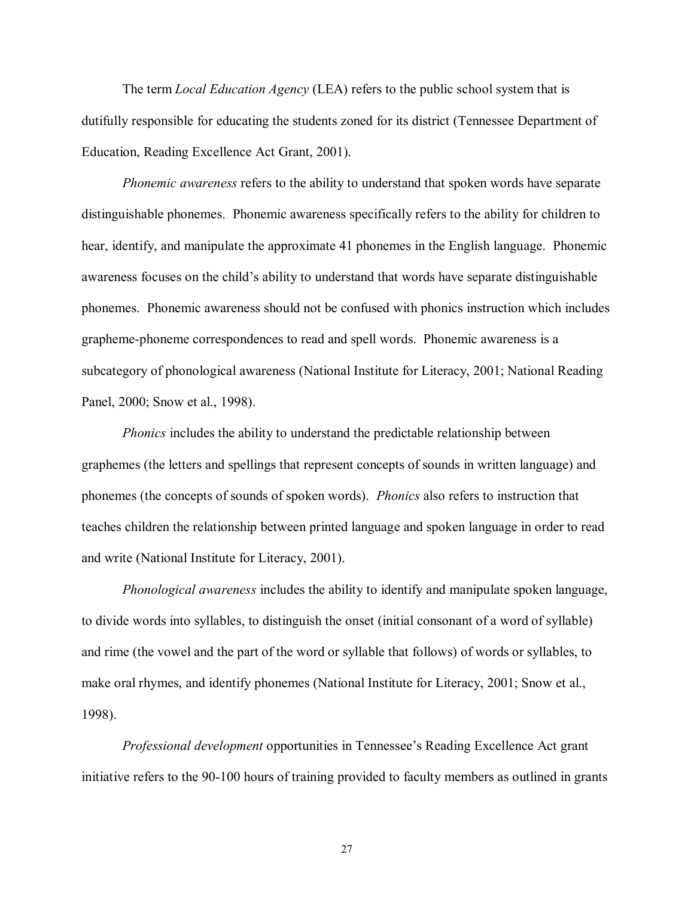The term *Local Education Agency* (LEA) refers to the public school system that is dutifully responsible for educating the students zoned for its district (Tennessee Department of Education, Reading Excellence Act Grant, 2001).

*Phonemic awareness* refers to the ability to understand that spoken words have separate distinguishable phonemes. Phonemic awareness specifically refers to the ability for children to hear, identify, and manipulate the approximate 41 phonemes in the English language. Phonemic awareness focuses on the child's ability to understand that words have separate distinguishable phonemes. Phonemic awareness should not be confused with phonics instruction which includes grapheme-phoneme correspondences to read and spell words. Phonemic awareness is a subcategory of phonological awareness (National Institute for Literacy, 2001; National Reading Panel, 2000; Snow et al., 1998).

*Phonics* includes the ability to understand the predictable relationship between graphemes (the letters and spellings that represent concepts of sounds in written language) and phonemes (the concepts of sounds of spoken words). *Phonics* also refers to instruction that teaches children the relationship between printed language and spoken language in order to read and write (National Institute for Literacy, 2001).

*Phonological awareness* includes the ability to identify and manipulate spoken language, to divide words into syllables, to distinguish the onset (initial consonant of a word of syllable) and rime (the vowel and the part of the word or syllable that follows) of words or syllables, to make oral rhymes, and identify phonemes (National Institute for Literacy, 2001; Snow et al., 1998).

*Professional development* opportunities in Tennessee's Reading Excellence Act grant initiative refers to the 90-100 hours of training provided to faculty members as outlined in grants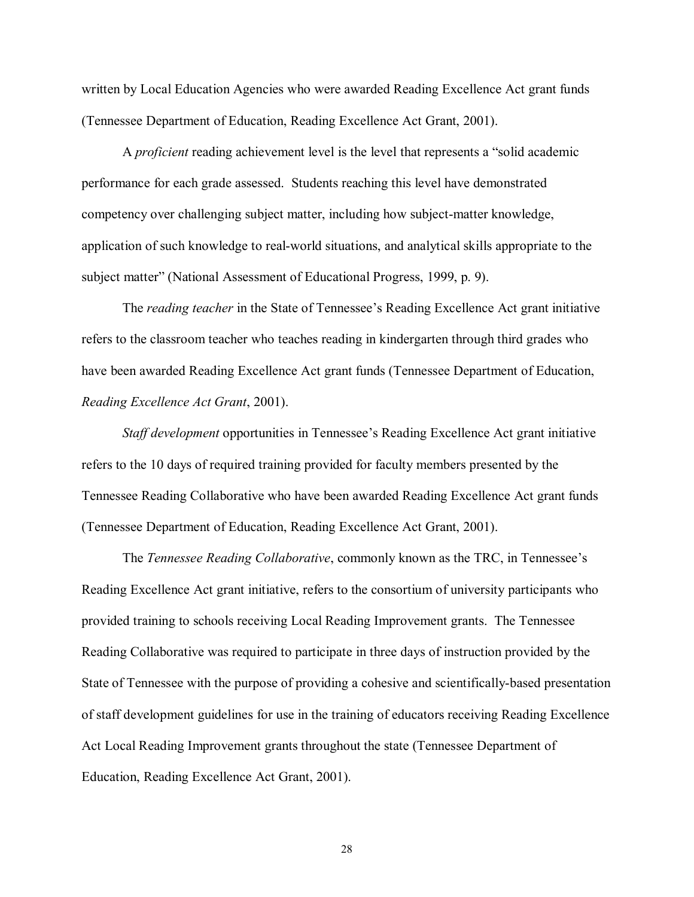written by Local Education Agencies who were awarded Reading Excellence Act grant funds (Tennessee Department of Education, Reading Excellence Act Grant, 2001).

A *proficient* reading achievement level is the level that represents a "solid academic performance for each grade assessed. Students reaching this level have demonstrated competency over challenging subject matter, including how subject-matter knowledge, application of such knowledge to real-world situations, and analytical skills appropriate to the subject matter" (National Assessment of Educational Progress, 1999, p. 9).

The *reading teacher* in the State of Tennessee's Reading Excellence Act grant initiative refers to the classroom teacher who teaches reading in kindergarten through third grades who have been awarded Reading Excellence Act grant funds (Tennessee Department of Education, *Reading Excellence Act Grant*, 2001).

*Staff development* opportunities in Tennessee's Reading Excellence Act grant initiative refers to the 10 days of required training provided for faculty members presented by the Tennessee Reading Collaborative who have been awarded Reading Excellence Act grant funds (Tennessee Department of Education, Reading Excellence Act Grant, 2001).

The *Tennessee Reading Collaborative*, commonly known as the TRC, in Tennessee's Reading Excellence Act grant initiative, refers to the consortium of university participants who provided training to schools receiving Local Reading Improvement grants. The Tennessee Reading Collaborative was required to participate in three days of instruction provided by the State of Tennessee with the purpose of providing a cohesive and scientifically-based presentation of staff development guidelines for use in the training of educators receiving Reading Excellence Act Local Reading Improvement grants throughout the state (Tennessee Department of Education, Reading Excellence Act Grant, 2001).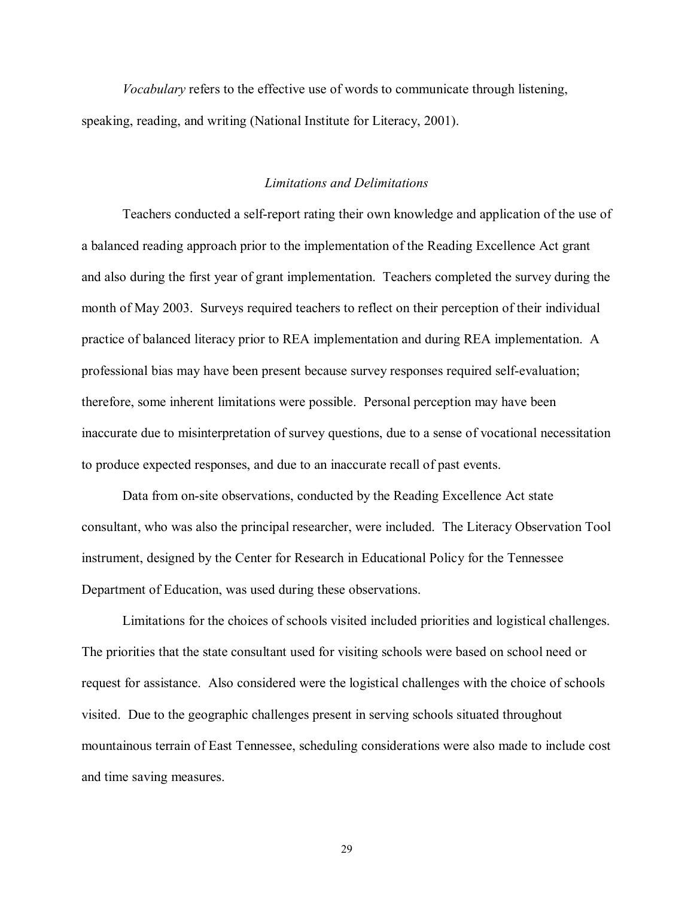*Vocabulary* refers to the effective use of words to communicate through listening, speaking, reading, and writing (National Institute for Literacy, 2001).

## *Limitations and Delimitations*

Teachers conducted a self-report rating their own knowledge and application of the use of a balanced reading approach prior to the implementation of the Reading Excellence Act grant and also during the first year of grant implementation. Teachers completed the survey during the month of May 2003. Surveys required teachers to reflect on their perception of their individual practice of balanced literacy prior to REA implementation and during REA implementation. A professional bias may have been present because survey responses required self-evaluation; therefore, some inherent limitations were possible. Personal perception may have been inaccurate due to misinterpretation of survey questions, due to a sense of vocational necessitation to produce expected responses, and due to an inaccurate recall of past events.

Data from on-site observations, conducted by the Reading Excellence Act state consultant, who was also the principal researcher, were included. The Literacy Observation Tool instrument, designed by the Center for Research in Educational Policy for the Tennessee Department of Education, was used during these observations.

Limitations for the choices of schools visited included priorities and logistical challenges. The priorities that the state consultant used for visiting schools were based on school need or request for assistance. Also considered were the logistical challenges with the choice of schools visited. Due to the geographic challenges present in serving schools situated throughout mountainous terrain of East Tennessee, scheduling considerations were also made to include cost and time saving measures.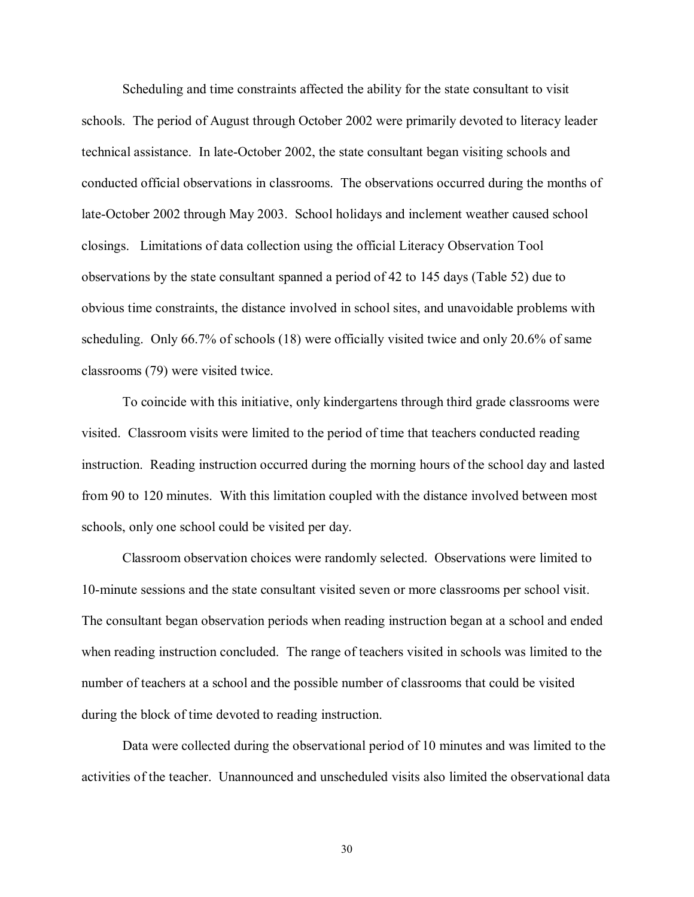Scheduling and time constraints affected the ability for the state consultant to visit schools. The period of August through October 2002 were primarily devoted to literacy leader technical assistance. In late-October 2002, the state consultant began visiting schools and conducted official observations in classrooms. The observations occurred during the months of late-October 2002 through May 2003. School holidays and inclement weather caused school closings. Limitations of data collection using the official Literacy Observation Tool observations by the state consultant spanned a period of 42 to 145 days (Table 52) due to obvious time constraints, the distance involved in school sites, and unavoidable problems with scheduling. Only 66.7% of schools (18) were officially visited twice and only 20.6% of same classrooms (79) were visited twice.

To coincide with this initiative, only kindergartens through third grade classrooms were visited. Classroom visits were limited to the period of time that teachers conducted reading instruction. Reading instruction occurred during the morning hours of the school day and lasted from 90 to 120 minutes. With this limitation coupled with the distance involved between most schools, only one school could be visited per day.

Classroom observation choices were randomly selected. Observations were limited to 10-minute sessions and the state consultant visited seven or more classrooms per school visit. The consultant began observation periods when reading instruction began at a school and ended when reading instruction concluded. The range of teachers visited in schools was limited to the number of teachers at a school and the possible number of classrooms that could be visited during the block of time devoted to reading instruction.

Data were collected during the observational period of 10 minutes and was limited to the activities of the teacher. Unannounced and unscheduled visits also limited the observational data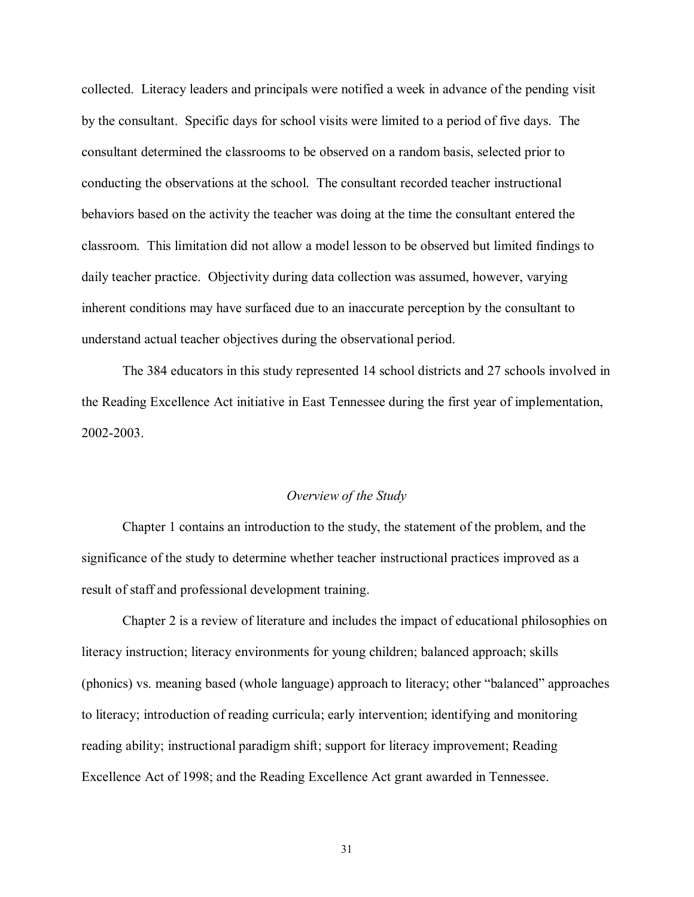collected. Literacy leaders and principals were notified a week in advance of the pending visit by the consultant. Specific days for school visits were limited to a period of five days. The consultant determined the classrooms to be observed on a random basis, selected prior to conducting the observations at the school. The consultant recorded teacher instructional behaviors based on the activity the teacher was doing at the time the consultant entered the classroom. This limitation did not allow a model lesson to be observed but limited findings to daily teacher practice. Objectivity during data collection was assumed, however, varying inherent conditions may have surfaced due to an inaccurate perception by the consultant to understand actual teacher objectives during the observational period.

The 384 educators in this study represented 14 school districts and 27 schools involved in the Reading Excellence Act initiative in East Tennessee during the first year of implementation, 2002-2003.

## *Overview of the Study*

 Chapter 1 contains an introduction to the study, the statement of the problem, and the significance of the study to determine whether teacher instructional practices improved as a result of staff and professional development training.

Chapter 2 is a review of literature and includes the impact of educational philosophies on literacy instruction; literacy environments for young children; balanced approach; skills (phonics) vs. meaning based (whole language) approach to literacy; other "balanced" approaches to literacy; introduction of reading curricula; early intervention; identifying and monitoring reading ability; instructional paradigm shift; support for literacy improvement; Reading Excellence Act of 1998; and the Reading Excellence Act grant awarded in Tennessee.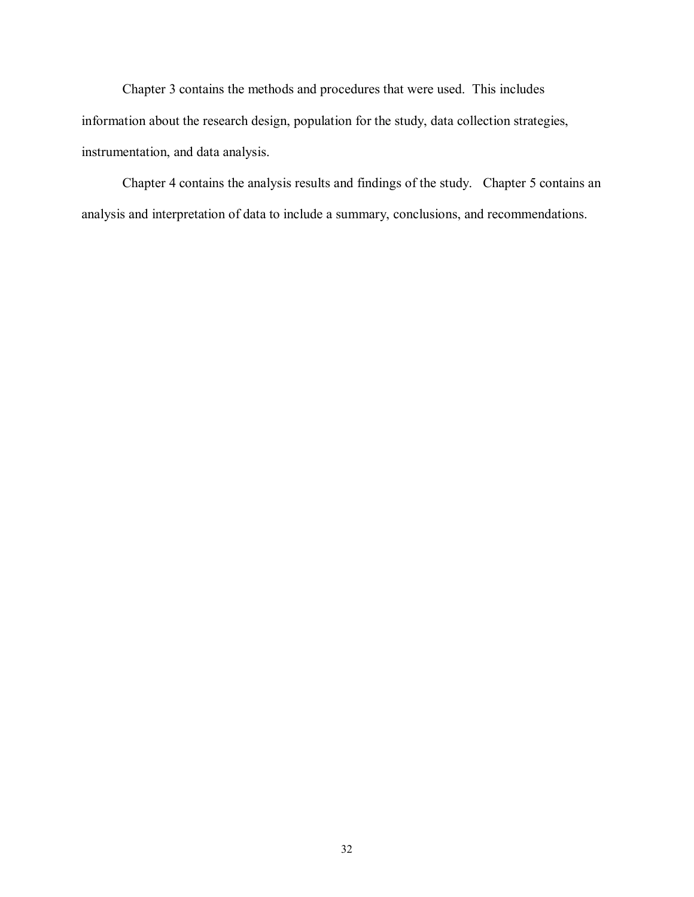Chapter 3 contains the methods and procedures that were used. This includes information about the research design, population for the study, data collection strategies, instrumentation, and data analysis.

 Chapter 4 contains the analysis results and findings of the study. Chapter 5 contains an analysis and interpretation of data to include a summary, conclusions, and recommendations.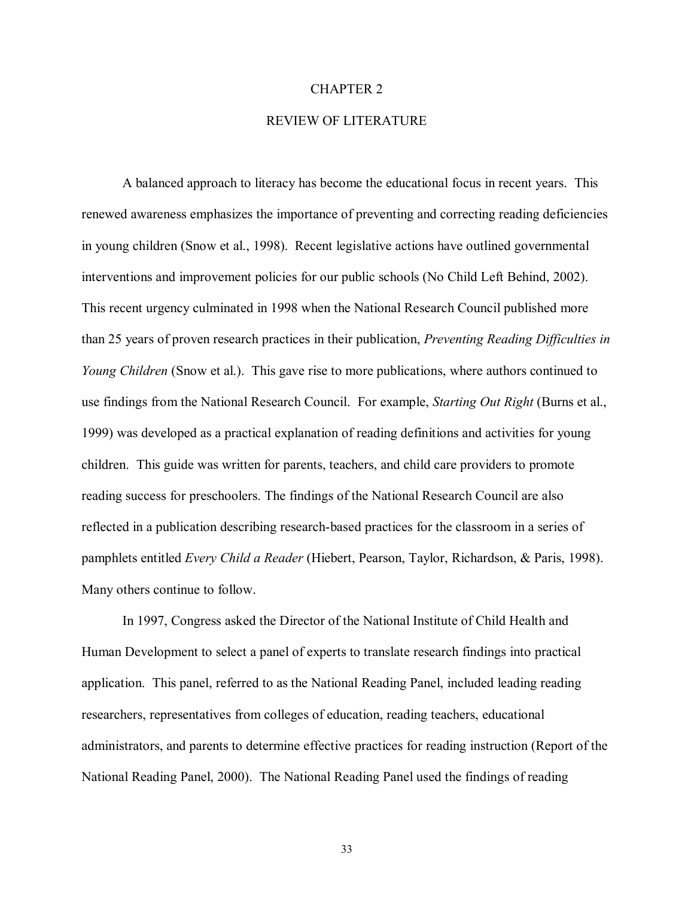### CHAPTER 2

# REVIEW OF LITERATURE

A balanced approach to literacy has become the educational focus in recent years. This renewed awareness emphasizes the importance of preventing and correcting reading deficiencies in young children (Snow et al., 1998). Recent legislative actions have outlined governmental interventions and improvement policies for our public schools (No Child Left Behind, 2002). This recent urgency culminated in 1998 when the National Research Council published more than 25 years of proven research practices in their publication, *Preventing Reading Difficulties in Young Children* (Snow et al.). This gave rise to more publications, where authors continued to use findings from the National Research Council. For example, *Starting Out Right* (Burns et al., 1999) was developed as a practical explanation of reading definitions and activities for young children. This guide was written for parents, teachers, and child care providers to promote reading success for preschoolers. The findings of the National Research Council are also reflected in a publication describing research-based practices for the classroom in a series of pamphlets entitled *Every Child a Reader* (Hiebert, Pearson, Taylor, Richardson, & Paris, 1998). Many others continue to follow.

 In 1997, Congress asked the Director of the National Institute of Child Health and Human Development to select a panel of experts to translate research findings into practical application. This panel, referred to as the National Reading Panel, included leading reading researchers, representatives from colleges of education, reading teachers, educational administrators, and parents to determine effective practices for reading instruction (Report of the National Reading Panel, 2000). The National Reading Panel used the findings of reading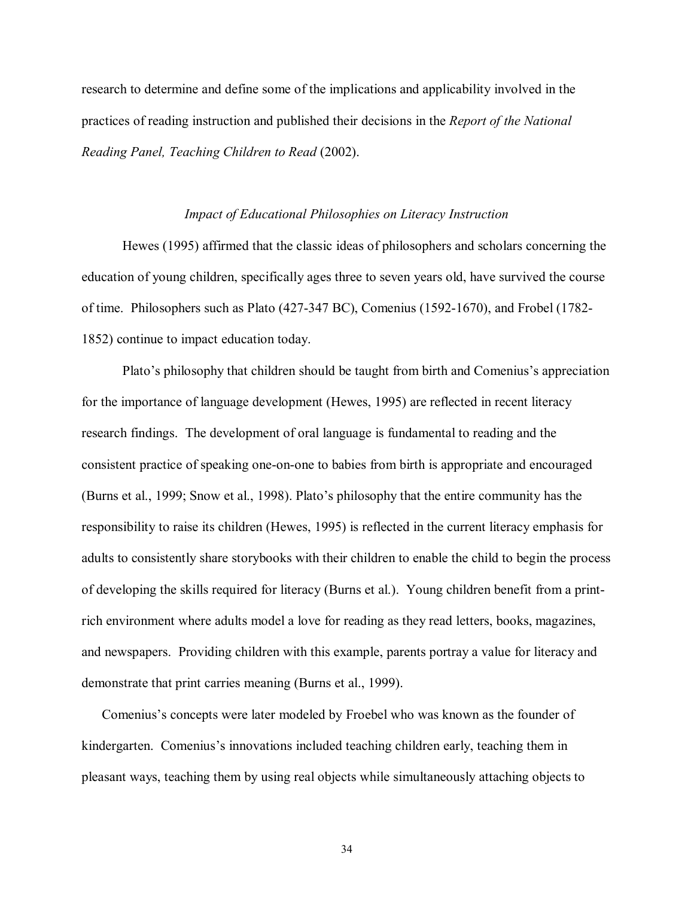research to determine and define some of the implications and applicability involved in the practices of reading instruction and published their decisions in the *Report of the National Reading Panel, Teaching Children to Read* (2002).

## *Impact of Educational Philosophies on Literacy Instruction*

Hewes (1995) affirmed that the classic ideas of philosophers and scholars concerning the education of young children, specifically ages three to seven years old, have survived the course of time. Philosophers such as Plato (427-347 BC), Comenius (1592-1670), and Frobel (1782- 1852) continue to impact education today.

Plato's philosophy that children should be taught from birth and Comenius's appreciation for the importance of language development (Hewes, 1995) are reflected in recent literacy research findings. The development of oral language is fundamental to reading and the consistent practice of speaking one-on-one to babies from birth is appropriate and encouraged (Burns et al., 1999; Snow et al., 1998). Platoís philosophy that the entire community has the responsibility to raise its children (Hewes, 1995) is reflected in the current literacy emphasis for adults to consistently share storybooks with their children to enable the child to begin the process of developing the skills required for literacy (Burns et al.). Young children benefit from a printrich environment where adults model a love for reading as they read letters, books, magazines, and newspapers. Providing children with this example, parents portray a value for literacy and demonstrate that print carries meaning (Burns et al., 1999).

Comenius's concepts were later modeled by Froebel who was known as the founder of kindergarten. Comenius's innovations included teaching children early, teaching them in pleasant ways, teaching them by using real objects while simultaneously attaching objects to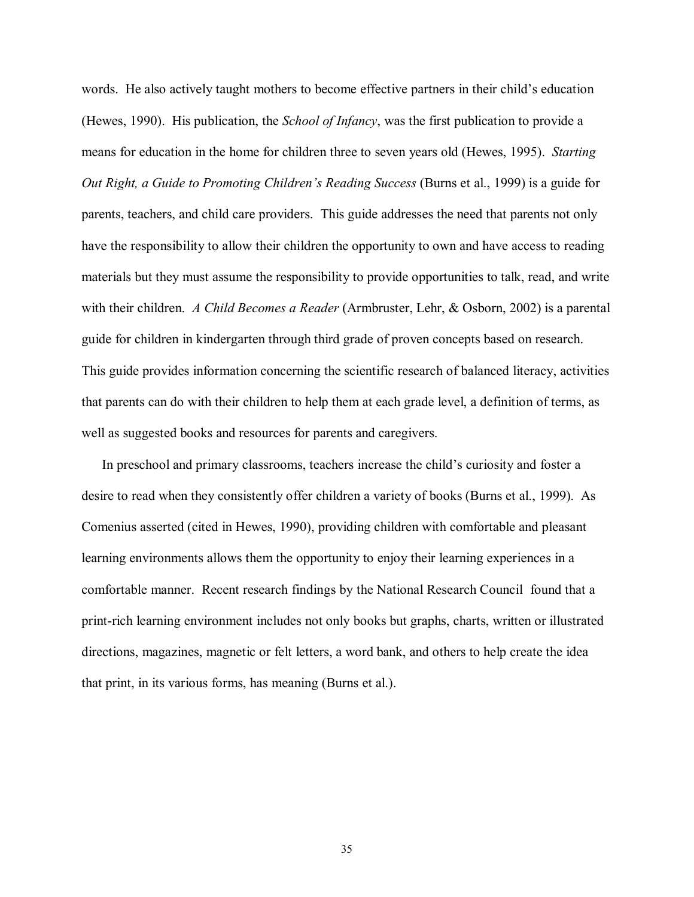words. He also actively taught mothers to become effective partners in their child's education (Hewes, 1990). His publication, the *School of Infancy*, was the first publication to provide a means for education in the home for children three to seven years old (Hewes, 1995). *Starting Out Right, a Guide to Promoting Childrenís Reading Success* (Burns et al., 1999) is a guide for parents, teachers, and child care providers. This guide addresses the need that parents not only have the responsibility to allow their children the opportunity to own and have access to reading materials but they must assume the responsibility to provide opportunities to talk, read, and write with their children. *A Child Becomes a Reader* (Armbruster, Lehr, & Osborn, 2002) is a parental guide for children in kindergarten through third grade of proven concepts based on research. This guide provides information concerning the scientific research of balanced literacy, activities that parents can do with their children to help them at each grade level, a definition of terms, as well as suggested books and resources for parents and caregivers.

In preschool and primary classrooms, teachers increase the child's curiosity and foster a desire to read when they consistently offer children a variety of books (Burns et al., 1999). As Comenius asserted (cited in Hewes, 1990), providing children with comfortable and pleasant learning environments allows them the opportunity to enjoy their learning experiences in a comfortable manner. Recent research findings by the National Research Council found that a print-rich learning environment includes not only books but graphs, charts, written or illustrated directions, magazines, magnetic or felt letters, a word bank, and others to help create the idea that print, in its various forms, has meaning (Burns et al.).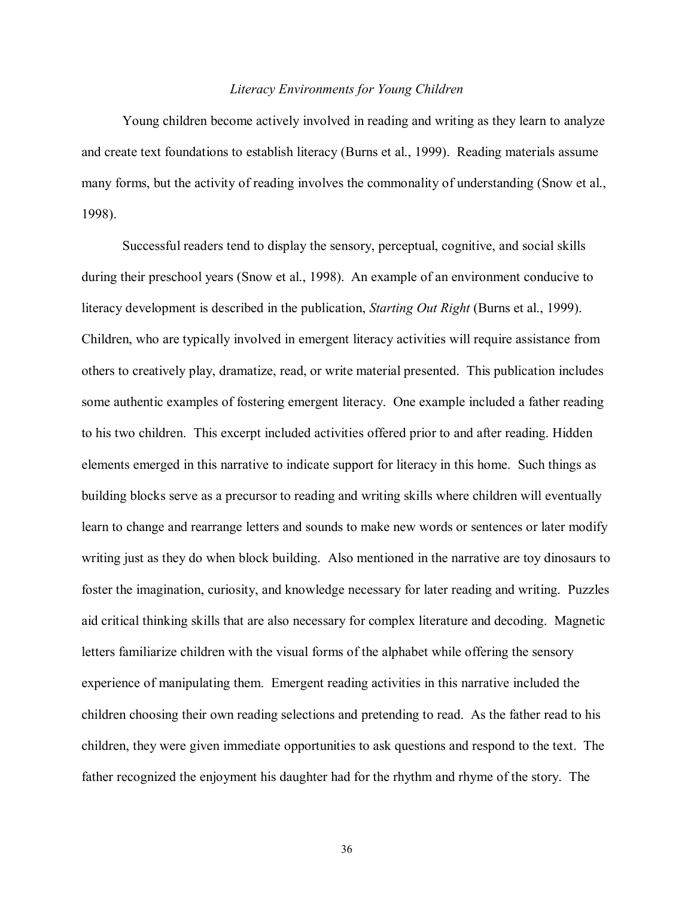### *Literacy Environments for Young Children*

 Young children become actively involved in reading and writing as they learn to analyze and create text foundations to establish literacy (Burns et al., 1999). Reading materials assume many forms, but the activity of reading involves the commonality of understanding (Snow et al., 1998).

 Successful readers tend to display the sensory, perceptual, cognitive, and social skills during their preschool years (Snow et al., 1998). An example of an environment conducive to literacy development is described in the publication, *Starting Out Right* (Burns et al., 1999). Children, who are typically involved in emergent literacy activities will require assistance from others to creatively play, dramatize, read, or write material presented. This publication includes some authentic examples of fostering emergent literacy. One example included a father reading to his two children. This excerpt included activities offered prior to and after reading. Hidden elements emerged in this narrative to indicate support for literacy in this home. Such things as building blocks serve as a precursor to reading and writing skills where children will eventually learn to change and rearrange letters and sounds to make new words or sentences or later modify writing just as they do when block building. Also mentioned in the narrative are toy dinosaurs to foster the imagination, curiosity, and knowledge necessary for later reading and writing. Puzzles aid critical thinking skills that are also necessary for complex literature and decoding. Magnetic letters familiarize children with the visual forms of the alphabet while offering the sensory experience of manipulating them. Emergent reading activities in this narrative included the children choosing their own reading selections and pretending to read. As the father read to his children, they were given immediate opportunities to ask questions and respond to the text. The father recognized the enjoyment his daughter had for the rhythm and rhyme of the story. The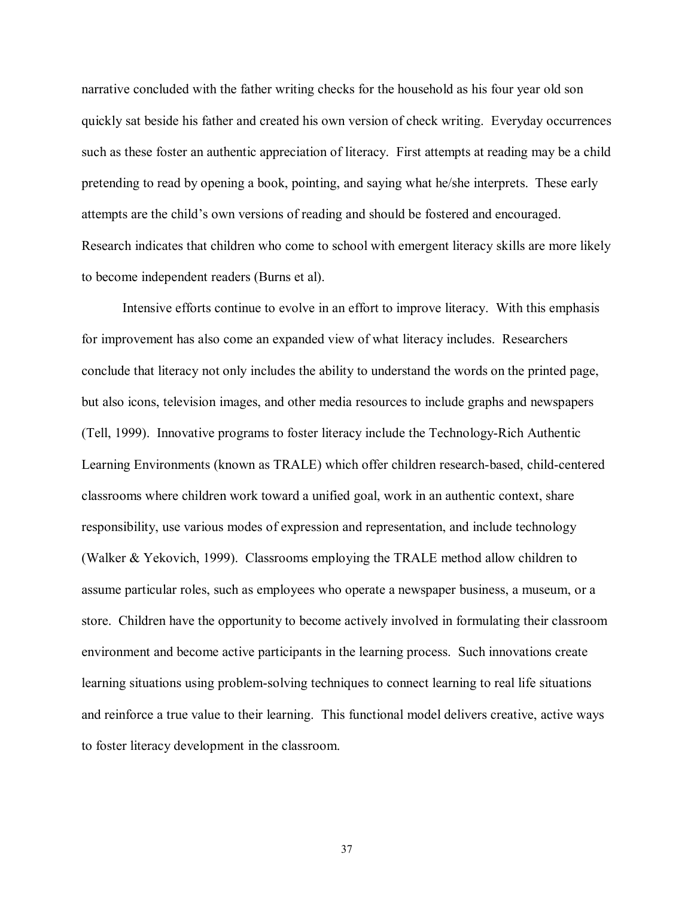narrative concluded with the father writing checks for the household as his four year old son quickly sat beside his father and created his own version of check writing. Everyday occurrences such as these foster an authentic appreciation of literacy. First attempts at reading may be a child pretending to read by opening a book, pointing, and saying what he/she interprets. These early attempts are the child's own versions of reading and should be fostered and encouraged. Research indicates that children who come to school with emergent literacy skills are more likely to become independent readers (Burns et al).

 Intensive efforts continue to evolve in an effort to improve literacy. With this emphasis for improvement has also come an expanded view of what literacy includes. Researchers conclude that literacy not only includes the ability to understand the words on the printed page, but also icons, television images, and other media resources to include graphs and newspapers (Tell, 1999). Innovative programs to foster literacy include the Technology-Rich Authentic Learning Environments (known as TRALE) which offer children research-based, child-centered classrooms where children work toward a unified goal, work in an authentic context, share responsibility, use various modes of expression and representation, and include technology (Walker & Yekovich, 1999). Classrooms employing the TRALE method allow children to assume particular roles, such as employees who operate a newspaper business, a museum, or a store. Children have the opportunity to become actively involved in formulating their classroom environment and become active participants in the learning process. Such innovations create learning situations using problem-solving techniques to connect learning to real life situations and reinforce a true value to their learning. This functional model delivers creative, active ways to foster literacy development in the classroom.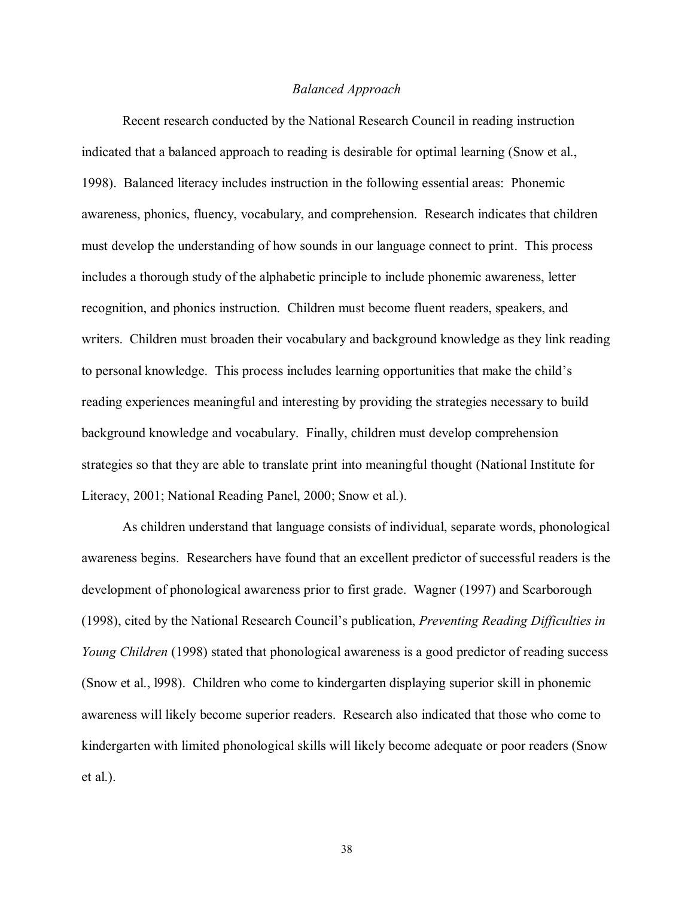# *Balanced Approach*

 Recent research conducted by the National Research Council in reading instruction indicated that a balanced approach to reading is desirable for optimal learning (Snow et al., 1998). Balanced literacy includes instruction in the following essential areas: Phonemic awareness, phonics, fluency, vocabulary, and comprehension. Research indicates that children must develop the understanding of how sounds in our language connect to print. This process includes a thorough study of the alphabetic principle to include phonemic awareness, letter recognition, and phonics instruction. Children must become fluent readers, speakers, and writers. Children must broaden their vocabulary and background knowledge as they link reading to personal knowledge. This process includes learning opportunities that make the child's reading experiences meaningful and interesting by providing the strategies necessary to build background knowledge and vocabulary. Finally, children must develop comprehension strategies so that they are able to translate print into meaningful thought (National Institute for Literacy, 2001; National Reading Panel, 2000; Snow et al.).

As children understand that language consists of individual, separate words, phonological awareness begins. Researchers have found that an excellent predictor of successful readers is the development of phonological awareness prior to first grade. Wagner (1997) and Scarborough (1998), cited by the National Research Councilís publication, *Preventing Reading Difficulties in Young Children* (1998) stated that phonological awareness is a good predictor of reading success (Snow et al., l998). Children who come to kindergarten displaying superior skill in phonemic awareness will likely become superior readers. Research also indicated that those who come to kindergarten with limited phonological skills will likely become adequate or poor readers (Snow et al.).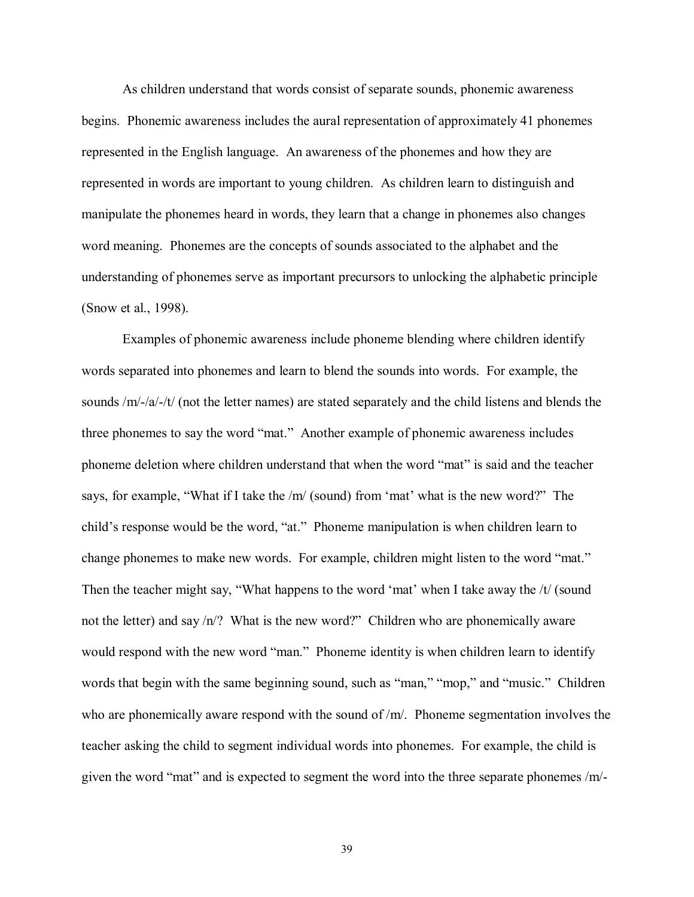As children understand that words consist of separate sounds, phonemic awareness begins. Phonemic awareness includes the aural representation of approximately 41 phonemes represented in the English language. An awareness of the phonemes and how they are represented in words are important to young children. As children learn to distinguish and manipulate the phonemes heard in words, they learn that a change in phonemes also changes word meaning. Phonemes are the concepts of sounds associated to the alphabet and the understanding of phonemes serve as important precursors to unlocking the alphabetic principle (Snow et al., 1998).

 Examples of phonemic awareness include phoneme blending where children identify words separated into phonemes and learn to blend the sounds into words. For example, the sounds /m/-/a/-/t/ (not the letter names) are stated separately and the child listens and blends the three phonemes to say the word "mat." Another example of phonemic awareness includes phoneme deletion where children understand that when the word "mat" is said and the teacher says, for example, "What if I take the  $/m/$  (sound) from 'mat' what is the new word?" The child's response would be the word, "at." Phoneme manipulation is when children learn to change phonemes to make new words. For example, children might listen to the word "mat." Then the teacher might say, "What happens to the word 'mat' when I take away the  $/t/$  (sound not the letter) and say  $/n$ ? What is the new word?" Children who are phonemically aware would respond with the new word "man." Phoneme identity is when children learn to identify words that begin with the same beginning sound, such as "man," "mop," and "music." Children who are phonemically aware respond with the sound of /m/. Phoneme segmentation involves the teacher asking the child to segment individual words into phonemes. For example, the child is given the word "mat" and is expected to segment the word into the three separate phonemes  $/m$ -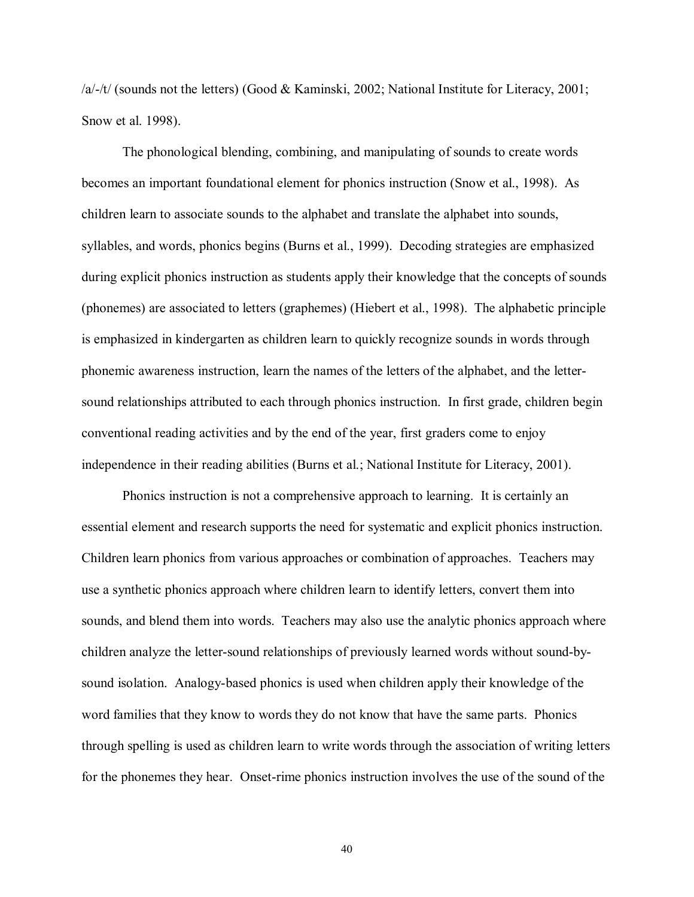/a/-/t/ (sounds not the letters) (Good & Kaminski, 2002; National Institute for Literacy, 2001; Snow et al. 1998).

 The phonological blending, combining, and manipulating of sounds to create words becomes an important foundational element for phonics instruction (Snow et al., 1998). As children learn to associate sounds to the alphabet and translate the alphabet into sounds, syllables, and words, phonics begins (Burns et al., 1999). Decoding strategies are emphasized during explicit phonics instruction as students apply their knowledge that the concepts of sounds (phonemes) are associated to letters (graphemes) (Hiebert et al., 1998). The alphabetic principle is emphasized in kindergarten as children learn to quickly recognize sounds in words through phonemic awareness instruction, learn the names of the letters of the alphabet, and the lettersound relationships attributed to each through phonics instruction. In first grade, children begin conventional reading activities and by the end of the year, first graders come to enjoy independence in their reading abilities (Burns et al.; National Institute for Literacy, 2001).

 Phonics instruction is not a comprehensive approach to learning. It is certainly an essential element and research supports the need for systematic and explicit phonics instruction. Children learn phonics from various approaches or combination of approaches. Teachers may use a synthetic phonics approach where children learn to identify letters, convert them into sounds, and blend them into words. Teachers may also use the analytic phonics approach where children analyze the letter-sound relationships of previously learned words without sound-bysound isolation. Analogy-based phonics is used when children apply their knowledge of the word families that they know to words they do not know that have the same parts. Phonics through spelling is used as children learn to write words through the association of writing letters for the phonemes they hear. Onset-rime phonics instruction involves the use of the sound of the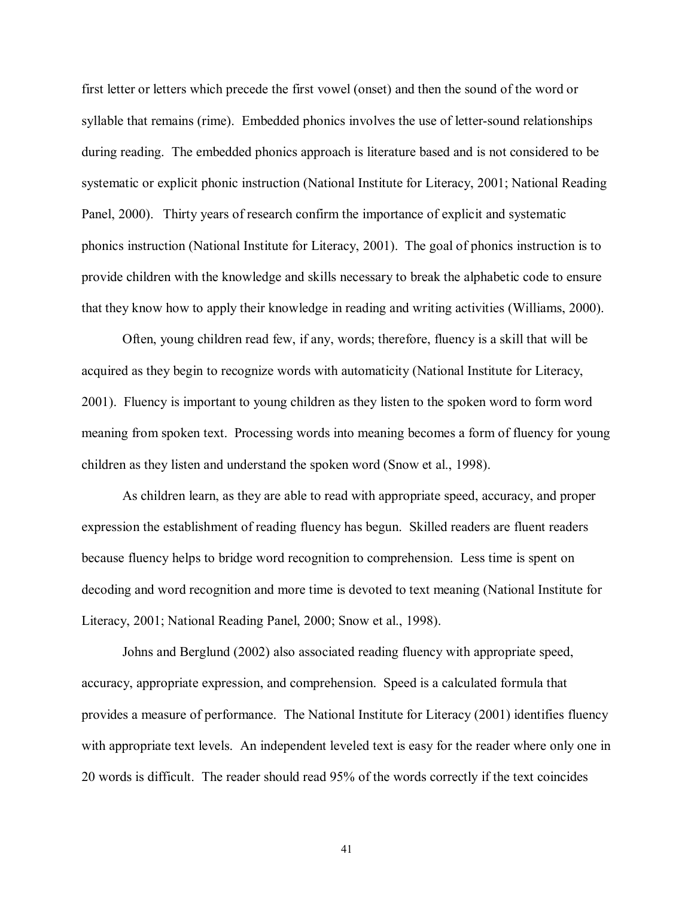first letter or letters which precede the first vowel (onset) and then the sound of the word or syllable that remains (rime). Embedded phonics involves the use of letter-sound relationships during reading. The embedded phonics approach is literature based and is not considered to be systematic or explicit phonic instruction (National Institute for Literacy, 2001; National Reading Panel, 2000). Thirty years of research confirm the importance of explicit and systematic phonics instruction (National Institute for Literacy, 2001). The goal of phonics instruction is to provide children with the knowledge and skills necessary to break the alphabetic code to ensure that they know how to apply their knowledge in reading and writing activities (Williams, 2000).

 Often, young children read few, if any, words; therefore, fluency is a skill that will be acquired as they begin to recognize words with automaticity (National Institute for Literacy, 2001). Fluency is important to young children as they listen to the spoken word to form word meaning from spoken text. Processing words into meaning becomes a form of fluency for young children as they listen and understand the spoken word (Snow et al., 1998).

 As children learn, as they are able to read with appropriate speed, accuracy, and proper expression the establishment of reading fluency has begun. Skilled readers are fluent readers because fluency helps to bridge word recognition to comprehension. Less time is spent on decoding and word recognition and more time is devoted to text meaning (National Institute for Literacy, 2001; National Reading Panel, 2000; Snow et al., 1998).

 Johns and Berglund (2002) also associated reading fluency with appropriate speed, accuracy, appropriate expression, and comprehension. Speed is a calculated formula that provides a measure of performance. The National Institute for Literacy (2001) identifies fluency with appropriate text levels. An independent leveled text is easy for the reader where only one in 20 words is difficult. The reader should read 95% of the words correctly if the text coincides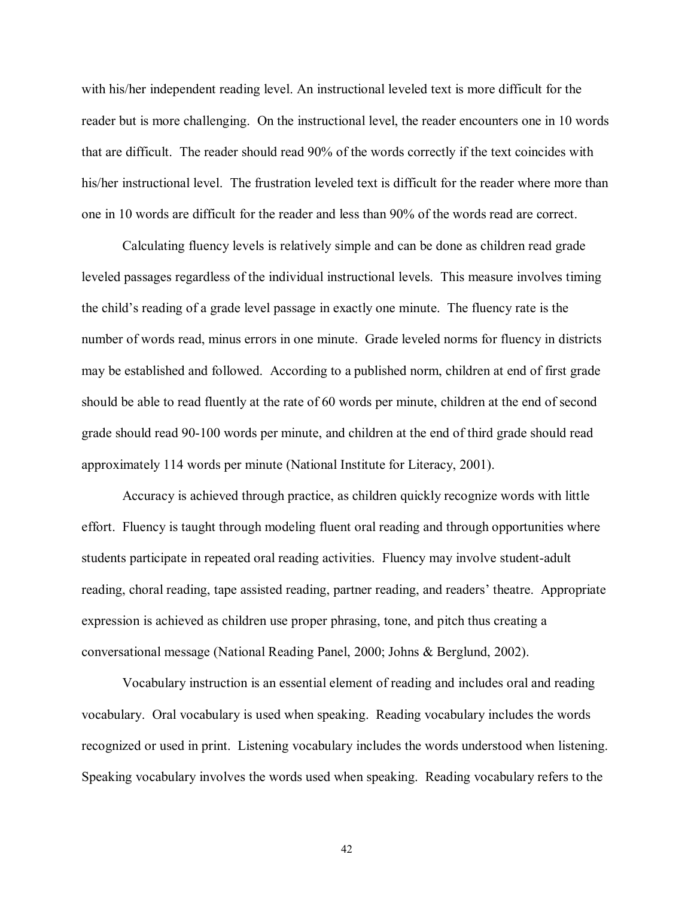with his/her independent reading level. An instructional leveled text is more difficult for the reader but is more challenging. On the instructional level, the reader encounters one in 10 words that are difficult. The reader should read 90% of the words correctly if the text coincides with his/her instructional level. The frustration leveled text is difficult for the reader where more than one in 10 words are difficult for the reader and less than 90% of the words read are correct.

 Calculating fluency levels is relatively simple and can be done as children read grade leveled passages regardless of the individual instructional levels. This measure involves timing the child's reading of a grade level passage in exactly one minute. The fluency rate is the number of words read, minus errors in one minute. Grade leveled norms for fluency in districts may be established and followed. According to a published norm, children at end of first grade should be able to read fluently at the rate of 60 words per minute, children at the end of second grade should read 90-100 words per minute, and children at the end of third grade should read approximately 114 words per minute (National Institute for Literacy, 2001).

 Accuracy is achieved through practice, as children quickly recognize words with little effort. Fluency is taught through modeling fluent oral reading and through opportunities where students participate in repeated oral reading activities. Fluency may involve student-adult reading, choral reading, tape assisted reading, partner reading, and readers' theatre. Appropriate expression is achieved as children use proper phrasing, tone, and pitch thus creating a conversational message (National Reading Panel, 2000; Johns & Berglund, 2002).

 Vocabulary instruction is an essential element of reading and includes oral and reading vocabulary. Oral vocabulary is used when speaking. Reading vocabulary includes the words recognized or used in print. Listening vocabulary includes the words understood when listening. Speaking vocabulary involves the words used when speaking. Reading vocabulary refers to the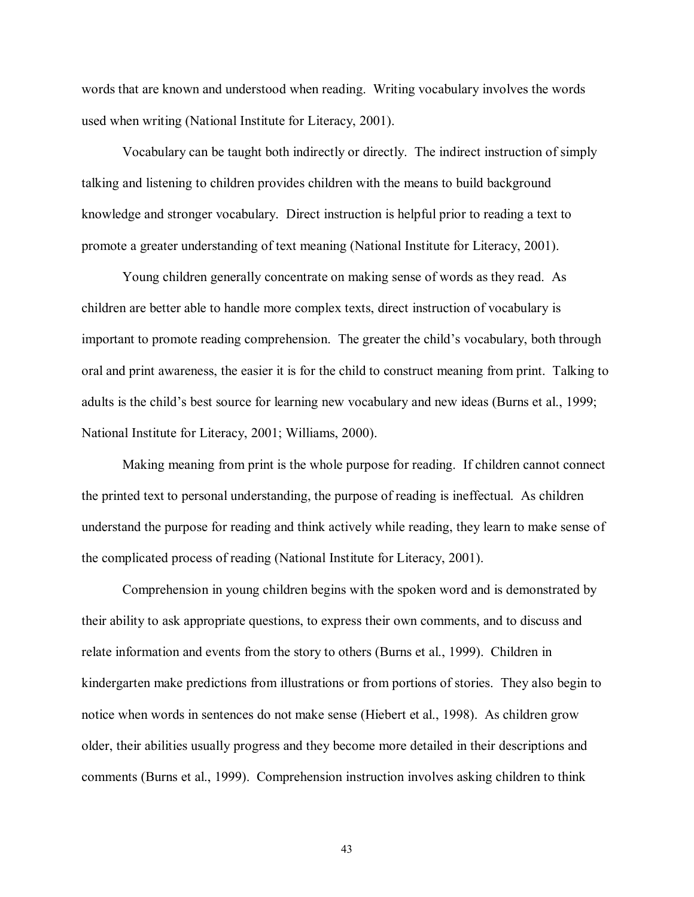words that are known and understood when reading. Writing vocabulary involves the words used when writing (National Institute for Literacy, 2001).

 Vocabulary can be taught both indirectly or directly. The indirect instruction of simply talking and listening to children provides children with the means to build background knowledge and stronger vocabulary. Direct instruction is helpful prior to reading a text to promote a greater understanding of text meaning (National Institute for Literacy, 2001).

 Young children generally concentrate on making sense of words as they read. As children are better able to handle more complex texts, direct instruction of vocabulary is important to promote reading comprehension. The greater the child's vocabulary, both through oral and print awareness, the easier it is for the child to construct meaning from print. Talking to adults is the child's best source for learning new vocabulary and new ideas (Burns et al., 1999; National Institute for Literacy, 2001; Williams, 2000).

 Making meaning from print is the whole purpose for reading. If children cannot connect the printed text to personal understanding, the purpose of reading is ineffectual. As children understand the purpose for reading and think actively while reading, they learn to make sense of the complicated process of reading (National Institute for Literacy, 2001).

 Comprehension in young children begins with the spoken word and is demonstrated by their ability to ask appropriate questions, to express their own comments, and to discuss and relate information and events from the story to others (Burns et al., 1999). Children in kindergarten make predictions from illustrations or from portions of stories. They also begin to notice when words in sentences do not make sense (Hiebert et al., 1998). As children grow older, their abilities usually progress and they become more detailed in their descriptions and comments (Burns et al., 1999). Comprehension instruction involves asking children to think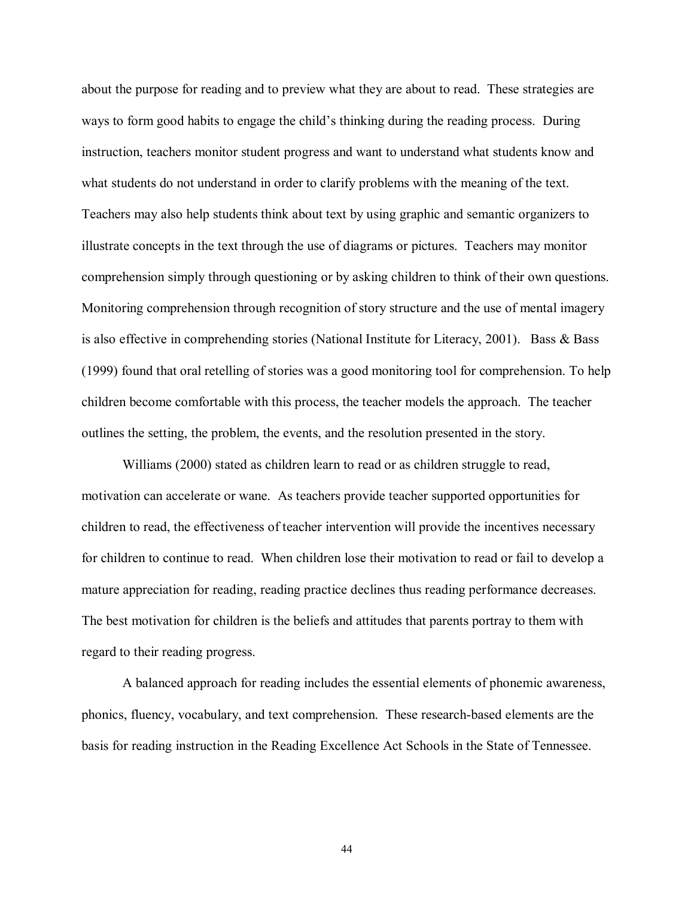about the purpose for reading and to preview what they are about to read. These strategies are ways to form good habits to engage the child's thinking during the reading process. During instruction, teachers monitor student progress and want to understand what students know and what students do not understand in order to clarify problems with the meaning of the text. Teachers may also help students think about text by using graphic and semantic organizers to illustrate concepts in the text through the use of diagrams or pictures. Teachers may monitor comprehension simply through questioning or by asking children to think of their own questions. Monitoring comprehension through recognition of story structure and the use of mental imagery is also effective in comprehending stories (National Institute for Literacy, 2001). Bass & Bass (1999) found that oral retelling of stories was a good monitoring tool for comprehension. To help children become comfortable with this process, the teacher models the approach. The teacher outlines the setting, the problem, the events, and the resolution presented in the story.

 Williams (2000) stated as children learn to read or as children struggle to read, motivation can accelerate or wane. As teachers provide teacher supported opportunities for children to read, the effectiveness of teacher intervention will provide the incentives necessary for children to continue to read. When children lose their motivation to read or fail to develop a mature appreciation for reading, reading practice declines thus reading performance decreases. The best motivation for children is the beliefs and attitudes that parents portray to them with regard to their reading progress.

 A balanced approach for reading includes the essential elements of phonemic awareness, phonics, fluency, vocabulary, and text comprehension. These research-based elements are the basis for reading instruction in the Reading Excellence Act Schools in the State of Tennessee.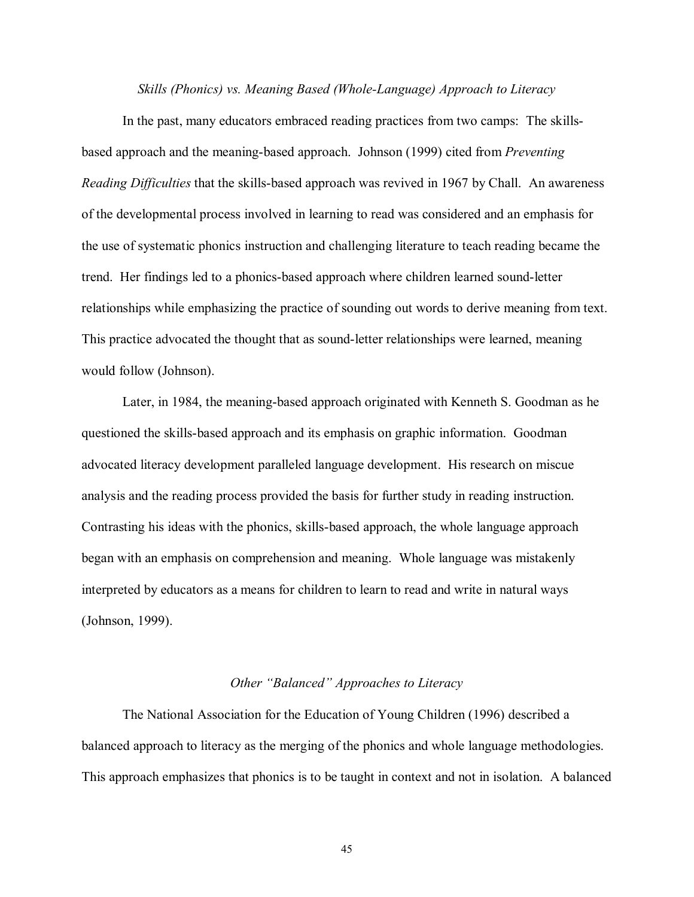*Skills (Phonics) vs. Meaning Based (Whole-Language) Approach to Literacy* 

In the past, many educators embraced reading practices from two camps: The skillsbased approach and the meaning-based approach. Johnson (1999) cited from *Preventing Reading Difficulties* that the skills-based approach was revived in 1967 by Chall. An awareness of the developmental process involved in learning to read was considered and an emphasis for the use of systematic phonics instruction and challenging literature to teach reading became the trend. Her findings led to a phonics-based approach where children learned sound-letter relationships while emphasizing the practice of sounding out words to derive meaning from text. This practice advocated the thought that as sound-letter relationships were learned, meaning would follow (Johnson).

 Later, in 1984, the meaning-based approach originated with Kenneth S. Goodman as he questioned the skills-based approach and its emphasis on graphic information. Goodman advocated literacy development paralleled language development. His research on miscue analysis and the reading process provided the basis for further study in reading instruction. Contrasting his ideas with the phonics, skills-based approach, the whole language approach began with an emphasis on comprehension and meaning. Whole language was mistakenly interpreted by educators as a means for children to learn to read and write in natural ways (Johnson, 1999).

#### *Other "Balanced" Approaches to Literacy*

The National Association for the Education of Young Children (1996) described a balanced approach to literacy as the merging of the phonics and whole language methodologies. This approach emphasizes that phonics is to be taught in context and not in isolation. A balanced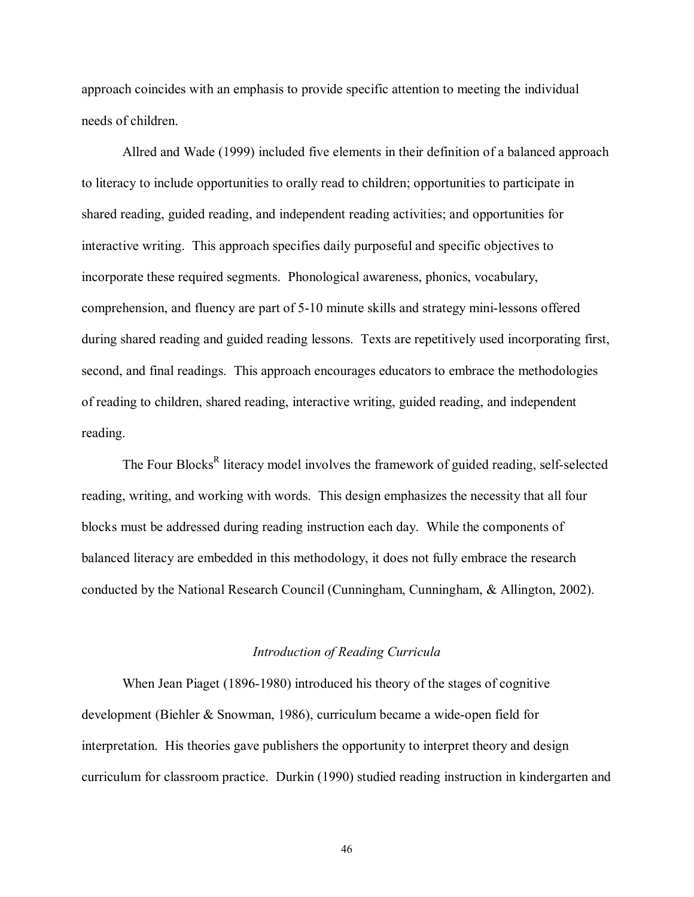approach coincides with an emphasis to provide specific attention to meeting the individual needs of children.

Allred and Wade (1999) included five elements in their definition of a balanced approach to literacy to include opportunities to orally read to children; opportunities to participate in shared reading, guided reading, and independent reading activities; and opportunities for interactive writing. This approach specifies daily purposeful and specific objectives to incorporate these required segments. Phonological awareness, phonics, vocabulary, comprehension, and fluency are part of 5-10 minute skills and strategy mini-lessons offered during shared reading and guided reading lessons. Texts are repetitively used incorporating first, second, and final readings. This approach encourages educators to embrace the methodologies of reading to children, shared reading, interactive writing, guided reading, and independent reading.

The Four Blocks<sup>R</sup> literacy model involves the framework of guided reading, self-selected reading, writing, and working with words. This design emphasizes the necessity that all four blocks must be addressed during reading instruction each day. While the components of balanced literacy are embedded in this methodology, it does not fully embrace the research conducted by the National Research Council (Cunningham, Cunningham, & Allington, 2002).

# *Introduction of Reading Curricula*

 When Jean Piaget (1896-1980) introduced his theory of the stages of cognitive development (Biehler & Snowman, 1986), curriculum became a wide-open field for interpretation. His theories gave publishers the opportunity to interpret theory and design curriculum for classroom practice. Durkin (1990) studied reading instruction in kindergarten and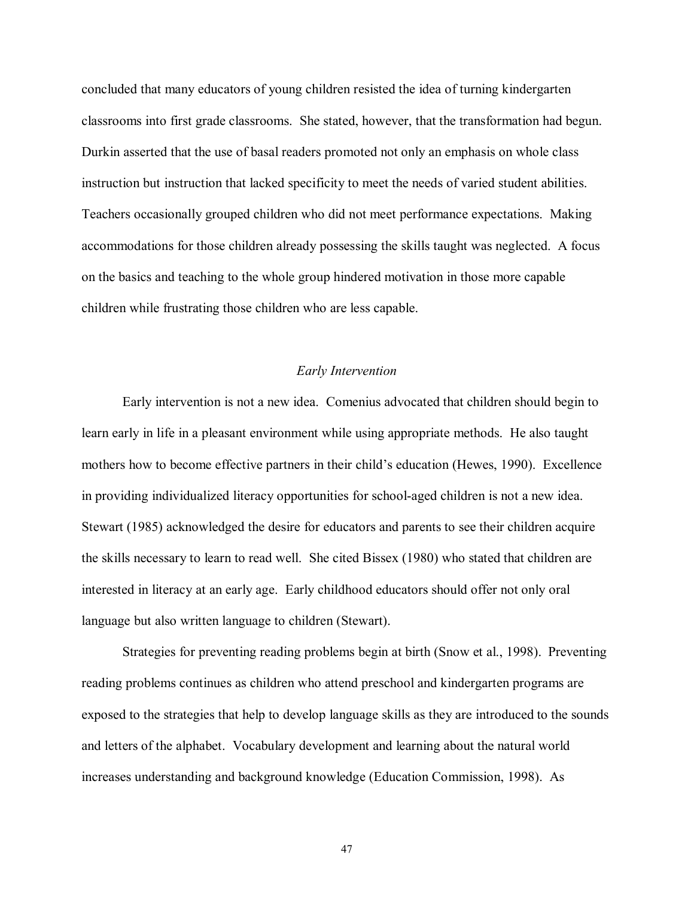concluded that many educators of young children resisted the idea of turning kindergarten classrooms into first grade classrooms. She stated, however, that the transformation had begun. Durkin asserted that the use of basal readers promoted not only an emphasis on whole class instruction but instruction that lacked specificity to meet the needs of varied student abilities. Teachers occasionally grouped children who did not meet performance expectations. Making accommodations for those children already possessing the skills taught was neglected. A focus on the basics and teaching to the whole group hindered motivation in those more capable children while frustrating those children who are less capable.

# *Early Intervention*

Early intervention is not a new idea. Comenius advocated that children should begin to learn early in life in a pleasant environment while using appropriate methods. He also taught mothers how to become effective partners in their child's education (Hewes, 1990). Excellence in providing individualized literacy opportunities for school-aged children is not a new idea. Stewart (1985) acknowledged the desire for educators and parents to see their children acquire the skills necessary to learn to read well. She cited Bissex (1980) who stated that children are interested in literacy at an early age. Early childhood educators should offer not only oral language but also written language to children (Stewart).

Strategies for preventing reading problems begin at birth (Snow et al., 1998). Preventing reading problems continues as children who attend preschool and kindergarten programs are exposed to the strategies that help to develop language skills as they are introduced to the sounds and letters of the alphabet. Vocabulary development and learning about the natural world increases understanding and background knowledge (Education Commission, 1998). As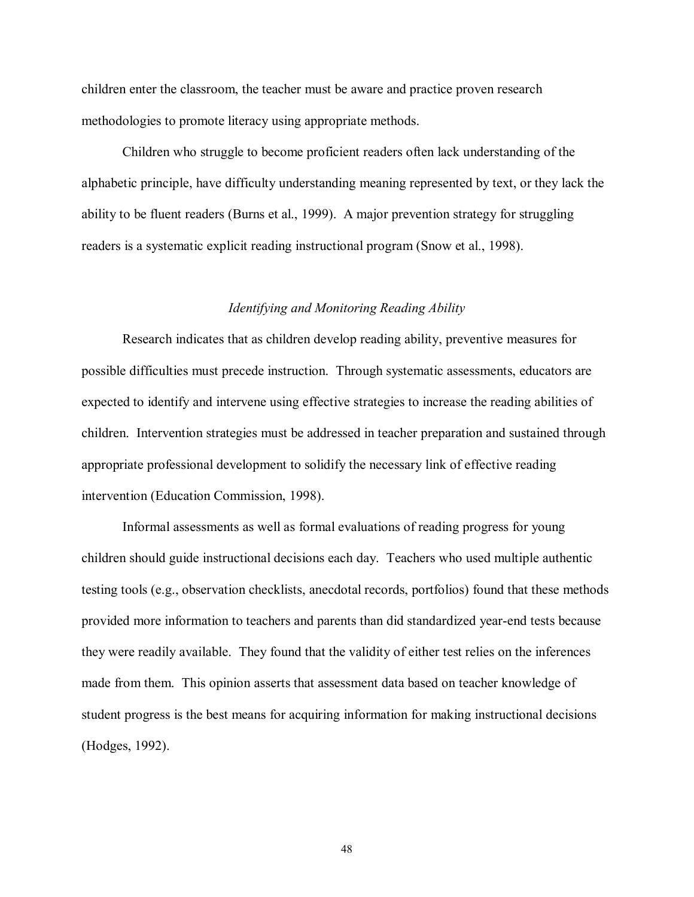children enter the classroom, the teacher must be aware and practice proven research methodologies to promote literacy using appropriate methods.

 Children who struggle to become proficient readers often lack understanding of the alphabetic principle, have difficulty understanding meaning represented by text, or they lack the ability to be fluent readers (Burns et al., 1999). A major prevention strategy for struggling readers is a systematic explicit reading instructional program (Snow et al., 1998).

# *Identifying and Monitoring Reading Ability*

 Research indicates that as children develop reading ability, preventive measures for possible difficulties must precede instruction. Through systematic assessments, educators are expected to identify and intervene using effective strategies to increase the reading abilities of children. Intervention strategies must be addressed in teacher preparation and sustained through appropriate professional development to solidify the necessary link of effective reading intervention (Education Commission, 1998).

 Informal assessments as well as formal evaluations of reading progress for young children should guide instructional decisions each day. Teachers who used multiple authentic testing tools (e.g., observation checklists, anecdotal records, portfolios) found that these methods provided more information to teachers and parents than did standardized year-end tests because they were readily available. They found that the validity of either test relies on the inferences made from them. This opinion asserts that assessment data based on teacher knowledge of student progress is the best means for acquiring information for making instructional decisions (Hodges, 1992).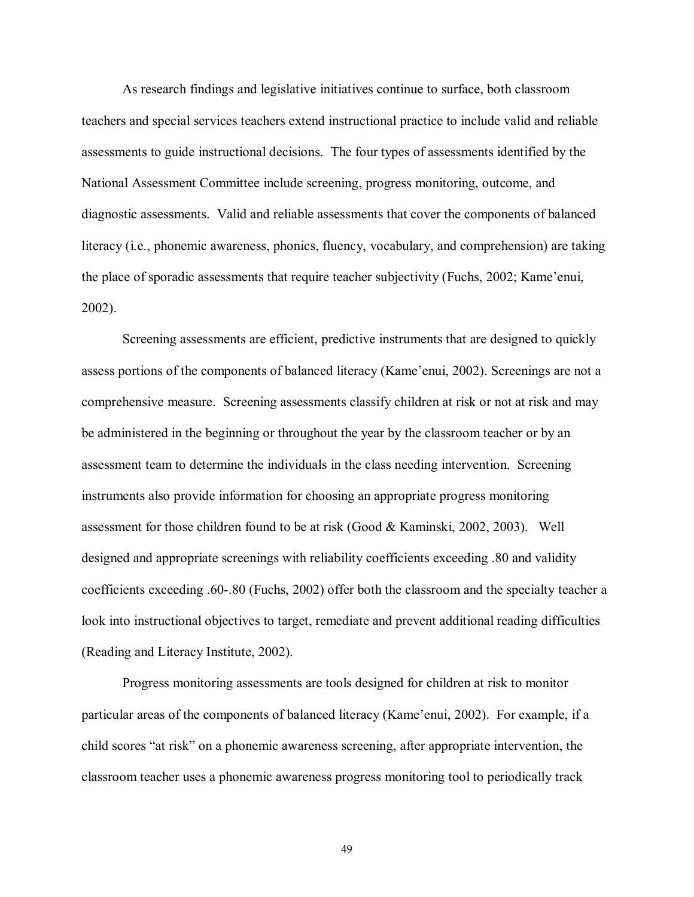As research findings and legislative initiatives continue to surface, both classroom teachers and special services teachers extend instructional practice to include valid and reliable assessments to guide instructional decisions. The four types of assessments identified by the National Assessment Committee include screening, progress monitoring, outcome, and diagnostic assessments. Valid and reliable assessments that cover the components of balanced literacy (i.e., phonemic awareness, phonics, fluency, vocabulary, and comprehension) are taking the place of sporadic assessments that require teacher subjectivity (Fuchs, 2002; Kame'enui, 2002).

Screening assessments are efficient, predictive instruments that are designed to quickly assess portions of the components of balanced literacy (Kame'enui, 2002). Screenings are not a comprehensive measure. Screening assessments classify children at risk or not at risk and may be administered in the beginning or throughout the year by the classroom teacher or by an assessment team to determine the individuals in the class needing intervention. Screening instruments also provide information for choosing an appropriate progress monitoring assessment for those children found to be at risk (Good & Kaminski, 2002, 2003). Well designed and appropriate screenings with reliability coefficients exceeding .80 and validity coefficients exceeding .60-.80 (Fuchs, 2002) offer both the classroom and the specialty teacher a look into instructional objectives to target, remediate and prevent additional reading difficulties (Reading and Literacy Institute, 2002).

Progress monitoring assessments are tools designed for children at risk to monitor particular areas of the components of balanced literacy (Kame'enui, 2002). For example, if a child scores "at risk" on a phonemic awareness screening, after appropriate intervention, the classroom teacher uses a phonemic awareness progress monitoring tool to periodically track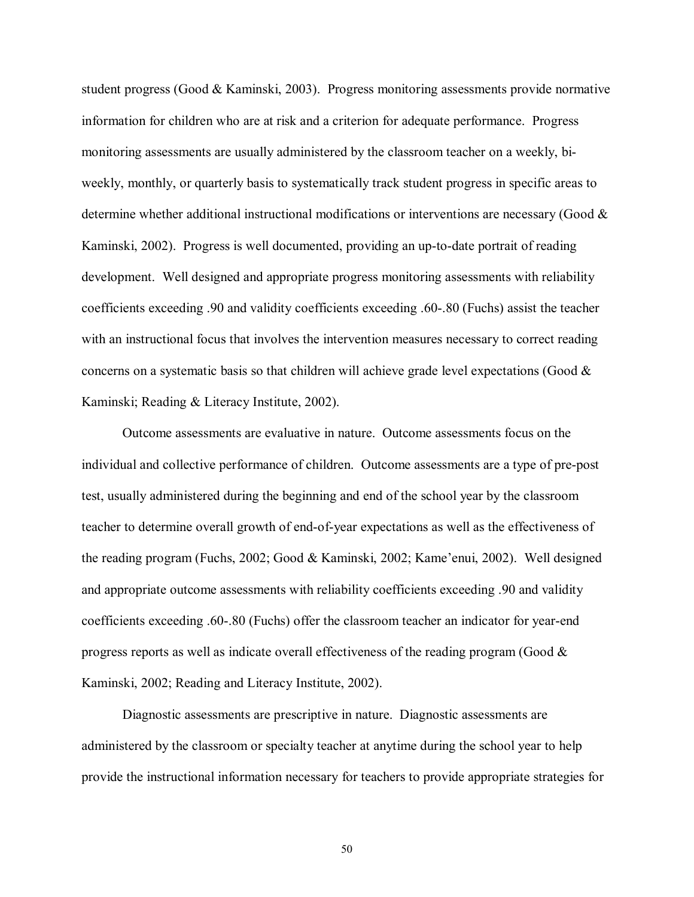student progress (Good & Kaminski, 2003). Progress monitoring assessments provide normative information for children who are at risk and a criterion for adequate performance. Progress monitoring assessments are usually administered by the classroom teacher on a weekly, biweekly, monthly, or quarterly basis to systematically track student progress in specific areas to determine whether additional instructional modifications or interventions are necessary (Good & Kaminski, 2002). Progress is well documented, providing an up-to-date portrait of reading development. Well designed and appropriate progress monitoring assessments with reliability coefficients exceeding .90 and validity coefficients exceeding .60-.80 (Fuchs) assist the teacher with an instructional focus that involves the intervention measures necessary to correct reading concerns on a systematic basis so that children will achieve grade level expectations (Good  $\&$ Kaminski; Reading & Literacy Institute, 2002).

Outcome assessments are evaluative in nature. Outcome assessments focus on the individual and collective performance of children. Outcome assessments are a type of pre-post test, usually administered during the beginning and end of the school year by the classroom teacher to determine overall growth of end-of-year expectations as well as the effectiveness of the reading program (Fuchs, 2002; Good & Kaminski, 2002; Kame'enui, 2002). Well designed and appropriate outcome assessments with reliability coefficients exceeding .90 and validity coefficients exceeding .60-.80 (Fuchs) offer the classroom teacher an indicator for year-end progress reports as well as indicate overall effectiveness of the reading program (Good  $\&$ Kaminski, 2002; Reading and Literacy Institute, 2002).

Diagnostic assessments are prescriptive in nature. Diagnostic assessments are administered by the classroom or specialty teacher at anytime during the school year to help provide the instructional information necessary for teachers to provide appropriate strategies for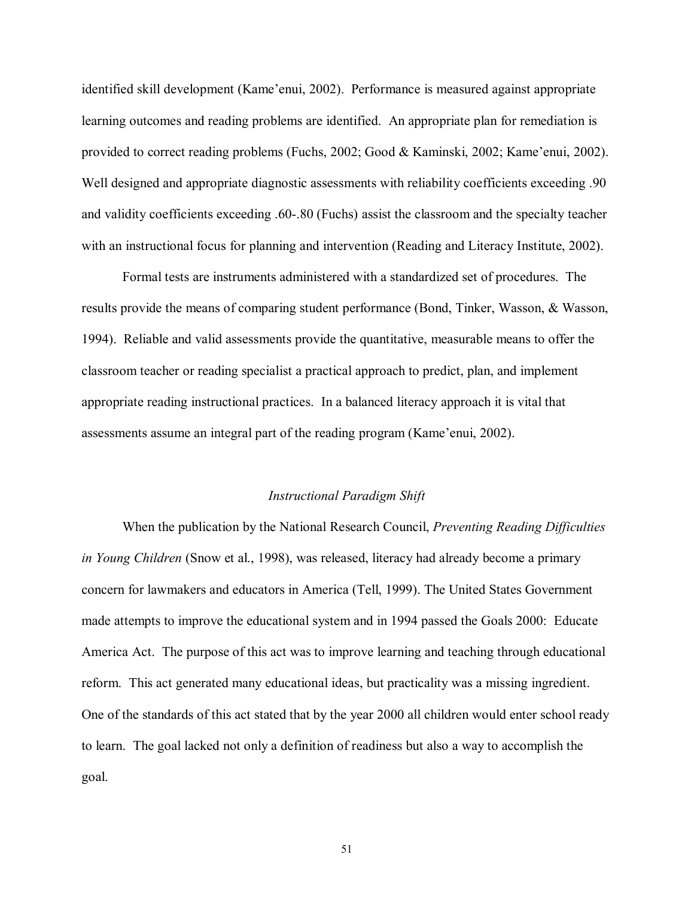identified skill development (Kame'enui, 2002). Performance is measured against appropriate learning outcomes and reading problems are identified. An appropriate plan for remediation is provided to correct reading problems (Fuchs, 2002; Good & Kaminski, 2002; Kame'enui, 2002). Well designed and appropriate diagnostic assessments with reliability coefficients exceeding .90 and validity coefficients exceeding .60-.80 (Fuchs) assist the classroom and the specialty teacher with an instructional focus for planning and intervention (Reading and Literacy Institute, 2002).

Formal tests are instruments administered with a standardized set of procedures. The results provide the means of comparing student performance (Bond, Tinker, Wasson, & Wasson, 1994). Reliable and valid assessments provide the quantitative, measurable means to offer the classroom teacher or reading specialist a practical approach to predict, plan, and implement appropriate reading instructional practices. In a balanced literacy approach it is vital that assessments assume an integral part of the reading program (Kame'enui, 2002).

#### *Instructional Paradigm Shift*

When the publication by the National Research Council, *Preventing Reading Difficulties in Young Children* (Snow et al., 1998), was released, literacy had already become a primary concern for lawmakers and educators in America (Tell, 1999). The United States Government made attempts to improve the educational system and in 1994 passed the Goals 2000: Educate America Act. The purpose of this act was to improve learning and teaching through educational reform. This act generated many educational ideas, but practicality was a missing ingredient. One of the standards of this act stated that by the year 2000 all children would enter school ready to learn. The goal lacked not only a definition of readiness but also a way to accomplish the goal.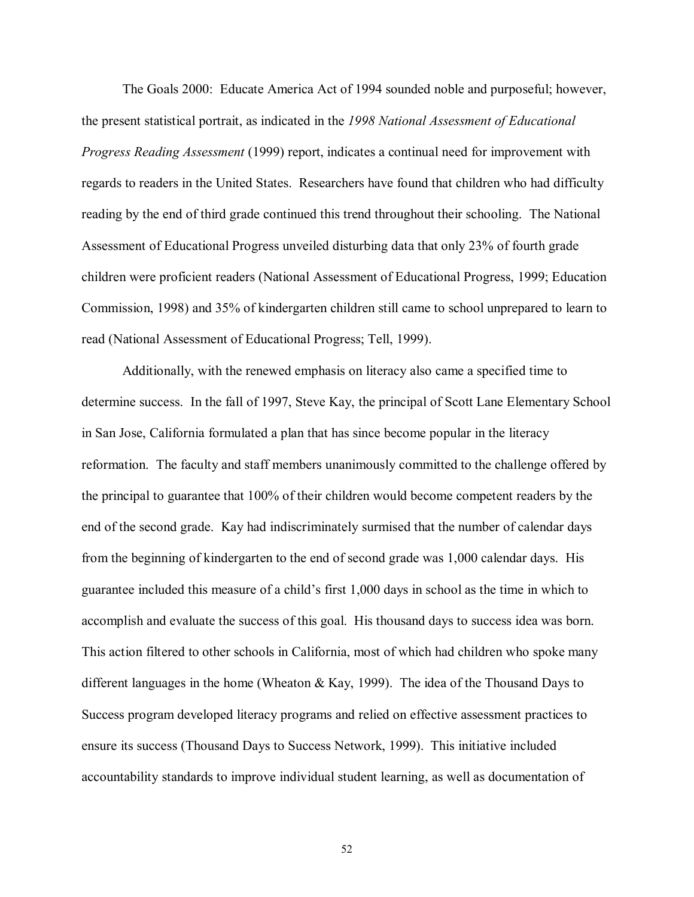The Goals 2000: Educate America Act of 1994 sounded noble and purposeful; however, the present statistical portrait, as indicated in the *1998 National Assessment of Educational Progress Reading Assessment* (1999) report, indicates a continual need for improvement with regards to readers in the United States. Researchers have found that children who had difficulty reading by the end of third grade continued this trend throughout their schooling. The National Assessment of Educational Progress unveiled disturbing data that only 23% of fourth grade children were proficient readers (National Assessment of Educational Progress, 1999; Education Commission, 1998) and 35% of kindergarten children still came to school unprepared to learn to read (National Assessment of Educational Progress; Tell, 1999).

Additionally, with the renewed emphasis on literacy also came a specified time to determine success. In the fall of 1997, Steve Kay, the principal of Scott Lane Elementary School in San Jose, California formulated a plan that has since become popular in the literacy reformation. The faculty and staff members unanimously committed to the challenge offered by the principal to guarantee that 100% of their children would become competent readers by the end of the second grade. Kay had indiscriminately surmised that the number of calendar days from the beginning of kindergarten to the end of second grade was 1,000 calendar days. His guarantee included this measure of a child's first 1,000 days in school as the time in which to accomplish and evaluate the success of this goal. His thousand days to success idea was born. This action filtered to other schools in California, most of which had children who spoke many different languages in the home (Wheaton & Kay, 1999). The idea of the Thousand Days to Success program developed literacy programs and relied on effective assessment practices to ensure its success (Thousand Days to Success Network, 1999). This initiative included accountability standards to improve individual student learning, as well as documentation of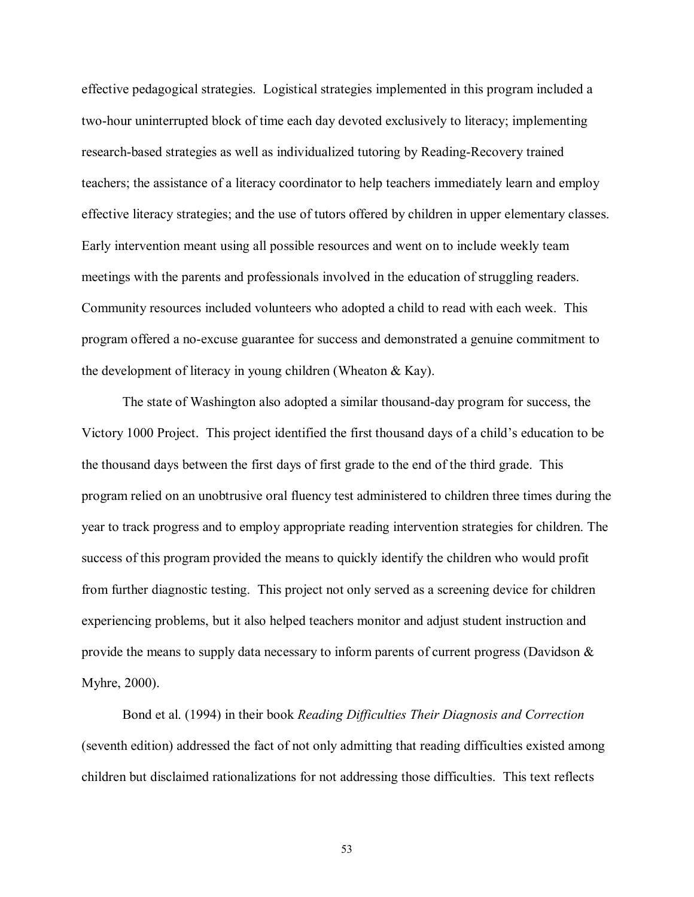effective pedagogical strategies. Logistical strategies implemented in this program included a two-hour uninterrupted block of time each day devoted exclusively to literacy; implementing research-based strategies as well as individualized tutoring by Reading-Recovery trained teachers; the assistance of a literacy coordinator to help teachers immediately learn and employ effective literacy strategies; and the use of tutors offered by children in upper elementary classes. Early intervention meant using all possible resources and went on to include weekly team meetings with the parents and professionals involved in the education of struggling readers. Community resources included volunteers who adopted a child to read with each week. This program offered a no-excuse guarantee for success and demonstrated a genuine commitment to the development of literacy in young children (Wheaton & Kay).

The state of Washington also adopted a similar thousand-day program for success, the Victory 1000 Project. This project identified the first thousand days of a child's education to be the thousand days between the first days of first grade to the end of the third grade. This program relied on an unobtrusive oral fluency test administered to children three times during the year to track progress and to employ appropriate reading intervention strategies for children. The success of this program provided the means to quickly identify the children who would profit from further diagnostic testing. This project not only served as a screening device for children experiencing problems, but it also helped teachers monitor and adjust student instruction and provide the means to supply data necessary to inform parents of current progress (Davidson & Myhre, 2000).

Bond et al. (1994) in their book *Reading Difficulties Their Diagnosis and Correction* (seventh edition) addressed the fact of not only admitting that reading difficulties existed among children but disclaimed rationalizations for not addressing those difficulties. This text reflects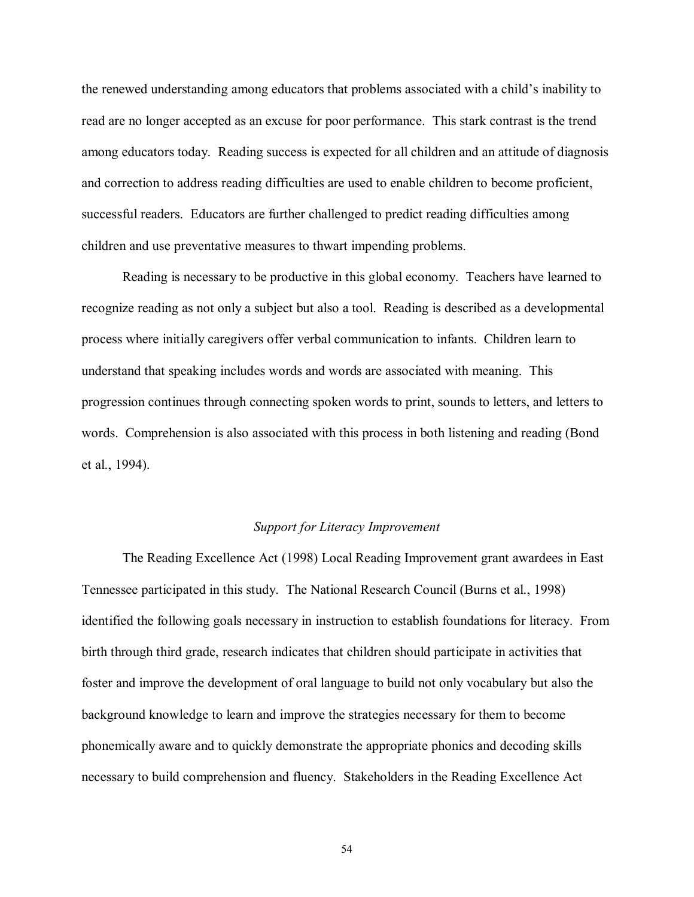the renewed understanding among educators that problems associated with a child's inability to read are no longer accepted as an excuse for poor performance. This stark contrast is the trend among educators today. Reading success is expected for all children and an attitude of diagnosis and correction to address reading difficulties are used to enable children to become proficient, successful readers. Educators are further challenged to predict reading difficulties among children and use preventative measures to thwart impending problems.

 Reading is necessary to be productive in this global economy. Teachers have learned to recognize reading as not only a subject but also a tool. Reading is described as a developmental process where initially caregivers offer verbal communication to infants. Children learn to understand that speaking includes words and words are associated with meaning. This progression continues through connecting spoken words to print, sounds to letters, and letters to words. Comprehension is also associated with this process in both listening and reading (Bond et al., 1994).

#### *Support for Literacy Improvement*

 The Reading Excellence Act (1998) Local Reading Improvement grant awardees in East Tennessee participated in this study. The National Research Council (Burns et al., 1998) identified the following goals necessary in instruction to establish foundations for literacy. From birth through third grade, research indicates that children should participate in activities that foster and improve the development of oral language to build not only vocabulary but also the background knowledge to learn and improve the strategies necessary for them to become phonemically aware and to quickly demonstrate the appropriate phonics and decoding skills necessary to build comprehension and fluency. Stakeholders in the Reading Excellence Act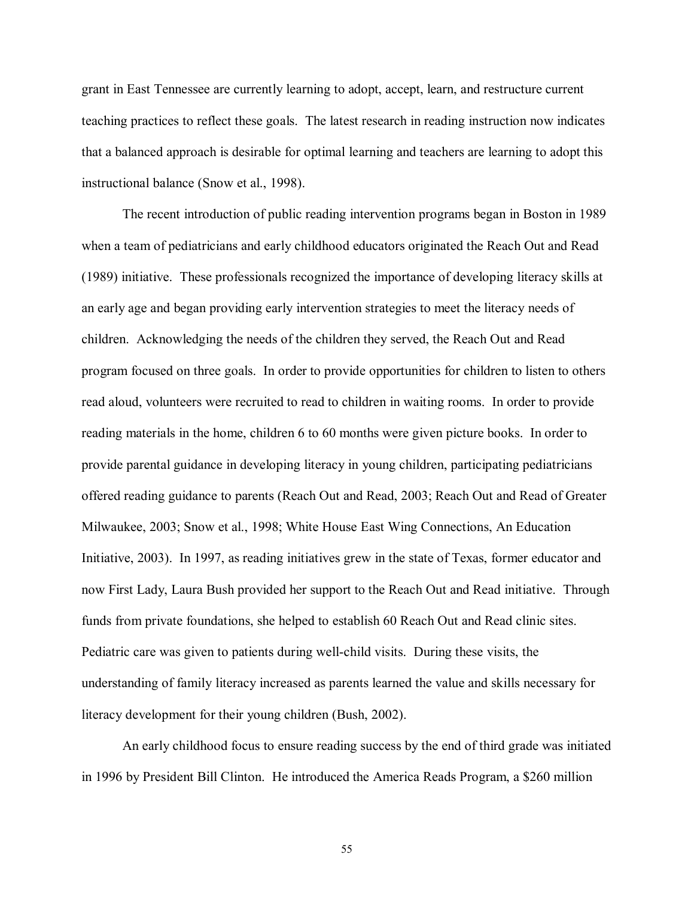grant in East Tennessee are currently learning to adopt, accept, learn, and restructure current teaching practices to reflect these goals. The latest research in reading instruction now indicates that a balanced approach is desirable for optimal learning and teachers are learning to adopt this instructional balance (Snow et al., 1998).

The recent introduction of public reading intervention programs began in Boston in 1989 when a team of pediatricians and early childhood educators originated the Reach Out and Read (1989) initiative. These professionals recognized the importance of developing literacy skills at an early age and began providing early intervention strategies to meet the literacy needs of children. Acknowledging the needs of the children they served, the Reach Out and Read program focused on three goals. In order to provide opportunities for children to listen to others read aloud, volunteers were recruited to read to children in waiting rooms. In order to provide reading materials in the home, children 6 to 60 months were given picture books. In order to provide parental guidance in developing literacy in young children, participating pediatricians offered reading guidance to parents (Reach Out and Read, 2003; Reach Out and Read of Greater Milwaukee, 2003; Snow et al., 1998; White House East Wing Connections, An Education Initiative, 2003). In 1997, as reading initiatives grew in the state of Texas, former educator and now First Lady, Laura Bush provided her support to the Reach Out and Read initiative. Through funds from private foundations, she helped to establish 60 Reach Out and Read clinic sites. Pediatric care was given to patients during well-child visits. During these visits, the understanding of family literacy increased as parents learned the value and skills necessary for literacy development for their young children (Bush, 2002).

An early childhood focus to ensure reading success by the end of third grade was initiated in 1996 by President Bill Clinton. He introduced the America Reads Program, a \$260 million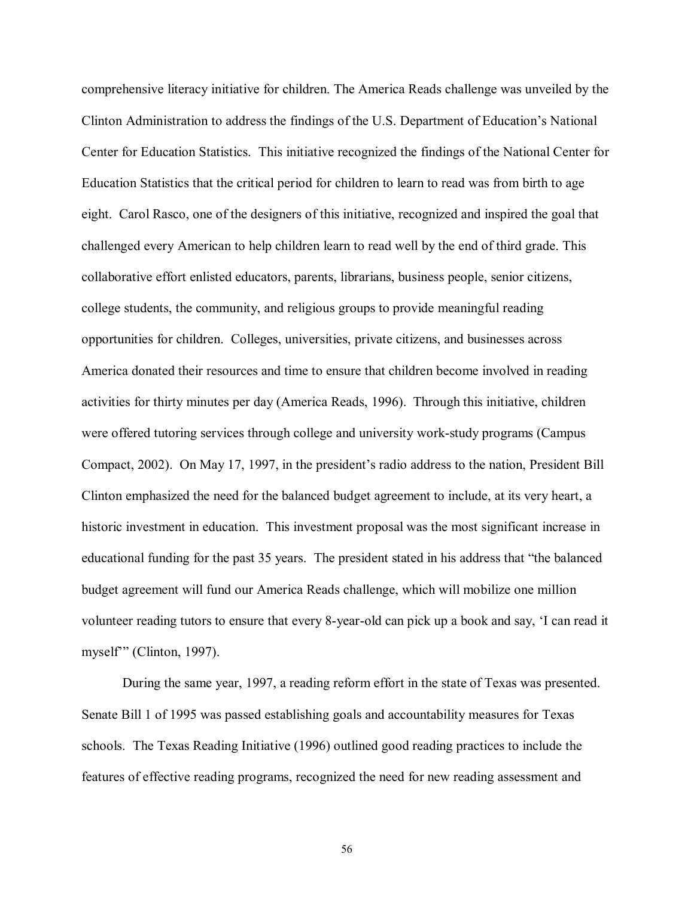comprehensive literacy initiative for children. The America Reads challenge was unveiled by the Clinton Administration to address the findings of the U.S. Department of Education's National Center for Education Statistics. This initiative recognized the findings of the National Center for Education Statistics that the critical period for children to learn to read was from birth to age eight. Carol Rasco, one of the designers of this initiative, recognized and inspired the goal that challenged every American to help children learn to read well by the end of third grade. This collaborative effort enlisted educators, parents, librarians, business people, senior citizens, college students, the community, and religious groups to provide meaningful reading opportunities for children. Colleges, universities, private citizens, and businesses across America donated their resources and time to ensure that children become involved in reading activities for thirty minutes per day (America Reads, 1996). Through this initiative, children were offered tutoring services through college and university work-study programs (Campus Compact, 2002). On May 17, 1997, in the president's radio address to the nation, President Bill Clinton emphasized the need for the balanced budget agreement to include, at its very heart, a historic investment in education. This investment proposal was the most significant increase in educational funding for the past 35 years. The president stated in his address that "the balanced budget agreement will fund our America Reads challenge, which will mobilize one million volunteer reading tutors to ensure that every 8-year-old can pick up a book and say, ëI can read it myself" (Clinton, 1997).

During the same year, 1997, a reading reform effort in the state of Texas was presented. Senate Bill 1 of 1995 was passed establishing goals and accountability measures for Texas schools. The Texas Reading Initiative (1996) outlined good reading practices to include the features of effective reading programs, recognized the need for new reading assessment and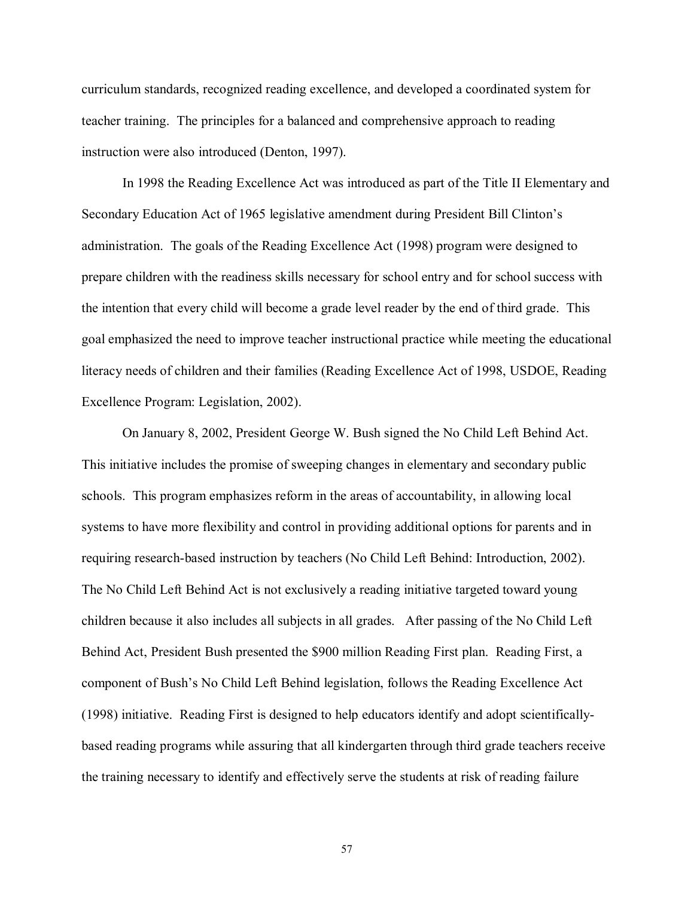curriculum standards, recognized reading excellence, and developed a coordinated system for teacher training. The principles for a balanced and comprehensive approach to reading instruction were also introduced (Denton, 1997).

In 1998 the Reading Excellence Act was introduced as part of the Title II Elementary and Secondary Education Act of 1965 legislative amendment during President Bill Clintonís administration. The goals of the Reading Excellence Act (1998) program were designed to prepare children with the readiness skills necessary for school entry and for school success with the intention that every child will become a grade level reader by the end of third grade. This goal emphasized the need to improve teacher instructional practice while meeting the educational literacy needs of children and their families (Reading Excellence Act of 1998, USDOE, Reading Excellence Program: Legislation, 2002).

On January 8, 2002, President George W. Bush signed the No Child Left Behind Act. This initiative includes the promise of sweeping changes in elementary and secondary public schools. This program emphasizes reform in the areas of accountability, in allowing local systems to have more flexibility and control in providing additional options for parents and in requiring research-based instruction by teachers (No Child Left Behind: Introduction, 2002). The No Child Left Behind Act is not exclusively a reading initiative targeted toward young children because it also includes all subjects in all grades. After passing of the No Child Left Behind Act, President Bush presented the \$900 million Reading First plan. Reading First, a component of Bushís No Child Left Behind legislation, follows the Reading Excellence Act (1998) initiative. Reading First is designed to help educators identify and adopt scientificallybased reading programs while assuring that all kindergarten through third grade teachers receive the training necessary to identify and effectively serve the students at risk of reading failure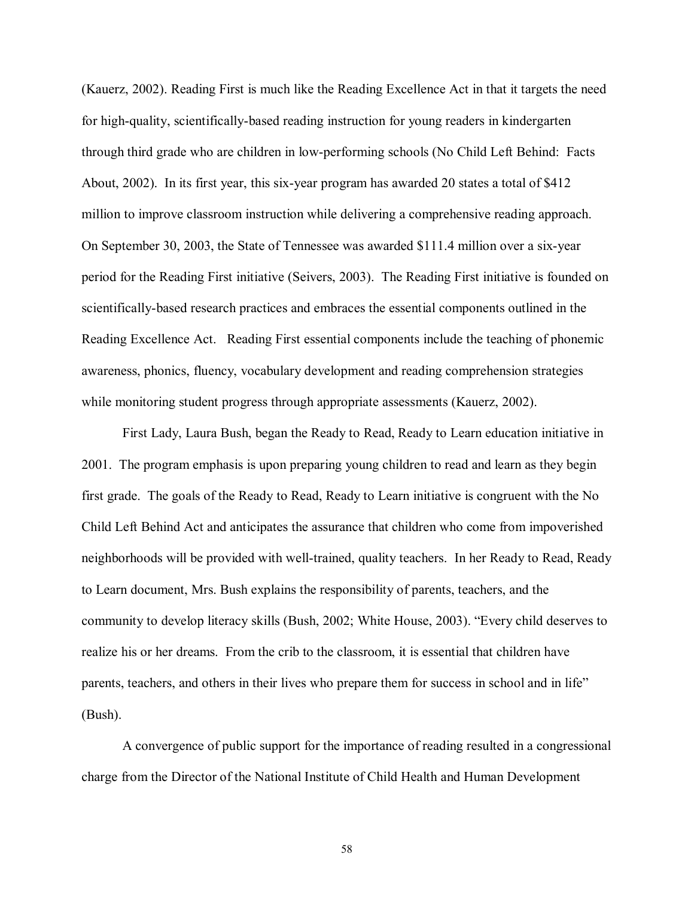(Kauerz, 2002). Reading First is much like the Reading Excellence Act in that it targets the need for high-quality, scientifically-based reading instruction for young readers in kindergarten through third grade who are children in low-performing schools (No Child Left Behind: Facts About, 2002). In its first year, this six-year program has awarded 20 states a total of \$412 million to improve classroom instruction while delivering a comprehensive reading approach. On September 30, 2003, the State of Tennessee was awarded \$111.4 million over a six-year period for the Reading First initiative (Seivers, 2003). The Reading First initiative is founded on scientifically-based research practices and embraces the essential components outlined in the Reading Excellence Act. Reading First essential components include the teaching of phonemic awareness, phonics, fluency, vocabulary development and reading comprehension strategies while monitoring student progress through appropriate assessments (Kauerz, 2002).

First Lady, Laura Bush, began the Ready to Read, Ready to Learn education initiative in 2001. The program emphasis is upon preparing young children to read and learn as they begin first grade. The goals of the Ready to Read, Ready to Learn initiative is congruent with the No Child Left Behind Act and anticipates the assurance that children who come from impoverished neighborhoods will be provided with well-trained, quality teachers. In her Ready to Read, Ready to Learn document, Mrs. Bush explains the responsibility of parents, teachers, and the community to develop literacy skills (Bush, 2002; White House, 2003). "Every child deserves to realize his or her dreams. From the crib to the classroom, it is essential that children have parents, teachers, and others in their lives who prepare them for success in school and in life" (Bush).

A convergence of public support for the importance of reading resulted in a congressional charge from the Director of the National Institute of Child Health and Human Development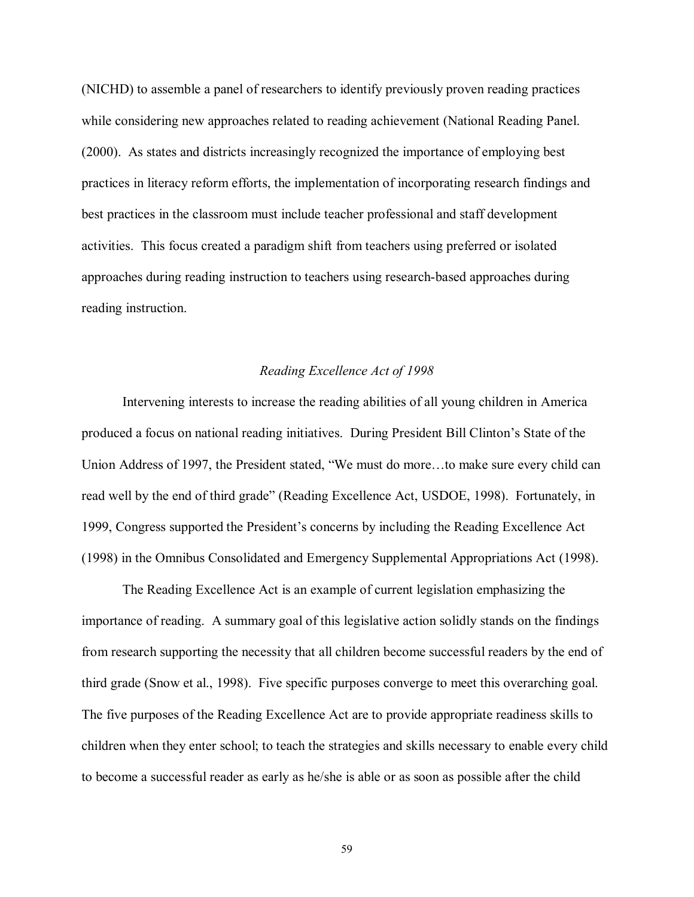(NICHD) to assemble a panel of researchers to identify previously proven reading practices while considering new approaches related to reading achievement (National Reading Panel. (2000). As states and districts increasingly recognized the importance of employing best practices in literacy reform efforts, the implementation of incorporating research findings and best practices in the classroom must include teacher professional and staff development activities. This focus created a paradigm shift from teachers using preferred or isolated approaches during reading instruction to teachers using research-based approaches during reading instruction.

#### *Reading Excellence Act of 1998*

Intervening interests to increase the reading abilities of all young children in America produced a focus on national reading initiatives. During President Bill Clinton's State of the Union Address of 1997, the President stated, "We must do more...to make sure every child can read well by the end of third grade" (Reading Excellence Act, USDOE, 1998). Fortunately, in 1999, Congress supported the President's concerns by including the Reading Excellence Act (1998) in the Omnibus Consolidated and Emergency Supplemental Appropriations Act (1998).

The Reading Excellence Act is an example of current legislation emphasizing the importance of reading. A summary goal of this legislative action solidly stands on the findings from research supporting the necessity that all children become successful readers by the end of third grade (Snow et al., 1998). Five specific purposes converge to meet this overarching goal. The five purposes of the Reading Excellence Act are to provide appropriate readiness skills to children when they enter school; to teach the strategies and skills necessary to enable every child to become a successful reader as early as he/she is able or as soon as possible after the child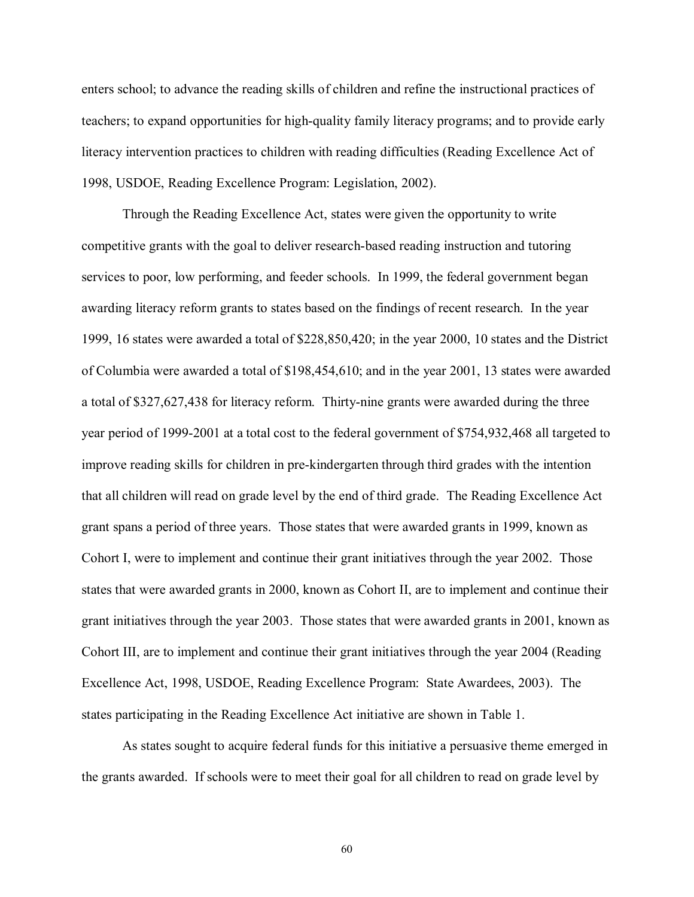enters school; to advance the reading skills of children and refine the instructional practices of teachers; to expand opportunities for high-quality family literacy programs; and to provide early literacy intervention practices to children with reading difficulties (Reading Excellence Act of 1998, USDOE, Reading Excellence Program: Legislation, 2002).

Through the Reading Excellence Act, states were given the opportunity to write competitive grants with the goal to deliver research-based reading instruction and tutoring services to poor, low performing, and feeder schools. In 1999, the federal government began awarding literacy reform grants to states based on the findings of recent research. In the year 1999, 16 states were awarded a total of \$228,850,420; in the year 2000, 10 states and the District of Columbia were awarded a total of \$198,454,610; and in the year 2001, 13 states were awarded a total of \$327,627,438 for literacy reform. Thirty-nine grants were awarded during the three year period of 1999-2001 at a total cost to the federal government of \$754,932,468 all targeted to improve reading skills for children in pre-kindergarten through third grades with the intention that all children will read on grade level by the end of third grade. The Reading Excellence Act grant spans a period of three years. Those states that were awarded grants in 1999, known as Cohort I, were to implement and continue their grant initiatives through the year 2002. Those states that were awarded grants in 2000, known as Cohort II, are to implement and continue their grant initiatives through the year 2003. Those states that were awarded grants in 2001, known as Cohort III, are to implement and continue their grant initiatives through the year 2004 (Reading Excellence Act, 1998, USDOE, Reading Excellence Program: State Awardees, 2003). The states participating in the Reading Excellence Act initiative are shown in Table 1.

As states sought to acquire federal funds for this initiative a persuasive theme emerged in the grants awarded. If schools were to meet their goal for all children to read on grade level by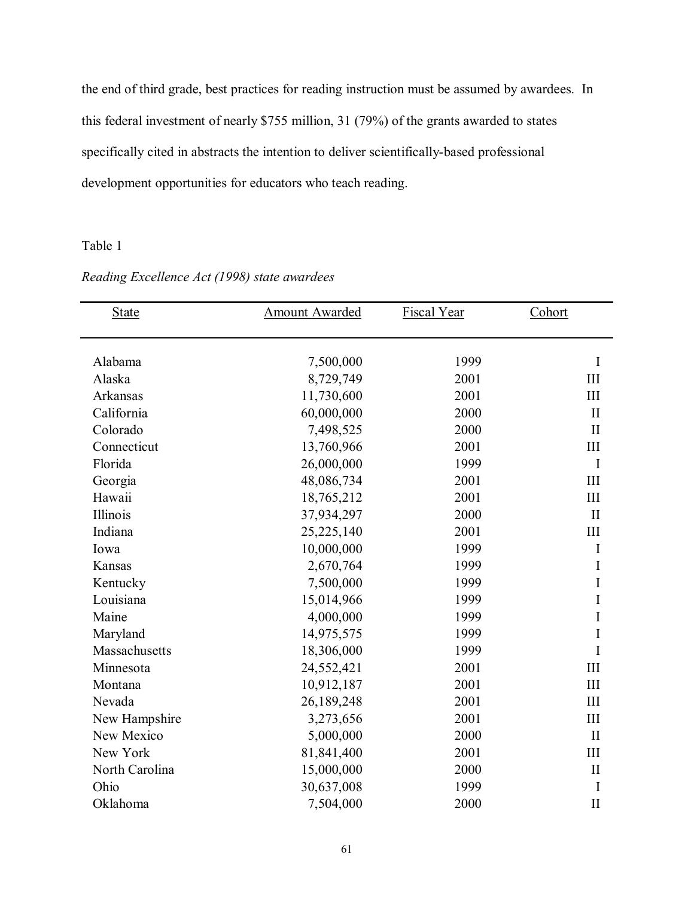the end of third grade, best practices for reading instruction must be assumed by awardees. In this federal investment of nearly \$755 million, 31 (79%) of the grants awarded to states specifically cited in abstracts the intention to deliver scientifically-based professional development opportunities for educators who teach reading.

# Table 1

| <b>State</b>   | <b>Amount Awarded</b> | <b>Fiscal Year</b> | Cohort       |
|----------------|-----------------------|--------------------|--------------|
| Alabama        | 7,500,000             | 1999               | I            |
| Alaska         | 8,729,749             | 2001               | III          |
| Arkansas       | 11,730,600            | 2001               | III          |
| California     | 60,000,000            | 2000               | $\mathbf{I}$ |
| Colorado       |                       | 2000               | $\mathbf{I}$ |
|                | 7,498,525             |                    | III          |
| Connecticut    | 13,760,966            | 2001               |              |
| Florida        | 26,000,000            | 1999               | $\mathbf I$  |
| Georgia        | 48,086,734            | 2001               | III          |
| Hawaii         | 18,765,212            | 2001               | III          |
| Illinois       | 37,934,297            | 2000               | $\mathbf{I}$ |
| Indiana        | 25,225,140            | 2001               | III          |
| Iowa           | 10,000,000            | 1999               | I            |
| Kansas         | 2,670,764             | 1999               | I            |
| Kentucky       | 7,500,000             | 1999               | I            |
| Louisiana      | 15,014,966            | 1999               | I            |
| Maine          | 4,000,000             | 1999               | I            |
| Maryland       | 14,975,575            | 1999               | I            |
| Massachusetts  | 18,306,000            | 1999               | I            |
| Minnesota      | 24,552,421            | 2001               | III          |
| Montana        | 10,912,187            | 2001               | III          |
| Nevada         | 26,189,248            | 2001               | III          |
| New Hampshire  | 3,273,656             | 2001               | III          |
| New Mexico     | 5,000,000             | 2000               | $\mathbf{I}$ |
| New York       | 81,841,400            | 2001               | III          |
| North Carolina | 15,000,000            | 2000               | $\mathbf{I}$ |
| Ohio           | 30,637,008            | 1999               | I            |
| Oklahoma       | 7,504,000             | 2000               | $\prod$      |

# *Reading Excellence Act (1998) state awardees*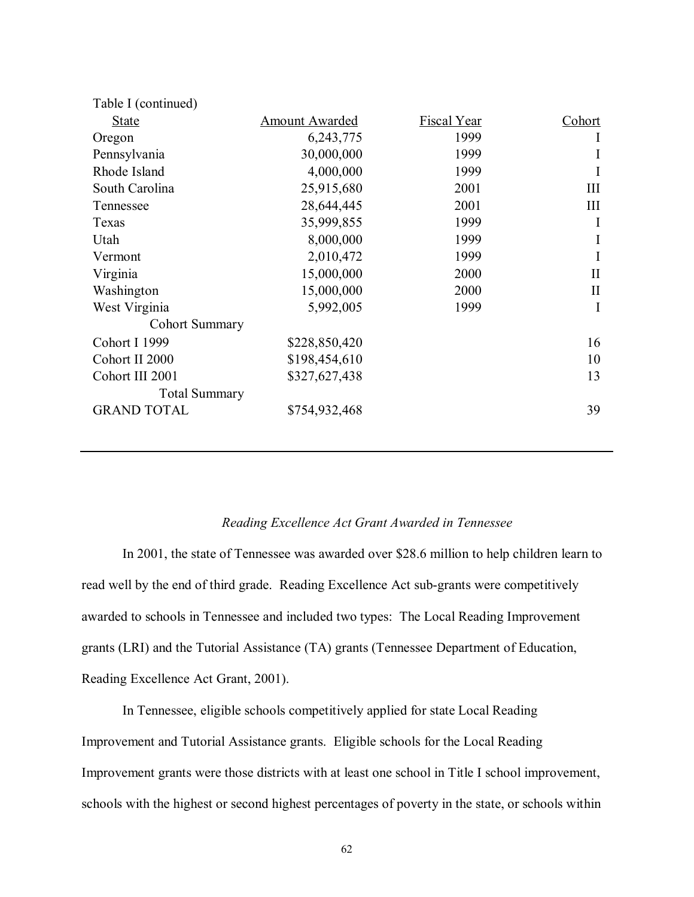| Table I (continued)  |                       |             |              |
|----------------------|-----------------------|-------------|--------------|
| <b>State</b>         | <b>Amount Awarded</b> | Fiscal Year | Cohort       |
| Oregon               | 6, 243, 775           | 1999        | 1            |
| Pennsylvania         | 30,000,000            | 1999        | I            |
| Rhode Island         | 4,000,000             | 1999        | I            |
| South Carolina       | 25,915,680            | 2001        | III          |
| Tennessee            | 28,644,445            | 2001        | Ш            |
| Texas                | 35,999,855            | 1999        | I            |
| Utah                 | 8,000,000             | 1999        | I            |
| Vermont              | 2,010,472             | 1999        | Ι            |
| Virginia             | 15,000,000            | 2000        | $\mathbf{I}$ |
| Washington           | 15,000,000            | 2000        | $\mathbf{I}$ |
| West Virginia        | 5,992,005             | 1999        | I            |
| Cohort Summary       |                       |             |              |
| Cohort I 1999        | \$228,850,420         |             | 16           |
| Cohort II 2000       | \$198,454,610         |             | 10           |
| Cohort III 2001      | \$327,627,438         |             | 13           |
| <b>Total Summary</b> |                       |             |              |
| <b>GRAND TOTAL</b>   | \$754,932,468         |             | 39           |
|                      |                       |             |              |

### *Reading Excellence Act Grant Awarded in Tennessee*

In 2001, the state of Tennessee was awarded over \$28.6 million to help children learn to read well by the end of third grade. Reading Excellence Act sub-grants were competitively awarded to schools in Tennessee and included two types: The Local Reading Improvement grants (LRI) and the Tutorial Assistance (TA) grants (Tennessee Department of Education, Reading Excellence Act Grant, 2001).

In Tennessee, eligible schools competitively applied for state Local Reading Improvement and Tutorial Assistance grants. Eligible schools for the Local Reading Improvement grants were those districts with at least one school in Title I school improvement, schools with the highest or second highest percentages of poverty in the state, or schools within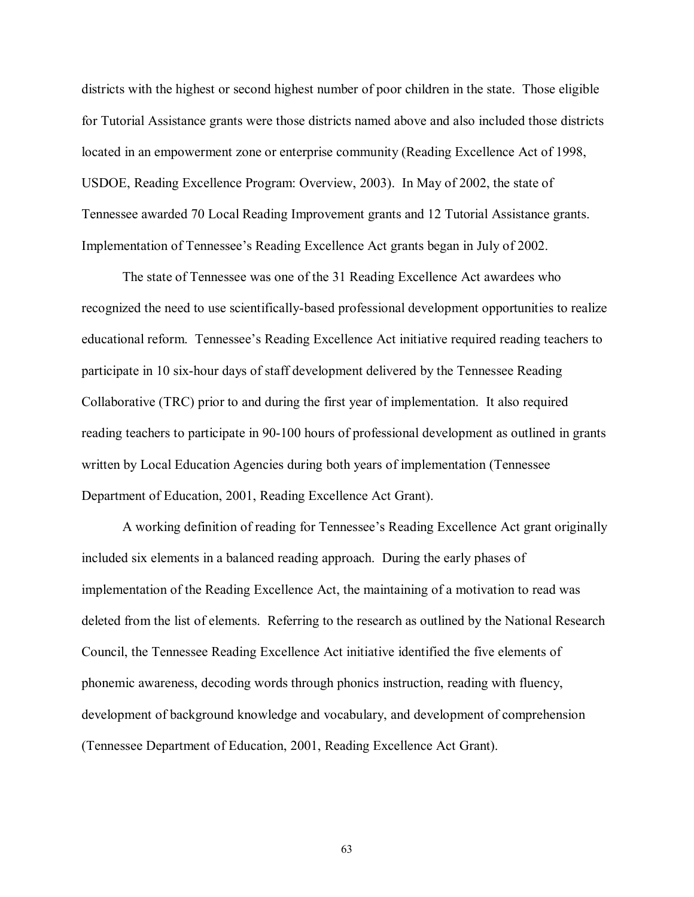districts with the highest or second highest number of poor children in the state. Those eligible for Tutorial Assistance grants were those districts named above and also included those districts located in an empowerment zone or enterprise community (Reading Excellence Act of 1998, USDOE, Reading Excellence Program: Overview, 2003). In May of 2002, the state of Tennessee awarded 70 Local Reading Improvement grants and 12 Tutorial Assistance grants. Implementation of Tennessee's Reading Excellence Act grants began in July of 2002.

The state of Tennessee was one of the 31 Reading Excellence Act awardees who recognized the need to use scientifically-based professional development opportunities to realize educational reform. Tennessee's Reading Excellence Act initiative required reading teachers to participate in 10 six-hour days of staff development delivered by the Tennessee Reading Collaborative (TRC) prior to and during the first year of implementation. It also required reading teachers to participate in 90-100 hours of professional development as outlined in grants written by Local Education Agencies during both years of implementation (Tennessee Department of Education, 2001, Reading Excellence Act Grant).

A working definition of reading for Tennessee's Reading Excellence Act grant originally included six elements in a balanced reading approach. During the early phases of implementation of the Reading Excellence Act, the maintaining of a motivation to read was deleted from the list of elements. Referring to the research as outlined by the National Research Council, the Tennessee Reading Excellence Act initiative identified the five elements of phonemic awareness, decoding words through phonics instruction, reading with fluency, development of background knowledge and vocabulary, and development of comprehension (Tennessee Department of Education, 2001, Reading Excellence Act Grant).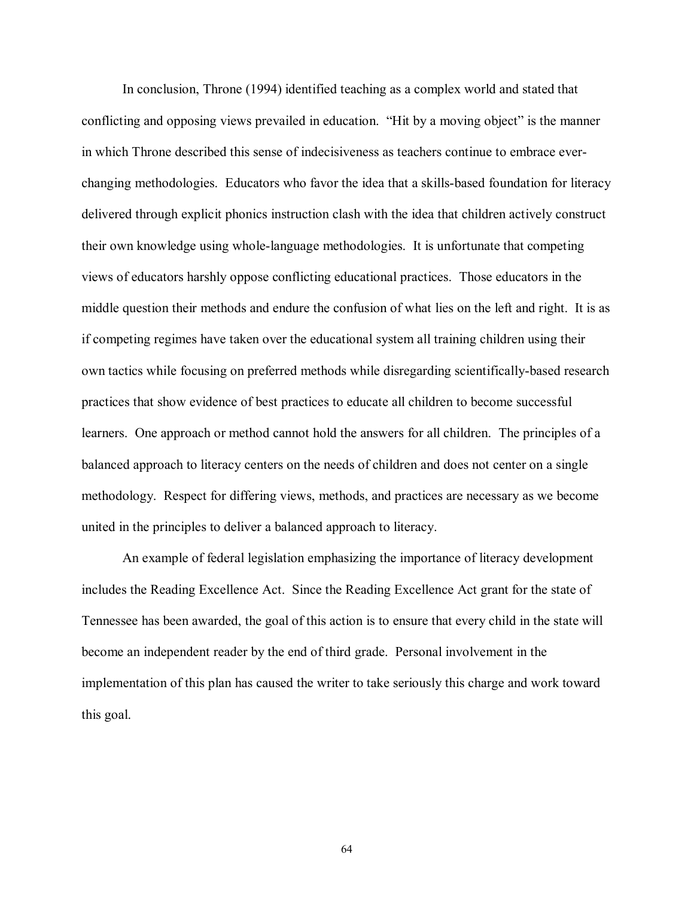In conclusion, Throne (1994) identified teaching as a complex world and stated that conflicting and opposing views prevailed in education. "Hit by a moving object" is the manner in which Throne described this sense of indecisiveness as teachers continue to embrace everchanging methodologies. Educators who favor the idea that a skills-based foundation for literacy delivered through explicit phonics instruction clash with the idea that children actively construct their own knowledge using whole-language methodologies. It is unfortunate that competing views of educators harshly oppose conflicting educational practices. Those educators in the middle question their methods and endure the confusion of what lies on the left and right. It is as if competing regimes have taken over the educational system all training children using their own tactics while focusing on preferred methods while disregarding scientifically-based research practices that show evidence of best practices to educate all children to become successful learners. One approach or method cannot hold the answers for all children. The principles of a balanced approach to literacy centers on the needs of children and does not center on a single methodology. Respect for differing views, methods, and practices are necessary as we become united in the principles to deliver a balanced approach to literacy.

An example of federal legislation emphasizing the importance of literacy development includes the Reading Excellence Act. Since the Reading Excellence Act grant for the state of Tennessee has been awarded, the goal of this action is to ensure that every child in the state will become an independent reader by the end of third grade. Personal involvement in the implementation of this plan has caused the writer to take seriously this charge and work toward this goal.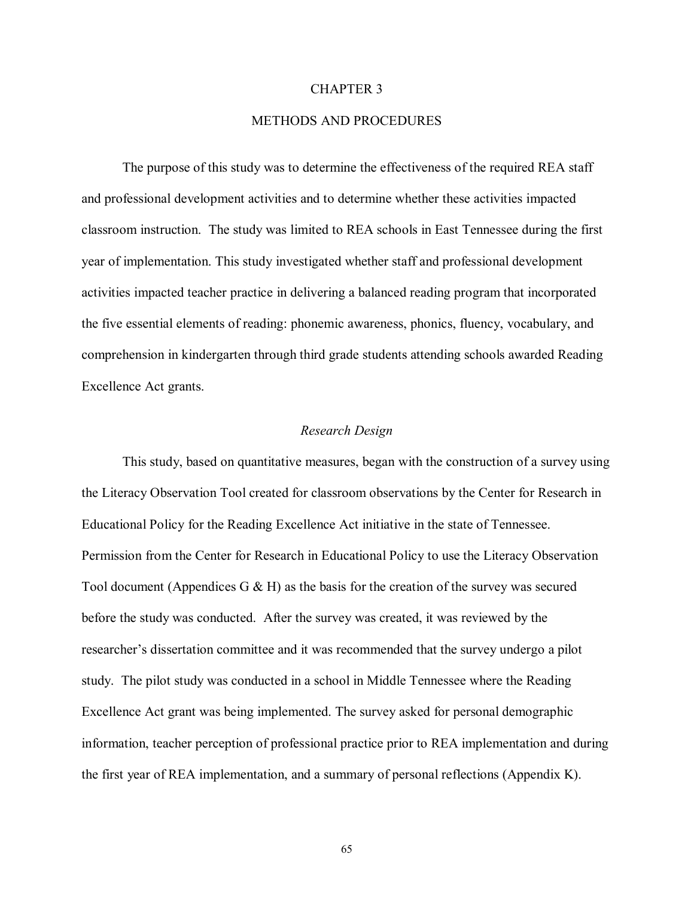#### CHAPTER 3

## METHODS AND PROCEDURES

 The purpose of this study was to determine the effectiveness of the required REA staff and professional development activities and to determine whether these activities impacted classroom instruction. The study was limited to REA schools in East Tennessee during the first year of implementation. This study investigated whether staff and professional development activities impacted teacher practice in delivering a balanced reading program that incorporated the five essential elements of reading: phonemic awareness, phonics, fluency, vocabulary, and comprehension in kindergarten through third grade students attending schools awarded Reading Excellence Act grants.

#### *Research Design*

 This study, based on quantitative measures, began with the construction of a survey using the Literacy Observation Tool created for classroom observations by the Center for Research in Educational Policy for the Reading Excellence Act initiative in the state of Tennessee. Permission from the Center for Research in Educational Policy to use the Literacy Observation Tool document (Appendices G  $\&$  H) as the basis for the creation of the survey was secured before the study was conducted. After the survey was created, it was reviewed by the researcher's dissertation committee and it was recommended that the survey undergo a pilot study. The pilot study was conducted in a school in Middle Tennessee where the Reading Excellence Act grant was being implemented. The survey asked for personal demographic information, teacher perception of professional practice prior to REA implementation and during the first year of REA implementation, and a summary of personal reflections (Appendix K).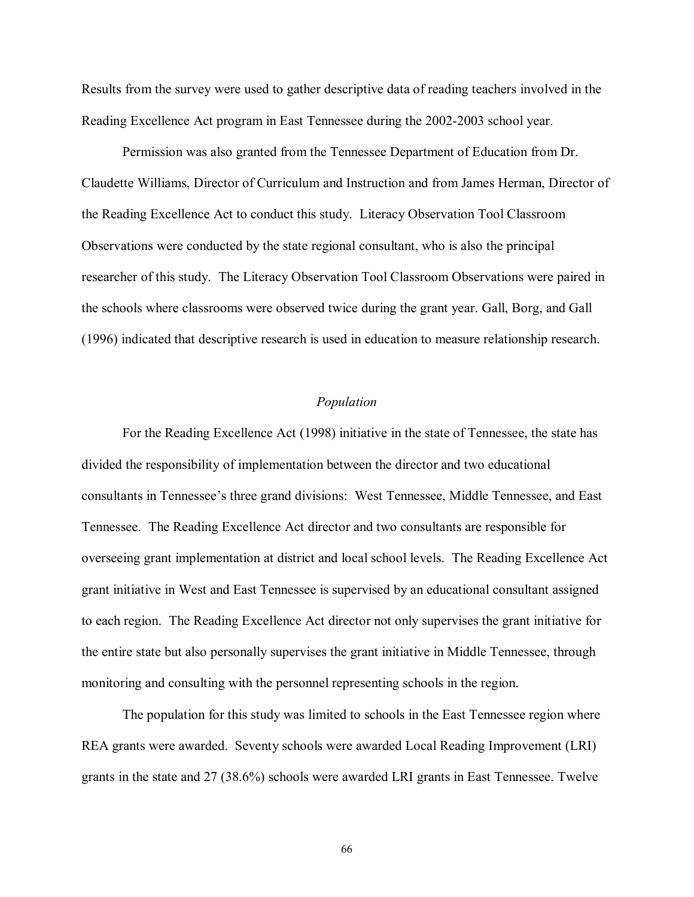Results from the survey were used to gather descriptive data of reading teachers involved in the Reading Excellence Act program in East Tennessee during the 2002-2003 school year.

 Permission was also granted from the Tennessee Department of Education from Dr. Claudette Williams, Director of Curriculum and Instruction and from James Herman, Director of the Reading Excellence Act to conduct this study. Literacy Observation Tool Classroom Observations were conducted by the state regional consultant, who is also the principal researcher of this study. The Literacy Observation Tool Classroom Observations were paired in the schools where classrooms were observed twice during the grant year. Gall, Borg, and Gall (1996) indicated that descriptive research is used in education to measure relationship research.

# *Population*

For the Reading Excellence Act (1998) initiative in the state of Tennessee, the state has divided the responsibility of implementation between the director and two educational consultants in Tennessee's three grand divisions: West Tennessee, Middle Tennessee, and East Tennessee. The Reading Excellence Act director and two consultants are responsible for overseeing grant implementation at district and local school levels. The Reading Excellence Act grant initiative in West and East Tennessee is supervised by an educational consultant assigned to each region. The Reading Excellence Act director not only supervises the grant initiative for the entire state but also personally supervises the grant initiative in Middle Tennessee, through monitoring and consulting with the personnel representing schools in the region.

The population for this study was limited to schools in the East Tennessee region where REA grants were awarded. Seventy schools were awarded Local Reading Improvement (LRI) grants in the state and 27 (38.6%) schools were awarded LRI grants in East Tennessee. Twelve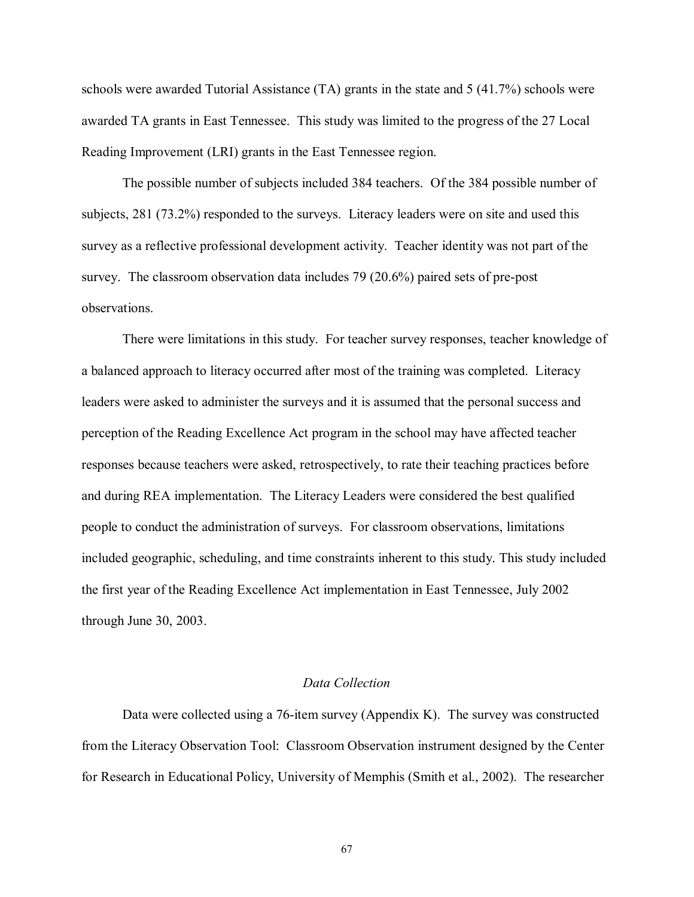schools were awarded Tutorial Assistance (TA) grants in the state and 5 (41.7%) schools were awarded TA grants in East Tennessee. This study was limited to the progress of the 27 Local Reading Improvement (LRI) grants in the East Tennessee region.

The possible number of subjects included 384 teachers. Of the 384 possible number of subjects, 281 (73.2%) responded to the surveys. Literacy leaders were on site and used this survey as a reflective professional development activity. Teacher identity was not part of the survey. The classroom observation data includes 79 (20.6%) paired sets of pre-post observations.

There were limitations in this study. For teacher survey responses, teacher knowledge of a balanced approach to literacy occurred after most of the training was completed. Literacy leaders were asked to administer the surveys and it is assumed that the personal success and perception of the Reading Excellence Act program in the school may have affected teacher responses because teachers were asked, retrospectively, to rate their teaching practices before and during REA implementation. The Literacy Leaders were considered the best qualified people to conduct the administration of surveys. For classroom observations, limitations included geographic, scheduling, and time constraints inherent to this study. This study included the first year of the Reading Excellence Act implementation in East Tennessee, July 2002 through June 30, 2003.

# *Data Collection*

 Data were collected using a 76-item survey (Appendix K). The survey was constructed from the Literacy Observation Tool: Classroom Observation instrument designed by the Center for Research in Educational Policy, University of Memphis (Smith et al., 2002). The researcher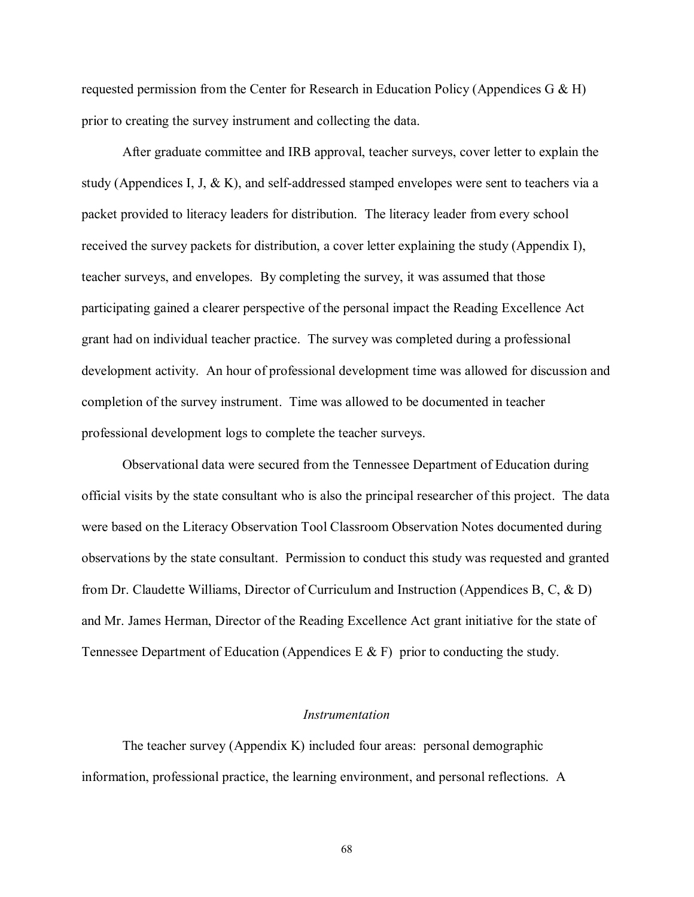requested permission from the Center for Research in Education Policy (Appendices G  $\&$  H) prior to creating the survey instrument and collecting the data.

After graduate committee and IRB approval, teacher surveys, cover letter to explain the study (Appendices I, J, & K), and self-addressed stamped envelopes were sent to teachers via a packet provided to literacy leaders for distribution. The literacy leader from every school received the survey packets for distribution, a cover letter explaining the study (Appendix I), teacher surveys, and envelopes. By completing the survey, it was assumed that those participating gained a clearer perspective of the personal impact the Reading Excellence Act grant had on individual teacher practice. The survey was completed during a professional development activity. An hour of professional development time was allowed for discussion and completion of the survey instrument. Time was allowed to be documented in teacher professional development logs to complete the teacher surveys.

Observational data were secured from the Tennessee Department of Education during official visits by the state consultant who is also the principal researcher of this project. The data were based on the Literacy Observation Tool Classroom Observation Notes documented during observations by the state consultant. Permission to conduct this study was requested and granted from Dr. Claudette Williams, Director of Curriculum and Instruction (Appendices B, C, & D) and Mr. James Herman, Director of the Reading Excellence Act grant initiative for the state of Tennessee Department of Education (Appendices E & F) prior to conducting the study.

#### *Instrumentation*

 The teacher survey (Appendix K) included four areas: personal demographic information, professional practice, the learning environment, and personal reflections. A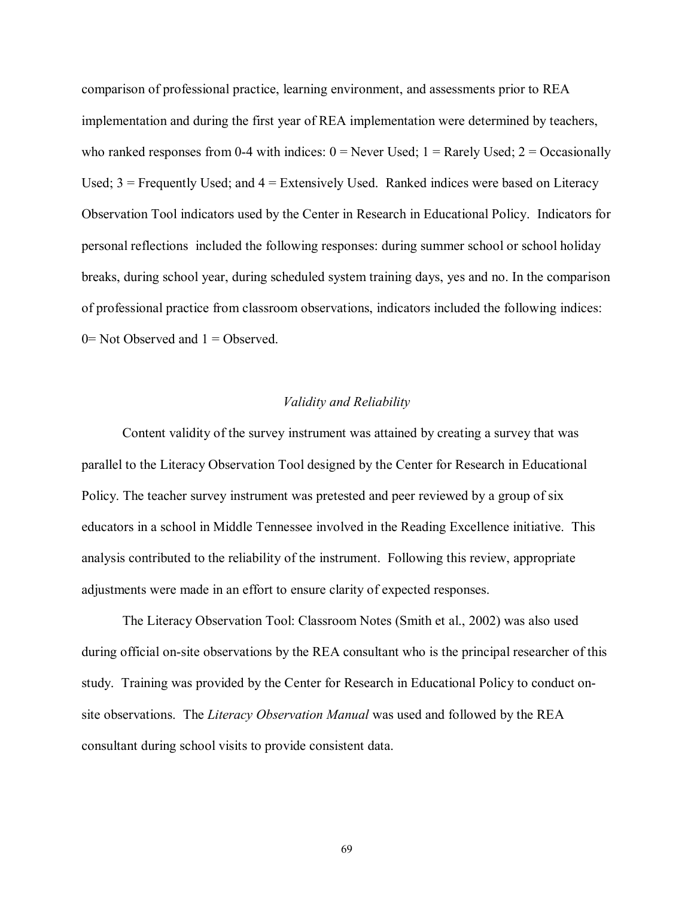comparison of professional practice, learning environment, and assessments prior to REA implementation and during the first year of REA implementation were determined by teachers, who ranked responses from 0-4 with indices:  $0 =$  Never Used;  $1 =$  Rarely Used;  $2 =$  Occasionally Used; 3 = Frequently Used; and 4 = Extensively Used. Ranked indices were based on Literacy Observation Tool indicators used by the Center in Research in Educational Policy. Indicators for personal reflections included the following responses: during summer school or school holiday breaks, during school year, during scheduled system training days, yes and no. In the comparison of professional practice from classroom observations, indicators included the following indices:  $0=$  Not Observed and  $1=$  Observed.

# *Validity and Reliability*

 Content validity of the survey instrument was attained by creating a survey that was parallel to the Literacy Observation Tool designed by the Center for Research in Educational Policy. The teacher survey instrument was pretested and peer reviewed by a group of six educators in a school in Middle Tennessee involved in the Reading Excellence initiative. This analysis contributed to the reliability of the instrument. Following this review, appropriate adjustments were made in an effort to ensure clarity of expected responses.

 The Literacy Observation Tool: Classroom Notes (Smith et al., 2002) was also used during official on-site observations by the REA consultant who is the principal researcher of this study. Training was provided by the Center for Research in Educational Policy to conduct onsite observations. The *Literacy Observation Manual* was used and followed by the REA consultant during school visits to provide consistent data.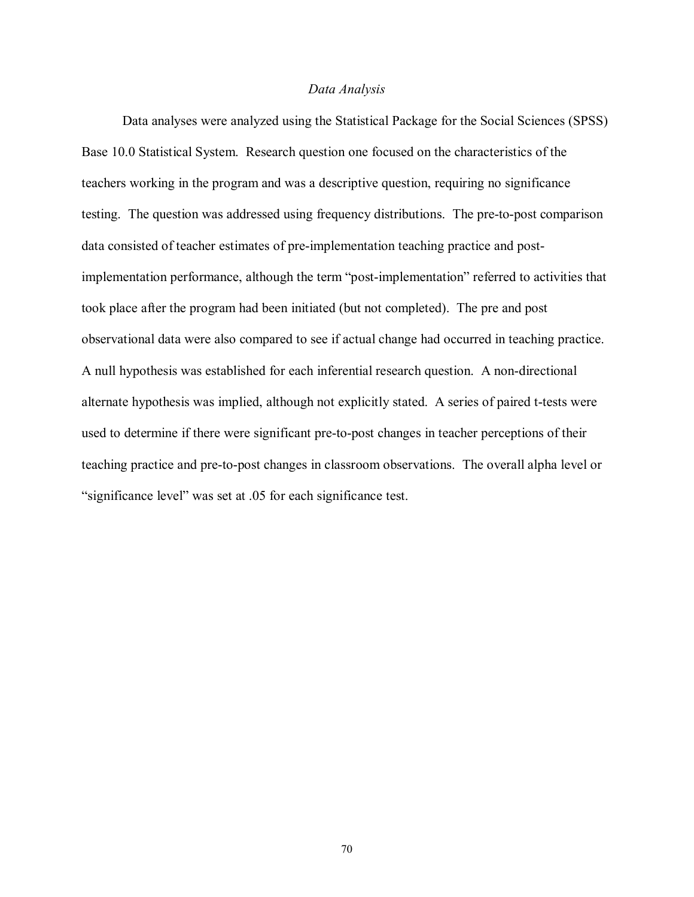#### *Data Analysis*

 Data analyses were analyzed using the Statistical Package for the Social Sciences (SPSS) Base 10.0 Statistical System. Research question one focused on the characteristics of the teachers working in the program and was a descriptive question, requiring no significance testing. The question was addressed using frequency distributions. The pre-to-post comparison data consisted of teacher estimates of pre-implementation teaching practice and postimplementation performance, although the term "post-implementation" referred to activities that took place after the program had been initiated (but not completed). The pre and post observational data were also compared to see if actual change had occurred in teaching practice. A null hypothesis was established for each inferential research question. A non-directional alternate hypothesis was implied, although not explicitly stated. A series of paired t-tests were used to determine if there were significant pre-to-post changes in teacher perceptions of their teaching practice and pre-to-post changes in classroom observations. The overall alpha level or "significance level" was set at .05 for each significance test.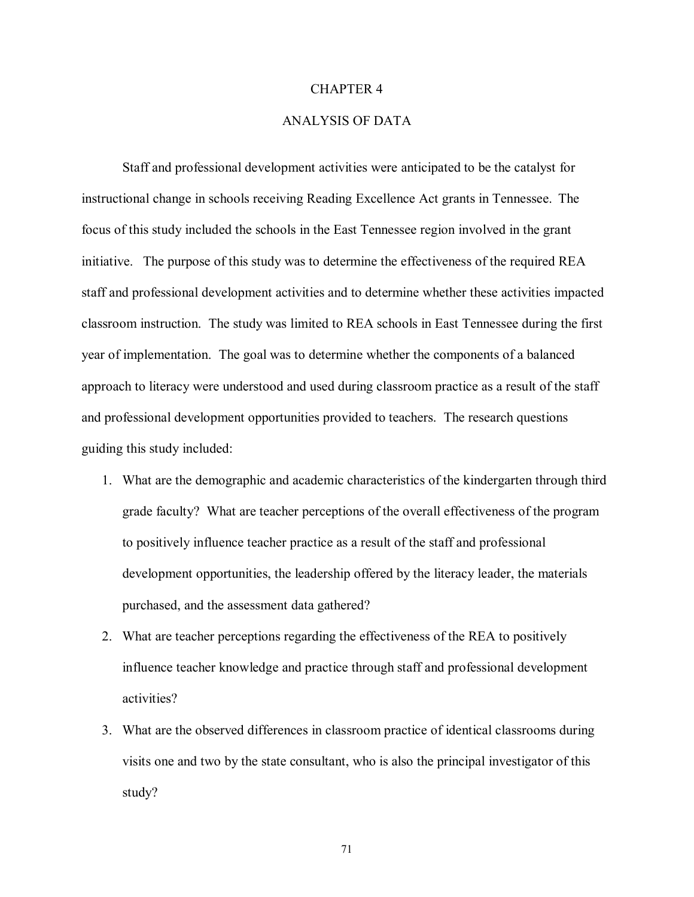#### CHAPTER 4

# ANALYSIS OF DATA

Staff and professional development activities were anticipated to be the catalyst for instructional change in schools receiving Reading Excellence Act grants in Tennessee. The focus of this study included the schools in the East Tennessee region involved in the grant initiative. The purpose of this study was to determine the effectiveness of the required REA staff and professional development activities and to determine whether these activities impacted classroom instruction. The study was limited to REA schools in East Tennessee during the first year of implementation. The goal was to determine whether the components of a balanced approach to literacy were understood and used during classroom practice as a result of the staff and professional development opportunities provided to teachers. The research questions guiding this study included:

- 1. What are the demographic and academic characteristics of the kindergarten through third grade faculty? What are teacher perceptions of the overall effectiveness of the program to positively influence teacher practice as a result of the staff and professional development opportunities, the leadership offered by the literacy leader, the materials purchased, and the assessment data gathered?
- 2. What are teacher perceptions regarding the effectiveness of the REA to positively influence teacher knowledge and practice through staff and professional development activities?
- 3. What are the observed differences in classroom practice of identical classrooms during visits one and two by the state consultant, who is also the principal investigator of this study?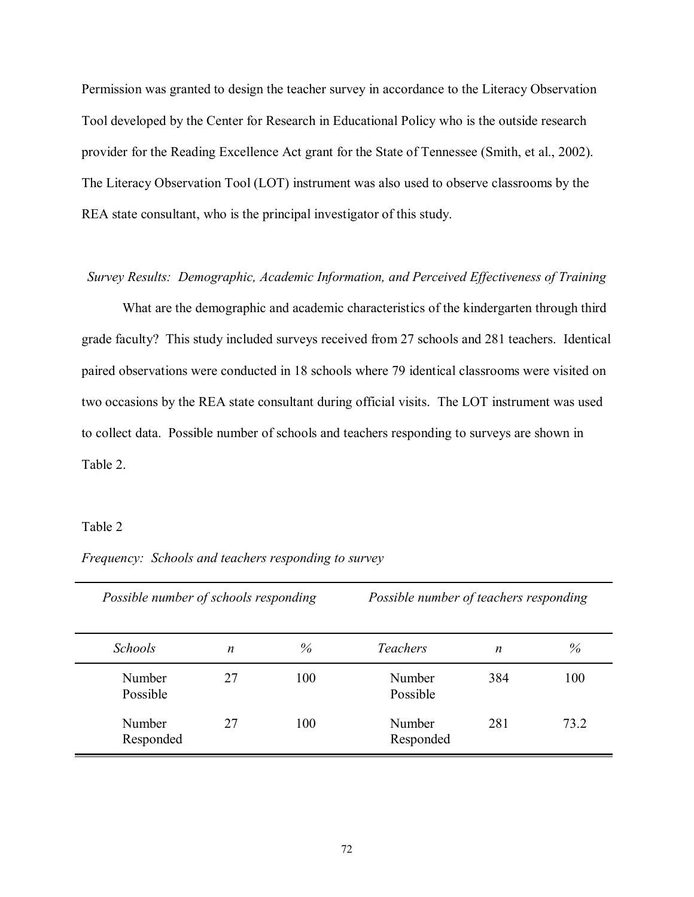Permission was granted to design the teacher survey in accordance to the Literacy Observation Tool developed by the Center for Research in Educational Policy who is the outside research provider for the Reading Excellence Act grant for the State of Tennessee (Smith, et al., 2002). The Literacy Observation Tool (LOT) instrument was also used to observe classrooms by the REA state consultant, who is the principal investigator of this study.

#### *Survey Results: Demographic, Academic Information, and Perceived Effectiveness of Training*

 What are the demographic and academic characteristics of the kindergarten through third grade faculty? This study included surveys received from 27 schools and 281 teachers. Identical paired observations were conducted in 18 schools where 79 identical classrooms were visited on two occasions by the REA state consultant during official visits. The LOT instrument was used to collect data. Possible number of schools and teachers responding to surveys are shown in Table 2.

#### Table 2

| Possible number of schools responding |    |      | Possible number of teachers responding |     |      |  |
|---------------------------------------|----|------|----------------------------------------|-----|------|--|
| <b>Schools</b>                        | n  | $\%$ | <i>Teachers</i>                        | n   | $\%$ |  |
| Number<br>Possible                    | 27 | 100  | Number<br>Possible                     | 384 | 100  |  |
| Number<br>Responded                   | 27 | 100  | Number<br>Responded                    | 281 | 73 2 |  |

*Frequency: Schools and teachers responding to survey*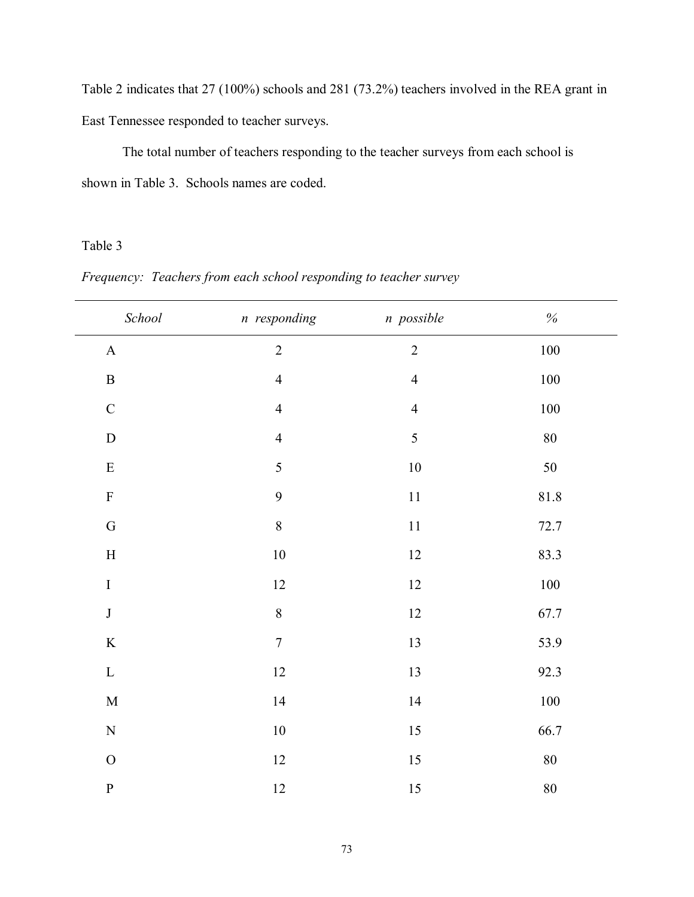Table 2 indicates that 27 (100%) schools and 281 (73.2%) teachers involved in the REA grant in East Tennessee responded to teacher surveys.

 The total number of teachers responding to the teacher surveys from each school is shown in Table 3. Schools names are coded.

# Table 3

| $\emph{School}$           | n responding   | n possible     | $\%$     |
|---------------------------|----------------|----------------|----------|
| $\mathbf A$               | $\overline{c}$ | $\overline{2}$ | $100\,$  |
| $\, {\bf B}$              | $\overline{4}$ | $\overline{4}$ | $100\,$  |
| $\mathsf{C}$              | $\overline{4}$ | $\overline{4}$ | $100\,$  |
| ${\bf D}$                 | $\overline{4}$ | 5              | $80\,$   |
| ${\bf E}$                 | 5              | $10\,$         | 50       |
| $\boldsymbol{\mathrm{F}}$ | 9              | $11\,$         | $81.8\,$ |
| ${\bf G}$                 | $\,8\,$        | $11\,$         | 72.7     |
| $\mathbf H$               | $10\,$         | $12\,$         | 83.3     |
| $\rm I$                   | $12\,$         | $12\,$         | $100\,$  |
| $\bf J$                   | $\, 8$         | $12\,$         | 67.7     |
| $\rm K$                   | $\sqrt{ }$     | 13             | 53.9     |
| $\mathbf L$               | 12             | 13             | 92.3     |
| $\mathbf M$               | 14             | 14             | $100\,$  |
| $\overline{N}$            | $10\,$         | 15             | 66.7     |
| $\overline{O}$            | 12             | 15             | $80\,$   |
| $\mathbf P$               | $12\,$         | 15             | $80\,$   |

*Frequency: Teachers from each school responding to teacher survey*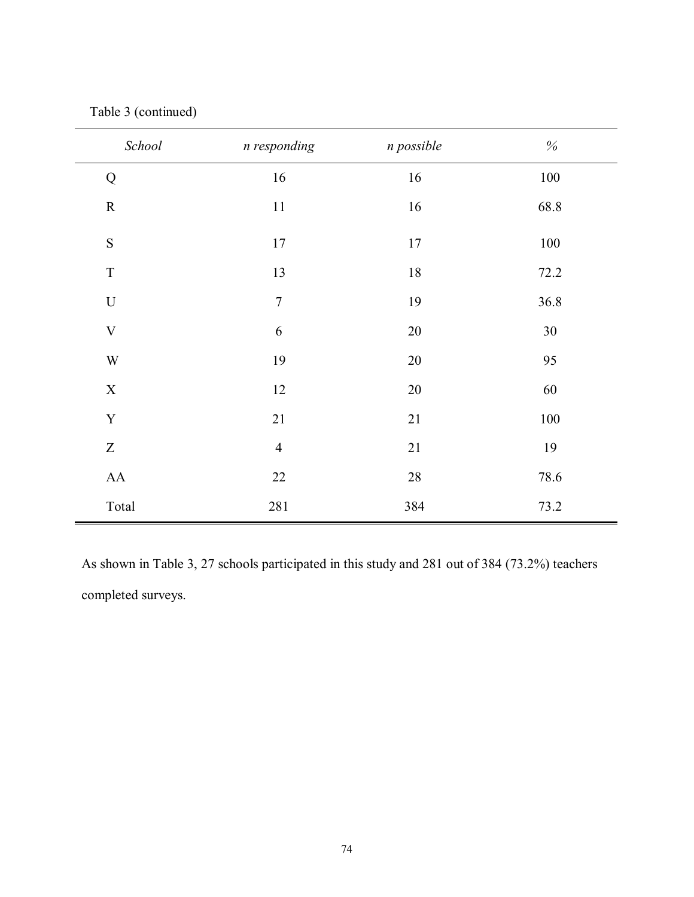| School                    | n responding     | n possible | $\%$    |
|---------------------------|------------------|------------|---------|
| ${\bf Q}$                 | 16               | $16\,$     | $100\,$ |
| ${\bf R}$                 | $11\,$           | 16         | 68.8    |
| S                         | 17               | $17$       | 100     |
| $\rm T$                   | 13               | $18\,$     | 72.2    |
| $\boldsymbol{\mathrm{U}}$ | $\boldsymbol{7}$ | 19         | 36.8    |
| $\mathbf V$               | $\sqrt{6}$       | $20\,$     | 30      |
| $\ensuremath{\text{W}}$   | 19               | $20\,$     | 95      |
| $\mathbf X$               | 12               | $20\,$     | 60      |
| $\mathbf Y$               | 21               | $21\,$     | $100\,$ |
| $\boldsymbol{Z}$          | $\overline{4}$   | $21\,$     | 19      |
| ${\rm AA}$                | $22\,$           | $28\,$     | 78.6    |
| Total                     | 281              | 384        | 73.2    |

Table 3 (continued)

As shown in Table 3, 27 schools participated in this study and 281 out of 384 (73.2%) teachers completed surveys.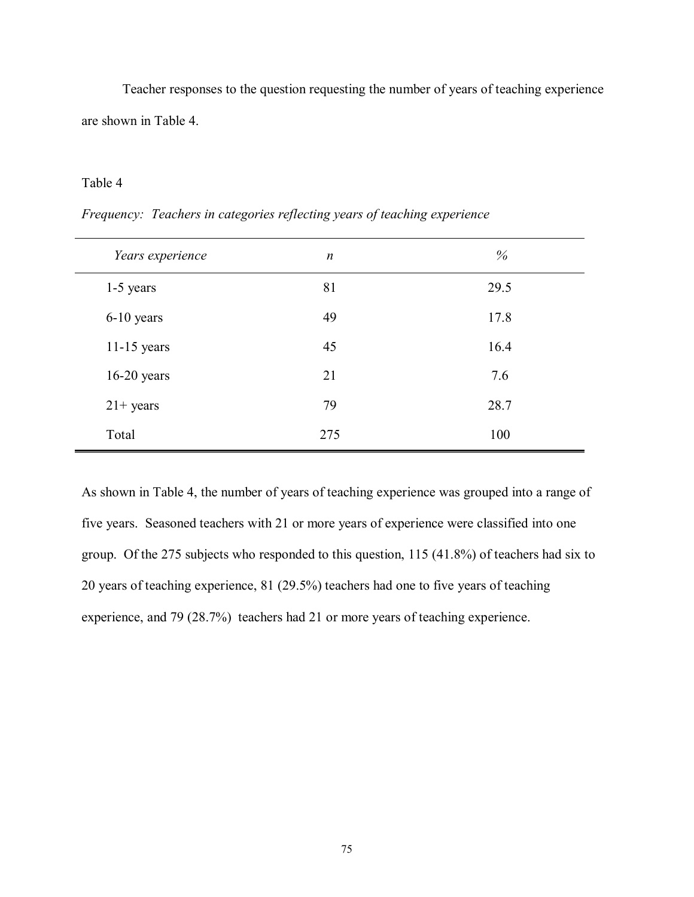Teacher responses to the question requesting the number of years of teaching experience are shown in Table 4.

# Table 4

| Years experience | $\boldsymbol{n}$ | %    |
|------------------|------------------|------|
| 1-5 years        | 81               | 29.5 |
| 6-10 years       | 49               | 17.8 |
| $11-15$ years    | 45               | 16.4 |
| $16-20$ years    | 21               | 7.6  |
| $21+ years$      | 79               | 28.7 |
| Total            | 275              | 100  |

*Frequency: Teachers in categories reflecting years of teaching experience* 

As shown in Table 4, the number of years of teaching experience was grouped into a range of five years. Seasoned teachers with 21 or more years of experience were classified into one group. Of the 275 subjects who responded to this question, 115 (41.8%) of teachers had six to 20 years of teaching experience, 81 (29.5%) teachers had one to five years of teaching experience, and 79 (28.7%) teachers had 21 or more years of teaching experience.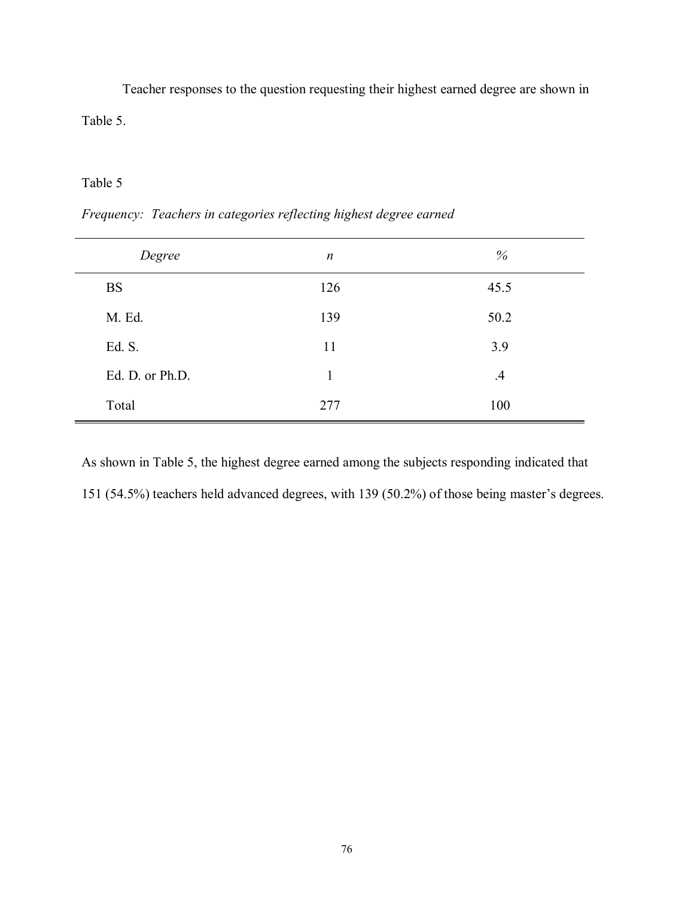Teacher responses to the question requesting their highest earned degree are shown in Table 5.

# Table 5

| $\boldsymbol{n}$ | %         |
|------------------|-----------|
| 126              | 45.5      |
| 139              | 50.2      |
| 11               | 3.9       |
| 1                | $\cdot$ 4 |
| 277              | 100       |
|                  |           |

*Frequency: Teachers in categories reflecting highest degree earned* 

As shown in Table 5, the highest degree earned among the subjects responding indicated that 151 (54.5%) teachers held advanced degrees, with 139 (50.2%) of those being master's degrees.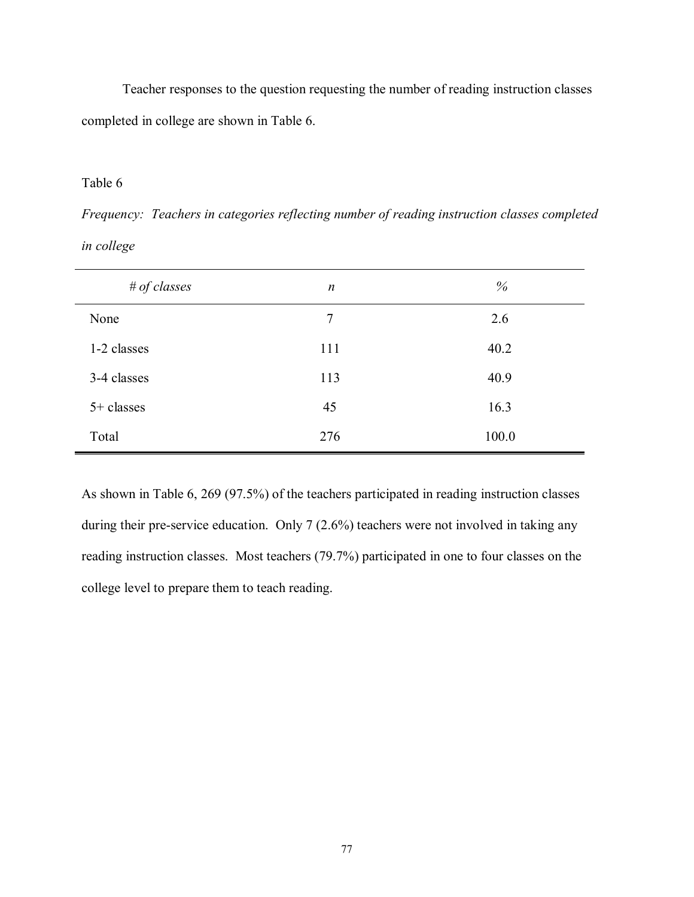Teacher responses to the question requesting the number of reading instruction classes completed in college are shown in Table 6.

# Table 6

*Frequency: Teachers in categories reflecting number of reading instruction classes completed in college* 

| $#$ of classes | $\boldsymbol{n}$ | %     |
|----------------|------------------|-------|
| None           | 7                | 2.6   |
| 1-2 classes    | 111              | 40.2  |
| 3-4 classes    | 113              | 40.9  |
| 5+ classes     | 45               | 16.3  |
| Total          | 276              | 100.0 |

As shown in Table 6, 269 (97.5%) of the teachers participated in reading instruction classes during their pre-service education. Only 7 (2.6%) teachers were not involved in taking any reading instruction classes. Most teachers (79.7%) participated in one to four classes on the college level to prepare them to teach reading.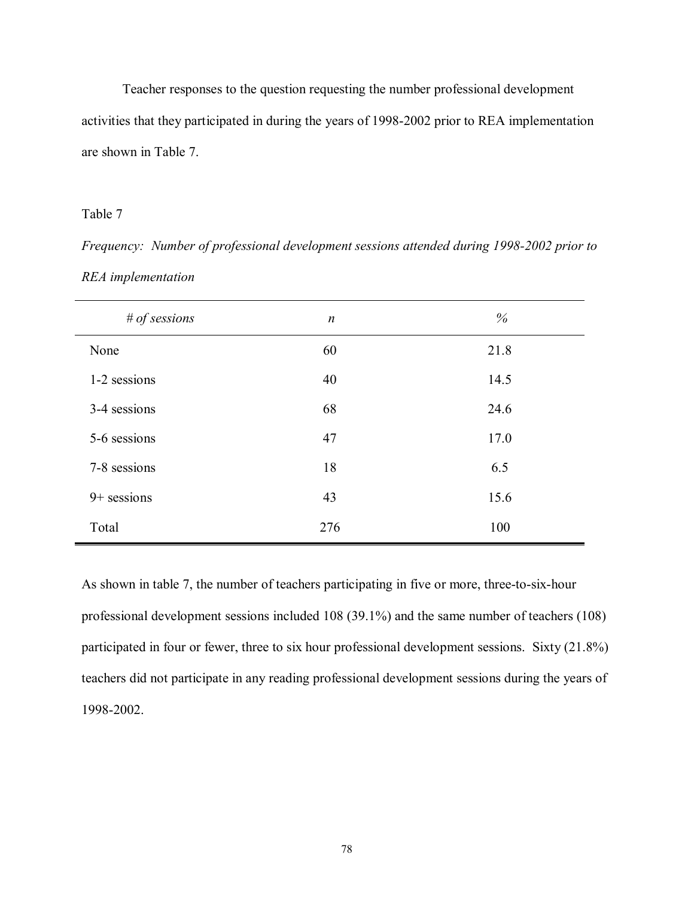Teacher responses to the question requesting the number professional development activities that they participated in during the years of 1998-2002 prior to REA implementation are shown in Table 7.

### Table 7

*Frequency: Number of professional development sessions attended during 1998-2002 prior to REA implementation* 

| # of sessions | $\boldsymbol{n}$ | %    |
|---------------|------------------|------|
| None          | 60               | 21.8 |
| 1-2 sessions  | 40               | 14.5 |
| 3-4 sessions  | 68               | 24.6 |
| 5-6 sessions  | 47               | 17.0 |
| 7-8 sessions  | 18               | 6.5  |
| $9+$ sessions | 43               | 15.6 |
| Total         | 276              | 100  |

As shown in table 7, the number of teachers participating in five or more, three-to-six-hour professional development sessions included 108 (39.1%) and the same number of teachers (108) participated in four or fewer, three to six hour professional development sessions. Sixty (21.8%) teachers did not participate in any reading professional development sessions during the years of 1998-2002.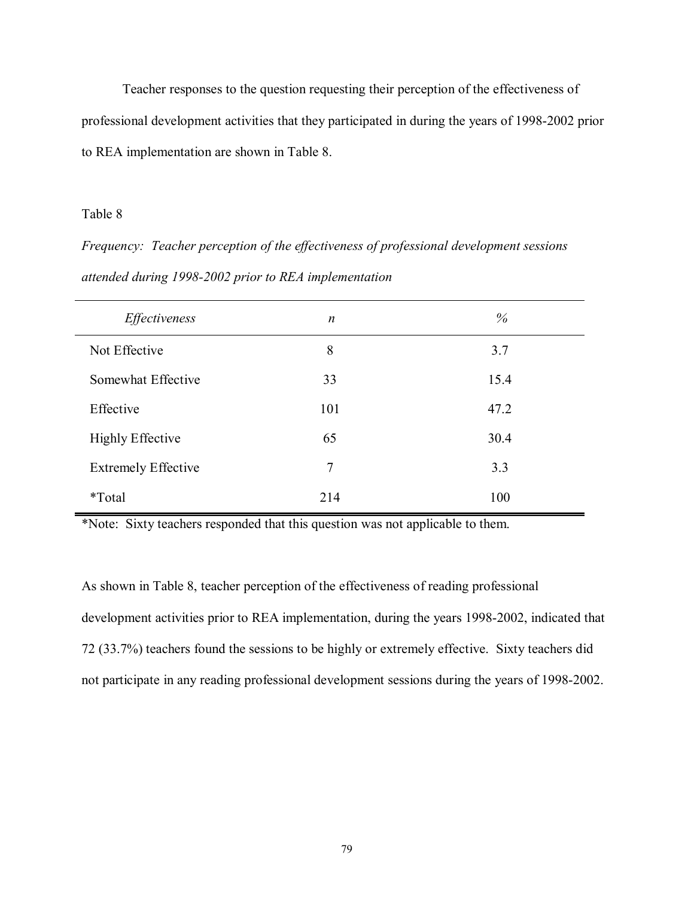Teacher responses to the question requesting their perception of the effectiveness of professional development activities that they participated in during the years of 1998-2002 prior to REA implementation are shown in Table 8.

### Table 8

*Frequency: Teacher perception of the effectiveness of professional development sessions attended during 1998-2002 prior to REA implementation* 

| Effectiveness              | $\boldsymbol{n}$ | $\%$ |
|----------------------------|------------------|------|
| Not Effective              | 8                | 3.7  |
| Somewhat Effective         | 33               | 15.4 |
| Effective                  | 101              | 47.2 |
| <b>Highly Effective</b>    | 65               | 30.4 |
| <b>Extremely Effective</b> | 7                | 3.3  |
| <i>*</i> Total             | 214              | 100  |

\*Note: Sixty teachers responded that this question was not applicable to them.

As shown in Table 8, teacher perception of the effectiveness of reading professional development activities prior to REA implementation, during the years 1998-2002, indicated that 72 (33.7%) teachers found the sessions to be highly or extremely effective. Sixty teachers did not participate in any reading professional development sessions during the years of 1998-2002.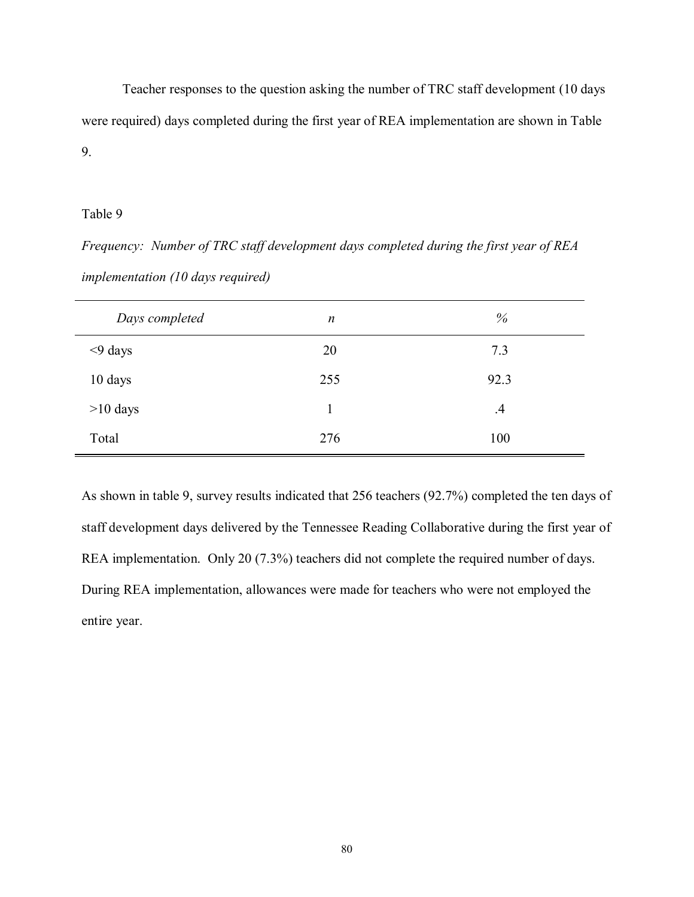Teacher responses to the question asking the number of TRC staff development (10 days were required) days completed during the first year of REA implementation are shown in Table 9.

# Table 9

*Frequency: Number of TRC staff development days completed during the first year of REA implementation (10 days required)* 

| Days completed | n   | %         |
|----------------|-----|-----------|
| $<$ 9 days     | 20  | 7.3       |
| 10 days        | 255 | 92.3      |
| $>10$ days     |     | $\cdot$ 4 |
| Total          | 276 | 100       |

As shown in table 9, survey results indicated that 256 teachers (92.7%) completed the ten days of staff development days delivered by the Tennessee Reading Collaborative during the first year of REA implementation. Only 20 (7.3%) teachers did not complete the required number of days. During REA implementation, allowances were made for teachers who were not employed the entire year.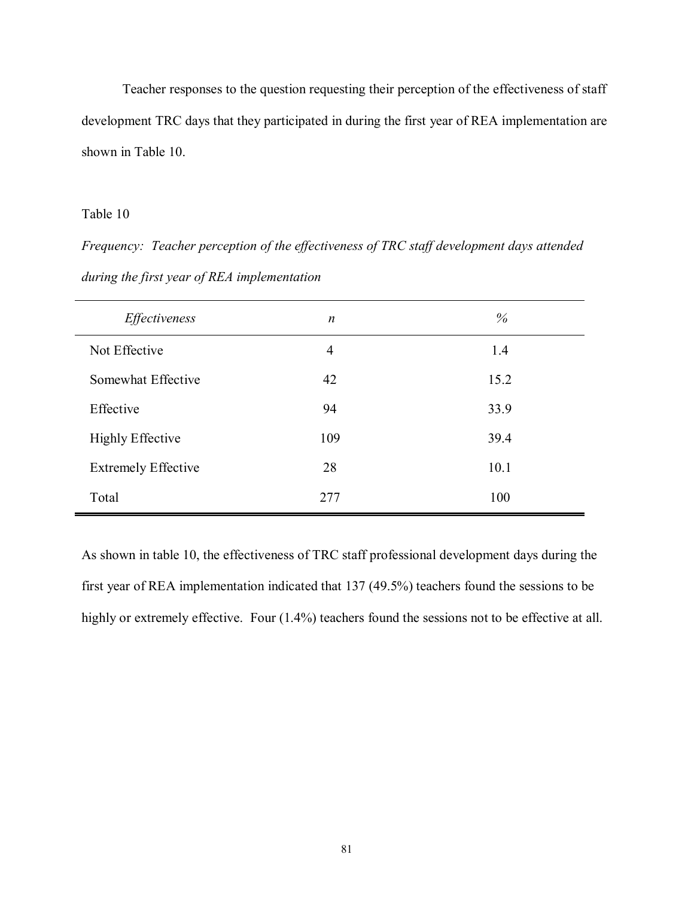Teacher responses to the question requesting their perception of the effectiveness of staff development TRC days that they participated in during the first year of REA implementation are shown in Table 10.

# Table 10

*Frequency: Teacher perception of the effectiveness of TRC staff development days attended during the first year of REA implementation* 

| Effectiveness              | $\boldsymbol{n}$ | $\%$ |
|----------------------------|------------------|------|
| Not Effective              | $\overline{4}$   | 1.4  |
| Somewhat Effective         | 42               | 15.2 |
| Effective                  | 94               | 33.9 |
| <b>Highly Effective</b>    | 109              | 39.4 |
| <b>Extremely Effective</b> | 28               | 10.1 |
| Total                      | 277              | 100  |

As shown in table 10, the effectiveness of TRC staff professional development days during the first year of REA implementation indicated that 137 (49.5%) teachers found the sessions to be highly or extremely effective. Four  $(1.4\%)$  teachers found the sessions not to be effective at all.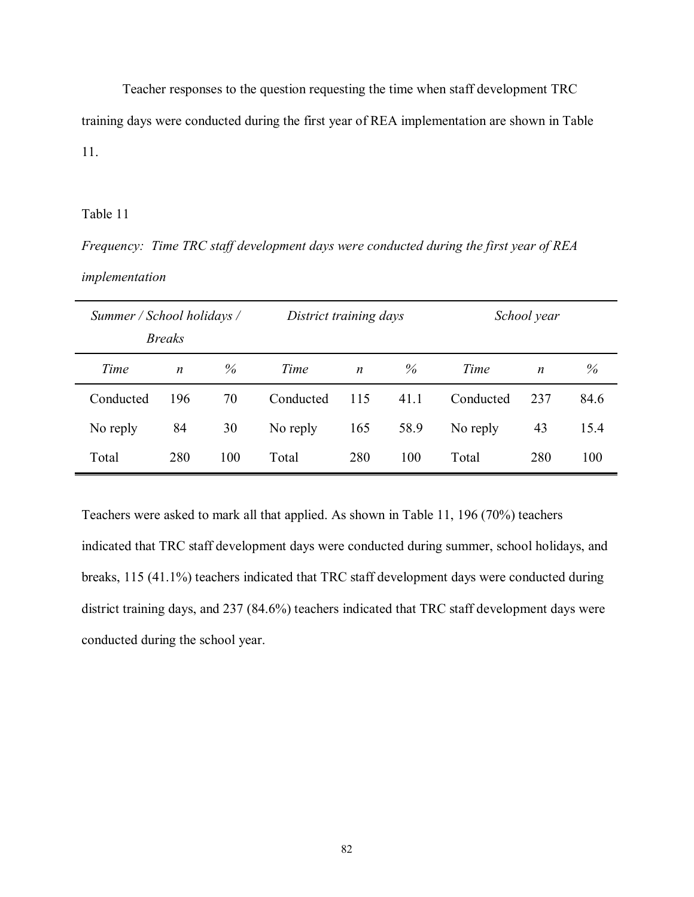Teacher responses to the question requesting the time when staff development TRC training days were conducted during the first year of REA implementation are shown in Table 11.

### Table 11

*Frequency: Time TRC staff development days were conducted during the first year of REA implementation* 

|           | Summer / School holidays /<br>School year<br>District training days<br><b>Breaks</b> |     |           |                  |      |           |                  |      |
|-----------|--------------------------------------------------------------------------------------|-----|-----------|------------------|------|-----------|------------------|------|
| Time      | $\boldsymbol{n}$                                                                     | %   | Time      | $\boldsymbol{n}$ | %    | Time      | $\boldsymbol{n}$ | %    |
| Conducted | 196                                                                                  | 70  | Conducted | 115              | 41.1 | Conducted | 237              | 84.6 |
| No reply  | 84                                                                                   | 30  | No reply  | 165              | 58.9 | No reply  | 43               | 15.4 |
| Total     | 280                                                                                  | 100 | Total     | 280              | 100  | Total     | 280              | 100  |

Teachers were asked to mark all that applied. As shown in Table 11, 196 (70%) teachers indicated that TRC staff development days were conducted during summer, school holidays, and breaks, 115 (41.1%) teachers indicated that TRC staff development days were conducted during district training days, and 237 (84.6%) teachers indicated that TRC staff development days were conducted during the school year.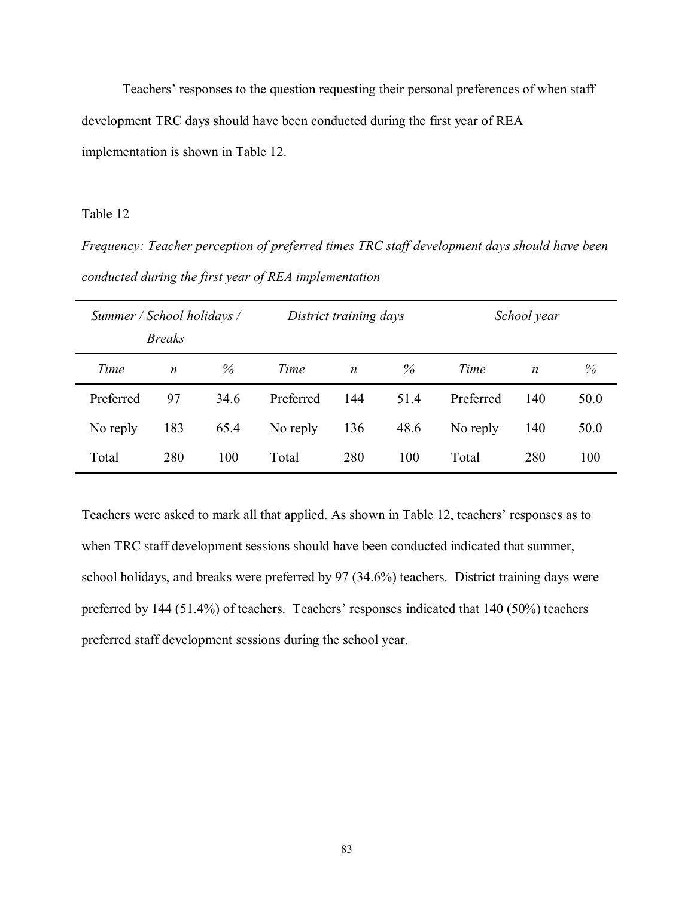Teachers' responses to the question requesting their personal preferences of when staff development TRC days should have been conducted during the first year of REA implementation is shown in Table 12.

Table 12

*Frequency: Teacher perception of preferred times TRC staff development days should have been conducted during the first year of REA implementation* 

| Summer / School holidays / | <i>Breaks</i>    |      |           | District training days<br>School year |      |           |                  |      |
|----------------------------|------------------|------|-----------|---------------------------------------|------|-----------|------------------|------|
| Time                       | $\boldsymbol{n}$ | $\%$ | Time      | $\boldsymbol{n}$                      | $\%$ | Time      | $\boldsymbol{n}$ | %    |
| Preferred                  | 97               | 34.6 | Preferred | 144                                   | 51.4 | Preferred | 140              | 50.0 |
| No reply                   | 183              | 65.4 | No reply  | 136                                   | 48.6 | No reply  | 140              | 50.0 |
| Total                      | 280              | 100  | Total     | 280                                   | 100  | Total     | 280              | 100  |

Teachers were asked to mark all that applied. As shown in Table 12, teachers' responses as to when TRC staff development sessions should have been conducted indicated that summer, school holidays, and breaks were preferred by 97 (34.6%) teachers. District training days were preferred by  $144$  (51.4%) of teachers. Teachers' responses indicated that  $140$  (50%) teachers preferred staff development sessions during the school year.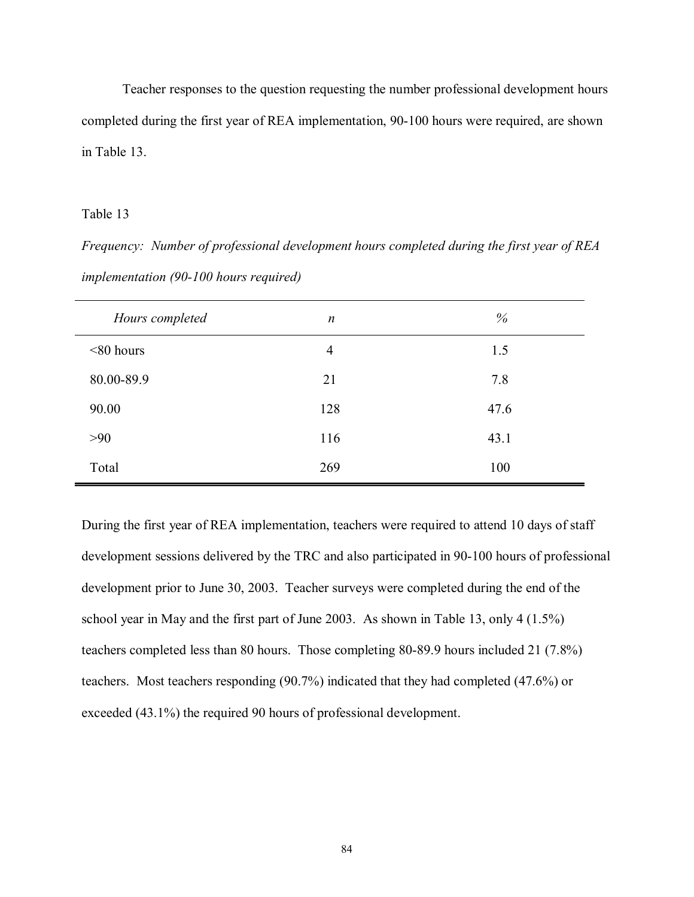Teacher responses to the question requesting the number professional development hours completed during the first year of REA implementation, 90-100 hours were required, are shown in Table 13.

### Table 13

*Frequency: Number of professional development hours completed during the first year of REA implementation (90-100 hours required)* 

| Hours completed | $\boldsymbol{n}$ | %    |
|-----------------|------------------|------|
| $<80$ hours     | $\overline{4}$   | 1.5  |
| 80.00-89.9      | 21               | 7.8  |
| 90.00           | 128              | 47.6 |
| >90             | 116              | 43.1 |
| Total           | 269              | 100  |

During the first year of REA implementation, teachers were required to attend 10 days of staff development sessions delivered by the TRC and also participated in 90-100 hours of professional development prior to June 30, 2003. Teacher surveys were completed during the end of the school year in May and the first part of June 2003. As shown in Table 13, only 4 (1.5%) teachers completed less than 80 hours. Those completing 80-89.9 hours included 21 (7.8%) teachers. Most teachers responding (90.7%) indicated that they had completed (47.6%) or exceeded (43.1%) the required 90 hours of professional development.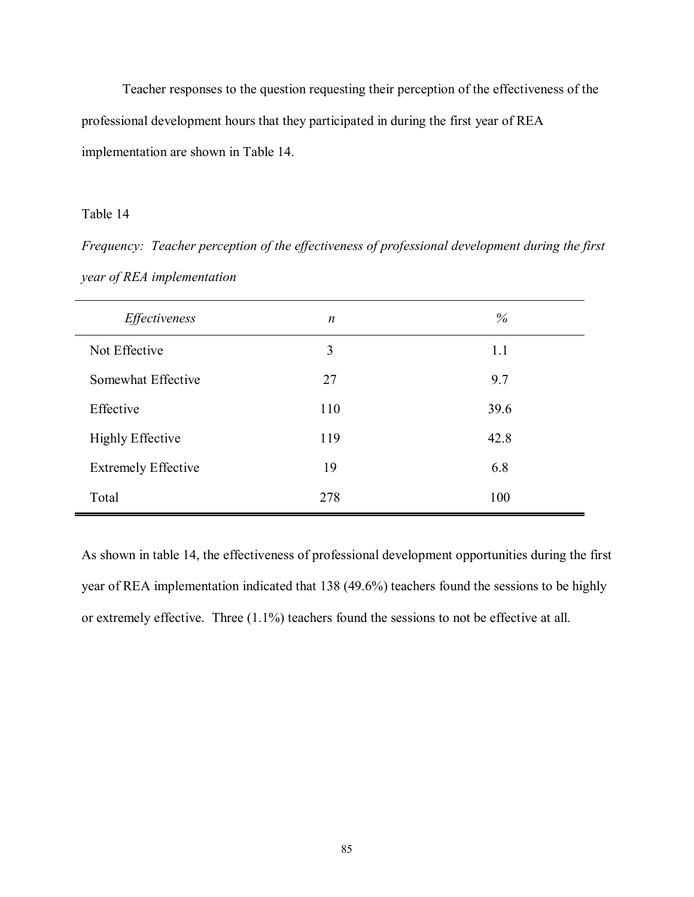Teacher responses to the question requesting their perception of the effectiveness of the professional development hours that they participated in during the first year of REA implementation are shown in Table 14.

### Table 14

*Frequency: Teacher perception of the effectiveness of professional development during the first year of REA implementation* 

| Effectiveness              | $\boldsymbol{n}$ | %    |
|----------------------------|------------------|------|
| Not Effective              | 3                | 1.1  |
| Somewhat Effective         | 27               | 9.7  |
| Effective                  | 110              | 39.6 |
| <b>Highly Effective</b>    | 119              | 42.8 |
| <b>Extremely Effective</b> | 19               | 6.8  |
| Total                      | 278              | 100  |

As shown in table 14, the effectiveness of professional development opportunities during the first year of REA implementation indicated that 138 (49.6%) teachers found the sessions to be highly or extremely effective. Three (1.1%) teachers found the sessions to not be effective at all.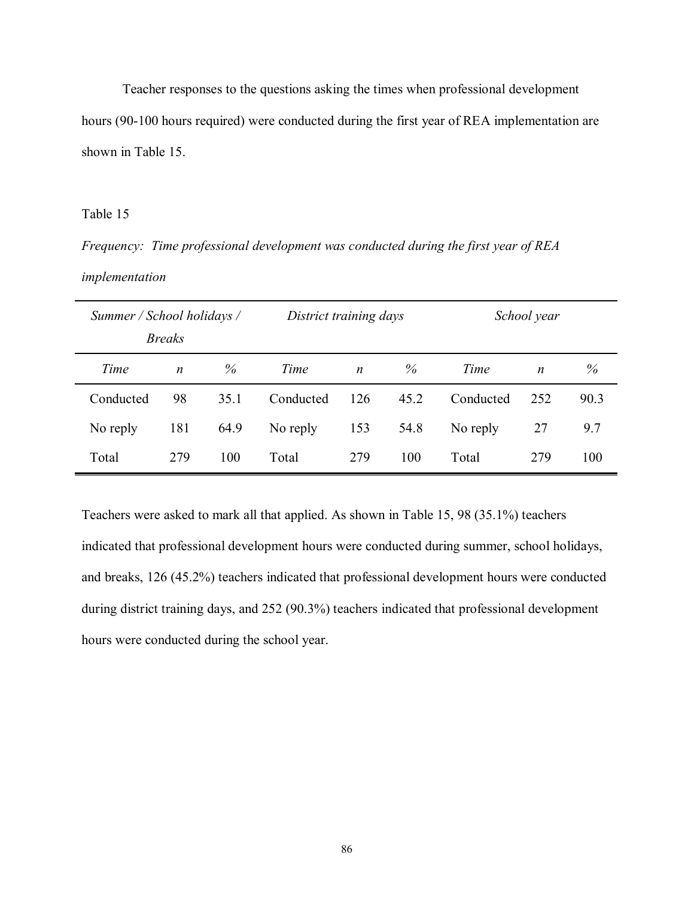Teacher responses to the questions asking the times when professional development hours (90-100 hours required) were conducted during the first year of REA implementation are shown in Table 15.

#### Table 15

*Frequency: Time professional development was conducted during the first year of REA implementation* 

|           | Summer / School holidays / |      |           | District training days |      |           | School year      |      |
|-----------|----------------------------|------|-----------|------------------------|------|-----------|------------------|------|
|           | <b>Breaks</b>              |      |           |                        |      |           |                  |      |
| Time      | $\boldsymbol{n}$           | $\%$ | Time      | $\boldsymbol{n}$       | $\%$ | Time      | $\boldsymbol{n}$ | %    |
| Conducted | 98                         | 35.1 | Conducted | 126                    | 45.2 | Conducted | 252              | 90.3 |
| No reply  | 181                        | 64.9 | No reply  | 153                    | 54.8 | No reply  | 27               | 9.7  |
| Total     | 279                        | 100  | Total     | 279                    | 100  | Total     | 279              | 100  |

Teachers were asked to mark all that applied. As shown in Table 15, 98 (35.1%) teachers indicated that professional development hours were conducted during summer, school holidays, and breaks, 126 (45.2%) teachers indicated that professional development hours were conducted during district training days, and 252 (90.3%) teachers indicated that professional development hours were conducted during the school year.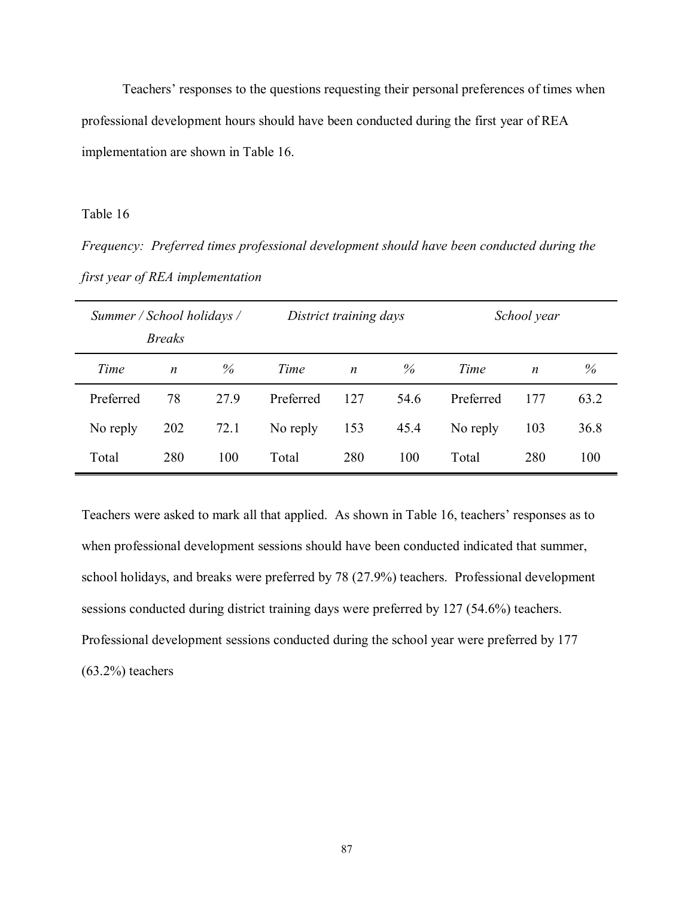Teachers' responses to the questions requesting their personal preferences of times when professional development hours should have been conducted during the first year of REA implementation are shown in Table 16.

Table 16

*Frequency: Preferred times professional development should have been conducted during the first year of REA implementation* 

|           | District training days<br>Summer / School holidays /<br><i>Breaks</i> |      |           | School year      |      |           |                  |      |
|-----------|-----------------------------------------------------------------------|------|-----------|------------------|------|-----------|------------------|------|
| Time      | $\boldsymbol{n}$                                                      | $\%$ | Time      | $\boldsymbol{n}$ | $\%$ | Time      | $\boldsymbol{n}$ | %    |
| Preferred | 78                                                                    | 27.9 | Preferred | 127              | 54.6 | Preferred | 177              | 63.2 |
| No reply  | 202                                                                   | 72.1 | No reply  | 153              | 45.4 | No reply  | 103              | 36.8 |
| Total     | 280                                                                   | 100  | Total     | 280              | 100  | Total     | 280              | 100  |

Teachers were asked to mark all that applied. As shown in Table 16, teachers' responses as to when professional development sessions should have been conducted indicated that summer, school holidays, and breaks were preferred by 78 (27.9%) teachers. Professional development sessions conducted during district training days were preferred by 127 (54.6%) teachers. Professional development sessions conducted during the school year were preferred by 177  $(63.2\%)$  teachers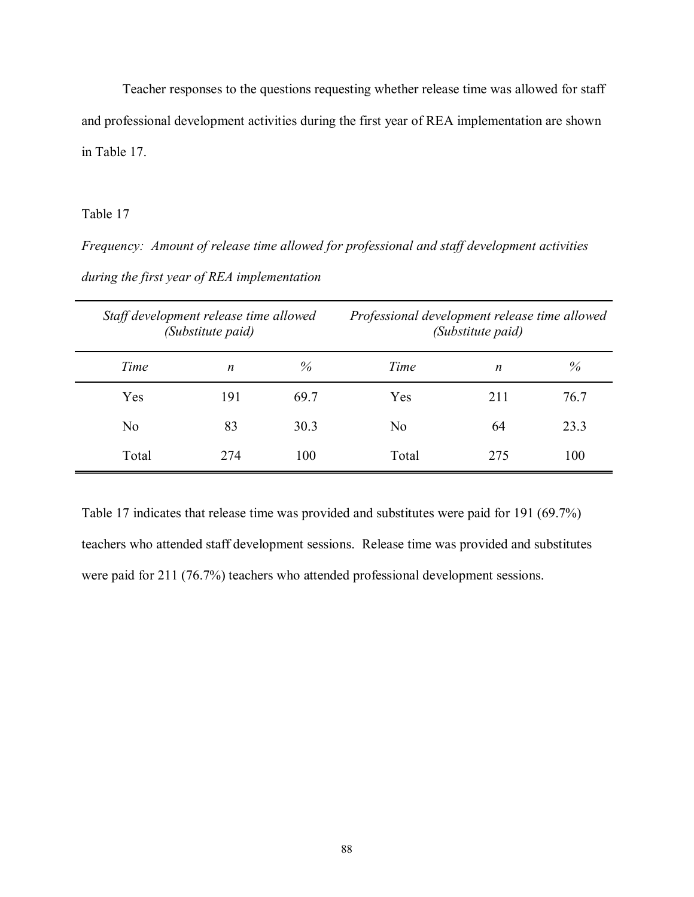Teacher responses to the questions requesting whether release time was allowed for staff and professional development activities during the first year of REA implementation are shown in Table 17.

# Table 17

*Frequency: Amount of release time allowed for professional and staff development activities during the first year of REA implementation* 

|                | Staff development release time allowed<br>(Substitute paid) |      | Professional development release time allowed<br>(Substitute paid) |     |      |
|----------------|-------------------------------------------------------------|------|--------------------------------------------------------------------|-----|------|
| Time           | n                                                           | $\%$ | Time                                                               | n   | %    |
| Yes            | 191                                                         | 69.7 | Yes                                                                | 211 | 76.7 |
| N <sub>0</sub> | 83                                                          | 30.3 | No                                                                 | 64  | 23.3 |
| Total          | 274                                                         | 100  | Total                                                              | 275 | 100  |

Table 17 indicates that release time was provided and substitutes were paid for 191 (69.7%) teachers who attended staff development sessions. Release time was provided and substitutes were paid for 211 (76.7%) teachers who attended professional development sessions.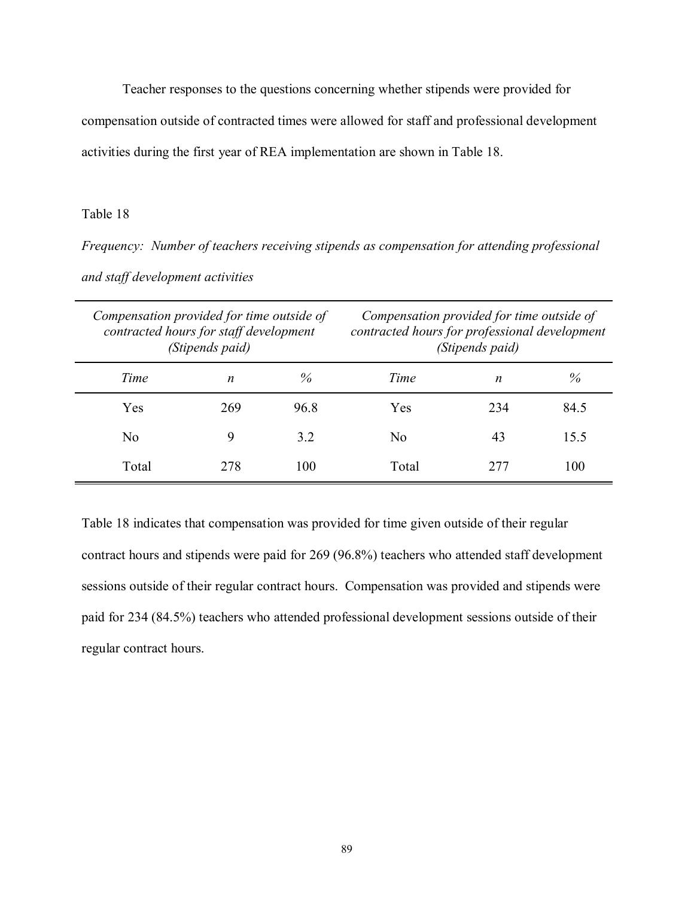Teacher responses to the questions concerning whether stipends were provided for

compensation outside of contracted times were allowed for staff and professional development

activities during the first year of REA implementation are shown in Table 18.

#### Table 18

*Frequency: Number of teachers receiving stipends as compensation for attending professional and staff development activities* 

| Compensation provided for time outside of<br>contracted hours for staff development<br>(Stipends paid) |     |      | Compensation provided for time outside of<br>contracted hours for professional development<br>(Stipends paid) |     |      |
|--------------------------------------------------------------------------------------------------------|-----|------|---------------------------------------------------------------------------------------------------------------|-----|------|
| Time                                                                                                   | n   | $\%$ | Time                                                                                                          | n   | $\%$ |
| Yes                                                                                                    | 269 | 96.8 | Yes                                                                                                           | 234 | 84.5 |
| No                                                                                                     | q   | 3.2  | No                                                                                                            | 43  | 15.5 |
| Total                                                                                                  | 278 | 100  | Total                                                                                                         | 277 | 100  |

Table 18 indicates that compensation was provided for time given outside of their regular contract hours and stipends were paid for 269 (96.8%) teachers who attended staff development sessions outside of their regular contract hours. Compensation was provided and stipends were paid for 234 (84.5%) teachers who attended professional development sessions outside of their regular contract hours.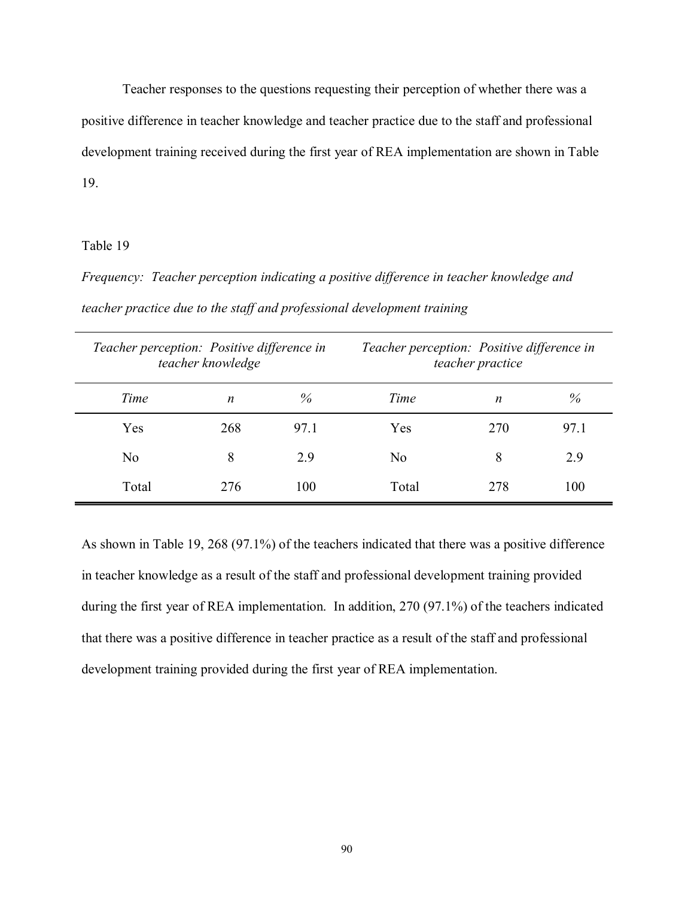Teacher responses to the questions requesting their perception of whether there was a positive difference in teacher knowledge and teacher practice due to the staff and professional development training received during the first year of REA implementation are shown in Table 19.

## Table 19

*Frequency: Teacher perception indicating a positive difference in teacher knowledge and teacher practice due to the staff and professional development training* 

| Teacher perception: Positive difference in<br>teacher knowledge |     | Teacher perception: Positive difference in<br>teacher practice |       |     |      |
|-----------------------------------------------------------------|-----|----------------------------------------------------------------|-------|-----|------|
| Time                                                            | n   | %                                                              | Time  | n   | $\%$ |
| Yes                                                             | 268 | 97.1                                                           | Yes   | 270 | 97.1 |
| N <sub>0</sub>                                                  | 8   | 2.9                                                            | No    | 8   | 2.9  |
| Total                                                           | 276 | 100                                                            | Total | 278 | 100  |

As shown in Table 19, 268 (97.1%) of the teachers indicated that there was a positive difference in teacher knowledge as a result of the staff and professional development training provided during the first year of REA implementation. In addition, 270 (97.1%) of the teachers indicated that there was a positive difference in teacher practice as a result of the staff and professional development training provided during the first year of REA implementation.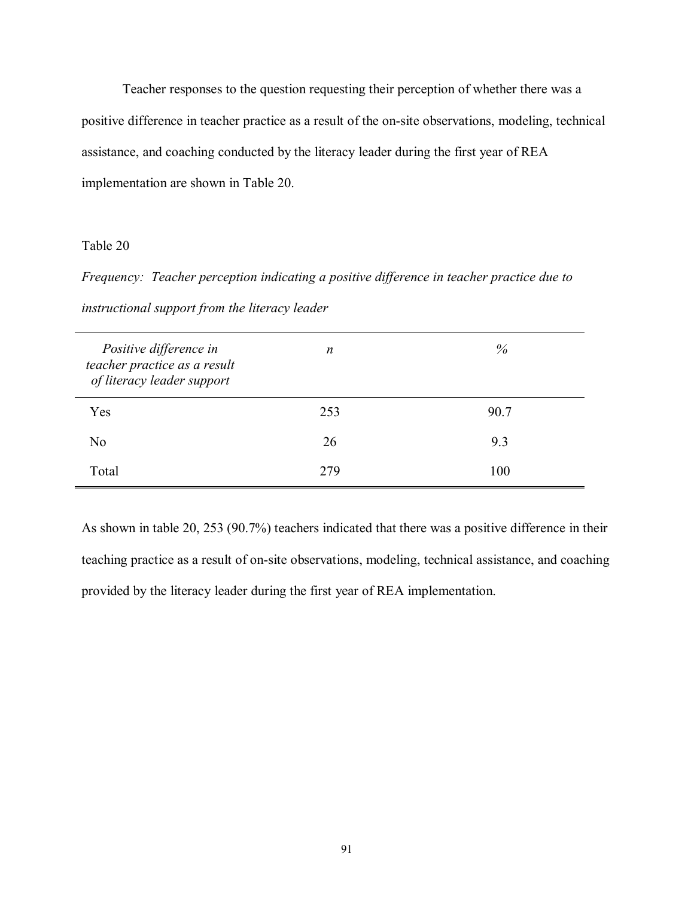Teacher responses to the question requesting their perception of whether there was a positive difference in teacher practice as a result of the on-site observations, modeling, technical assistance, and coaching conducted by the literacy leader during the first year of REA implementation are shown in Table 20.

## Table 20

*Frequency: Teacher perception indicating a positive difference in teacher practice due to instructional support from the literacy leader*

| Positive difference in<br>teacher practice as a result<br>of literacy leader support | $\boldsymbol{n}$ | $\%$ |
|--------------------------------------------------------------------------------------|------------------|------|
| Yes                                                                                  | 253              | 90.7 |
| N <sub>0</sub>                                                                       | 26               | 9.3  |
| Total                                                                                | 279              | 100  |

As shown in table 20, 253 (90.7%) teachers indicated that there was a positive difference in their teaching practice as a result of on-site observations, modeling, technical assistance, and coaching provided by the literacy leader during the first year of REA implementation.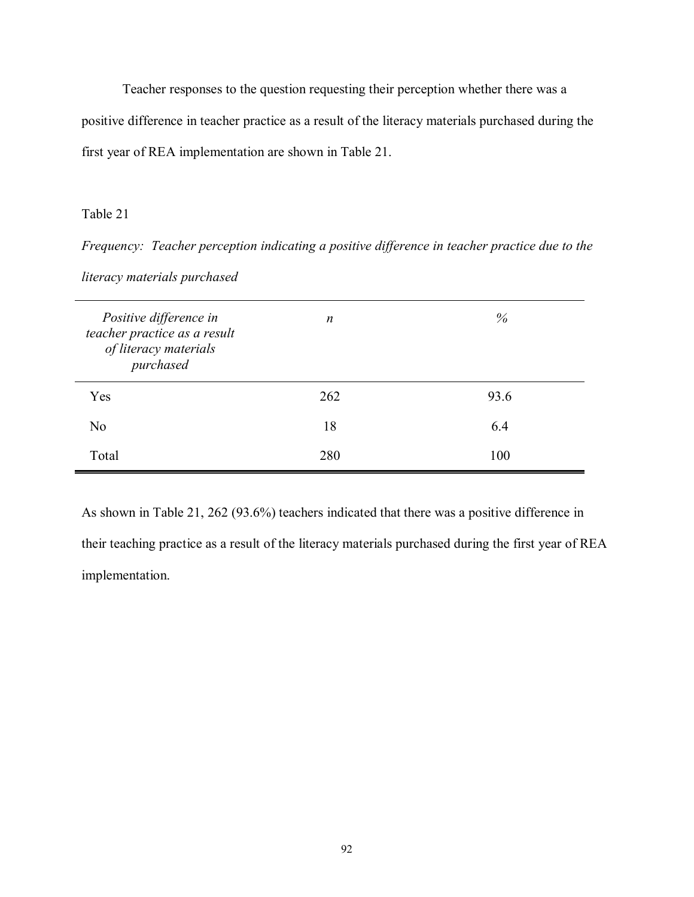Teacher responses to the question requesting their perception whether there was a positive difference in teacher practice as a result of the literacy materials purchased during the first year of REA implementation are shown in Table 21.

# Table 21

*Frequency: Teacher perception indicating a positive difference in teacher practice due to the literacy materials purchased*

| Positive difference in<br>teacher practice as a result<br>of literacy materials<br>purchased | $\boldsymbol{n}$ | $\%$ |
|----------------------------------------------------------------------------------------------|------------------|------|
| Yes                                                                                          | 262              | 93.6 |
| N <sub>0</sub>                                                                               | 18               | 6.4  |
| Total                                                                                        | 280              | 100  |

As shown in Table 21, 262 (93.6%) teachers indicated that there was a positive difference in their teaching practice as a result of the literacy materials purchased during the first year of REA implementation.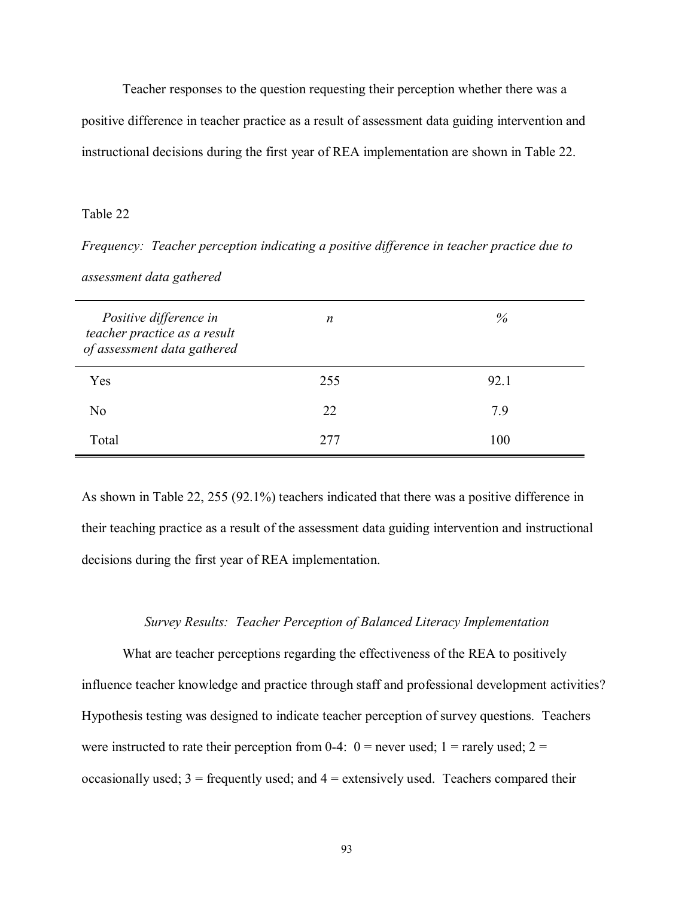Teacher responses to the question requesting their perception whether there was a positive difference in teacher practice as a result of assessment data guiding intervention and instructional decisions during the first year of REA implementation are shown in Table 22.

#### Table 22

*Frequency: Teacher perception indicating a positive difference in teacher practice due to assessment data gathered* 

| Positive difference in<br>teacher practice as a result<br>of assessment data gathered | n    | $\%$ |
|---------------------------------------------------------------------------------------|------|------|
| Yes                                                                                   | 255  | 92.1 |
| N <sub>0</sub>                                                                        | 22   | 7.9  |
| Total                                                                                 | 2.77 | 100  |

As shown in Table 22, 255 (92.1%) teachers indicated that there was a positive difference in their teaching practice as a result of the assessment data guiding intervention and instructional decisions during the first year of REA implementation.

#### *Survey Results: Teacher Perception of Balanced Literacy Implementation*

 What are teacher perceptions regarding the effectiveness of the REA to positively influence teacher knowledge and practice through staff and professional development activities? Hypothesis testing was designed to indicate teacher perception of survey questions. Teachers were instructed to rate their perception from 0-4:  $0 =$  never used; 1 = rarely used; 2 = occasionally used;  $3$  = frequently used; and  $4$  = extensively used. Teachers compared their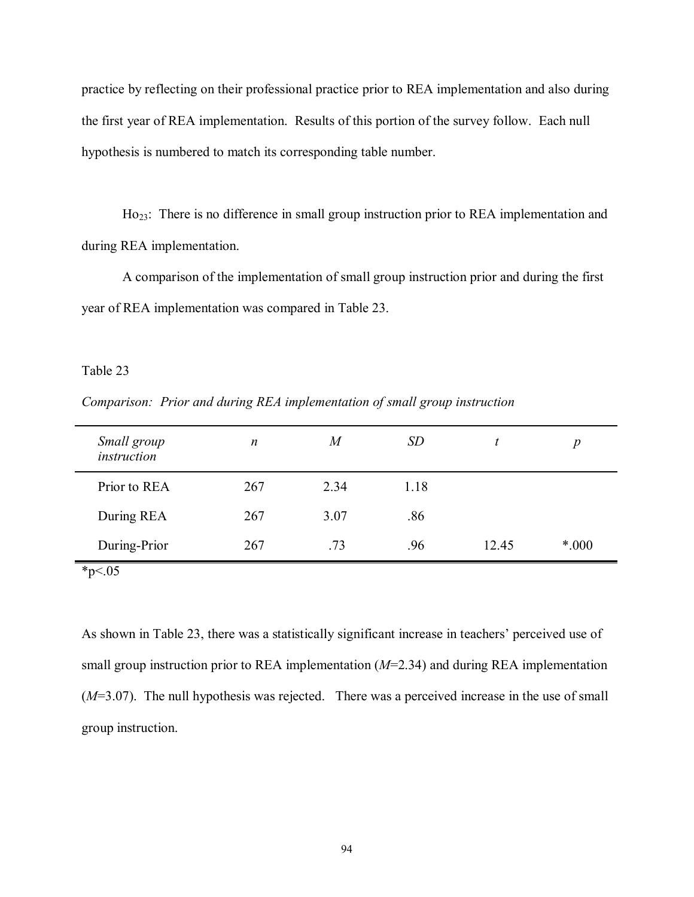practice by reflecting on their professional practice prior to REA implementation and also during the first year of REA implementation. Results of this portion of the survey follow. Each null hypothesis is numbered to match its corresponding table number.

Ho<sub>23</sub>: There is no difference in small group instruction prior to REA implementation and during REA implementation.

 A comparison of the implementation of small group instruction prior and during the first year of REA implementation was compared in Table 23.

Table 23

*Comparison: Prior and during REA implementation of small group instruction* 

| Small group<br>instruction | $\boldsymbol{n}$ | $\boldsymbol{M}$ | <i>SD</i> |       | $\boldsymbol{p}$ |
|----------------------------|------------------|------------------|-----------|-------|------------------|
| Prior to REA               | 267              | 2.34             | 1.18      |       |                  |
| During REA                 | 267              | 3.07             | .86       |       |                  |
| During-Prior               | 267              | .73              | .96       | 12.45 | $*000$           |

 $*_{p<.05}$ 

As shown in Table 23, there was a statistically significant increase in teachers' perceived use of small group instruction prior to REA implementation (*M*=2.34) and during REA implementation (*M*=3.07). The null hypothesis was rejected. There was a perceived increase in the use of small group instruction.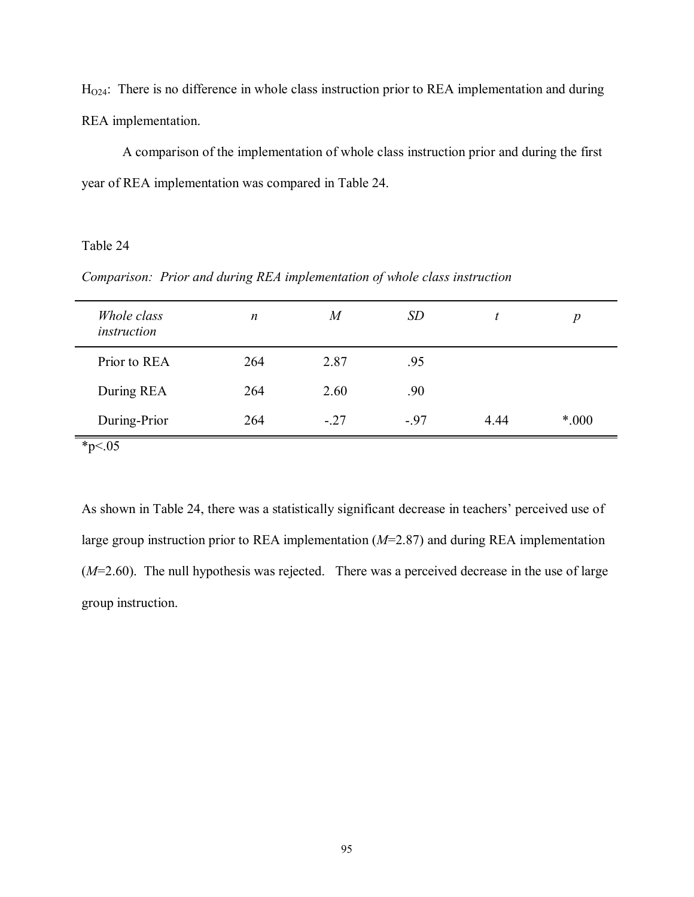$H<sub>O24</sub>$ : There is no difference in whole class instruction prior to REA implementation and during REA implementation.

 A comparison of the implementation of whole class instruction prior and during the first year of REA implementation was compared in Table 24.

# Table 24

*Comparison: Prior and during REA implementation of whole class instruction* 

| Whole class<br>instruction | n   | $\boldsymbol{M}$ | <i>SD</i> |      | $\boldsymbol{p}$ |
|----------------------------|-----|------------------|-----------|------|------------------|
| Prior to REA               | 264 | 2.87             | .95       |      |                  |
| During REA                 | 264 | 2.60             | .90       |      |                  |
| During-Prior               | 264 | $-.27$           | $-97$     | 4.44 | *.000            |
| * $p<.05$                  |     |                  |           |      |                  |

As shown in Table 24, there was a statistically significant decrease in teachers' perceived use of large group instruction prior to REA implementation (*M*=2.87) and during REA implementation (*M*=2.60). The null hypothesis was rejected. There was a perceived decrease in the use of large group instruction.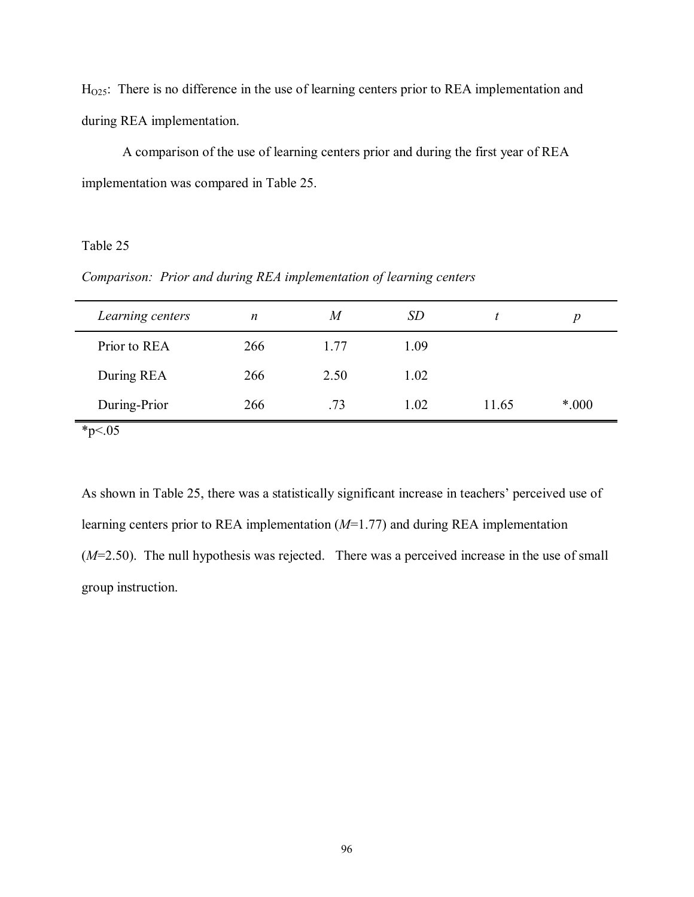H<sub>O25</sub>: There is no difference in the use of learning centers prior to REA implementation and during REA implementation.

 A comparison of the use of learning centers prior and during the first year of REA implementation was compared in Table 25.

# Table 25

*Comparison: Prior and during REA implementation of learning centers* 

| Learning centers | $\boldsymbol{n}$ | M    | <i>SD</i> |       | р     |
|------------------|------------------|------|-----------|-------|-------|
| Prior to REA     | 266              | 1.77 | 1.09      |       |       |
| During REA       | 266              | 2.50 | 1.02      |       |       |
| During-Prior     | 266              | .73  | 1.02      | 11.65 | *.000 |
|                  |                  |      |           |       |       |

 $*_{p<.05}$ 

As shown in Table 25, there was a statistically significant increase in teachers' perceived use of learning centers prior to REA implementation (*M*=1.77) and during REA implementation (*M*=2.50). The null hypothesis was rejected. There was a perceived increase in the use of small group instruction.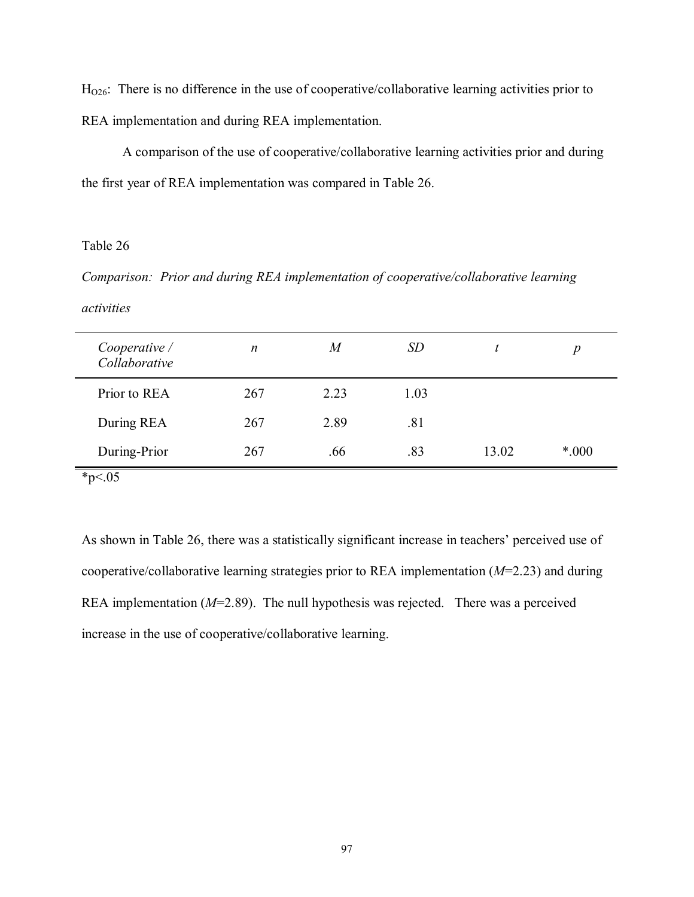$H<sub>026</sub>$ : There is no difference in the use of cooperative/collaborative learning activities prior to REA implementation and during REA implementation.

 A comparison of the use of cooperative/collaborative learning activities prior and during the first year of REA implementation was compared in Table 26.

## Table 26

*Comparison: Prior and during REA implementation of cooperative/collaborative learning activities* 

| Cooperative /<br>Collaborative | $\boldsymbol{n}$ | $\overline{M}$ | SD   |       | $\boldsymbol{p}$ |
|--------------------------------|------------------|----------------|------|-------|------------------|
| Prior to REA                   | 267              | 2.23           | 1.03 |       |                  |
| During REA                     | 267              | 2.89           | .81  |       |                  |
| During-Prior                   | 267              | .66            | .83  | 13.02 | $*000$           |
| * $p<.05$                      |                  |                |      |       |                  |

As shown in Table 26, there was a statistically significant increase in teachers' perceived use of cooperative/collaborative learning strategies prior to REA implementation (*M*=2.23) and during REA implementation (*M*=2.89). The null hypothesis was rejected. There was a perceived increase in the use of cooperative/collaborative learning.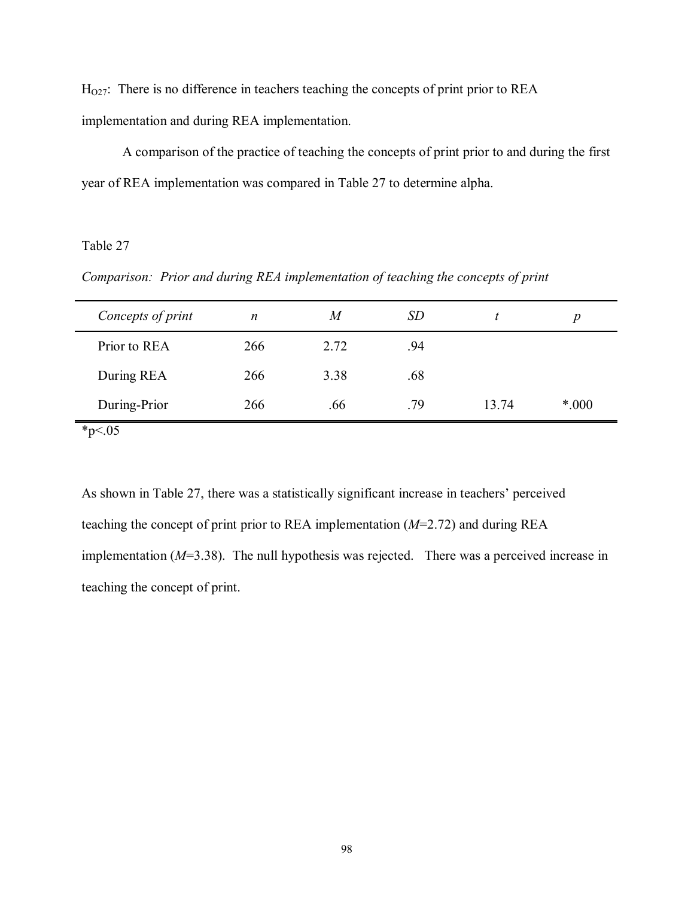$H<sub>027</sub>$ : There is no difference in teachers teaching the concepts of print prior to REA implementation and during REA implementation.

 A comparison of the practice of teaching the concepts of print prior to and during the first year of REA implementation was compared in Table 27 to determine alpha.

# Table 27

*Comparison: Prior and during REA implementation of teaching the concepts of print* 

| Concepts of print | $\boldsymbol{n}$ | M    | <i>SD</i> |       | p      |
|-------------------|------------------|------|-----------|-------|--------|
| Prior to REA      | 266              | 2.72 | .94       |       |        |
| During REA        | 266              | 3.38 | .68       |       |        |
| During-Prior      | 266              | .66  | .79       | 13.74 | $*000$ |

 $*_{p<.05}$ 

As shown in Table 27, there was a statistically significant increase in teachers' perceived teaching the concept of print prior to REA implementation (*M*=2.72) and during REA implementation (*M*=3.38). The null hypothesis was rejected. There was a perceived increase in teaching the concept of print.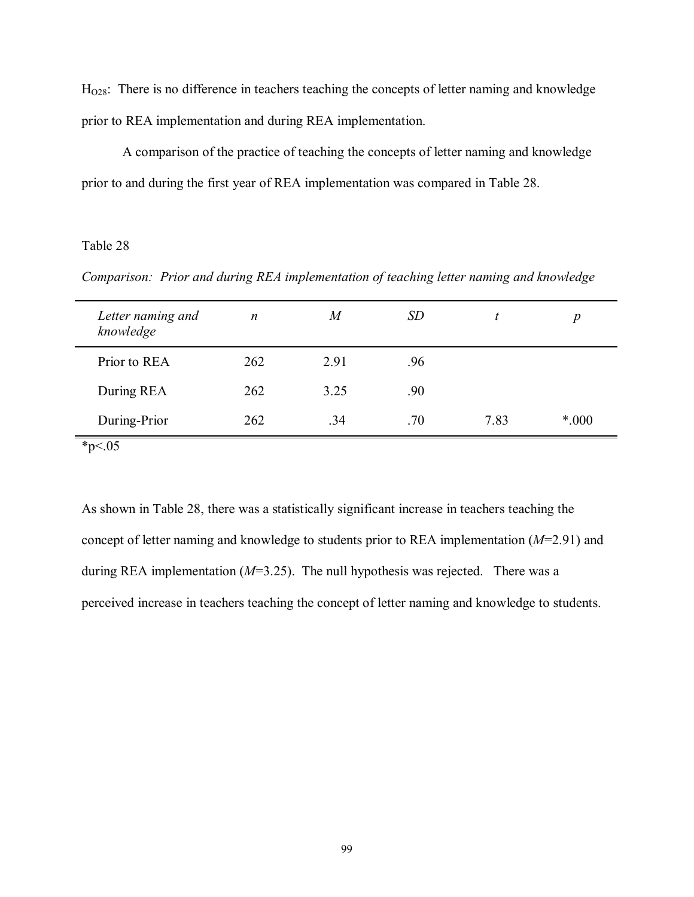$H<sub>O28</sub>$ : There is no difference in teachers teaching the concepts of letter naming and knowledge prior to REA implementation and during REA implementation.

 A comparison of the practice of teaching the concepts of letter naming and knowledge prior to and during the first year of REA implementation was compared in Table 28.

## Table 28

*Comparison: Prior and during REA implementation of teaching letter naming and knowledge* 

| Letter naming and<br>knowledge | $\boldsymbol{n}$ | M    | <i>SD</i> |      | $\boldsymbol{D}$ |
|--------------------------------|------------------|------|-----------|------|------------------|
| Prior to REA                   | 262              | 2.91 | .96       |      |                  |
| During REA                     | 262              | 3.25 | .90       |      |                  |
| During-Prior                   | 262              | .34  | .70       | 7.83 | $*000$           |
| $*_{n}$ / 05                   |                  |      |           |      |                  |

\*p<.05

As shown in Table 28, there was a statistically significant increase in teachers teaching the concept of letter naming and knowledge to students prior to REA implementation (*M*=2.91) and during REA implementation (*M*=3.25). The null hypothesis was rejected. There was a perceived increase in teachers teaching the concept of letter naming and knowledge to students.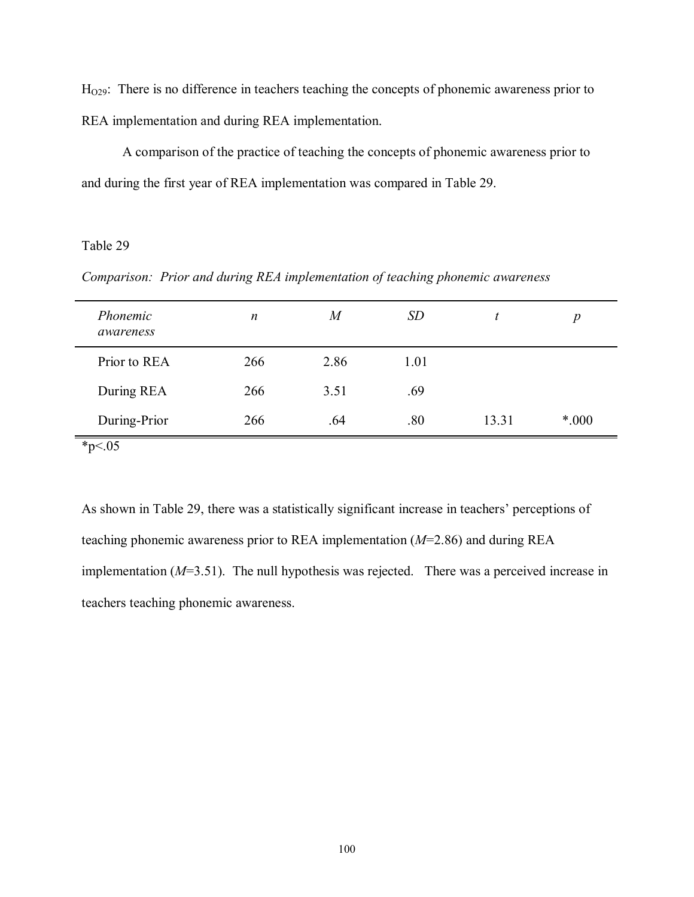$H<sub>O29</sub>$ : There is no difference in teachers teaching the concepts of phonemic awareness prior to REA implementation and during REA implementation.

 A comparison of the practice of teaching the concepts of phonemic awareness prior to and during the first year of REA implementation was compared in Table 29.

## Table 29

*Comparison: Prior and during REA implementation of teaching phonemic awareness* 

| $\boldsymbol{n}$ | M    | <i>SD</i> | t     | $\boldsymbol{p}$ |
|------------------|------|-----------|-------|------------------|
| 266              | 2.86 | 1.01      |       |                  |
| 266              | 3.51 | .69       |       |                  |
| 266              | .64  | .80       | 13.31 | $*000$           |
|                  |      |           |       |                  |

As shown in Table 29, there was a statistically significant increase in teachers' perceptions of teaching phonemic awareness prior to REA implementation (*M*=2.86) and during REA implementation (*M*=3.51). The null hypothesis was rejected. There was a perceived increase in teachers teaching phonemic awareness.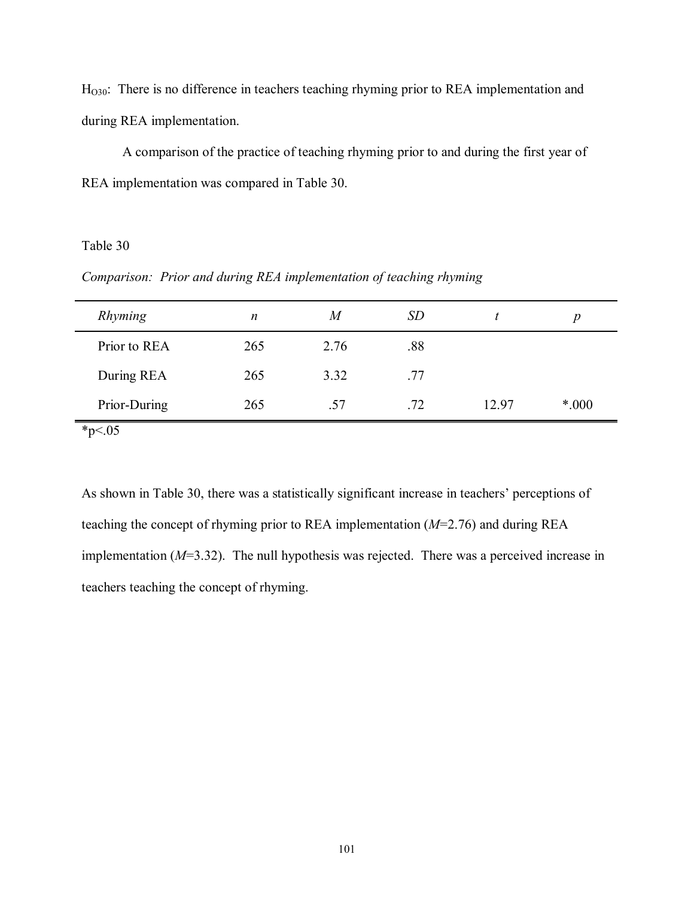H<sub>O30</sub>: There is no difference in teachers teaching rhyming prior to REA implementation and during REA implementation.

 A comparison of the practice of teaching rhyming prior to and during the first year of REA implementation was compared in Table 30.

# Table 30

*Comparison: Prior and during REA implementation of teaching rhyming* 

| Rhyming      | n   | M    | <i>SD</i> |       | D      |
|--------------|-----|------|-----------|-------|--------|
| Prior to REA | 265 | 2.76 | .88       |       |        |
| During REA   | 265 | 3.32 | .77       |       |        |
| Prior-During | 265 | .57  | .72       | 12.97 | $*000$ |

 $*_{p<.05}$ 

As shown in Table 30, there was a statistically significant increase in teachers' perceptions of teaching the concept of rhyming prior to REA implementation (*M*=2.76) and during REA implementation (*M*=3.32). The null hypothesis was rejected. There was a perceived increase in teachers teaching the concept of rhyming.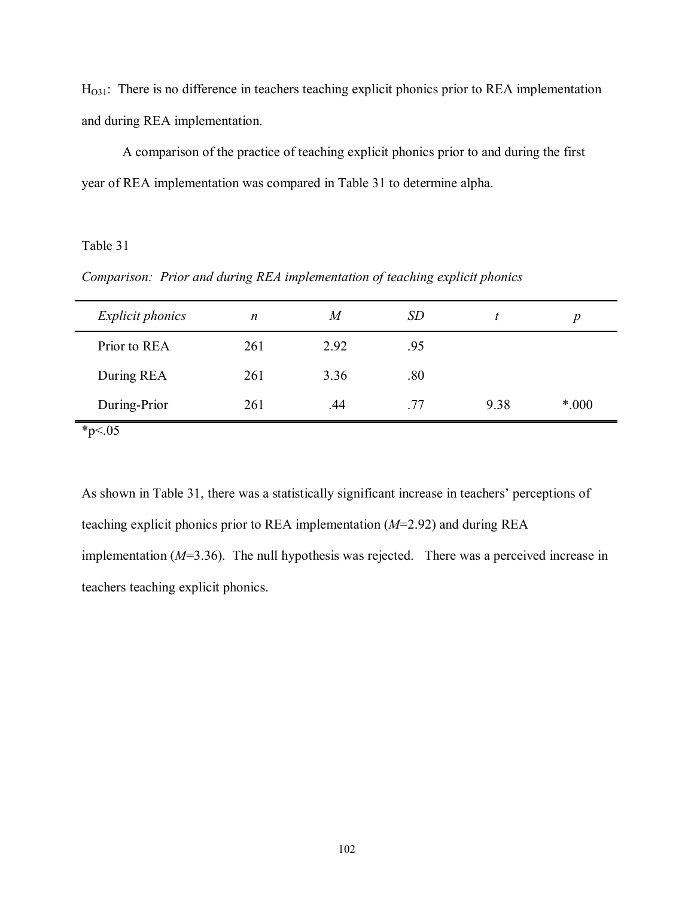$H<sub>031</sub>$ : There is no difference in teachers teaching explicit phonics prior to REA implementation and during REA implementation.

 A comparison of the practice of teaching explicit phonics prior to and during the first year of REA implementation was compared in Table 31 to determine alpha.

# Table 31

*Comparison: Prior and during REA implementation of teaching explicit phonics* 

| <i>Explicit phonics</i> | n   | M    | <i>SD</i> |      | D      |
|-------------------------|-----|------|-----------|------|--------|
| Prior to REA            | 261 | 2.92 | .95       |      |        |
| During REA              | 261 | 3.36 | .80       |      |        |
| During-Prior            | 261 | .44  | -77       | 9.38 | $*000$ |

 $*_{p<.05}$ 

As shown in Table 31, there was a statistically significant increase in teachers' perceptions of teaching explicit phonics prior to REA implementation (*M*=2.92) and during REA implementation (*M*=3.36). The null hypothesis was rejected. There was a perceived increase in teachers teaching explicit phonics.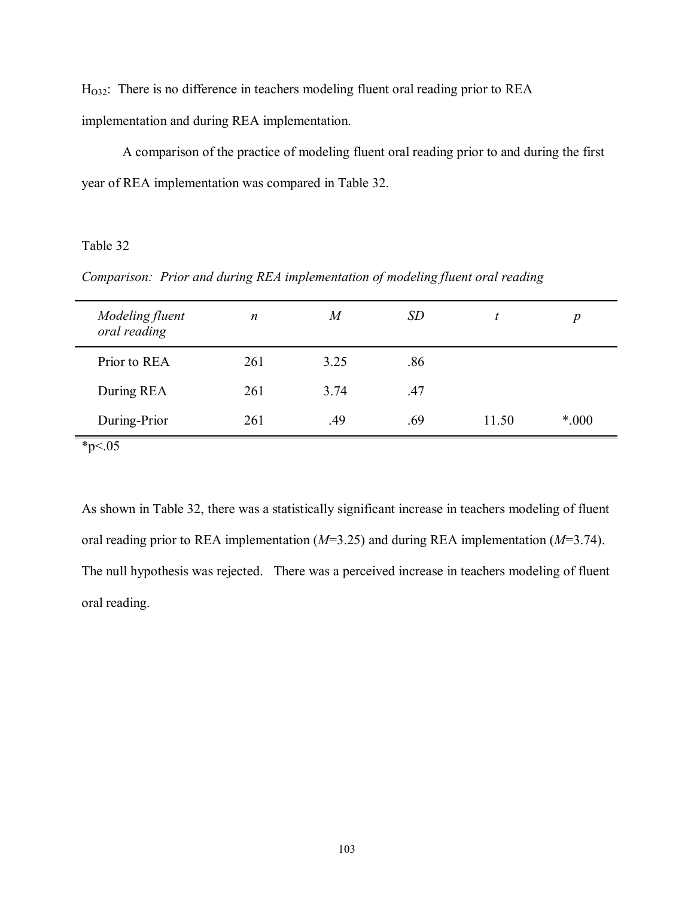HO32: There is no difference in teachers modeling fluent oral reading prior to REA implementation and during REA implementation.

 A comparison of the practice of modeling fluent oral reading prior to and during the first year of REA implementation was compared in Table 32.

# Table 32

*Comparison: Prior and during REA implementation of modeling fluent oral reading* 

| Modeling fluent<br>oral reading | $\boldsymbol{n}$ | M    | <i>SD</i> |       | $\boldsymbol{p}$ |
|---------------------------------|------------------|------|-----------|-------|------------------|
| Prior to REA                    | 261              | 3.25 | .86       |       |                  |
| During REA                      | 261              | 3.74 | .47       |       |                  |
| During-Prior                    | 261              | .49  | .69       | 11.50 | *.000            |
| $*_{p<.05}$                     |                  |      |           |       |                  |

As shown in Table 32, there was a statistically significant increase in teachers modeling of fluent oral reading prior to REA implementation (*M*=3.25) and during REA implementation (*M*=3.74). The null hypothesis was rejected. There was a perceived increase in teachers modeling of fluent oral reading.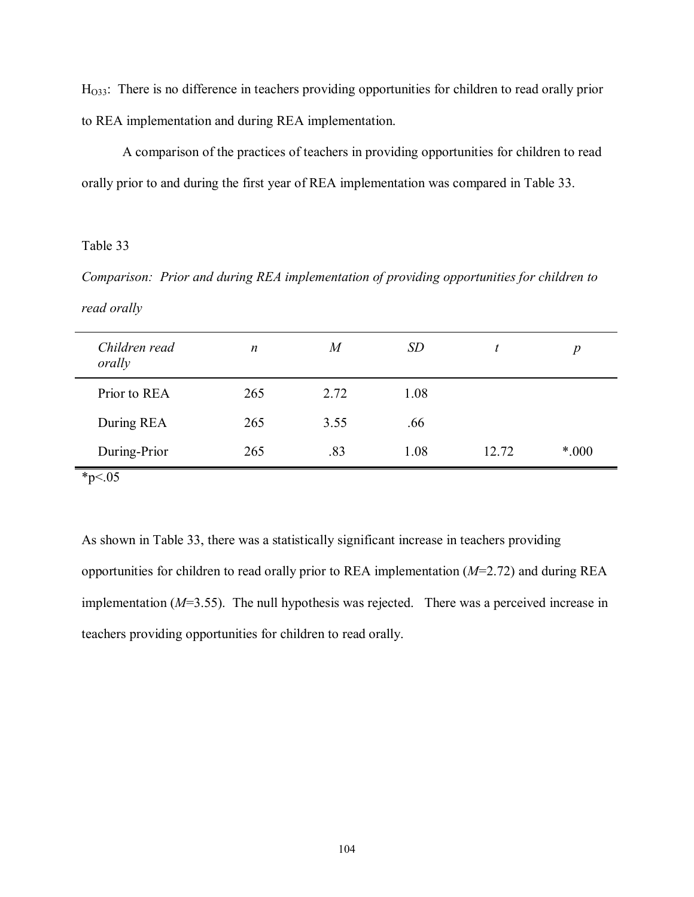H<sub>033</sub>: There is no difference in teachers providing opportunities for children to read orally prior to REA implementation and during REA implementation.

 A comparison of the practices of teachers in providing opportunities for children to read orally prior to and during the first year of REA implementation was compared in Table 33.

# Table 33

*Comparison: Prior and during REA implementation of providing opportunities for children to read orally* 

| Children read<br>orally | $\boldsymbol{n}$ | $\boldsymbol{M}$ | <i>SD</i> |       | $\boldsymbol{p}$ |
|-------------------------|------------------|------------------|-----------|-------|------------------|
| Prior to REA            | 265              | 2.72             | 1.08      |       |                  |
| During REA              | 265              | 3.55             | .66       |       |                  |
| During-Prior            | 265              | .83              | 1.08      | 12.72 | $*000$           |
| * $p<0.05$              |                  |                  |           |       |                  |

As shown in Table 33, there was a statistically significant increase in teachers providing opportunities for children to read orally prior to REA implementation (*M*=2.72) and during REA implementation (*M*=3.55). The null hypothesis was rejected. There was a perceived increase in teachers providing opportunities for children to read orally.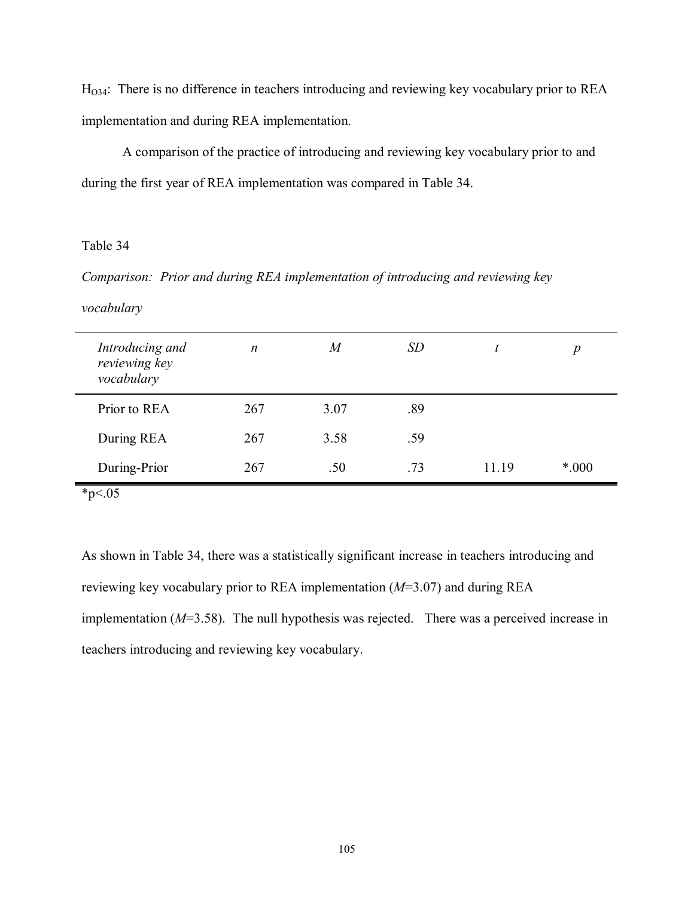HO34: There is no difference in teachers introducing and reviewing key vocabulary prior to REA implementation and during REA implementation.

 A comparison of the practice of introducing and reviewing key vocabulary prior to and during the first year of REA implementation was compared in Table 34.

# Table 34

*Comparison: Prior and during REA implementation of introducing and reviewing key* 

*vocabulary* 

| Introducing and<br>reviewing key<br>vocabulary | $\boldsymbol{n}$ | $\boldsymbol{M}$ | <i>SD</i> |       | $\boldsymbol{p}$ |
|------------------------------------------------|------------------|------------------|-----------|-------|------------------|
| Prior to REA                                   | 267              | 3.07             | .89       |       |                  |
| During REA                                     | 267              | 3.58             | .59       |       |                  |
| During-Prior                                   | 267              | .50              | .73       | 11.19 | $*000$           |
|                                                |                  |                  |           |       |                  |

 $*_{p<.05}$ 

As shown in Table 34, there was a statistically significant increase in teachers introducing and reviewing key vocabulary prior to REA implementation (*M*=3.07) and during REA implementation (*M*=3.58). The null hypothesis was rejected. There was a perceived increase in teachers introducing and reviewing key vocabulary.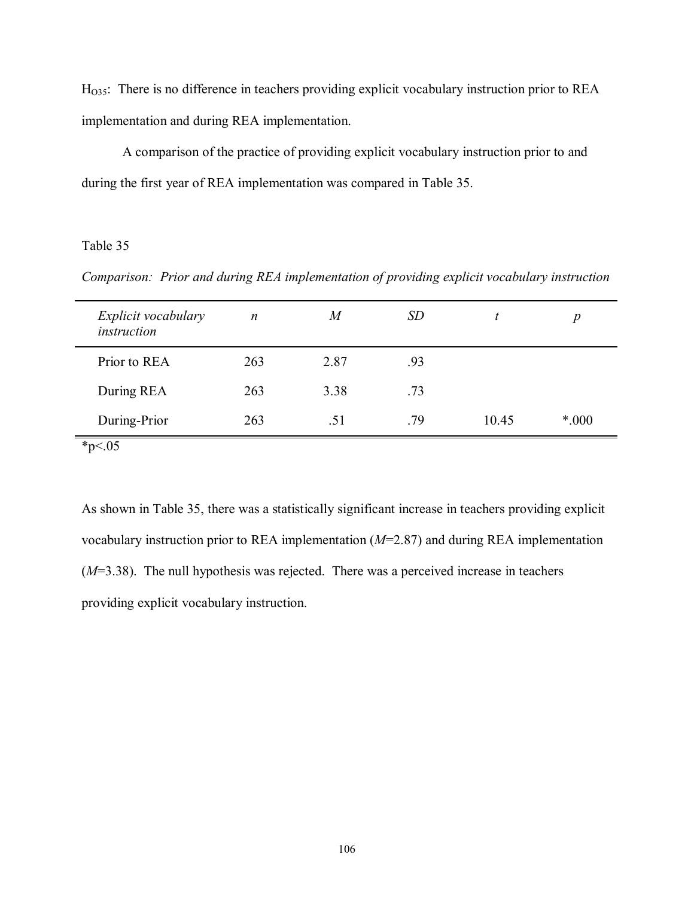HO35: There is no difference in teachers providing explicit vocabulary instruction prior to REA implementation and during REA implementation.

 A comparison of the practice of providing explicit vocabulary instruction prior to and during the first year of REA implementation was compared in Table 35.

# Table 35

*Comparison: Prior and during REA implementation of providing explicit vocabulary instruction* 

| Explicit vocabulary<br>instruction | $\boldsymbol{n}$ | M    | <i>SD</i> |       | $\boldsymbol{p}$ |
|------------------------------------|------------------|------|-----------|-------|------------------|
| Prior to REA                       | 263              | 2.87 | .93       |       |                  |
| During REA                         | 263              | 3.38 | .73       |       |                  |
| During-Prior                       | 263              | .51  | .79       | 10.45 | *.000            |
| * $p < 05$                         |                  |      |           |       |                  |

As shown in Table 35, there was a statistically significant increase in teachers providing explicit vocabulary instruction prior to REA implementation (*M*=2.87) and during REA implementation (*M*=3.38). The null hypothesis was rejected. There was a perceived increase in teachers providing explicit vocabulary instruction.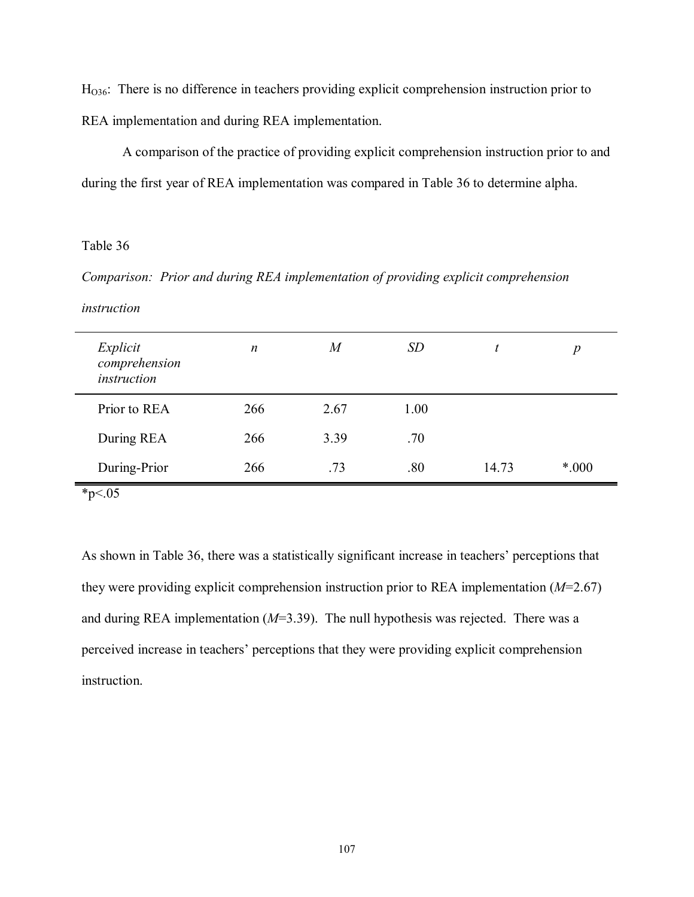H<sub>036</sub>: There is no difference in teachers providing explicit comprehension instruction prior to REA implementation and during REA implementation.

 A comparison of the practice of providing explicit comprehension instruction prior to and during the first year of REA implementation was compared in Table 36 to determine alpha.

## Table 36

*Comparison: Prior and during REA implementation of providing explicit comprehension* 

#### *instruction*

| Explicit<br>comprehension<br>instruction | n   | $\boldsymbol{M}$ | <i>SD</i> |       | $\boldsymbol{p}$ |
|------------------------------------------|-----|------------------|-----------|-------|------------------|
| Prior to REA                             | 266 | 2.67             | 1.00      |       |                  |
| During REA                               | 266 | 3.39             | .70       |       |                  |
| During-Prior                             | 266 | .73              | .80       | 14.73 | $*000$           |
|                                          |     |                  |           |       |                  |

 $*_{p \leq .05}$ 

As shown in Table 36, there was a statistically significant increase in teachers' perceptions that they were providing explicit comprehension instruction prior to REA implementation (*M*=2.67) and during REA implementation (*M*=3.39). The null hypothesis was rejected. There was a perceived increase in teachers' perceptions that they were providing explicit comprehension instruction.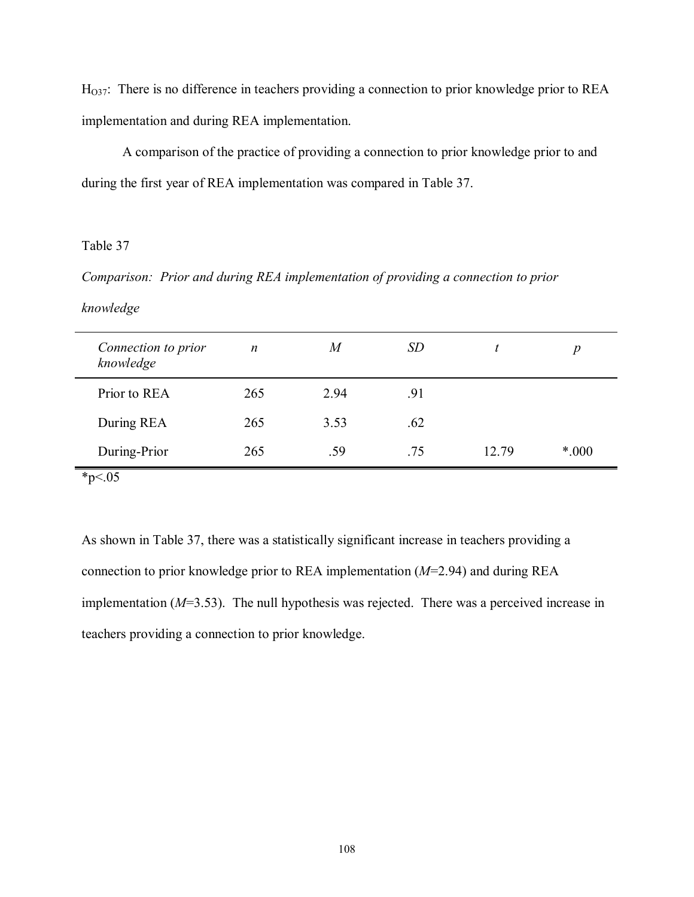$H<sub>037</sub>$ : There is no difference in teachers providing a connection to prior knowledge prior to REA implementation and during REA implementation.

 A comparison of the practice of providing a connection to prior knowledge prior to and during the first year of REA implementation was compared in Table 37.

### Table 37

*Comparison: Prior and during REA implementation of providing a connection to prior* 

### *knowledge*

| Connection to prior<br>knowledge | $\boldsymbol{n}$ | $\boldsymbol{M}$ | <i>SD</i> |       | $\boldsymbol{p}$ |  |
|----------------------------------|------------------|------------------|-----------|-------|------------------|--|
| Prior to REA                     | 265              | 2.94             | .91       |       |                  |  |
| During REA                       | 265              | 3.53             | .62       |       |                  |  |
| During-Prior                     | 265              | .59              | .75       | 12.79 | $*000$           |  |
| $*_{p<.05}$                      |                  |                  |           |       |                  |  |

As shown in Table 37, there was a statistically significant increase in teachers providing a connection to prior knowledge prior to REA implementation (*M*=2.94) and during REA implementation (*M*=3.53). The null hypothesis was rejected. There was a perceived increase in teachers providing a connection to prior knowledge.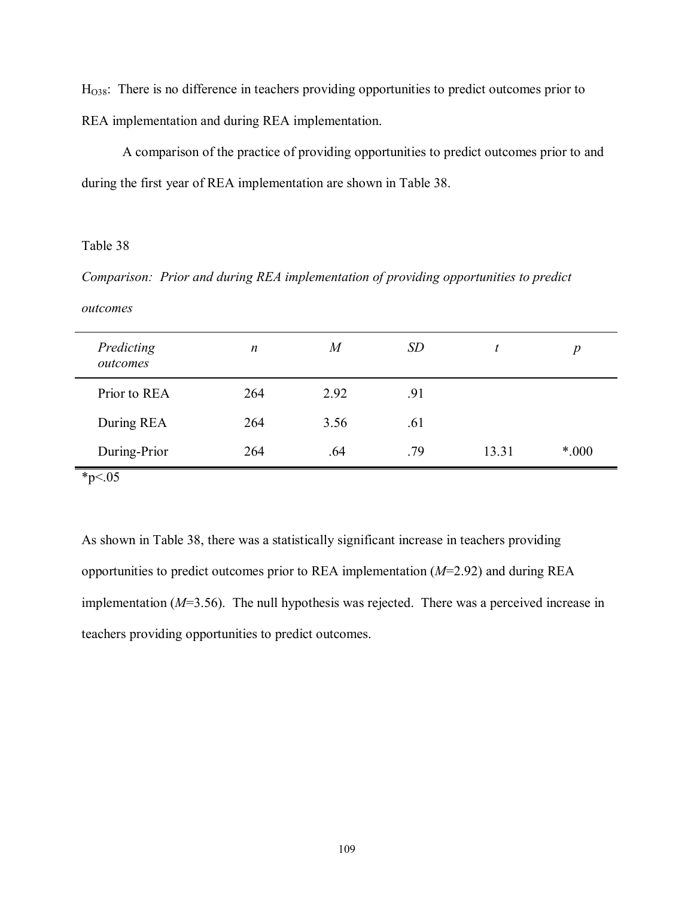HO38: There is no difference in teachers providing opportunities to predict outcomes prior to REA implementation and during REA implementation.

 A comparison of the practice of providing opportunities to predict outcomes prior to and during the first year of REA implementation are shown in Table 38.

### Table 38

*Comparison: Prior and during REA implementation of providing opportunities to predict* 

#### *outcomes*

| Predicting<br>outcomes | $\boldsymbol{n}$ | $\boldsymbol{M}$ | <i>SD</i> | t     | $\boldsymbol{p}$ |
|------------------------|------------------|------------------|-----------|-------|------------------|
| Prior to REA           | 264              | 2.92             | .91       |       |                  |
| During REA             | 264              | 3.56             | .61       |       |                  |
| During-Prior           | 264              | .64              | .79       | 13.31 | $*000$           |
| $*_{p<.05}$            |                  |                  |           |       |                  |

As shown in Table 38, there was a statistically significant increase in teachers providing opportunities to predict outcomes prior to REA implementation (*M*=2.92) and during REA implementation (*M*=3.56). The null hypothesis was rejected. There was a perceived increase in teachers providing opportunities to predict outcomes.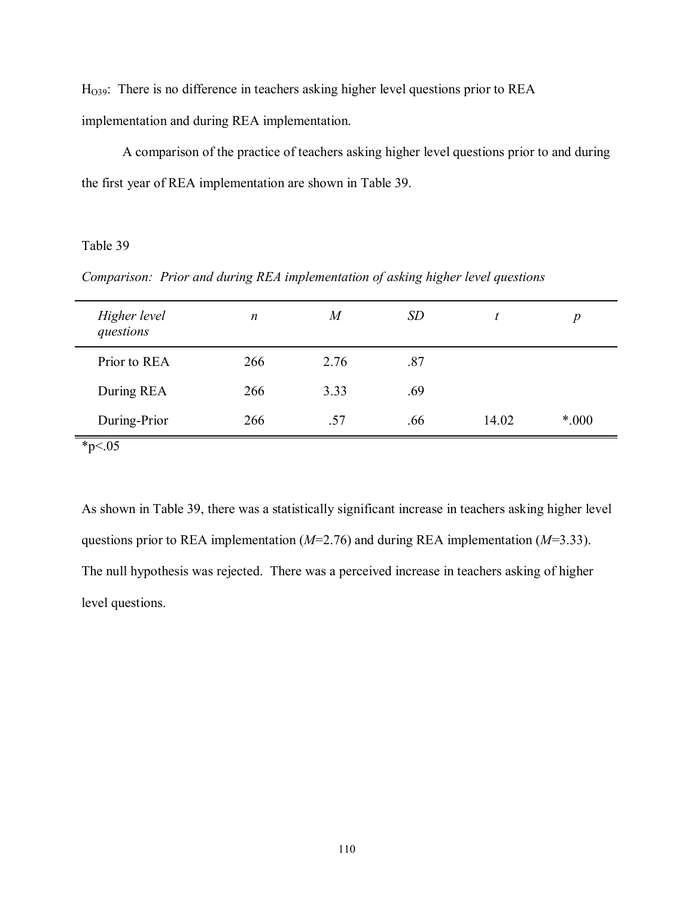$H<sub>O39</sub>$ : There is no difference in teachers asking higher level questions prior to REA implementation and during REA implementation.

 A comparison of the practice of teachers asking higher level questions prior to and during the first year of REA implementation are shown in Table 39.

# Table 39

*Comparison: Prior and during REA implementation of asking higher level questions* 

| Higher level<br>questions | n   | $\it{M}$ | <i>SD</i> |       | $\boldsymbol{p}$ |
|---------------------------|-----|----------|-----------|-------|------------------|
| Prior to REA              | 266 | 2.76     | .87       |       |                  |
| During REA                | 266 | 3.33     | .69       |       |                  |
| During-Prior              | 266 | .57      | .66       | 14.02 | *.000            |
| $*_{p<.05}$               |     |          |           |       |                  |

As shown in Table 39, there was a statistically significant increase in teachers asking higher level questions prior to REA implementation (*M*=2.76) and during REA implementation (*M*=3.33). The null hypothesis was rejected. There was a perceived increase in teachers asking of higher level questions.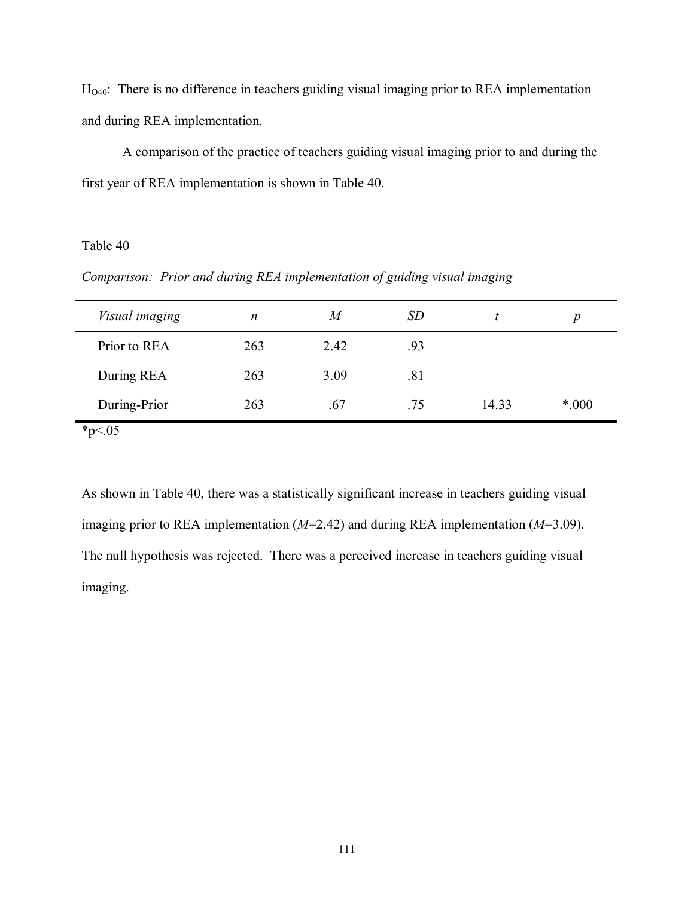HO40: There is no difference in teachers guiding visual imaging prior to REA implementation and during REA implementation.

 A comparison of the practice of teachers guiding visual imaging prior to and during the first year of REA implementation is shown in Table 40.

# Table 40

*Comparison: Prior and during REA implementation of guiding visual imaging* 

| Prior to REA<br>263<br>2.42<br>.93<br>During REA<br>3.09<br>263<br>.81 | Visual imaging | n   | M   | <i>SD</i> |       | p     |
|------------------------------------------------------------------------|----------------|-----|-----|-----------|-------|-------|
|                                                                        |                |     |     |           |       |       |
|                                                                        |                |     |     |           |       |       |
|                                                                        | During-Prior   | 263 | .67 | .75       | 14.33 | *.000 |

 $*_{p<.05}$ 

As shown in Table 40, there was a statistically significant increase in teachers guiding visual imaging prior to REA implementation (*M*=2.42) and during REA implementation (*M*=3.09). The null hypothesis was rejected. There was a perceived increase in teachers guiding visual imaging.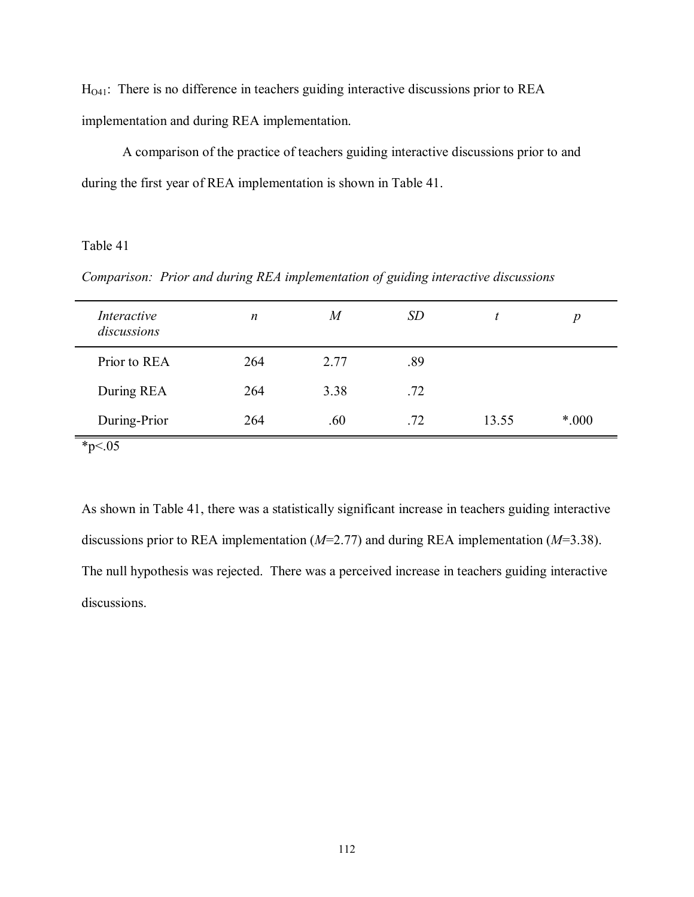$H<sub>O41</sub>$ : There is no difference in teachers guiding interactive discussions prior to REA implementation and during REA implementation.

 A comparison of the practice of teachers guiding interactive discussions prior to and during the first year of REA implementation is shown in Table 41.

# Table 41

*Comparison: Prior and during REA implementation of guiding interactive discussions* 

| Interactive<br>discussions | $\boldsymbol{n}$ | $\boldsymbol{M}$ | <i>SD</i> |       | $\boldsymbol{p}$ |
|----------------------------|------------------|------------------|-----------|-------|------------------|
| Prior to REA               | 264              | 2.77             | .89       |       |                  |
| During REA                 | 264              | 3.38             | .72       |       |                  |
| During-Prior               | 264              | .60              | .72       | 13.55 | $*000$           |
| $*_{p<.05}$                |                  |                  |           |       |                  |

As shown in Table 41, there was a statistically significant increase in teachers guiding interactive discussions prior to REA implementation (*M*=2.77) and during REA implementation (*M*=3.38). The null hypothesis was rejected. There was a perceived increase in teachers guiding interactive discussions.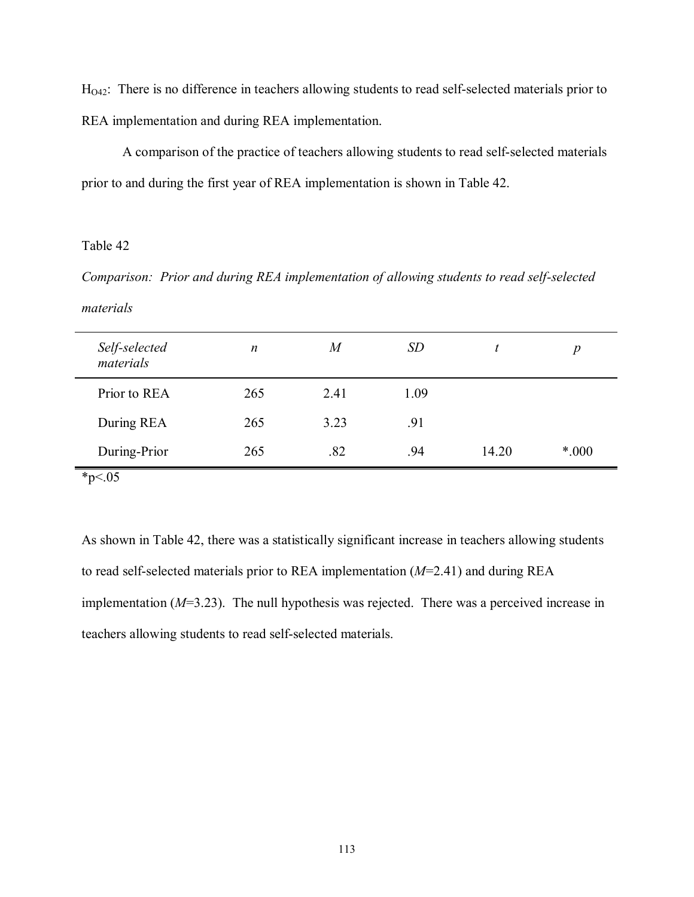H<sub>O42</sub>: There is no difference in teachers allowing students to read self-selected materials prior to REA implementation and during REA implementation.

 A comparison of the practice of teachers allowing students to read self-selected materials prior to and during the first year of REA implementation is shown in Table 42.

### Table 42

*Comparison: Prior and during REA implementation of allowing students to read self-selected materials* 

| Self-selected<br>materials | $\boldsymbol{n}$ | $\boldsymbol{M}$ | <i>SD</i> | t     | $\boldsymbol{p}$ |  |
|----------------------------|------------------|------------------|-----------|-------|------------------|--|
| Prior to REA               | 265              | 2.41             | 1.09      |       |                  |  |
| During REA                 | 265              | 3.23             | .91       |       |                  |  |
| During-Prior               | 265              | .82              | .94       | 14.20 | $*000$           |  |
| $*_{p<.05}$                |                  |                  |           |       |                  |  |

As shown in Table 42, there was a statistically significant increase in teachers allowing students to read self-selected materials prior to REA implementation (*M*=2.41) and during REA implementation (*M*=3.23). The null hypothesis was rejected. There was a perceived increase in teachers allowing students to read self-selected materials.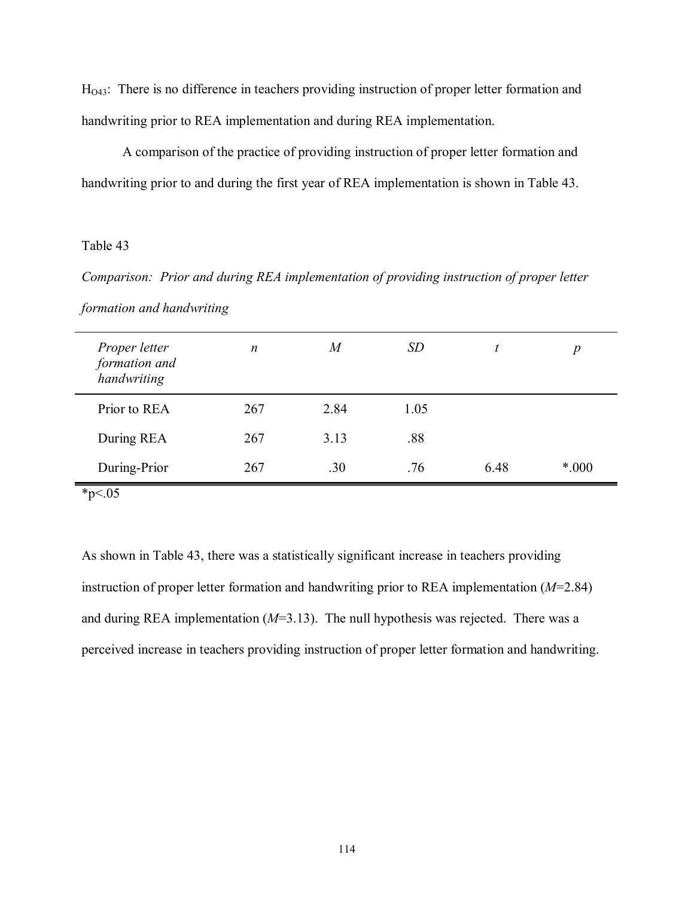H<sub>O43</sub>: There is no difference in teachers providing instruction of proper letter formation and handwriting prior to REA implementation and during REA implementation.

 A comparison of the practice of providing instruction of proper letter formation and handwriting prior to and during the first year of REA implementation is shown in Table 43.

# Table 43

*Comparison: Prior and during REA implementation of providing instruction of proper letter formation and handwriting* 

| Proper letter<br>formation and<br>handwriting | $\boldsymbol{n}$ | M    | <i>SD</i> | t    | p     |
|-----------------------------------------------|------------------|------|-----------|------|-------|
| Prior to REA                                  | 267              | 2.84 | 1.05      |      |       |
| During REA                                    | 267              | 3.13 | .88       |      |       |
| During-Prior                                  | 267              | .30  | .76       | 6.48 | *.000 |

 $*_{p \leq .05}$ 

As shown in Table 43, there was a statistically significant increase in teachers providing instruction of proper letter formation and handwriting prior to REA implementation (*M*=2.84) and during REA implementation (*M*=3.13). The null hypothesis was rejected. There was a perceived increase in teachers providing instruction of proper letter formation and handwriting.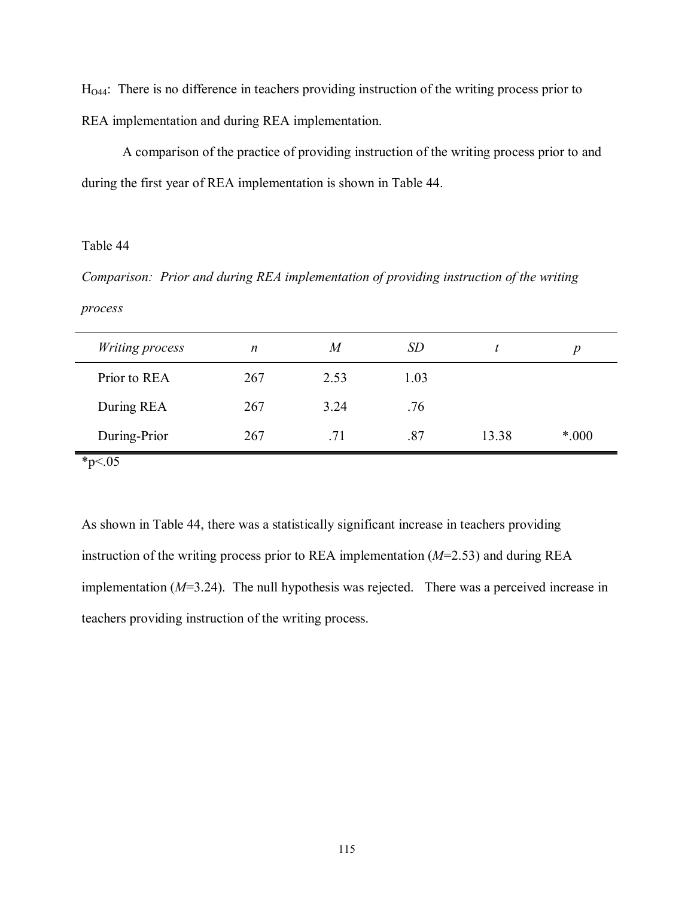H<sub>O44</sub>: There is no difference in teachers providing instruction of the writing process prior to REA implementation and during REA implementation.

 A comparison of the practice of providing instruction of the writing process prior to and during the first year of REA implementation is shown in Table 44.

# Table 44

*Comparison: Prior and during REA implementation of providing instruction of the writing process* 

| Writing process             | $\boldsymbol{n}$ | M    | <i>SD</i> |       | p      |
|-----------------------------|------------------|------|-----------|-------|--------|
| Prior to REA                | 267              | 2.53 | 1.03      |       |        |
| During REA                  | 267              | 3.24 | .76       |       |        |
| During-Prior                | 267              | .71  | .87       | 13.38 | $*000$ |
| $\sim$ $\sim$ $\sim$ $\sim$ |                  |      |           |       |        |

 $*_{p<.05}$ 

As shown in Table 44, there was a statistically significant increase in teachers providing instruction of the writing process prior to REA implementation (*M*=2.53) and during REA implementation (*M*=3.24). The null hypothesis was rejected. There was a perceived increase in teachers providing instruction of the writing process.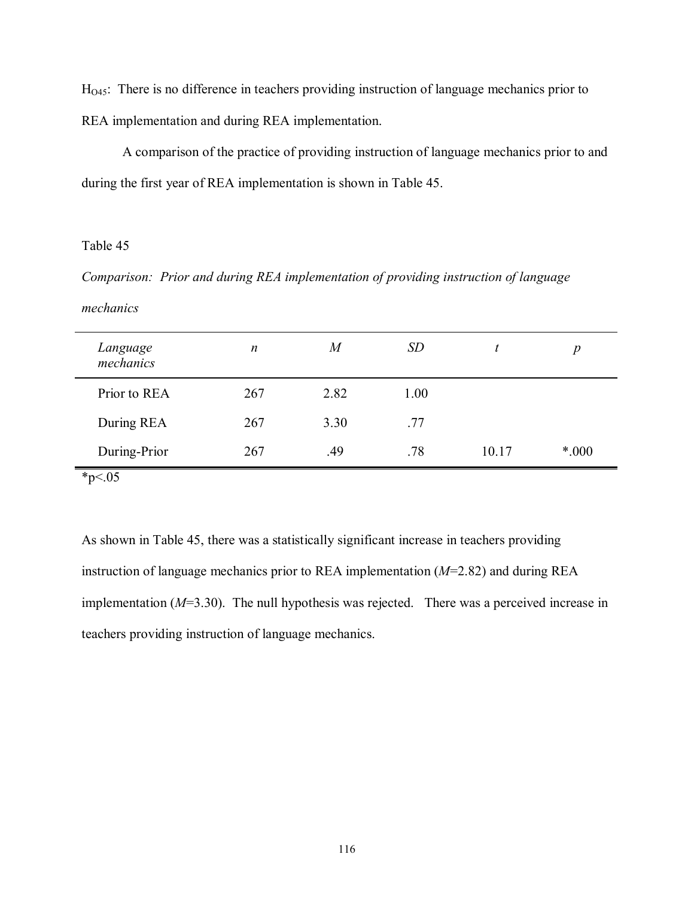HO45: There is no difference in teachers providing instruction of language mechanics prior to REA implementation and during REA implementation.

 A comparison of the practice of providing instruction of language mechanics prior to and during the first year of REA implementation is shown in Table 45.

### Table 45

*Comparison: Prior and during REA implementation of providing instruction of language* 

### *mechanics*

| Language<br>mechanics | $\boldsymbol{n}$ | $\boldsymbol{M}$ | <i>SD</i> |       | $\boldsymbol{p}$ |
|-----------------------|------------------|------------------|-----------|-------|------------------|
| Prior to REA          | 267              | 2.82             | 1.00      |       |                  |
| During REA            | 267              | 3.30             | .77       |       |                  |
| During-Prior          | 267              | .49              | .78       | 10.17 | $*000$           |
| $*_{p<.05}$           |                  |                  |           |       |                  |

As shown in Table 45, there was a statistically significant increase in teachers providing instruction of language mechanics prior to REA implementation (*M*=2.82) and during REA implementation (*M*=3.30). The null hypothesis was rejected. There was a perceived increase in teachers providing instruction of language mechanics.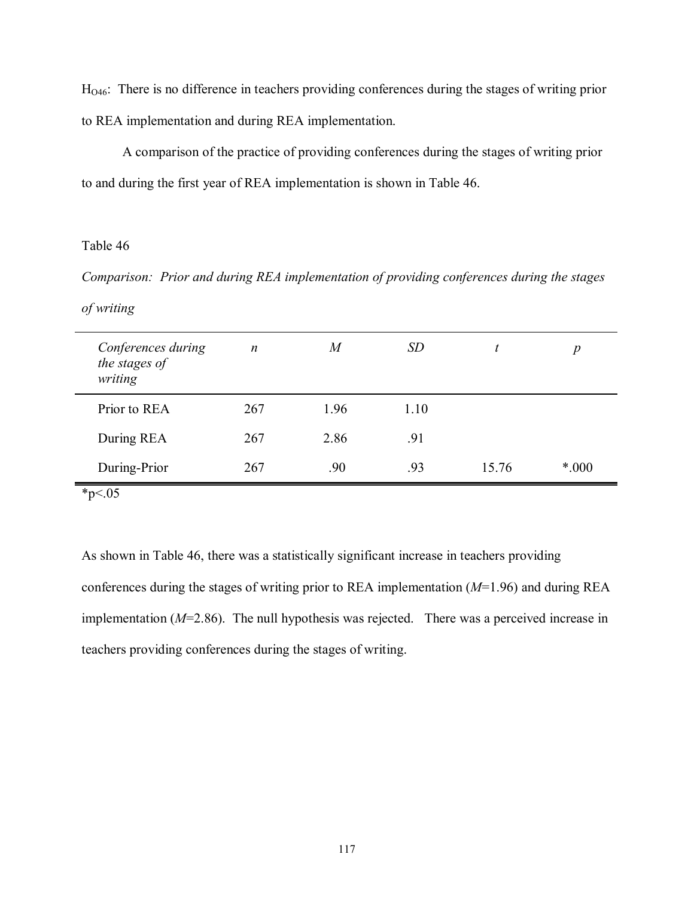HO46: There is no difference in teachers providing conferences during the stages of writing prior to REA implementation and during REA implementation.

 A comparison of the practice of providing conferences during the stages of writing prior to and during the first year of REA implementation is shown in Table 46.

# Table 46

*Comparison: Prior and during REA implementation of providing conferences during the stages* 

### *of writing*

| Conferences during<br>the stages of<br>writing | $\boldsymbol{n}$ | $\overline{M}$ | <i>SD</i> |       | $\boldsymbol{p}$ |
|------------------------------------------------|------------------|----------------|-----------|-------|------------------|
| Prior to REA                                   | 267              | 1.96           | 1.10      |       |                  |
| During REA                                     | 267              | 2.86           | .91       |       |                  |
| During-Prior                                   | 267              | .90            | .93       | 15.76 | $*000$           |
|                                                |                  |                |           |       |                  |

 $*_{p<.05}$ 

As shown in Table 46, there was a statistically significant increase in teachers providing conferences during the stages of writing prior to REA implementation (*M*=1.96) and during REA implementation (*M*=2.86). The null hypothesis was rejected. There was a perceived increase in teachers providing conferences during the stages of writing.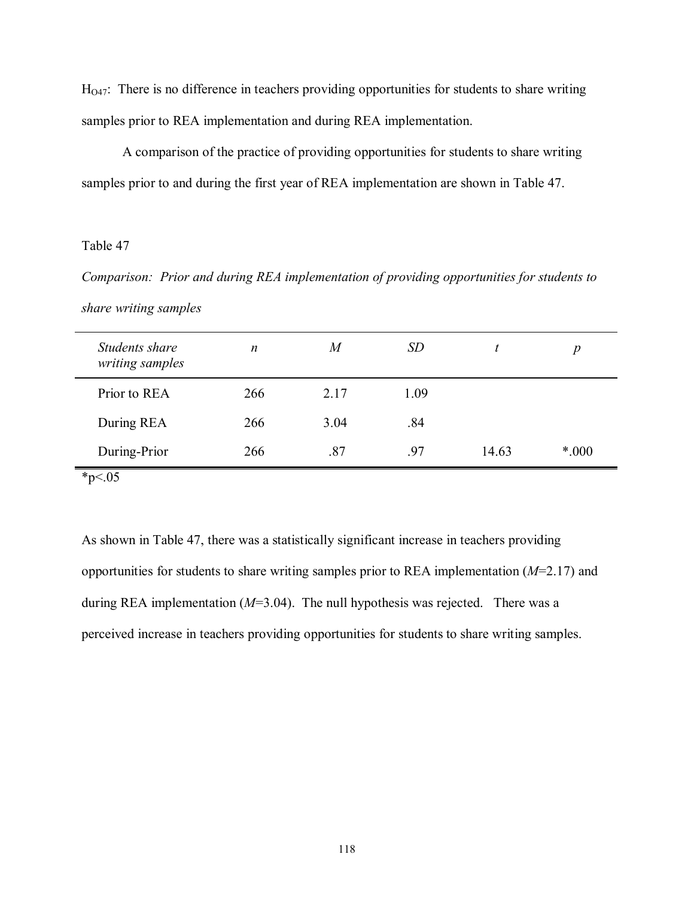$H<sub>047</sub>$ : There is no difference in teachers providing opportunities for students to share writing samples prior to REA implementation and during REA implementation.

 A comparison of the practice of providing opportunities for students to share writing samples prior to and during the first year of REA implementation are shown in Table 47.

### Table 47

*Comparison: Prior and during REA implementation of providing opportunities for students to share writing samples* 

| Students share<br>writing samples | $\boldsymbol{n}$ | $\boldsymbol{M}$ | <i>SD</i> |       | $\boldsymbol{p}$ |
|-----------------------------------|------------------|------------------|-----------|-------|------------------|
| Prior to REA                      | 266              | 2.17             | 1.09      |       |                  |
| During REA                        | 266              | 3.04             | .84       |       |                  |
| During-Prior                      | 266              | .87              | .97       | 14.63 | $*000$           |
| $*_{p<.05}$                       |                  |                  |           |       |                  |

As shown in Table 47, there was a statistically significant increase in teachers providing opportunities for students to share writing samples prior to REA implementation (*M*=2.17) and during REA implementation (*M*=3.04). The null hypothesis was rejected. There was a perceived increase in teachers providing opportunities for students to share writing samples.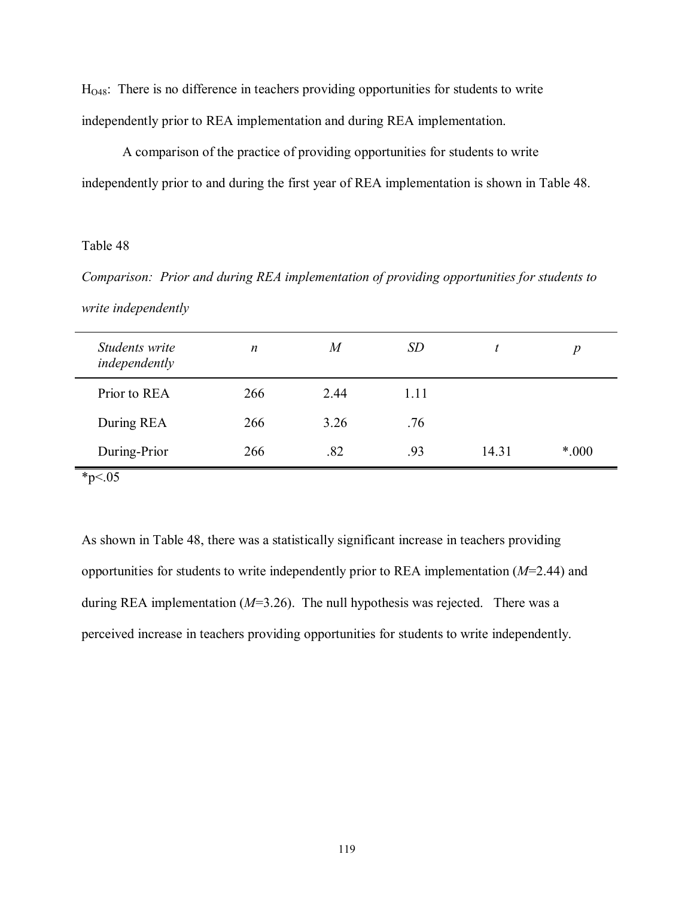HO48: There is no difference in teachers providing opportunities for students to write independently prior to REA implementation and during REA implementation.

 A comparison of the practice of providing opportunities for students to write independently prior to and during the first year of REA implementation is shown in Table 48.

### Table 48

*Comparison: Prior and during REA implementation of providing opportunities for students to write independently* 

| Students write<br>independently | $\boldsymbol{n}$ | $\overline{M}$ | <i>SD</i> |       | p      |
|---------------------------------|------------------|----------------|-----------|-------|--------|
| Prior to REA                    | 266              | 2.44           | 1.11      |       |        |
| During REA                      | 266              | 3.26           | .76       |       |        |
| During-Prior                    | 266              | .82            | .93       | 14.31 | $*000$ |
| * $p < 05$                      |                  |                |           |       |        |

As shown in Table 48, there was a statistically significant increase in teachers providing opportunities for students to write independently prior to REA implementation (*M*=2.44) and during REA implementation (*M*=3.26). The null hypothesis was rejected. There was a perceived increase in teachers providing opportunities for students to write independently.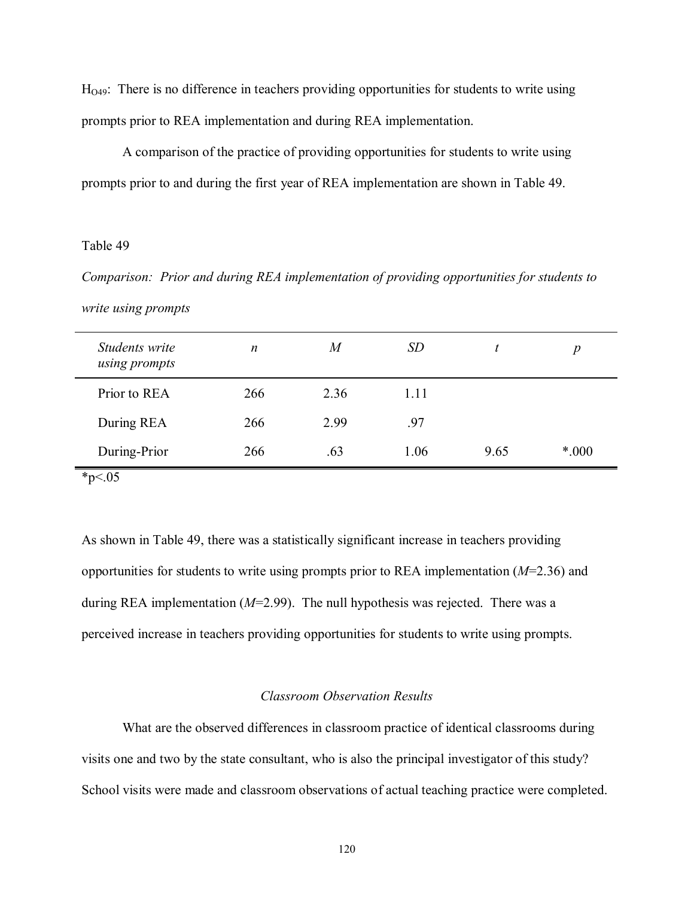$H<sub>O49</sub>$ : There is no difference in teachers providing opportunities for students to write using prompts prior to REA implementation and during REA implementation.

 A comparison of the practice of providing opportunities for students to write using prompts prior to and during the first year of REA implementation are shown in Table 49.

### Table 49

*Comparison: Prior and during REA implementation of providing opportunities for students to write using prompts* 

| Students write<br>using prompts | n   | $\boldsymbol{M}$ | <i>SD</i> |      | $\boldsymbol{p}$ |
|---------------------------------|-----|------------------|-----------|------|------------------|
| Prior to REA                    | 266 | 2.36             | 1.11      |      |                  |
| During REA                      | 266 | 2.99             | .97       |      |                  |
| During-Prior                    | 266 | .63              | 1.06      | 9.65 | $*000$           |
| * $p < 05$                      |     |                  |           |      |                  |

As shown in Table 49, there was a statistically significant increase in teachers providing opportunities for students to write using prompts prior to REA implementation (*M*=2.36) and during REA implementation (*M*=2.99). The null hypothesis was rejected. There was a perceived increase in teachers providing opportunities for students to write using prompts.

### *Classroom Observation Results*

 What are the observed differences in classroom practice of identical classrooms during visits one and two by the state consultant, who is also the principal investigator of this study? School visits were made and classroom observations of actual teaching practice were completed.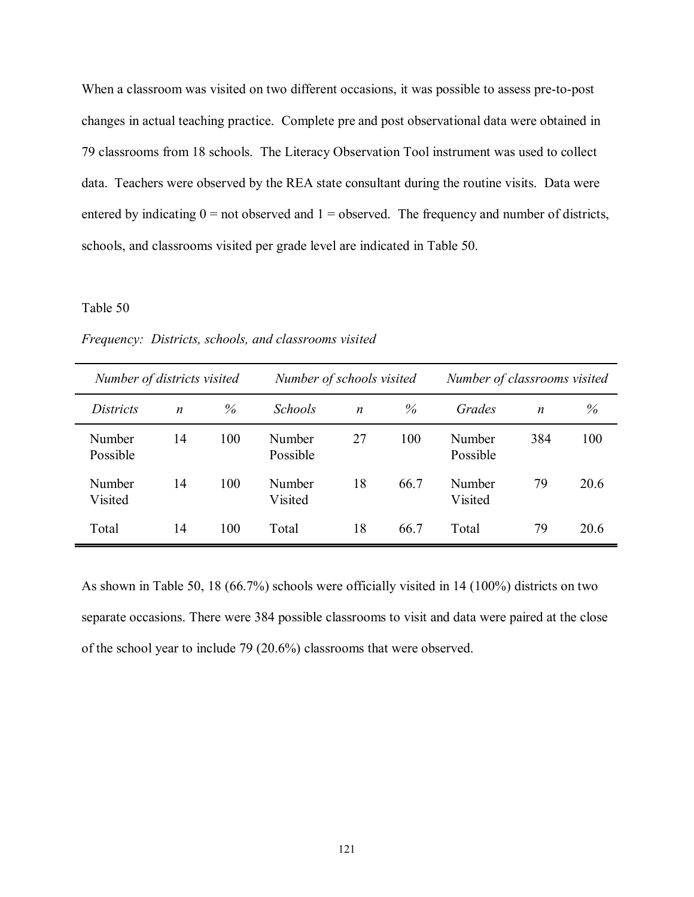When a classroom was visited on two different occasions, it was possible to assess pre-to-post changes in actual teaching practice. Complete pre and post observational data were obtained in 79 classrooms from 18 schools. The Literacy Observation Tool instrument was used to collect data. Teachers were observed by the REA state consultant during the routine visits. Data were entered by indicating  $0 =$  not observed and  $1 =$  observed. The frequency and number of districts, schools, and classrooms visited per grade level are indicated in Table 50.

### Table 50

*Frequency: Districts, schools, and classrooms visited* 

| Number of districts visited |                  |      | Number of schools visited |                  |      | Number of classrooms visited |     |      |
|-----------------------------|------------------|------|---------------------------|------------------|------|------------------------------|-----|------|
| <i>Districts</i>            | $\boldsymbol{n}$ | $\%$ | <b>Schools</b>            | $\boldsymbol{n}$ | %    | Grades                       | n   | $\%$ |
| Number<br>Possible          | 14               | 100  | Number<br>Possible        | 27               | 100  | Number<br>Possible           | 384 | 100  |
| Number<br>Visited           | 14               | 100  | Number<br>Visited         | 18               | 66.7 | Number<br>Visited            | 79  | 20.6 |
| Total                       | 14               | 100  | Total                     | 18               | 66.7 | Total                        | 79  | 20.6 |

As shown in Table 50, 18 (66.7%) schools were officially visited in 14 (100%) districts on two separate occasions. There were 384 possible classrooms to visit and data were paired at the close of the school year to include 79 (20.6%) classrooms that were observed.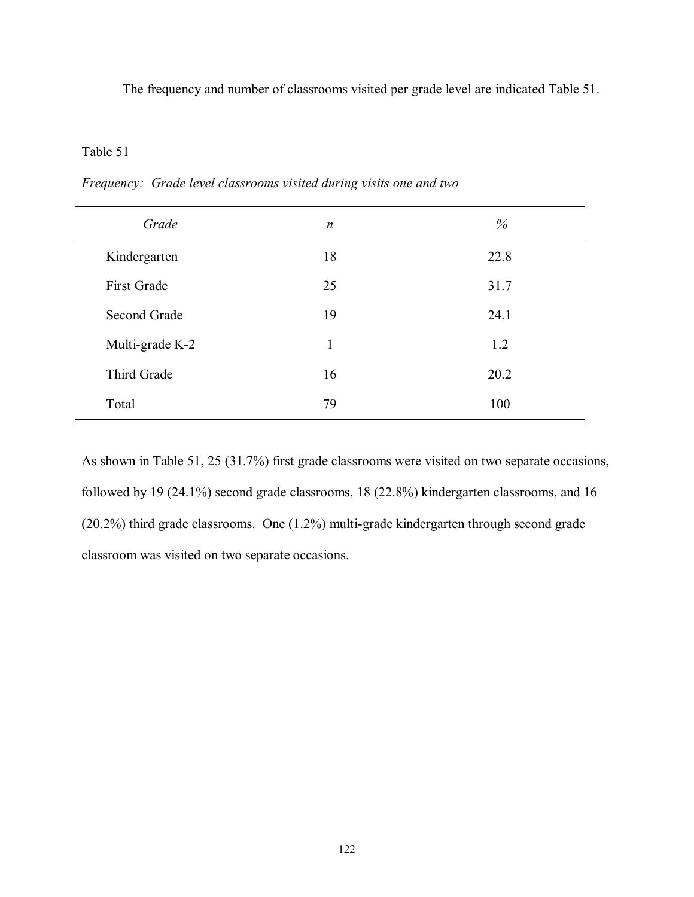The frequency and number of classrooms visited per grade level are indicated Table 51.

# Table 51

| Grade           | $\boldsymbol{n}$ | %    |
|-----------------|------------------|------|
| Kindergarten    | 18               | 22.8 |
| First Grade     | 25               | 31.7 |
| Second Grade    | 19               | 24.1 |
| Multi-grade K-2 | 1                | 1.2  |
| Third Grade     | 16               | 20.2 |
| Total           | 79               | 100  |

*Frequency: Grade level classrooms visited during visits one and two* 

As shown in Table 51, 25 (31.7%) first grade classrooms were visited on two separate occasions, followed by 19 (24.1%) second grade classrooms, 18 (22.8%) kindergarten classrooms, and 16 (20.2%) third grade classrooms. One (1.2%) multi-grade kindergarten through second grade classroom was visited on two separate occasions.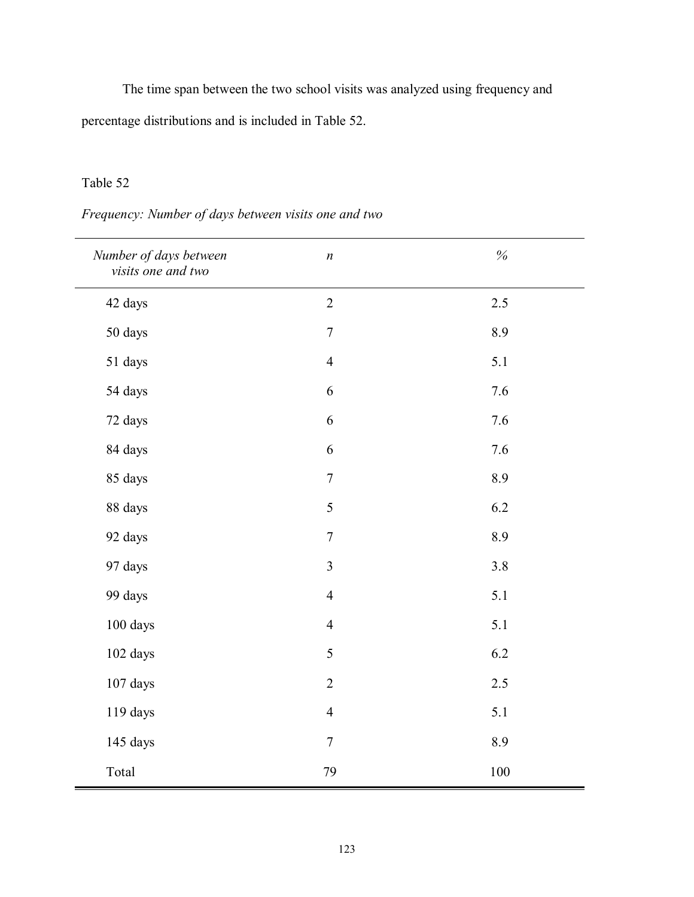The time span between the two school visits was analyzed using frequency and percentage distributions and is included in Table 52.

# Table 52

# *Number of days between visits one and two n %*  42 days 2 2.5 50 days 20 3.9 51 days 4 5.1 54 days 6 7.6 72 days 6 7.6 84 days 6 7.6 85 days 7 8.9 88 days 6.2 92 days 20 1 2 3.9 97 days 3.8 99 days 4 5.1 100 days 4 5.1 102 days 6.2 107 days 2 2.5 119 days 4 5.1 145 days 7 8.9 Total 100

# *Frequency: Number of days between visits one and two*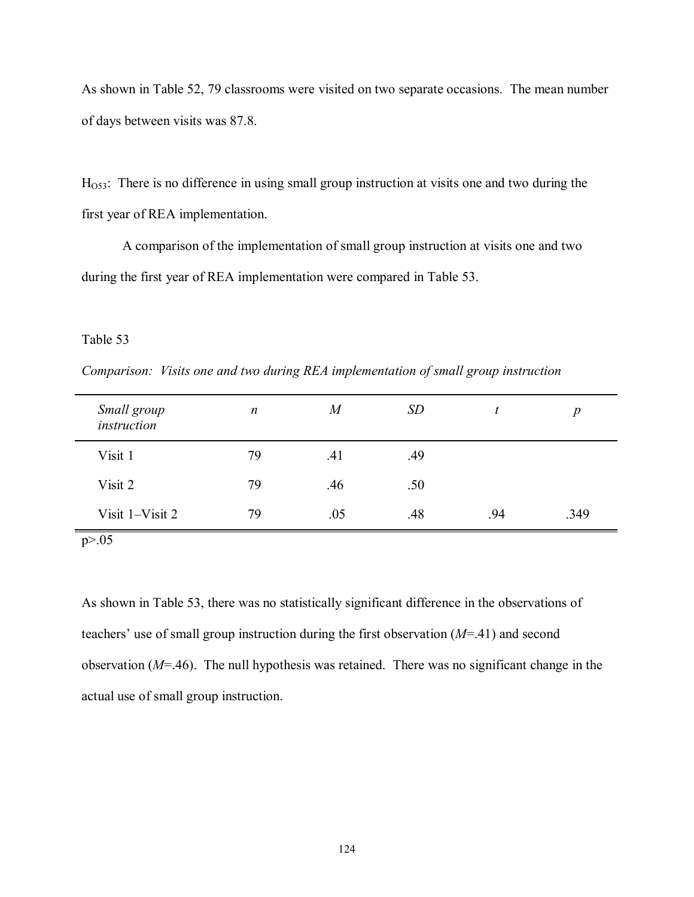As shown in Table 52, 79 classrooms were visited on two separate occasions. The mean number of days between visits was 87.8.

HO53: There is no difference in using small group instruction at visits one and two during the first year of REA implementation.

 A comparison of the implementation of small group instruction at visits one and two during the first year of REA implementation were compared in Table 53.

### Table 53

*Comparison: Visits one and two during REA implementation of small group instruction* 

| Small group<br>instruction | $\boldsymbol{n}$ | M   | SD  |     | $\boldsymbol{p}$ |
|----------------------------|------------------|-----|-----|-----|------------------|
| Visit 1                    | 79               | .41 | .49 |     |                  |
| Visit 2                    | 79               | .46 | .50 |     |                  |
| Visit 1-Visit 2            | 79               | .05 | .48 | .94 | .349             |

p>.05

As shown in Table 53, there was no statistically significant difference in the observations of teachers' use of small group instruction during the first observation  $(M=41)$  and second observation (*M*=.46). The null hypothesis was retained. There was no significant change in the actual use of small group instruction.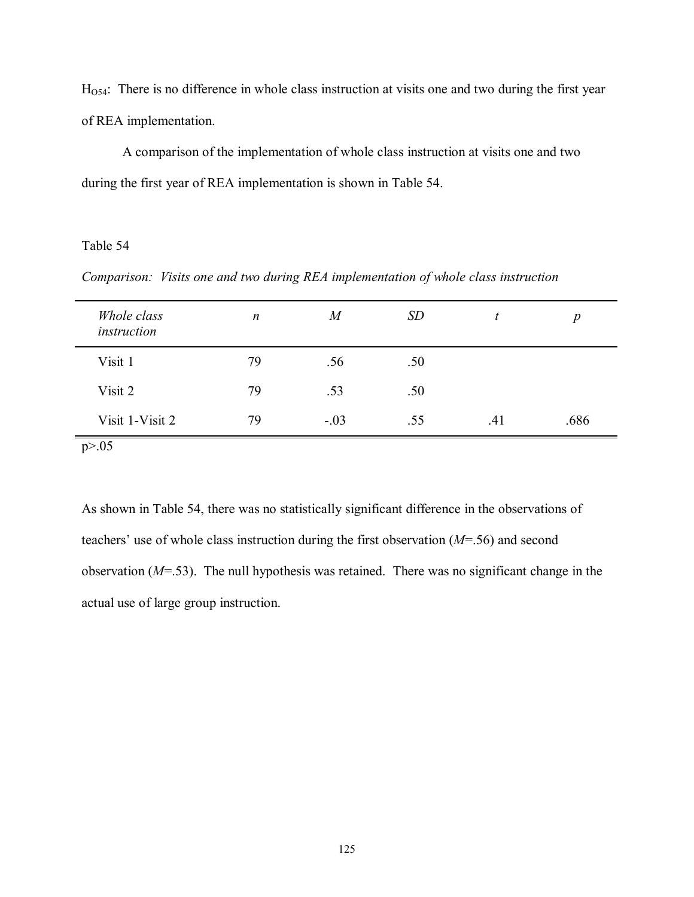HO54: There is no difference in whole class instruction at visits one and two during the first year of REA implementation.

 A comparison of the implementation of whole class instruction at visits one and two during the first year of REA implementation is shown in Table 54.

Table 54

*Comparison: Visits one and two during REA implementation of whole class instruction* 

| Whole class<br>instruction | $\boldsymbol{n}$ | $\boldsymbol{M}$ | <i>SD</i> | t   | $\boldsymbol{p}$ |
|----------------------------|------------------|------------------|-----------|-----|------------------|
| Visit 1                    | 79               | .56              | .50       |     |                  |
| Visit 2                    | 79               | .53              | .50       |     |                  |
| Visit 1-Visit 2            | 79               | $-.03$           | .55       | .41 | .686             |

As shown in Table 54, there was no statistically significant difference in the observations of teachers' use of whole class instruction during the first observation  $(M=56)$  and second observation (*M*=.53). The null hypothesis was retained. There was no significant change in the actual use of large group instruction.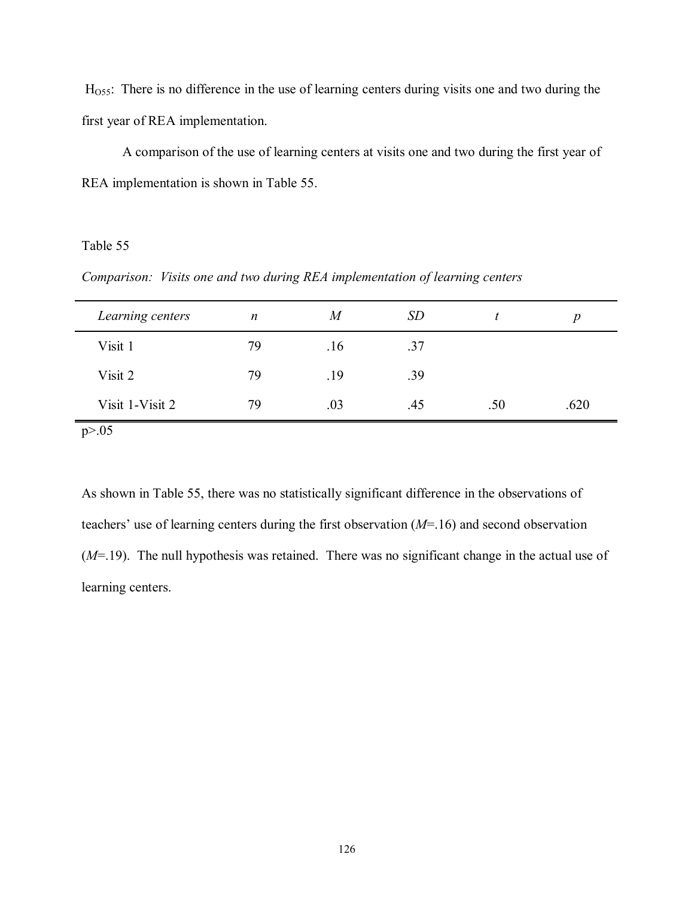HO55: There is no difference in the use of learning centers during visits one and two during the first year of REA implementation.

 A comparison of the use of learning centers at visits one and two during the first year of REA implementation is shown in Table 55.

Table 55

*Comparison: Visits one and two during REA implementation of learning centers* 

| Learning centers | n  | M   | <i>SD</i> |     | n    |
|------------------|----|-----|-----------|-----|------|
| Visit 1          | 79 | .16 | .37       |     |      |
| Visit 2          | 79 | .19 | .39       |     |      |
| Visit 1-Visit 2  | 79 | .03 | .45       | .50 | .620 |

 $p > 0.05$ 

As shown in Table 55, there was no statistically significant difference in the observations of teachers' use of learning centers during the first observation  $(M=16)$  and second observation (*M*=.19). The null hypothesis was retained. There was no significant change in the actual use of learning centers.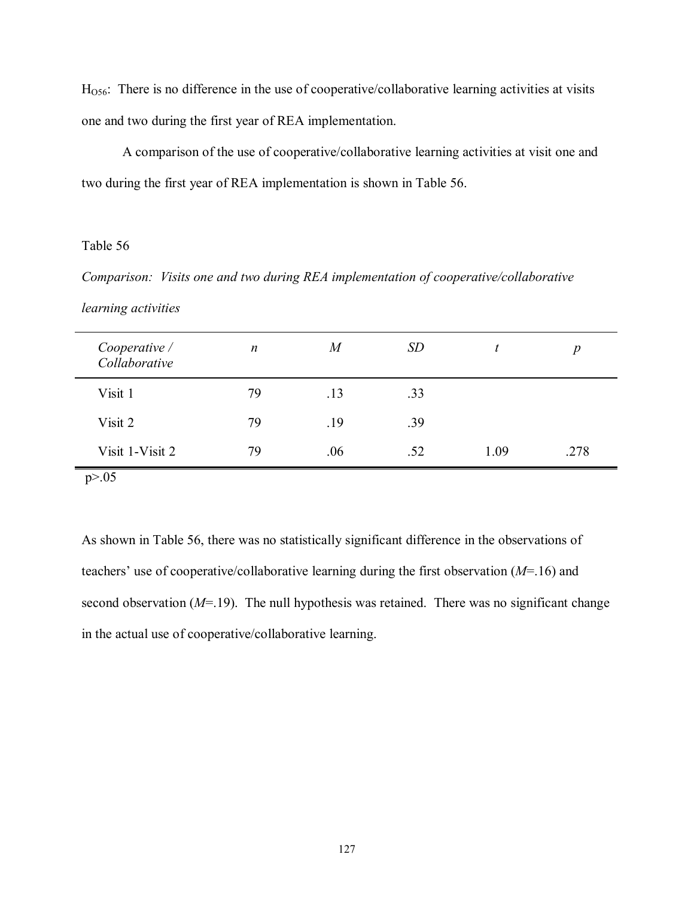HO56: There is no difference in the use of cooperative/collaborative learning activities at visits one and two during the first year of REA implementation.

 A comparison of the use of cooperative/collaborative learning activities at visit one and two during the first year of REA implementation is shown in Table 56.

### Table 56

*Comparison: Visits one and two during REA implementation of cooperative/collaborative learning activities* 

| Cooperative /<br>Collaborative | $\boldsymbol{n}$ | $\boldsymbol{M}$ | <i>SD</i> |      | $\boldsymbol{p}$ |
|--------------------------------|------------------|------------------|-----------|------|------------------|
| Visit 1                        | 79               | .13              | .33       |      |                  |
| Visit 2                        | 79               | .19              | .39       |      |                  |
| Visit 1-Visit 2                | 79               | .06              | .52       | 1.09 | .278             |
| p > 0.05                       |                  |                  |           |      |                  |

As shown in Table 56, there was no statistically significant difference in the observations of teachers' use of cooperative/collaborative learning during the first observation  $(M=16)$  and second observation (*M*=.19). The null hypothesis was retained. There was no significant change in the actual use of cooperative/collaborative learning.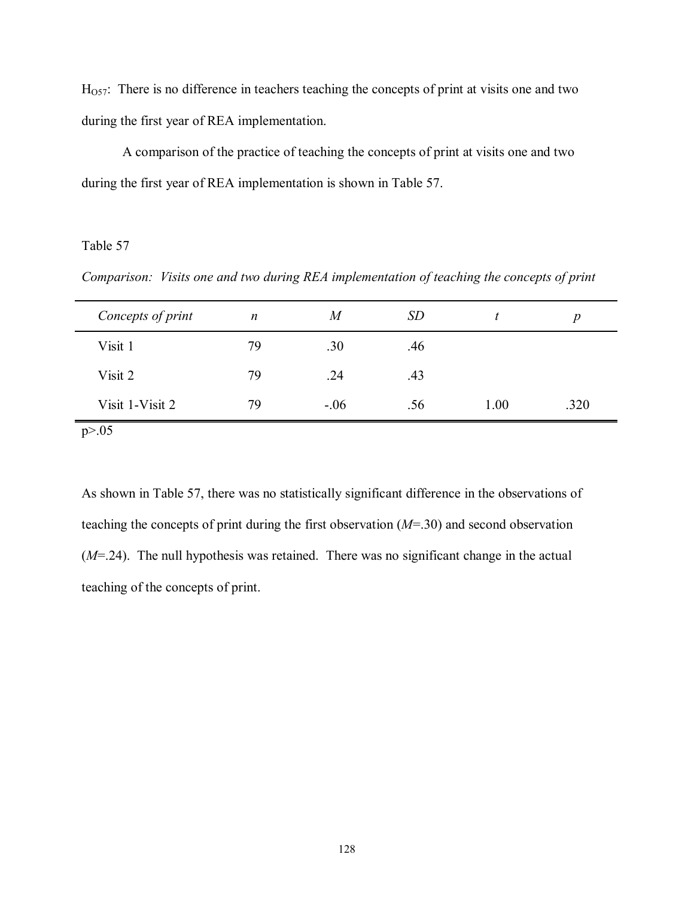$H<sub>057</sub>$ : There is no difference in teachers teaching the concepts of print at visits one and two during the first year of REA implementation.

 A comparison of the practice of teaching the concepts of print at visits one and two during the first year of REA implementation is shown in Table 57.

### Table 57

*Comparison: Visits one and two during REA implementation of teaching the concepts of print* 

| Concepts of print | $\boldsymbol{n}$ | M      | SD  |      | Ŋ    |
|-------------------|------------------|--------|-----|------|------|
| Visit 1           | 79               | .30    | .46 |      |      |
| Visit 2           | 79               | .24    | .43 |      |      |
| Visit 1-Visit 2   | 79               | $-.06$ | .56 | 1.00 | .320 |

 $p > 0.05$ 

As shown in Table 57, there was no statistically significant difference in the observations of teaching the concepts of print during the first observation (*M*=.30) and second observation (*M*=.24). The null hypothesis was retained. There was no significant change in the actual teaching of the concepts of print.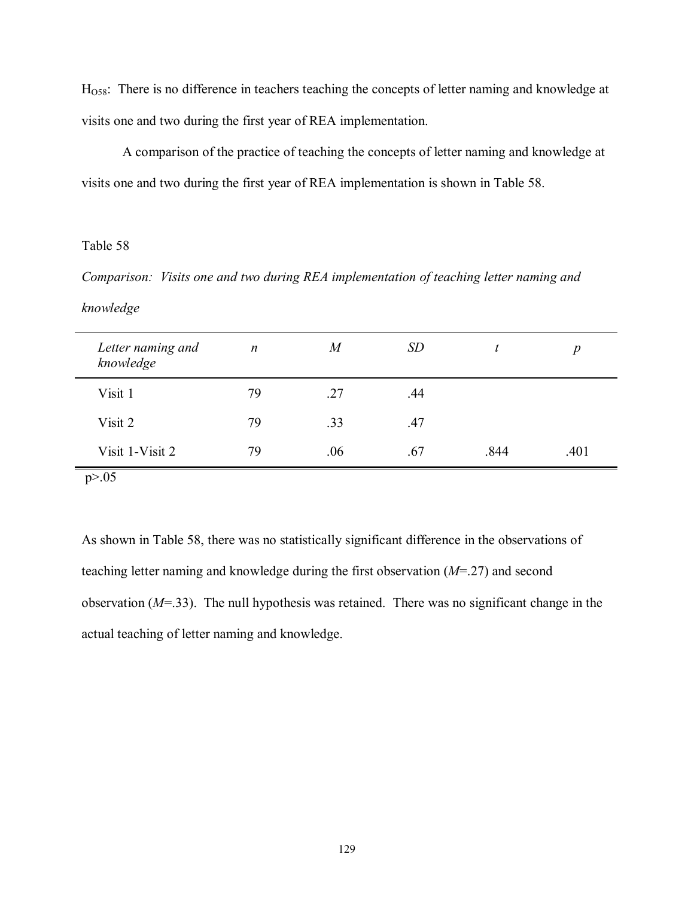HO58: There is no difference in teachers teaching the concepts of letter naming and knowledge at visits one and two during the first year of REA implementation.

 A comparison of the practice of teaching the concepts of letter naming and knowledge at visits one and two during the first year of REA implementation is shown in Table 58.

# Table 58

*Comparison: Visits one and two during REA implementation of teaching letter naming and knowledge* 

| Letter naming and<br>knowledge | $\boldsymbol{n}$ | $\overline{M}$ | SD  |      | $\boldsymbol{p}$ |  |
|--------------------------------|------------------|----------------|-----|------|------------------|--|
| Visit 1                        | 79               | .27            | .44 |      |                  |  |
| Visit 2                        | 79               | .33            | .47 |      |                  |  |
| Visit 1-Visit 2                | 79               | .06            | .67 | .844 | .401             |  |
| p > 0.05                       |                  |                |     |      |                  |  |

As shown in Table 58, there was no statistically significant difference in the observations of teaching letter naming and knowledge during the first observation (*M*=.27) and second observation (*M*=.33). The null hypothesis was retained. There was no significant change in the actual teaching of letter naming and knowledge.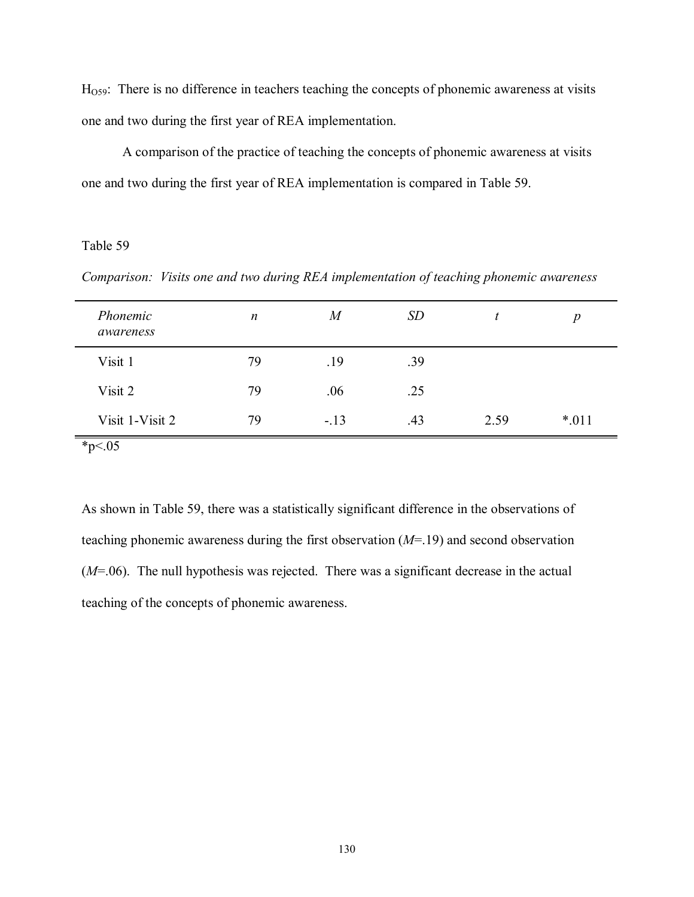H<sub>O59</sub>: There is no difference in teachers teaching the concepts of phonemic awareness at visits one and two during the first year of REA implementation.

 A comparison of the practice of teaching the concepts of phonemic awareness at visits one and two during the first year of REA implementation is compared in Table 59.

Table 59

*Comparison: Visits one and two during REA implementation of teaching phonemic awareness* 

| Phonemic<br>awareness | $\boldsymbol{n}$ | $\overline{M}$ | <i>SD</i> |      | $\boldsymbol{D}$ |
|-----------------------|------------------|----------------|-----------|------|------------------|
| Visit 1               | 79               | .19            | .39       |      |                  |
| Visit 2               | 79               | .06            | .25       |      |                  |
| Visit 1-Visit 2       | 79               | $-13$          | .43       | 2.59 | $*011$           |

As shown in Table 59, there was a statistically significant difference in the observations of teaching phonemic awareness during the first observation (*M*=.19) and second observation (*M*=.06). The null hypothesis was rejected. There was a significant decrease in the actual teaching of the concepts of phonemic awareness.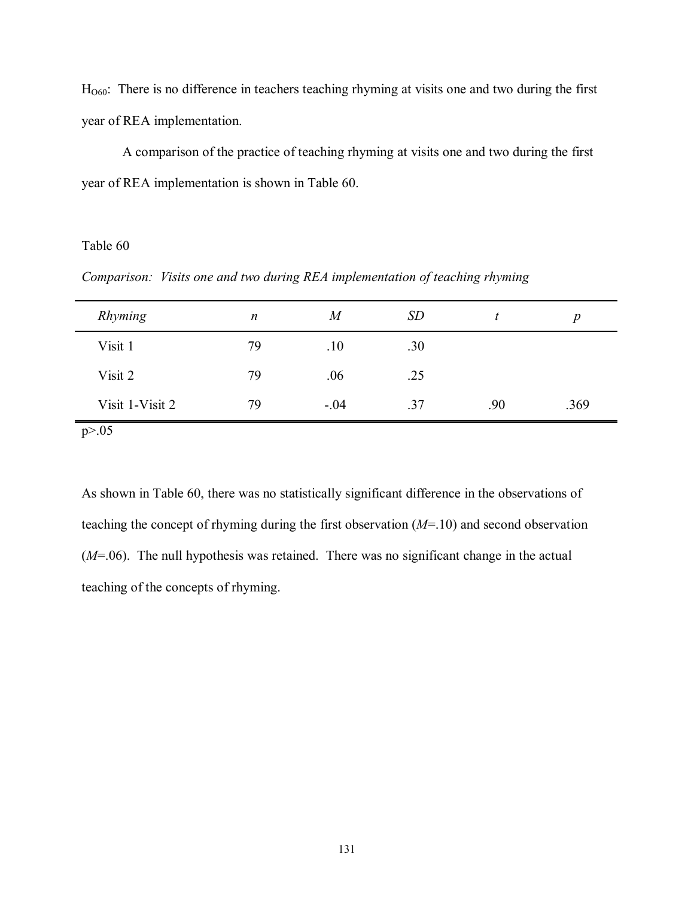HO60: There is no difference in teachers teaching rhyming at visits one and two during the first year of REA implementation.

 A comparison of the practice of teaching rhyming at visits one and two during the first year of REA implementation is shown in Table 60.

### Table 60

*Comparison: Visits one and two during REA implementation of teaching rhyming* 

| Rhyming         | $\boldsymbol{n}$ | $\it{M}$ | <b>SD</b> |     | n    |
|-----------------|------------------|----------|-----------|-----|------|
| Visit 1         | 79               | .10      | .30       |     |      |
| Visit 2         | 79               | .06      | .25       |     |      |
| Visit 1-Visit 2 | 79               | $-.04$   | .37       | .90 | .369 |

 $p > 0.05$ 

As shown in Table 60, there was no statistically significant difference in the observations of teaching the concept of rhyming during the first observation (*M*=.10) and second observation (*M*=.06). The null hypothesis was retained. There was no significant change in the actual teaching of the concepts of rhyming.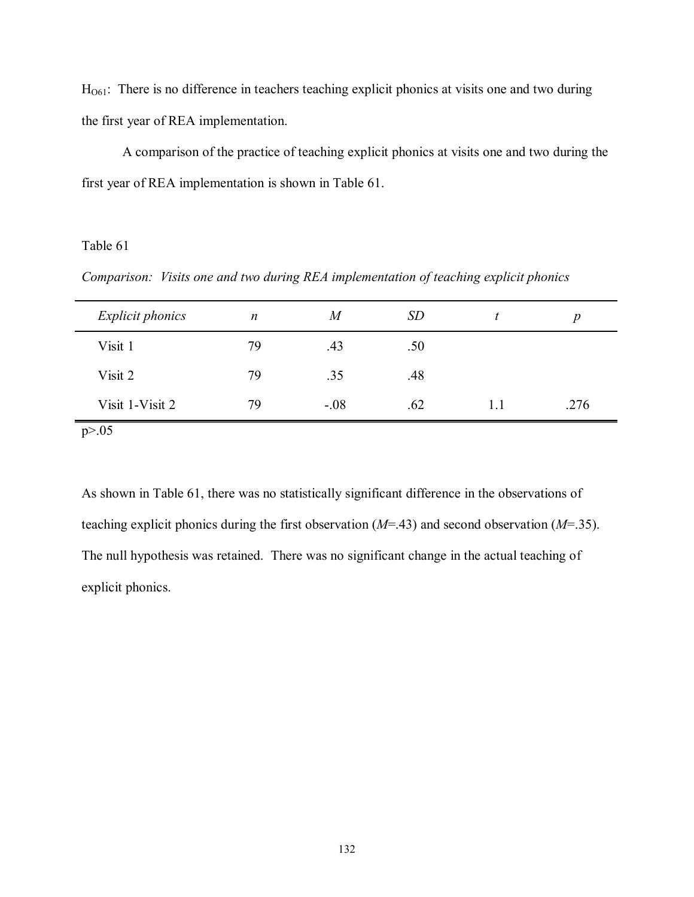$H<sub>061</sub>$ : There is no difference in teachers teaching explicit phonics at visits one and two during the first year of REA implementation.

 A comparison of the practice of teaching explicit phonics at visits one and two during the first year of REA implementation is shown in Table 61.

# Table 61

*Comparison: Visits one and two during REA implementation of teaching explicit phonics* 

| <b>Explicit phonics</b> | $\boldsymbol{n}$ | M      | <i>SD</i> |     | D    |
|-------------------------|------------------|--------|-----------|-----|------|
| Visit 1                 | 79               | .43    | .50       |     |      |
| Visit 2                 | 79               | .35    | .48       |     |      |
| Visit 1-Visit 2         | 79               | $-.08$ | .62       | L.I | .276 |

 $p > 0.05$ 

As shown in Table 61, there was no statistically significant difference in the observations of teaching explicit phonics during the first observation (*M*=.43) and second observation (*M*=.35). The null hypothesis was retained. There was no significant change in the actual teaching of explicit phonics.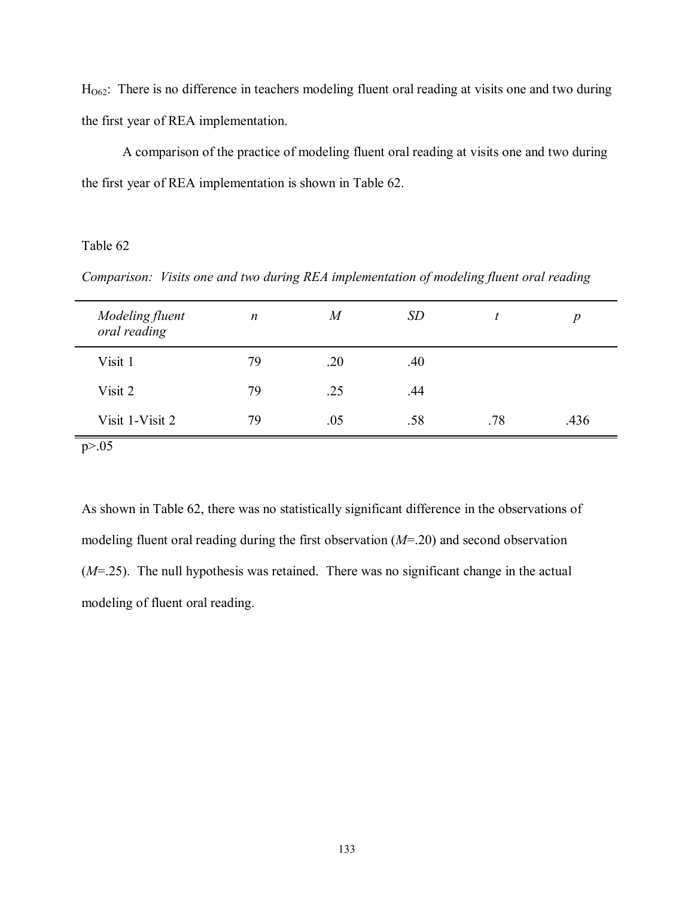$H<sub>062</sub>$ : There is no difference in teachers modeling fluent oral reading at visits one and two during the first year of REA implementation.

 A comparison of the practice of modeling fluent oral reading at visits one and two during the first year of REA implementation is shown in Table 62.

# Table 62

*Comparison: Visits one and two during REA implementation of modeling fluent oral reading* 

| Modeling fluent<br>oral reading | $\boldsymbol{n}$ | $\it{M}$ | <i>SD</i> |     | $\boldsymbol{p}$ |
|---------------------------------|------------------|----------|-----------|-----|------------------|
| Visit 1                         | 79               | .20      | .40       |     |                  |
| Visit 2                         | 79               | .25      | .44       |     |                  |
| Visit 1-Visit 2                 | 79               | .05      | .58       | .78 | .436             |

As shown in Table 62, there was no statistically significant difference in the observations of modeling fluent oral reading during the first observation (*M*=.20) and second observation (*M*=.25). The null hypothesis was retained. There was no significant change in the actual modeling of fluent oral reading.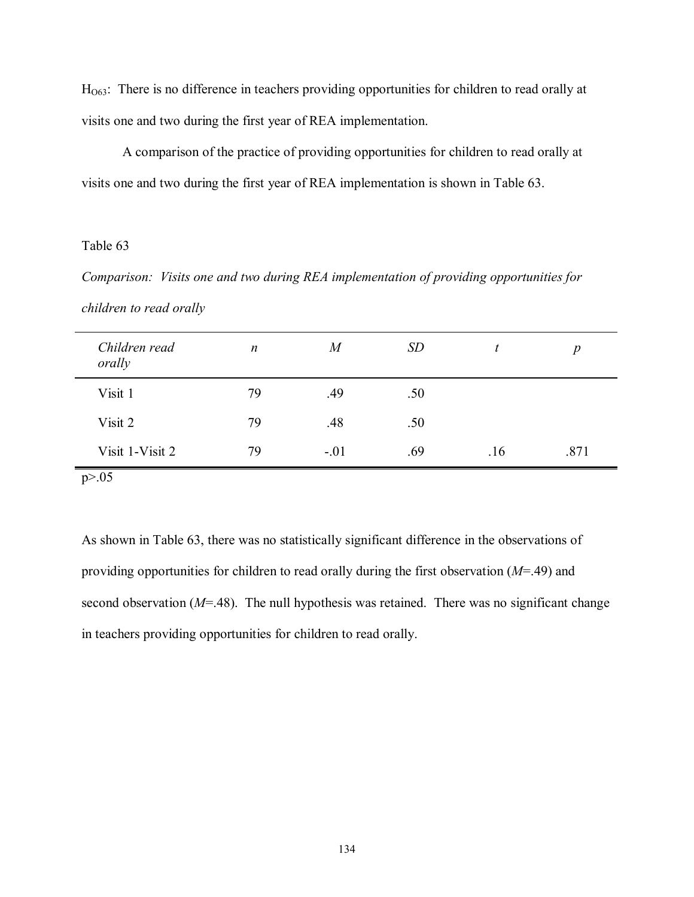H<sub>O63</sub>: There is no difference in teachers providing opportunities for children to read orally at visits one and two during the first year of REA implementation.

 A comparison of the practice of providing opportunities for children to read orally at visits one and two during the first year of REA implementation is shown in Table 63.

### Table 63

*Comparison: Visits one and two during REA implementation of providing opportunities for children to read orally* 

| Children read<br>orally | $\boldsymbol{n}$ | M      | <i>SD</i> |     | $\boldsymbol{p}$ |
|-------------------------|------------------|--------|-----------|-----|------------------|
| Visit 1                 | 79               | .49    | .50       |     |                  |
| Visit 2                 | 79               | .48    | .50       |     |                  |
| Visit 1-Visit 2         | 79               | $-.01$ | .69       | .16 | .871             |
| p > 0.05                |                  |        |           |     |                  |

As shown in Table 63, there was no statistically significant difference in the observations of providing opportunities for children to read orally during the first observation (*M*=.49) and second observation (*M*=.48). The null hypothesis was retained. There was no significant change in teachers providing opportunities for children to read orally.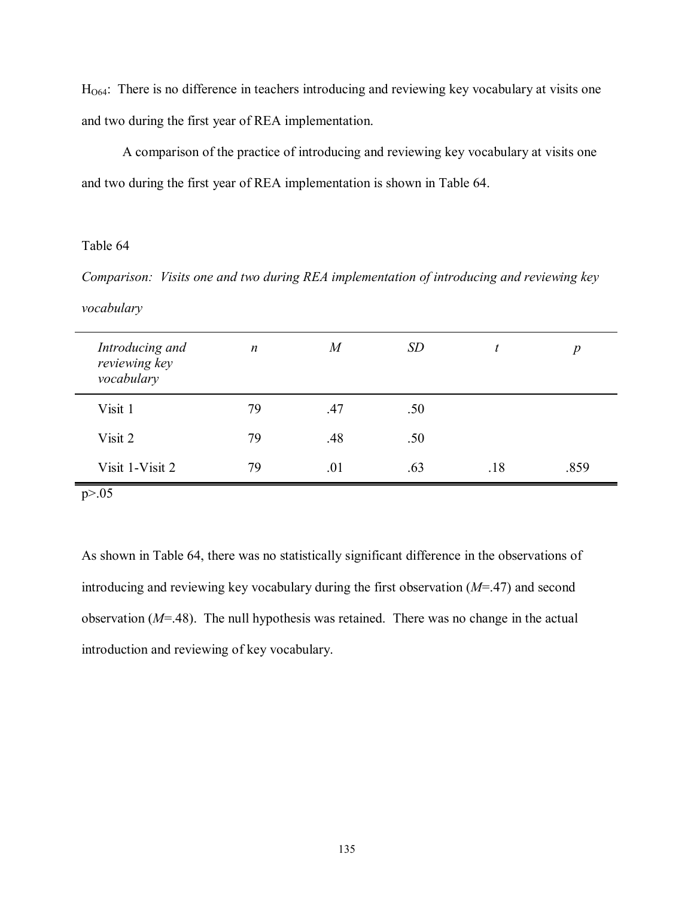HO64: There is no difference in teachers introducing and reviewing key vocabulary at visits one and two during the first year of REA implementation.

 A comparison of the practice of introducing and reviewing key vocabulary at visits one and two during the first year of REA implementation is shown in Table 64.

# Table 64

*Comparison: Visits one and two during REA implementation of introducing and reviewing key vocabulary* 

| Introducing and<br>reviewing key<br>vocabulary | $\boldsymbol{n}$ | $\overline{M}$ | <i>SD</i> |     | p    |
|------------------------------------------------|------------------|----------------|-----------|-----|------|
| Visit 1                                        | 79               | .47            | .50       |     |      |
| Visit 2                                        | 79               | .48            | .50       |     |      |
| Visit 1-Visit 2                                | 79               | .01            | .63       | .18 | .859 |

 $p > .05$ 

As shown in Table 64, there was no statistically significant difference in the observations of introducing and reviewing key vocabulary during the first observation (*M*=.47) and second observation (*M*=.48). The null hypothesis was retained. There was no change in the actual introduction and reviewing of key vocabulary.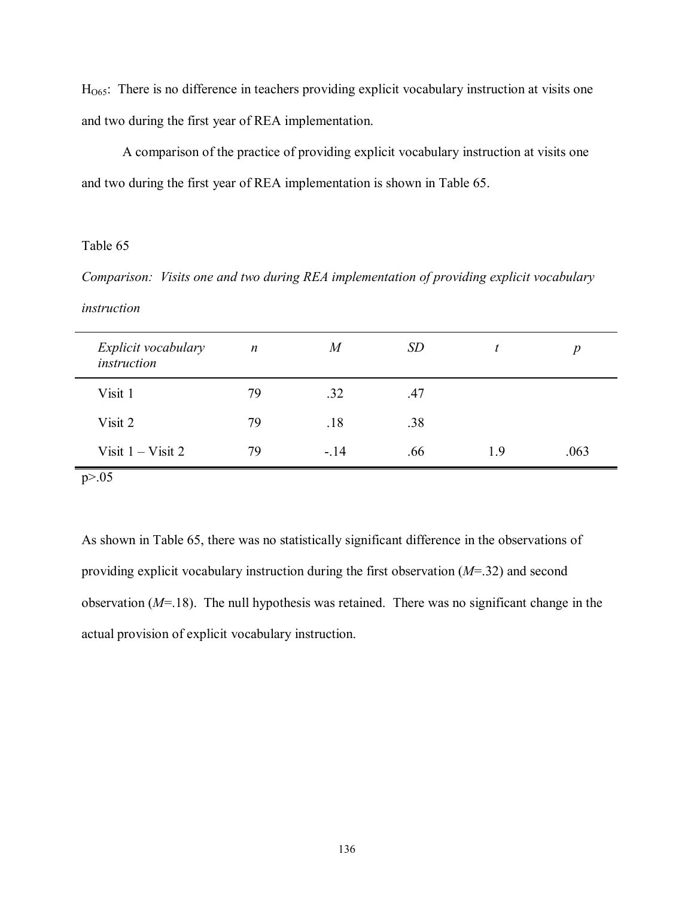HO65: There is no difference in teachers providing explicit vocabulary instruction at visits one and two during the first year of REA implementation.

 A comparison of the practice of providing explicit vocabulary instruction at visits one and two during the first year of REA implementation is shown in Table 65.

### Table 65

*Comparison: Visits one and two during REA implementation of providing explicit vocabulary instruction* 

| Explicit vocabulary<br>instruction | $\boldsymbol{n}$ | $\boldsymbol{M}$ | <i>SD</i> |     | $\boldsymbol{p}$ |
|------------------------------------|------------------|------------------|-----------|-----|------------------|
| Visit 1                            | 79               | .32              | .47       |     |                  |
| Visit 2                            | 79               | .18              | .38       |     |                  |
| Visit $1 - V$ isit 2               | 79               | $-.14$           | .66       | 1.9 | .063             |
| p > 0.05                           |                  |                  |           |     |                  |

As shown in Table 65, there was no statistically significant difference in the observations of providing explicit vocabulary instruction during the first observation (*M*=.32) and second observation (*M*=.18). The null hypothesis was retained. There was no significant change in the actual provision of explicit vocabulary instruction.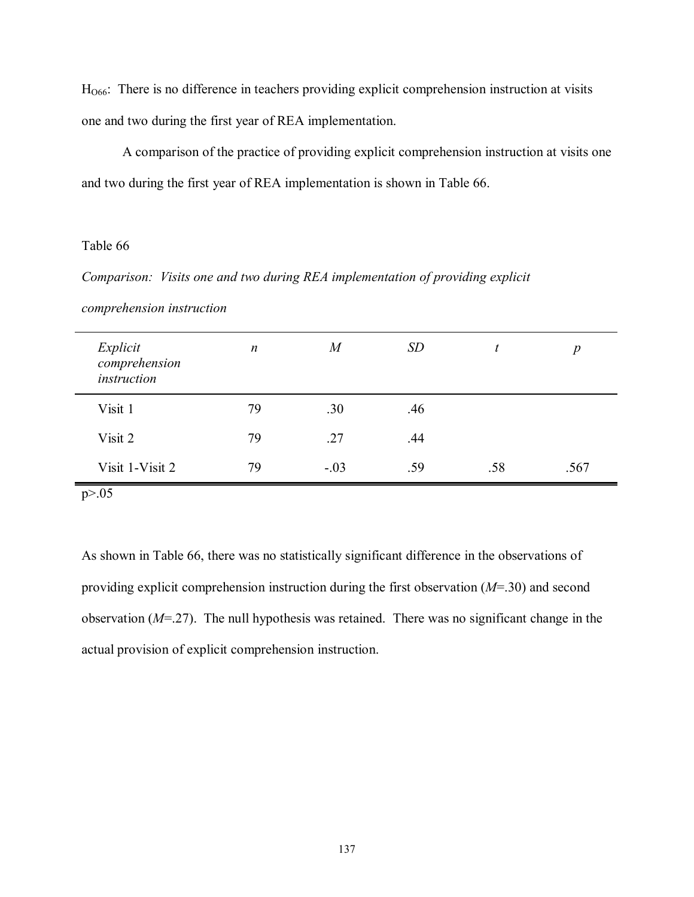H<sub>O66</sub>: There is no difference in teachers providing explicit comprehension instruction at visits one and two during the first year of REA implementation.

 A comparison of the practice of providing explicit comprehension instruction at visits one and two during the first year of REA implementation is shown in Table 66.

### Table 66

*Comparison: Visits one and two during REA implementation of providing explicit* 

| Explicit<br>comprehension<br>instruction | $\boldsymbol{n}$ | $\overline{M}$ | <i>SD</i> |     | $\boldsymbol{p}$ |
|------------------------------------------|------------------|----------------|-----------|-----|------------------|
| Visit 1                                  | 79               | .30            | .46       |     |                  |
| Visit 2                                  | 79               | .27            | .44       |     |                  |
| Visit 1-Visit 2                          | 79               | $-.03$         | .59       | .58 | .567             |

*comprehension instruction* 

 $p > .05$ 

As shown in Table 66, there was no statistically significant difference in the observations of providing explicit comprehension instruction during the first observation (*M*=.30) and second observation (*M*=.27). The null hypothesis was retained. There was no significant change in the actual provision of explicit comprehension instruction.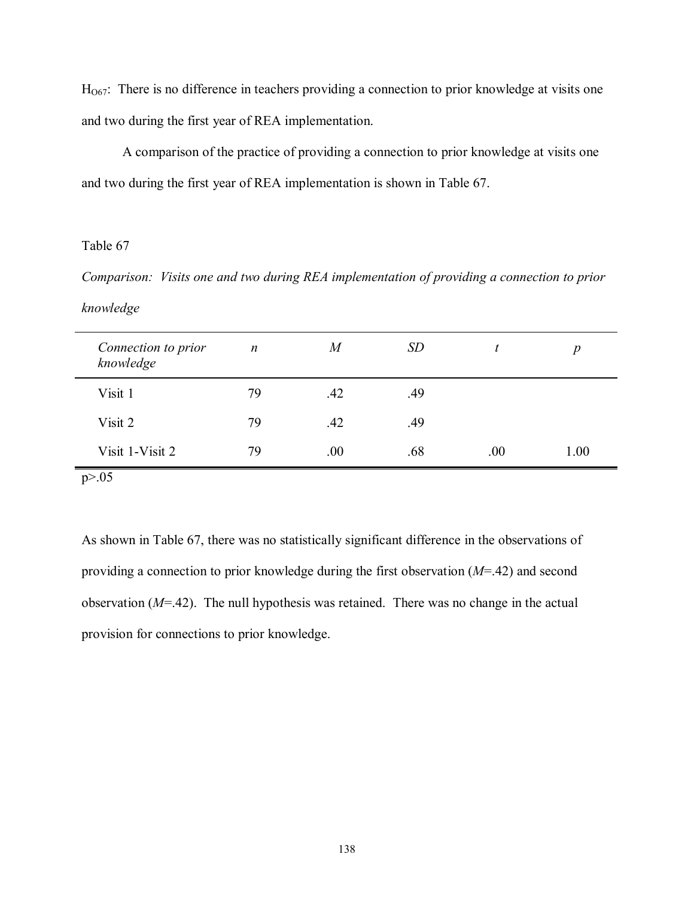$H<sub>067</sub>$ : There is no difference in teachers providing a connection to prior knowledge at visits one and two during the first year of REA implementation.

 A comparison of the practice of providing a connection to prior knowledge at visits one and two during the first year of REA implementation is shown in Table 67.

# Table 67

*Comparison: Visits one and two during REA implementation of providing a connection to prior knowledge* 

| Connection to prior<br>knowledge | $\boldsymbol{n}$ | $\overline{M}$ | <i>SD</i> | t.   | $\boldsymbol{p}$ |
|----------------------------------|------------------|----------------|-----------|------|------------------|
| Visit 1                          | 79               | .42            | .49       |      |                  |
| Visit 2                          | 79               | .42            | .49       |      |                  |
| Visit 1-Visit 2                  | 79               | .00            | .68       | .00. | 1.00             |
| p > 0.05                         |                  |                |           |      |                  |

As shown in Table 67, there was no statistically significant difference in the observations of providing a connection to prior knowledge during the first observation (*M*=.42) and second observation (*M*=.42). The null hypothesis was retained. There was no change in the actual provision for connections to prior knowledge.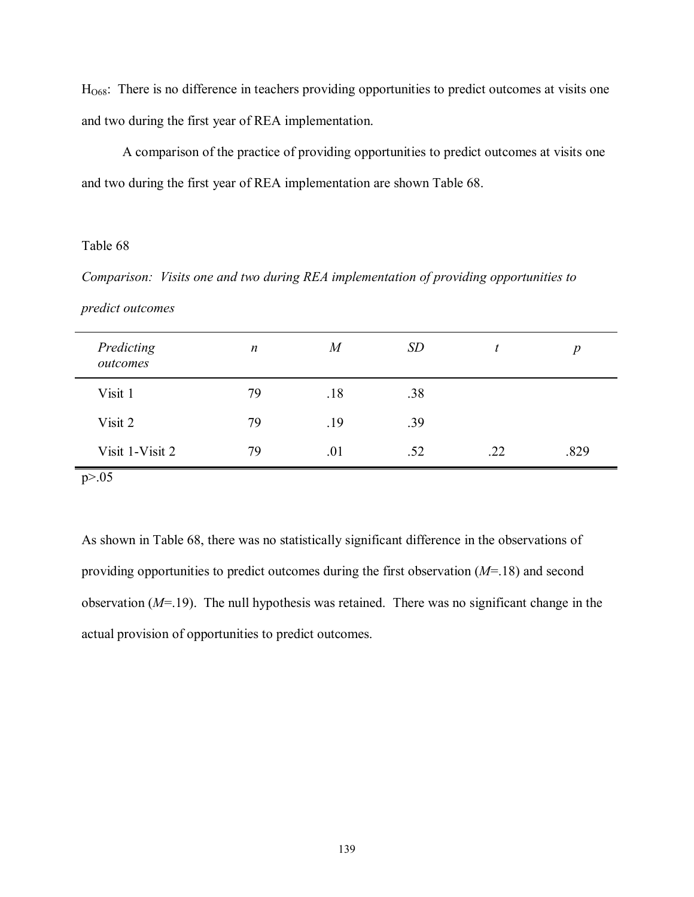HO68: There is no difference in teachers providing opportunities to predict outcomes at visits one and two during the first year of REA implementation.

 A comparison of the practice of providing opportunities to predict outcomes at visits one and two during the first year of REA implementation are shown Table 68.

### Table 68

*Comparison: Visits one and two during REA implementation of providing opportunities to* 

| Predicting<br>outcomes | $\boldsymbol{n}$ | $\overline{M}$ | <b>SD</b> |     | $\boldsymbol{p}$ |
|------------------------|------------------|----------------|-----------|-----|------------------|
| Visit 1                | 79               | .18            | .38       |     |                  |
| Visit 2                | 79               | .19            | .39       |     |                  |
| Visit 1-Visit 2        | 79               | .01            | .52       | .22 | .829             |
| p > 0.05               |                  |                |           |     |                  |

As shown in Table 68, there was no statistically significant difference in the observations of providing opportunities to predict outcomes during the first observation (*M*=.18) and second observation (*M*=.19). The null hypothesis was retained. There was no significant change in the actual provision of opportunities to predict outcomes.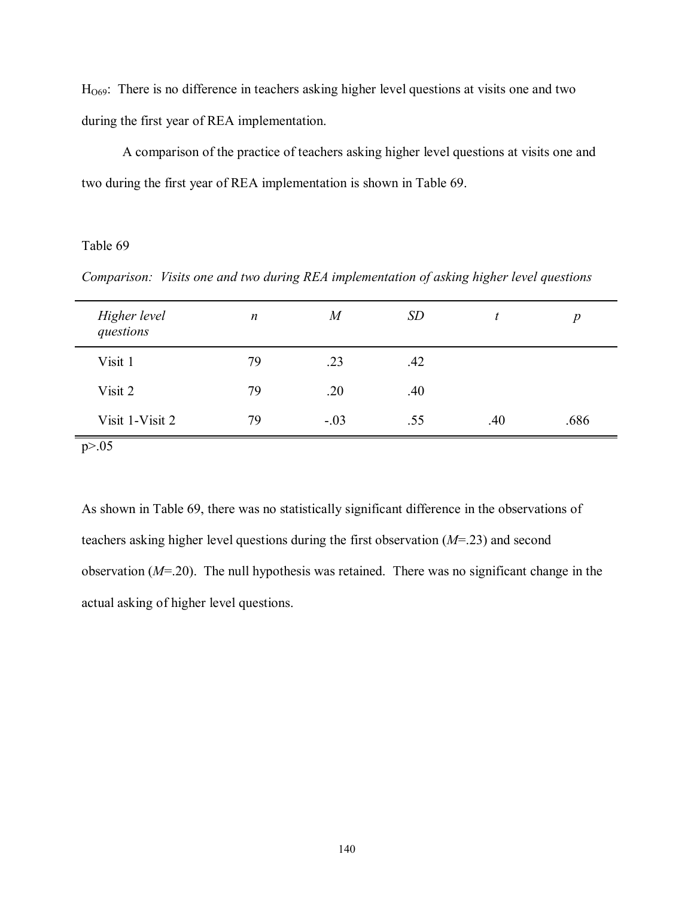$H<sub>069</sub>$ : There is no difference in teachers asking higher level questions at visits one and two during the first year of REA implementation.

 A comparison of the practice of teachers asking higher level questions at visits one and two during the first year of REA implementation is shown in Table 69.

### Table 69

*Comparison: Visits one and two during REA implementation of asking higher level questions* 

| Higher level<br>questions | $\boldsymbol{n}$ | $\it{M}$ | <i>SD</i> | t.  | $\boldsymbol{p}$ |
|---------------------------|------------------|----------|-----------|-----|------------------|
| Visit 1                   | 79               | .23      | .42       |     |                  |
| Visit 2                   | 79               | .20      | .40       |     |                  |
| Visit 1-Visit 2           | 79               | $-.03$   | .55       | .40 | .686             |

As shown in Table 69, there was no statistically significant difference in the observations of teachers asking higher level questions during the first observation (*M*=.23) and second observation (*M*=.20). The null hypothesis was retained. There was no significant change in the actual asking of higher level questions.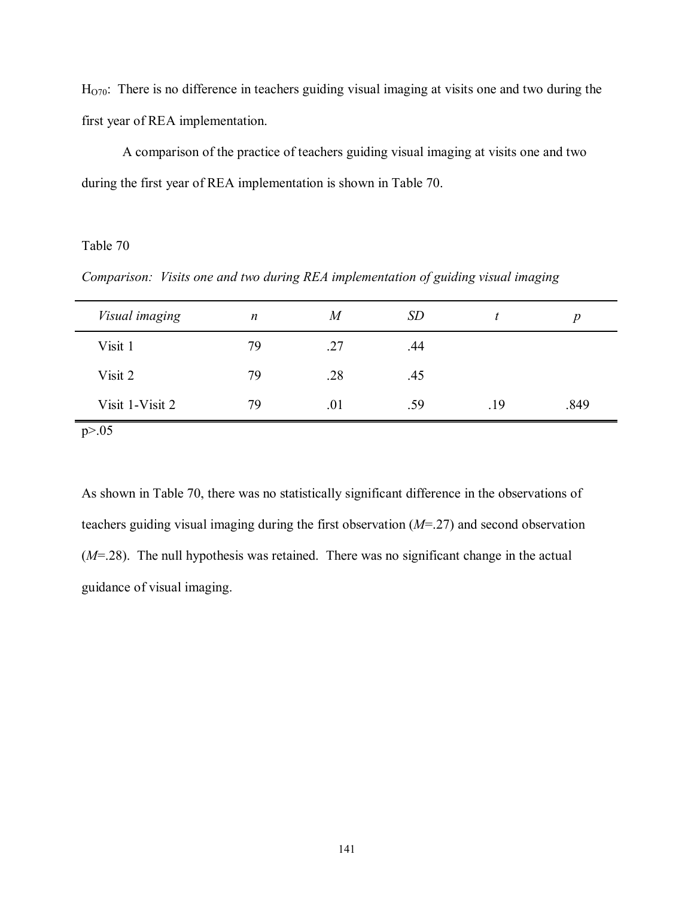$H<sub>O70</sub>$ : There is no difference in teachers guiding visual imaging at visits one and two during the first year of REA implementation.

 A comparison of the practice of teachers guiding visual imaging at visits one and two during the first year of REA implementation is shown in Table 70.

# Table 70

*Comparison: Visits one and two during REA implementation of guiding visual imaging* 

| Visual imaging  | $\boldsymbol{n}$ | M   | <i>SD</i> |     | n    |
|-----------------|------------------|-----|-----------|-----|------|
| Visit 1         | 79               | .27 | .44       |     |      |
| Visit 2         | 79               | .28 | .45       |     |      |
| Visit 1-Visit 2 | 79               | .01 | .59       | .19 | .849 |

 $p > 0.05$ 

As shown in Table 70, there was no statistically significant difference in the observations of teachers guiding visual imaging during the first observation (*M*=.27) and second observation (*M*=.28). The null hypothesis was retained. There was no significant change in the actual guidance of visual imaging.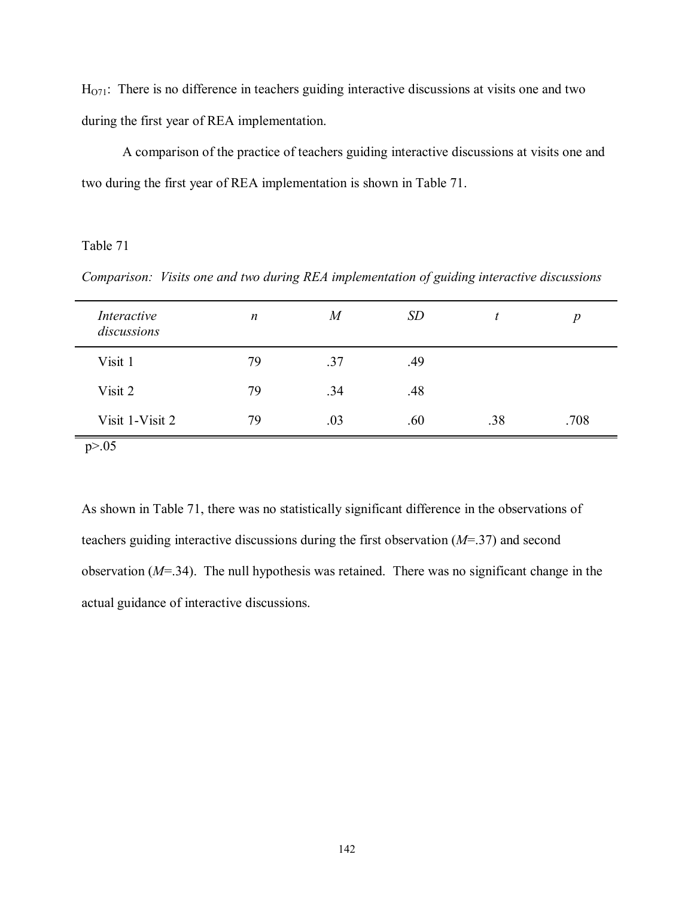$H<sub>071</sub>$ : There is no difference in teachers guiding interactive discussions at visits one and two during the first year of REA implementation.

 A comparison of the practice of teachers guiding interactive discussions at visits one and two during the first year of REA implementation is shown in Table 71.

Table 71

*Comparison: Visits one and two during REA implementation of guiding interactive discussions* 

| <i>Interactive</i><br>discussions | $\boldsymbol{n}$ | M   | <i>SD</i> |     | $\boldsymbol{p}$ |
|-----------------------------------|------------------|-----|-----------|-----|------------------|
| Visit 1                           | 79               | .37 | .49       |     |                  |
| Visit 2                           | 79               | .34 | .48       |     |                  |
| Visit 1-Visit 2                   | 79               | .03 | .60       | .38 | .708             |

As shown in Table 71, there was no statistically significant difference in the observations of teachers guiding interactive discussions during the first observation (*M*=.37) and second observation (*M*=.34). The null hypothesis was retained. There was no significant change in the actual guidance of interactive discussions.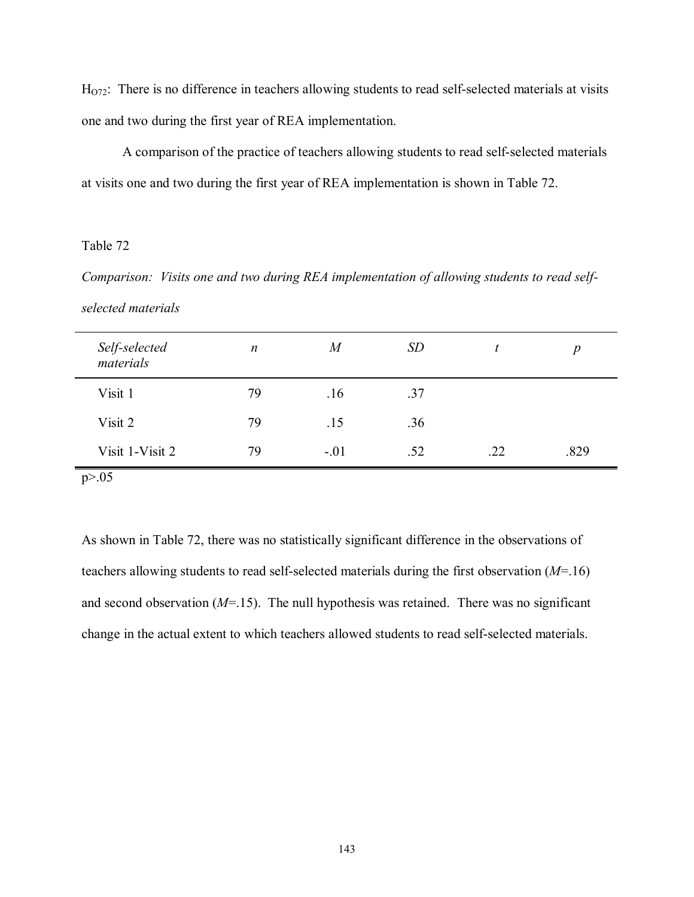$H<sub>072</sub>$ : There is no difference in teachers allowing students to read self-selected materials at visits one and two during the first year of REA implementation.

 A comparison of the practice of teachers allowing students to read self-selected materials at visits one and two during the first year of REA implementation is shown in Table 72.

# Table 72

*Comparison: Visits one and two during REA implementation of allowing students to read selfselected materials* 

| Self-selected<br>materials | $\boldsymbol{n}$ | $\overline{M}$ | <i>SD</i> |     | $\boldsymbol{p}$ |
|----------------------------|------------------|----------------|-----------|-----|------------------|
| Visit 1                    | 79               | .16            | .37       |     |                  |
| Visit 2                    | 79               | .15            | .36       |     |                  |
| Visit 1-Visit 2            | 79               | $-.01$         | .52       | .22 | .829             |
| p > 0.05                   |                  |                |           |     |                  |

As shown in Table 72, there was no statistically significant difference in the observations of teachers allowing students to read self-selected materials during the first observation (*M*=.16) and second observation (*M*=.15). The null hypothesis was retained. There was no significant change in the actual extent to which teachers allowed students to read self-selected materials.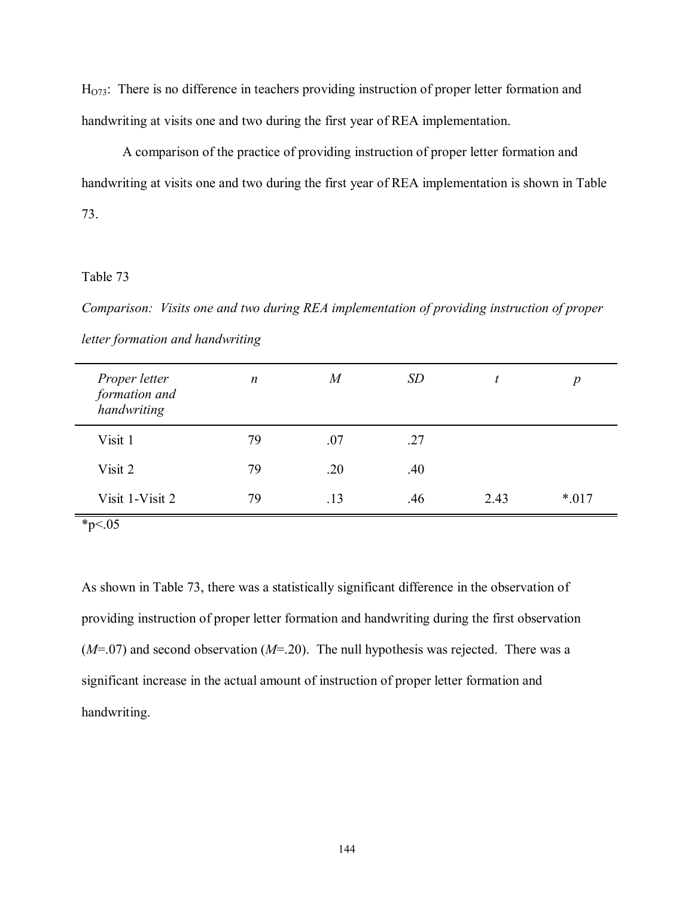$H<sub>073</sub>$ : There is no difference in teachers providing instruction of proper letter formation and handwriting at visits one and two during the first year of REA implementation.

 A comparison of the practice of providing instruction of proper letter formation and handwriting at visits one and two during the first year of REA implementation is shown in Table 73.

## Table 73

*Comparison: Visits one and two during REA implementation of providing instruction of proper letter formation and handwriting* 

| Proper letter<br>formation and<br>handwriting | $\boldsymbol{n}$ | M   | <i>SD</i> | L    | p      |
|-----------------------------------------------|------------------|-----|-----------|------|--------|
| Visit 1                                       | 79               | .07 | .27       |      |        |
| Visit 2                                       | 79               | .20 | .40       |      |        |
| Visit 1-Visit 2                               | 79               | .13 | .46       | 2.43 | $*017$ |

 $*_{p<.05}$ 

As shown in Table 73, there was a statistically significant difference in the observation of providing instruction of proper letter formation and handwriting during the first observation (*M*=.07) and second observation (*M*=.20). The null hypothesis was rejected. There was a significant increase in the actual amount of instruction of proper letter formation and handwriting.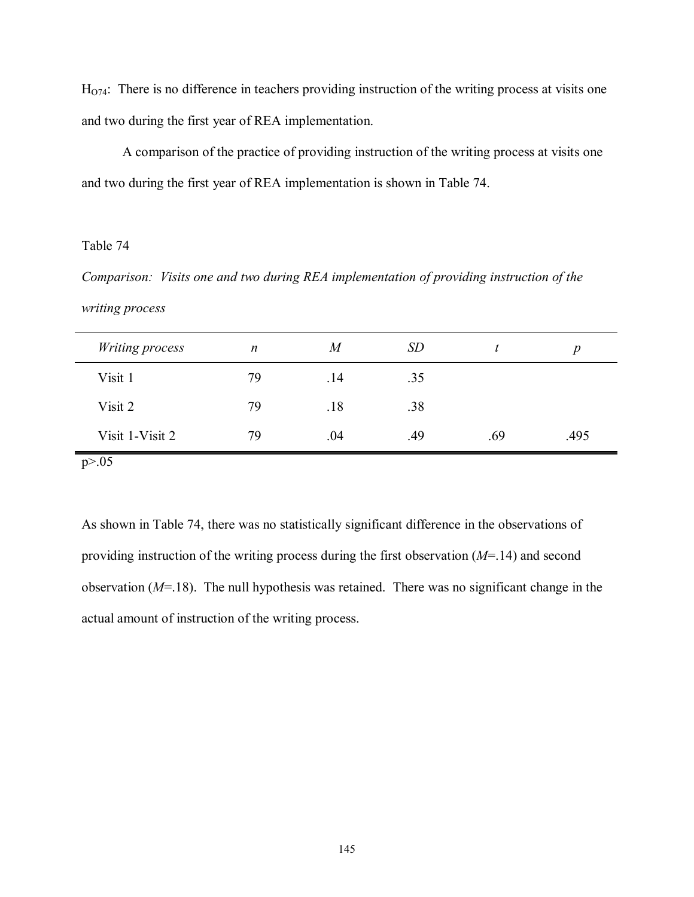$H<sub>074</sub>$ : There is no difference in teachers providing instruction of the writing process at visits one and two during the first year of REA implementation.

 A comparison of the practice of providing instruction of the writing process at visits one and two during the first year of REA implementation is shown in Table 74.

## Table 74

*Comparison: Visits one and two during REA implementation of providing instruction of the writing process* 

| <b>Writing process</b> | $\boldsymbol{n}$ | M   | <b>SD</b> |     | p    |
|------------------------|------------------|-----|-----------|-----|------|
| Visit 1                | 79               | .14 | .35       |     |      |
| Visit 2                | 79               | .18 | .38       |     |      |
| Visit 1-Visit 2        | 79               | .04 | .49       | .69 | .495 |
| p > 0.05               |                  |     |           |     |      |

As shown in Table 74, there was no statistically significant difference in the observations of providing instruction of the writing process during the first observation (*M*=.14) and second observation (*M*=.18). The null hypothesis was retained. There was no significant change in the actual amount of instruction of the writing process.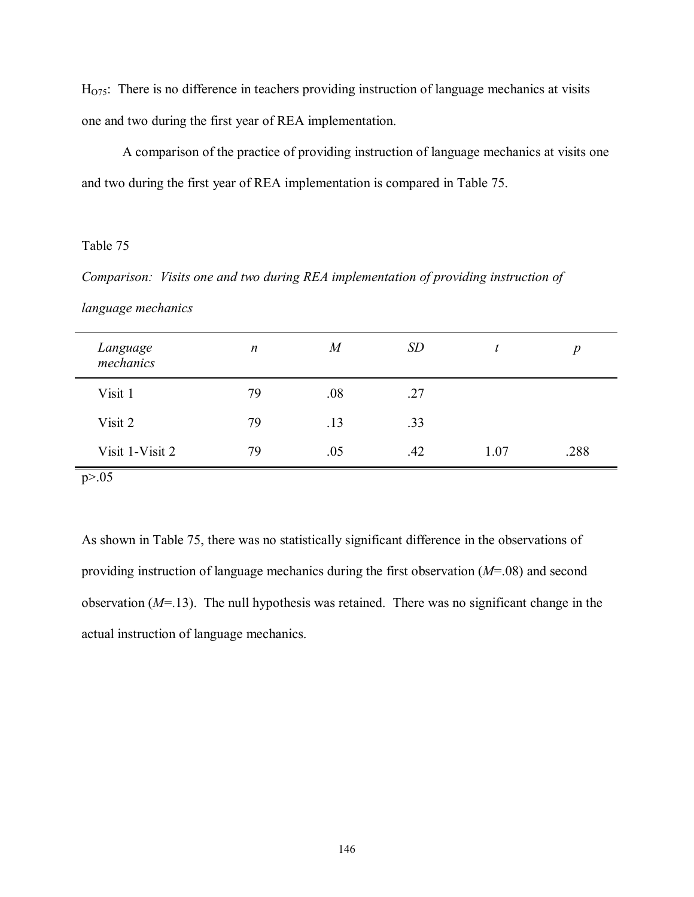$H<sub>075</sub>$ : There is no difference in teachers providing instruction of language mechanics at visits one and two during the first year of REA implementation.

 A comparison of the practice of providing instruction of language mechanics at visits one and two during the first year of REA implementation is compared in Table 75.

# Table 75

*Comparison: Visits one and two during REA implementation of providing instruction of* 

|  | language mechanics |  |  |
|--|--------------------|--|--|
|--|--------------------|--|--|

| Language<br>mechanics | $\boldsymbol{n}$ | $\overline{M}$ | <b>SD</b> |      | $\boldsymbol{p}$ |
|-----------------------|------------------|----------------|-----------|------|------------------|
| Visit 1               | 79               | .08            | .27       |      |                  |
| Visit 2               | 79               | .13            | .33       |      |                  |
| Visit 1-Visit 2       | 79               | .05            | .42       | 1.07 | .288             |
| p > 0.05              |                  |                |           |      |                  |

As shown in Table 75, there was no statistically significant difference in the observations of providing instruction of language mechanics during the first observation (*M*=.08) and second observation (*M*=.13). The null hypothesis was retained. There was no significant change in the actual instruction of language mechanics.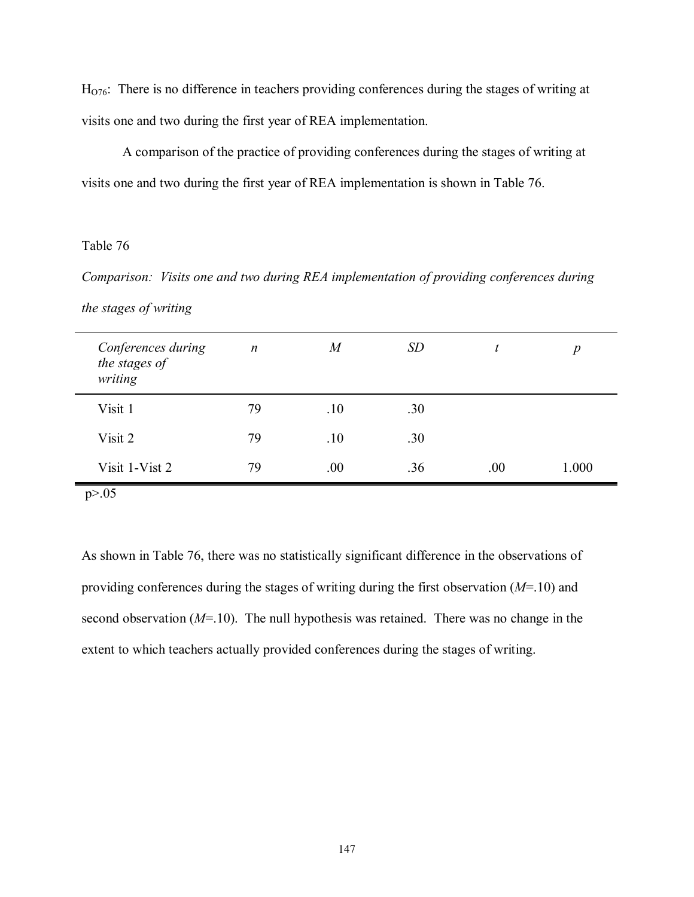$H<sub>076</sub>$ : There is no difference in teachers providing conferences during the stages of writing at visits one and two during the first year of REA implementation.

 A comparison of the practice of providing conferences during the stages of writing at visits one and two during the first year of REA implementation is shown in Table 76.

# Table 76

*Comparison: Visits one and two during REA implementation of providing conferences during the stages of writing* 

| Conferences during<br>the stages of<br>writing | $\boldsymbol{n}$ | $\boldsymbol{M}$ | SD  |      | $\boldsymbol{p}$ |
|------------------------------------------------|------------------|------------------|-----|------|------------------|
| Visit 1                                        | 79               | .10              | .30 |      |                  |
| Visit 2                                        | 79               | .10              | .30 |      |                  |
| Visit 1-Vist 2                                 | 79               | .00              | .36 | .00. | 1.000            |

p>.05

As shown in Table 76, there was no statistically significant difference in the observations of providing conferences during the stages of writing during the first observation (*M*=.10) and second observation (*M*=.10). The null hypothesis was retained. There was no change in the extent to which teachers actually provided conferences during the stages of writing.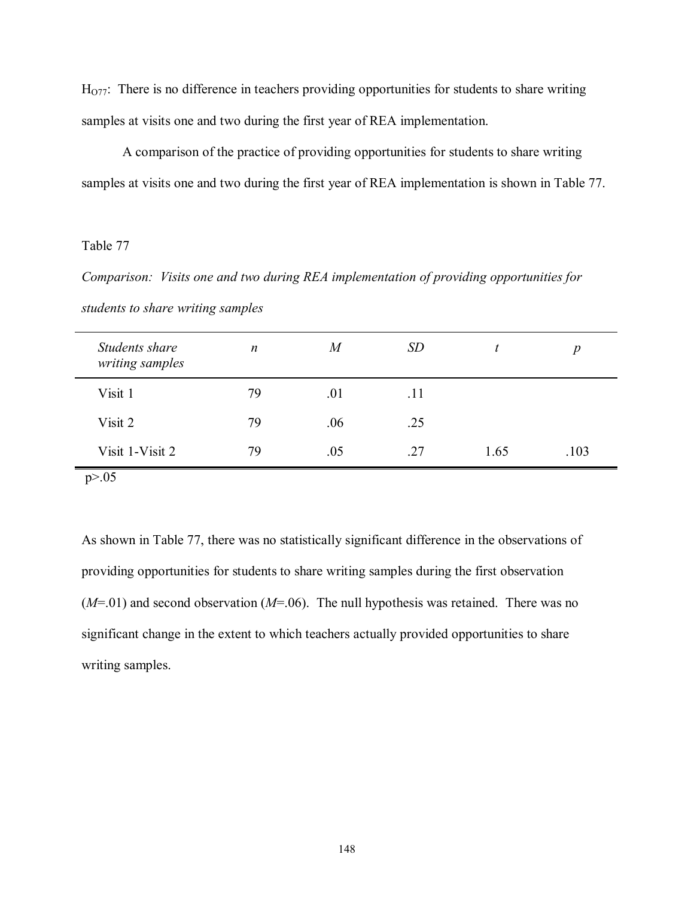$H<sub>077</sub>$ : There is no difference in teachers providing opportunities for students to share writing samples at visits one and two during the first year of REA implementation.

 A comparison of the practice of providing opportunities for students to share writing samples at visits one and two during the first year of REA implementation is shown in Table 77.

## Table 77

*Comparison: Visits one and two during REA implementation of providing opportunities for students to share writing samples* 

| Students share<br>writing samples | $\boldsymbol{n}$ | $\boldsymbol{M}$ | <i>SD</i> |      | $\boldsymbol{p}$ |
|-----------------------------------|------------------|------------------|-----------|------|------------------|
| Visit 1                           | 79               | .01              | .11       |      |                  |
| Visit 2                           | 79               | .06              | .25       |      |                  |
| Visit 1-Visit 2                   | 79               | .05              | .27       | 1.65 | .103             |
| p > 0.05                          |                  |                  |           |      |                  |

As shown in Table 77, there was no statistically significant difference in the observations of providing opportunities for students to share writing samples during the first observation (*M*=.01) and second observation (*M*=.06). The null hypothesis was retained. There was no significant change in the extent to which teachers actually provided opportunities to share writing samples.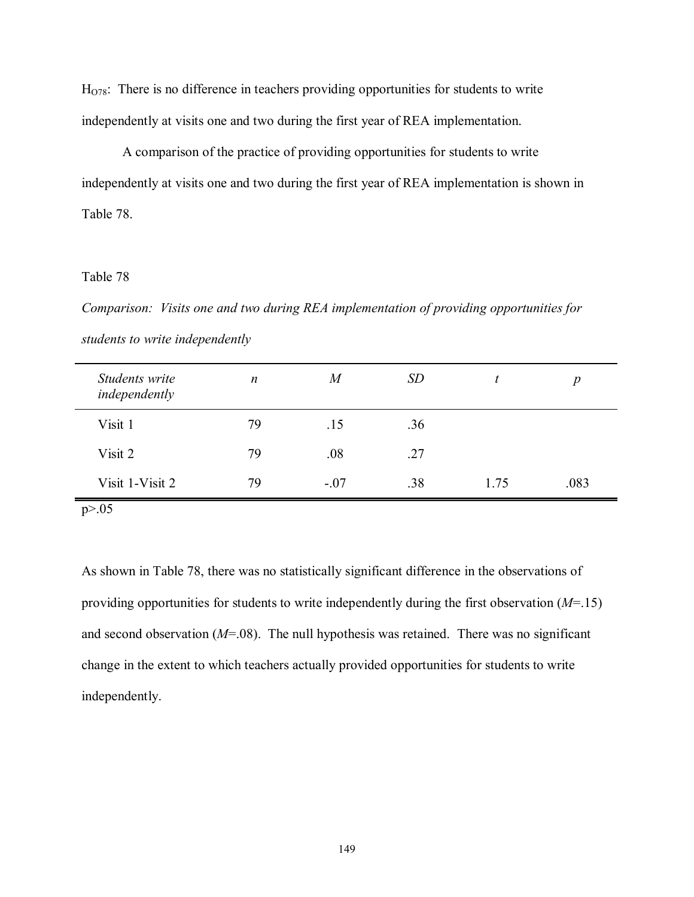$H<sub>078</sub>$ : There is no difference in teachers providing opportunities for students to write independently at visits one and two during the first year of REA implementation.

 A comparison of the practice of providing opportunities for students to write independently at visits one and two during the first year of REA implementation is shown in Table 78.

## Table 78

*Comparison: Visits one and two during REA implementation of providing opportunities for students to write independently* 

| Students write<br>independently | $\boldsymbol{n}$ | $\overline{M}$ | <b>SD</b> |      | $\boldsymbol{p}$ |
|---------------------------------|------------------|----------------|-----------|------|------------------|
| Visit 1                         | 79               | .15            | .36       |      |                  |
| Visit 2                         | 79               | .08            | .27       |      |                  |
| Visit 1-Visit 2                 | 79               | $-.07$         | .38       | 1.75 | .083             |
| p > 0.05                        |                  |                |           |      |                  |

As shown in Table 78, there was no statistically significant difference in the observations of providing opportunities for students to write independently during the first observation (*M*=.15) and second observation (*M*=.08). The null hypothesis was retained. There was no significant change in the extent to which teachers actually provided opportunities for students to write independently.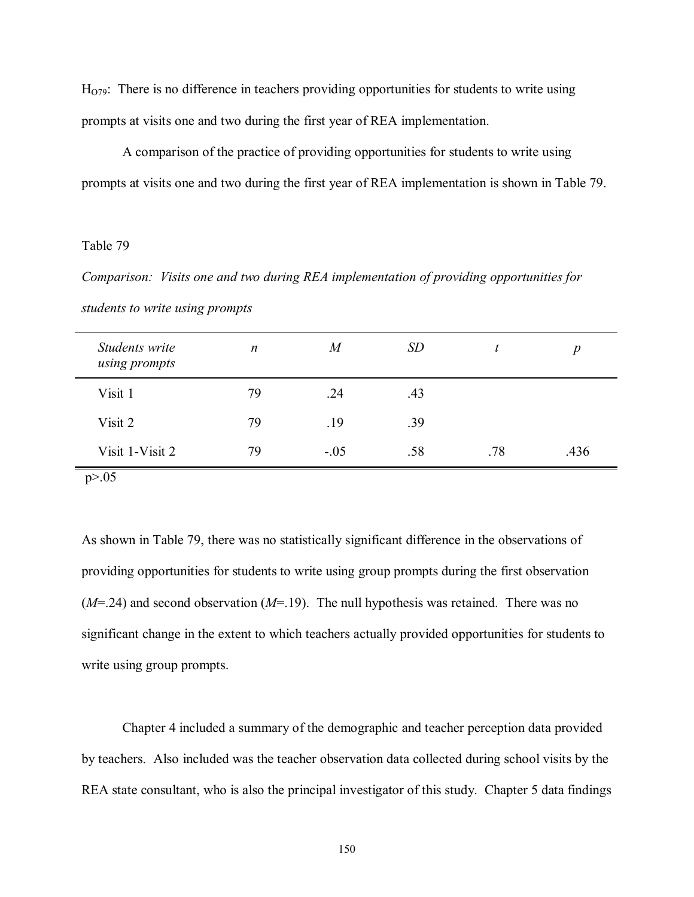$H<sub>O79</sub>$ : There is no difference in teachers providing opportunities for students to write using prompts at visits one and two during the first year of REA implementation.

 A comparison of the practice of providing opportunities for students to write using prompts at visits one and two during the first year of REA implementation is shown in Table 79.

### Table 79

*Comparison: Visits one and two during REA implementation of providing opportunities for students to write using prompts* 

| Students write<br>using prompts | $\boldsymbol{n}$ | $\boldsymbol{M}$ | <i>SD</i> |     | $\boldsymbol{p}$ |
|---------------------------------|------------------|------------------|-----------|-----|------------------|
| Visit 1                         | 79               | .24              | .43       |     |                  |
| Visit 2                         | 79               | .19              | .39       |     |                  |
| Visit 1-Visit 2                 | 79               | $-.05$           | .58       | .78 | .436             |
| p > 0.05                        |                  |                  |           |     |                  |

As shown in Table 79, there was no statistically significant difference in the observations of providing opportunities for students to write using group prompts during the first observation (*M*=.24) and second observation (*M*=.19). The null hypothesis was retained. There was no significant change in the extent to which teachers actually provided opportunities for students to write using group prompts.

 Chapter 4 included a summary of the demographic and teacher perception data provided by teachers. Also included was the teacher observation data collected during school visits by the REA state consultant, who is also the principal investigator of this study. Chapter 5 data findings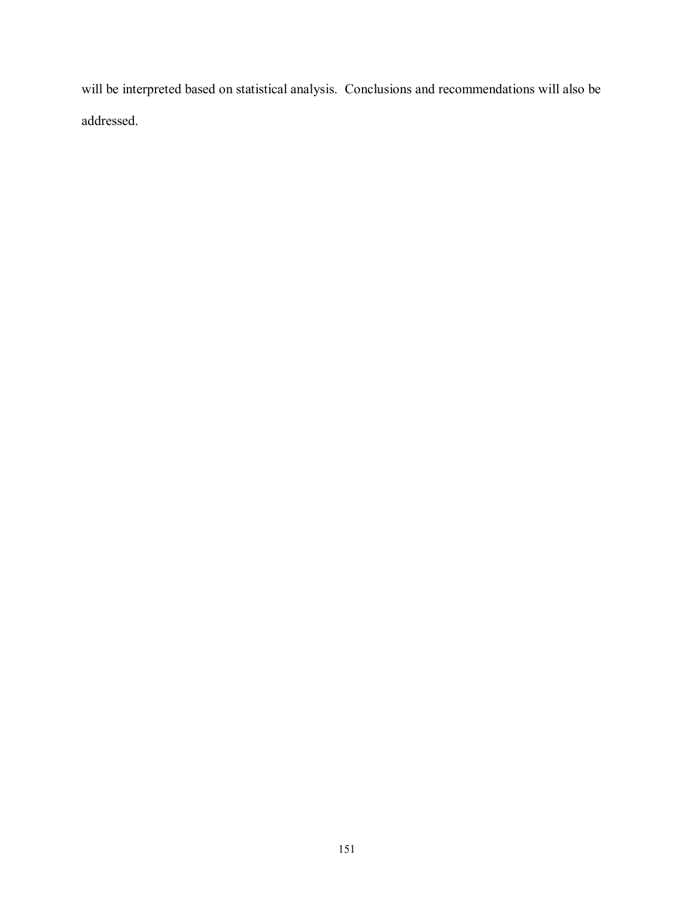will be interpreted based on statistical analysis. Conclusions and recommendations will also be addressed.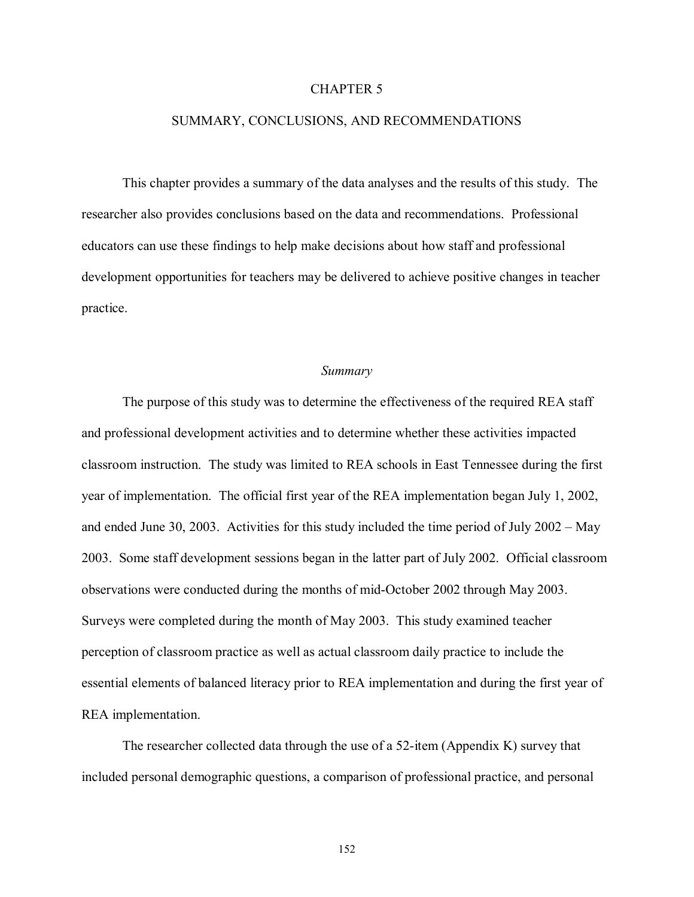#### CHAPTER 5

#### SUMMARY, CONCLUSIONS, AND RECOMMENDATIONS

 This chapter provides a summary of the data analyses and the results of this study. The researcher also provides conclusions based on the data and recommendations. Professional educators can use these findings to help make decisions about how staff and professional development opportunities for teachers may be delivered to achieve positive changes in teacher practice.

#### *Summary*

 The purpose of this study was to determine the effectiveness of the required REA staff and professional development activities and to determine whether these activities impacted classroom instruction. The study was limited to REA schools in East Tennessee during the first year of implementation. The official first year of the REA implementation began July 1, 2002, and ended June 30, 2003. Activities for this study included the time period of July  $2002 - May$ 2003. Some staff development sessions began in the latter part of July 2002. Official classroom observations were conducted during the months of mid-October 2002 through May 2003. Surveys were completed during the month of May 2003. This study examined teacher perception of classroom practice as well as actual classroom daily practice to include the essential elements of balanced literacy prior to REA implementation and during the first year of REA implementation.

 The researcher collected data through the use of a 52-item (Appendix K) survey that included personal demographic questions, a comparison of professional practice, and personal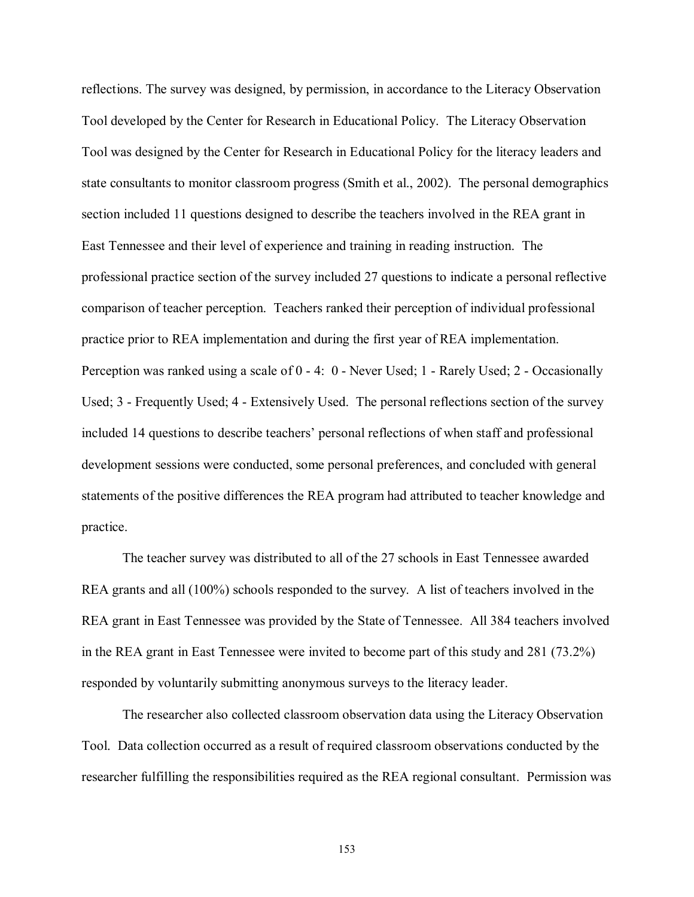reflections. The survey was designed, by permission, in accordance to the Literacy Observation Tool developed by the Center for Research in Educational Policy. The Literacy Observation Tool was designed by the Center for Research in Educational Policy for the literacy leaders and state consultants to monitor classroom progress (Smith et al., 2002). The personal demographics section included 11 questions designed to describe the teachers involved in the REA grant in East Tennessee and their level of experience and training in reading instruction. The professional practice section of the survey included 27 questions to indicate a personal reflective comparison of teacher perception. Teachers ranked their perception of individual professional practice prior to REA implementation and during the first year of REA implementation. Perception was ranked using a scale of 0 - 4: 0 - Never Used; 1 - Rarely Used; 2 - Occasionally Used; 3 - Frequently Used; 4 - Extensively Used. The personal reflections section of the survey included 14 questions to describe teachers' personal reflections of when staff and professional development sessions were conducted, some personal preferences, and concluded with general statements of the positive differences the REA program had attributed to teacher knowledge and practice.

 The teacher survey was distributed to all of the 27 schools in East Tennessee awarded REA grants and all (100%) schools responded to the survey. A list of teachers involved in the REA grant in East Tennessee was provided by the State of Tennessee. All 384 teachers involved in the REA grant in East Tennessee were invited to become part of this study and 281 (73.2%) responded by voluntarily submitting anonymous surveys to the literacy leader.

 The researcher also collected classroom observation data using the Literacy Observation Tool. Data collection occurred as a result of required classroom observations conducted by the researcher fulfilling the responsibilities required as the REA regional consultant. Permission was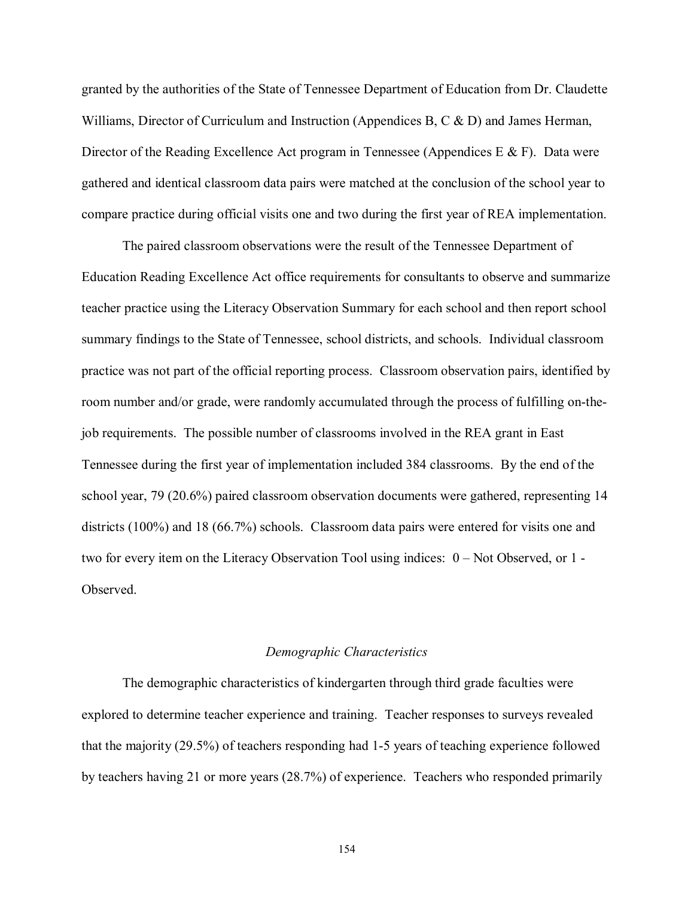granted by the authorities of the State of Tennessee Department of Education from Dr. Claudette Williams, Director of Curriculum and Instruction (Appendices B, C & D) and James Herman, Director of the Reading Excellence Act program in Tennessee (Appendices E  $\&$  F). Data were gathered and identical classroom data pairs were matched at the conclusion of the school year to compare practice during official visits one and two during the first year of REA implementation.

 The paired classroom observations were the result of the Tennessee Department of Education Reading Excellence Act office requirements for consultants to observe and summarize teacher practice using the Literacy Observation Summary for each school and then report school summary findings to the State of Tennessee, school districts, and schools. Individual classroom practice was not part of the official reporting process. Classroom observation pairs, identified by room number and/or grade, were randomly accumulated through the process of fulfilling on-thejob requirements. The possible number of classrooms involved in the REA grant in East Tennessee during the first year of implementation included 384 classrooms. By the end of the school year, 79 (20.6%) paired classroom observation documents were gathered, representing 14 districts (100%) and 18 (66.7%) schools. Classroom data pairs were entered for visits one and two for every item on the Literacy Observation Tool using indices:  $0 - Not Observed$ , or  $1 -$ **Observed** 

#### *Demographic Characteristics*

 The demographic characteristics of kindergarten through third grade faculties were explored to determine teacher experience and training. Teacher responses to surveys revealed that the majority (29.5%) of teachers responding had 1-5 years of teaching experience followed by teachers having 21 or more years (28.7%) of experience. Teachers who responded primarily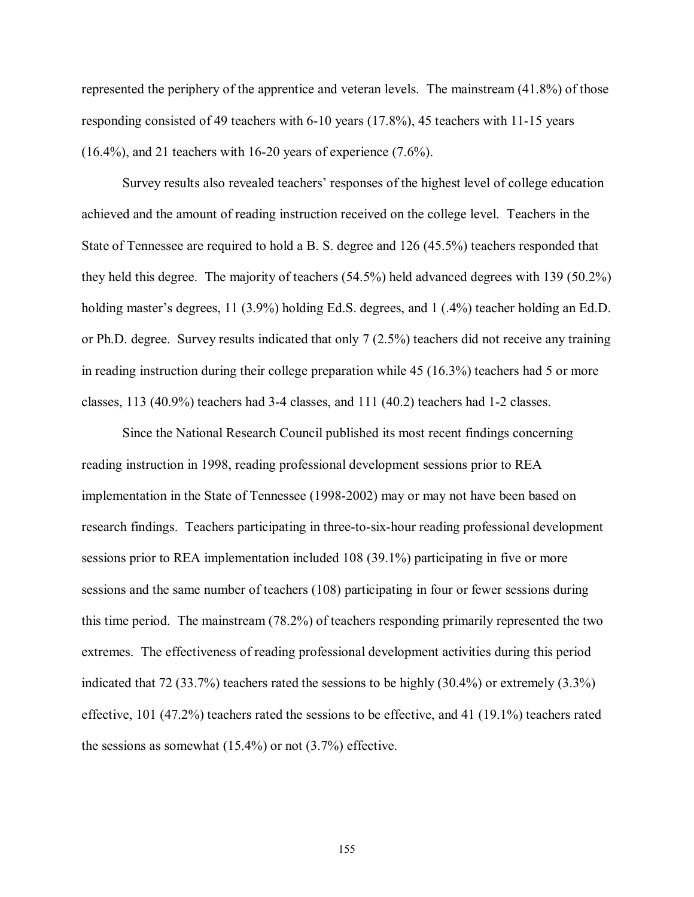represented the periphery of the apprentice and veteran levels. The mainstream (41.8%) of those responding consisted of 49 teachers with 6-10 years (17.8%), 45 teachers with 11-15 years  $(16.4\%)$ , and 21 teachers with 16-20 years of experience  $(7.6\%)$ .

Survey results also revealed teachers' responses of the highest level of college education achieved and the amount of reading instruction received on the college level. Teachers in the State of Tennessee are required to hold a B. S. degree and 126 (45.5%) teachers responded that they held this degree. The majority of teachers (54.5%) held advanced degrees with 139 (50.2%) holding master's degrees, 11 (3.9%) holding Ed.S. degrees, and 1 (.4%) teacher holding an Ed.D. or Ph.D. degree. Survey results indicated that only 7 (2.5%) teachers did not receive any training in reading instruction during their college preparation while 45 (16.3%) teachers had 5 or more classes, 113 (40.9%) teachers had 3-4 classes, and 111 (40.2) teachers had 1-2 classes.

 Since the National Research Council published its most recent findings concerning reading instruction in 1998, reading professional development sessions prior to REA implementation in the State of Tennessee (1998-2002) may or may not have been based on research findings. Teachers participating in three-to-six-hour reading professional development sessions prior to REA implementation included 108 (39.1%) participating in five or more sessions and the same number of teachers (108) participating in four or fewer sessions during this time period. The mainstream (78.2%) of teachers responding primarily represented the two extremes. The effectiveness of reading professional development activities during this period indicated that 72 (33.7%) teachers rated the sessions to be highly (30.4%) or extremely (3.3%) effective, 101 (47.2%) teachers rated the sessions to be effective, and 41 (19.1%) teachers rated the sessions as somewhat (15.4%) or not (3.7%) effective.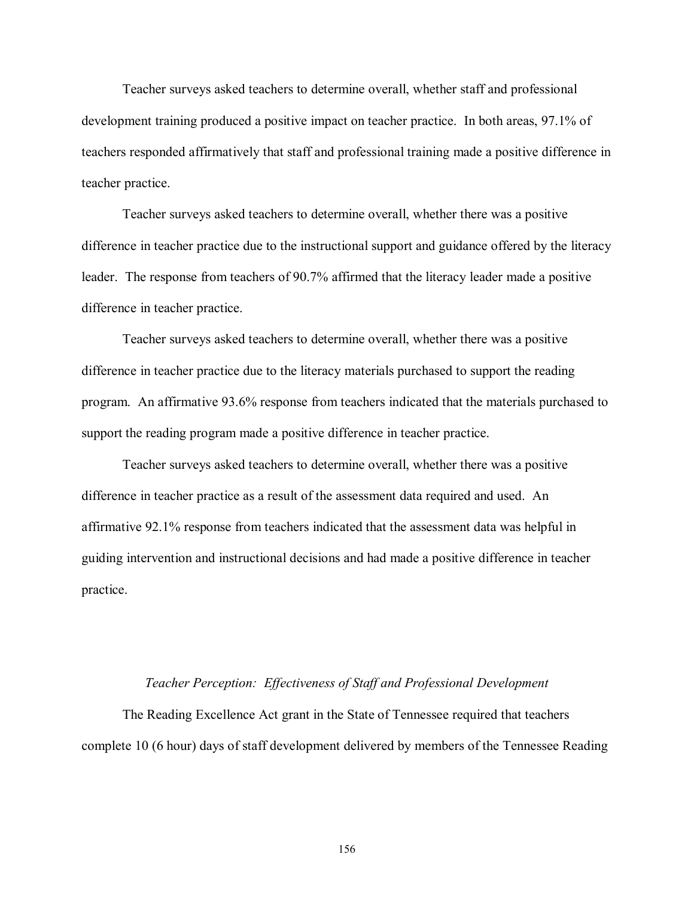Teacher surveys asked teachers to determine overall, whether staff and professional development training produced a positive impact on teacher practice. In both areas, 97.1% of teachers responded affirmatively that staff and professional training made a positive difference in teacher practice.

 Teacher surveys asked teachers to determine overall, whether there was a positive difference in teacher practice due to the instructional support and guidance offered by the literacy leader. The response from teachers of 90.7% affirmed that the literacy leader made a positive difference in teacher practice.

 Teacher surveys asked teachers to determine overall, whether there was a positive difference in teacher practice due to the literacy materials purchased to support the reading program. An affirmative 93.6% response from teachers indicated that the materials purchased to support the reading program made a positive difference in teacher practice.

 Teacher surveys asked teachers to determine overall, whether there was a positive difference in teacher practice as a result of the assessment data required and used. An affirmative 92.1% response from teachers indicated that the assessment data was helpful in guiding intervention and instructional decisions and had made a positive difference in teacher practice.

#### *Teacher Perception: Effectiveness of Staff and Professional Development*

 The Reading Excellence Act grant in the State of Tennessee required that teachers complete 10 (6 hour) days of staff development delivered by members of the Tennessee Reading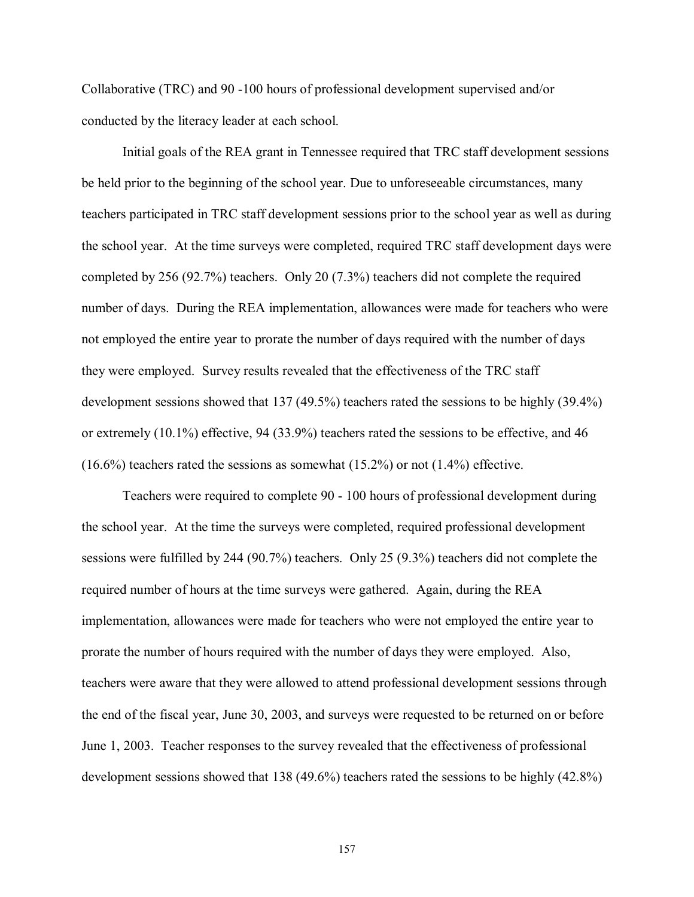Collaborative (TRC) and 90 -100 hours of professional development supervised and/or conducted by the literacy leader at each school.

 Initial goals of the REA grant in Tennessee required that TRC staff development sessions be held prior to the beginning of the school year. Due to unforeseeable circumstances, many teachers participated in TRC staff development sessions prior to the school year as well as during the school year. At the time surveys were completed, required TRC staff development days were completed by 256 (92.7%) teachers. Only 20 (7.3%) teachers did not complete the required number of days. During the REA implementation, allowances were made for teachers who were not employed the entire year to prorate the number of days required with the number of days they were employed. Survey results revealed that the effectiveness of the TRC staff development sessions showed that 137 (49.5%) teachers rated the sessions to be highly (39.4%) or extremely (10.1%) effective, 94 (33.9%) teachers rated the sessions to be effective, and 46  $(16.6\%)$  teachers rated the sessions as somewhat  $(15.2\%)$  or not  $(1.4\%)$  effective.

 Teachers were required to complete 90 - 100 hours of professional development during the school year. At the time the surveys were completed, required professional development sessions were fulfilled by 244 (90.7%) teachers. Only 25 (9.3%) teachers did not complete the required number of hours at the time surveys were gathered. Again, during the REA implementation, allowances were made for teachers who were not employed the entire year to prorate the number of hours required with the number of days they were employed. Also, teachers were aware that they were allowed to attend professional development sessions through the end of the fiscal year, June 30, 2003, and surveys were requested to be returned on or before June 1, 2003. Teacher responses to the survey revealed that the effectiveness of professional development sessions showed that 138 (49.6%) teachers rated the sessions to be highly (42.8%)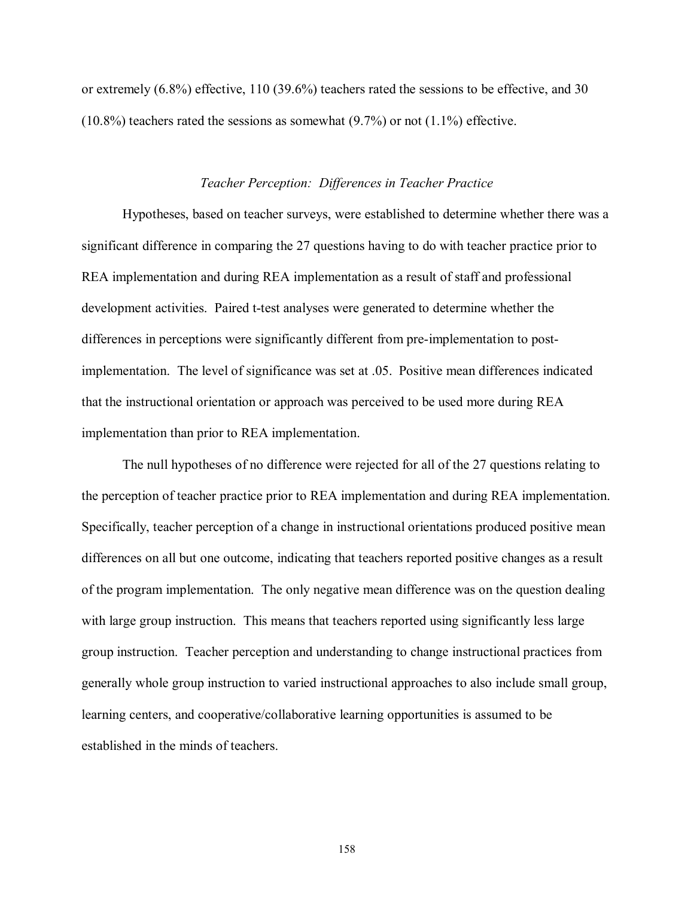or extremely (6.8%) effective, 110 (39.6%) teachers rated the sessions to be effective, and 30  $(10.8\%)$  teachers rated the sessions as somewhat  $(9.7\%)$  or not  $(1.1\%)$  effective.

#### *Teacher Perception: Differences in Teacher Practice*

 Hypotheses, based on teacher surveys, were established to determine whether there was a significant difference in comparing the 27 questions having to do with teacher practice prior to REA implementation and during REA implementation as a result of staff and professional development activities. Paired t-test analyses were generated to determine whether the differences in perceptions were significantly different from pre-implementation to postimplementation. The level of significance was set at .05. Positive mean differences indicated that the instructional orientation or approach was perceived to be used more during REA implementation than prior to REA implementation.

 The null hypotheses of no difference were rejected for all of the 27 questions relating to the perception of teacher practice prior to REA implementation and during REA implementation. Specifically, teacher perception of a change in instructional orientations produced positive mean differences on all but one outcome, indicating that teachers reported positive changes as a result of the program implementation. The only negative mean difference was on the question dealing with large group instruction. This means that teachers reported using significantly less large group instruction. Teacher perception and understanding to change instructional practices from generally whole group instruction to varied instructional approaches to also include small group, learning centers, and cooperative/collaborative learning opportunities is assumed to be established in the minds of teachers.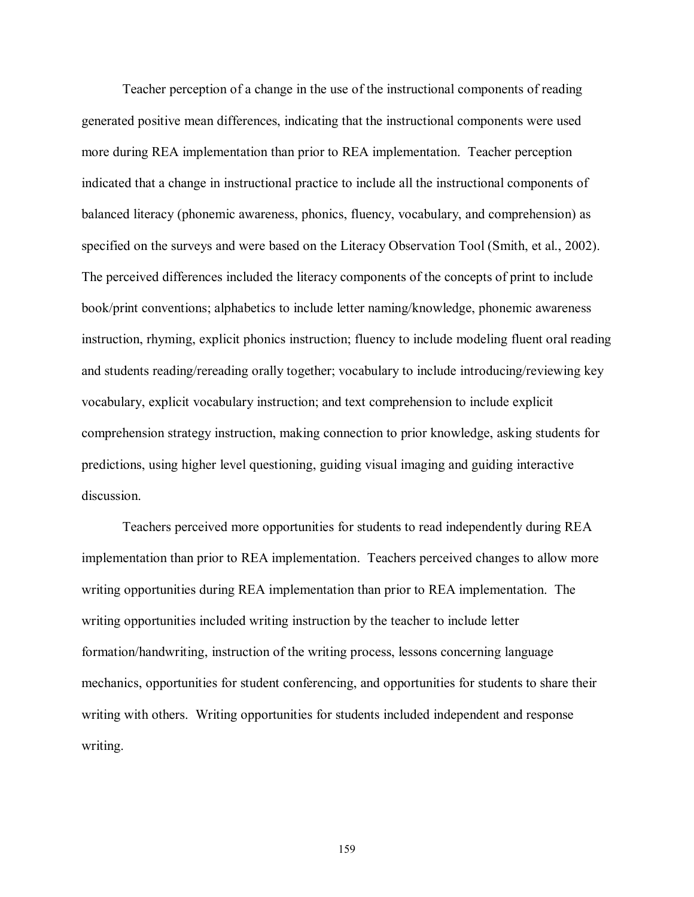Teacher perception of a change in the use of the instructional components of reading generated positive mean differences, indicating that the instructional components were used more during REA implementation than prior to REA implementation. Teacher perception indicated that a change in instructional practice to include all the instructional components of balanced literacy (phonemic awareness, phonics, fluency, vocabulary, and comprehension) as specified on the surveys and were based on the Literacy Observation Tool (Smith, et al., 2002). The perceived differences included the literacy components of the concepts of print to include book/print conventions; alphabetics to include letter naming/knowledge, phonemic awareness instruction, rhyming, explicit phonics instruction; fluency to include modeling fluent oral reading and students reading/rereading orally together; vocabulary to include introducing/reviewing key vocabulary, explicit vocabulary instruction; and text comprehension to include explicit comprehension strategy instruction, making connection to prior knowledge, asking students for predictions, using higher level questioning, guiding visual imaging and guiding interactive discussion.

 Teachers perceived more opportunities for students to read independently during REA implementation than prior to REA implementation. Teachers perceived changes to allow more writing opportunities during REA implementation than prior to REA implementation. The writing opportunities included writing instruction by the teacher to include letter formation/handwriting, instruction of the writing process, lessons concerning language mechanics, opportunities for student conferencing, and opportunities for students to share their writing with others. Writing opportunities for students included independent and response writing.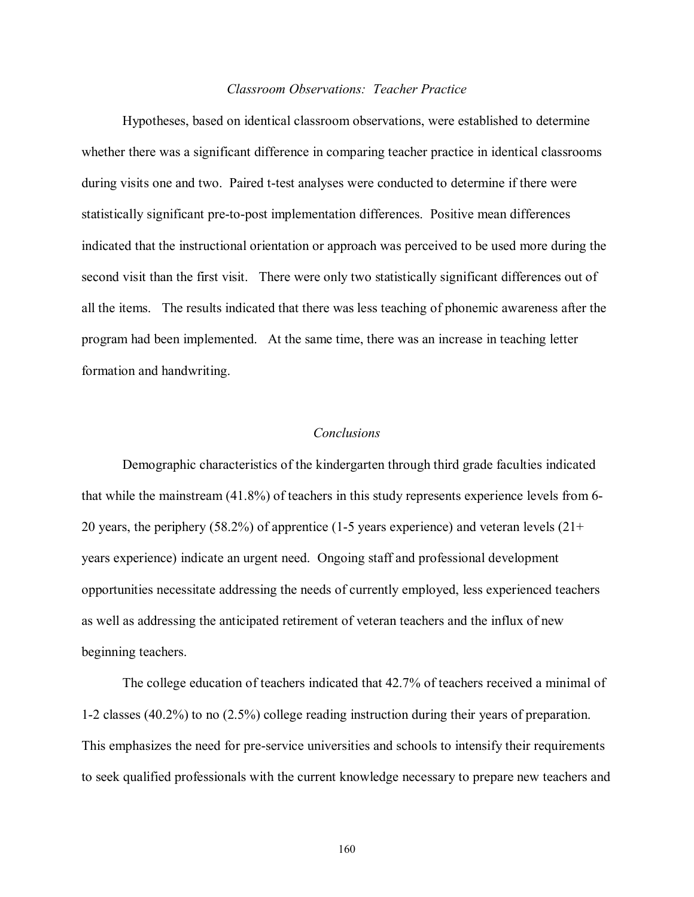## *Classroom Observations: Teacher Practice*

 Hypotheses, based on identical classroom observations, were established to determine whether there was a significant difference in comparing teacher practice in identical classrooms during visits one and two. Paired t-test analyses were conducted to determine if there were statistically significant pre-to-post implementation differences. Positive mean differences indicated that the instructional orientation or approach was perceived to be used more during the second visit than the first visit. There were only two statistically significant differences out of all the items. The results indicated that there was less teaching of phonemic awareness after the program had been implemented. At the same time, there was an increase in teaching letter formation and handwriting.

#### *Conclusions*

 Demographic characteristics of the kindergarten through third grade faculties indicated that while the mainstream (41.8%) of teachers in this study represents experience levels from 6- 20 years, the periphery (58.2%) of apprentice (1-5 years experience) and veteran levels  $(21+)$ years experience) indicate an urgent need. Ongoing staff and professional development opportunities necessitate addressing the needs of currently employed, less experienced teachers as well as addressing the anticipated retirement of veteran teachers and the influx of new beginning teachers.

 The college education of teachers indicated that 42.7% of teachers received a minimal of 1-2 classes (40.2%) to no (2.5%) college reading instruction during their years of preparation. This emphasizes the need for pre-service universities and schools to intensify their requirements to seek qualified professionals with the current knowledge necessary to prepare new teachers and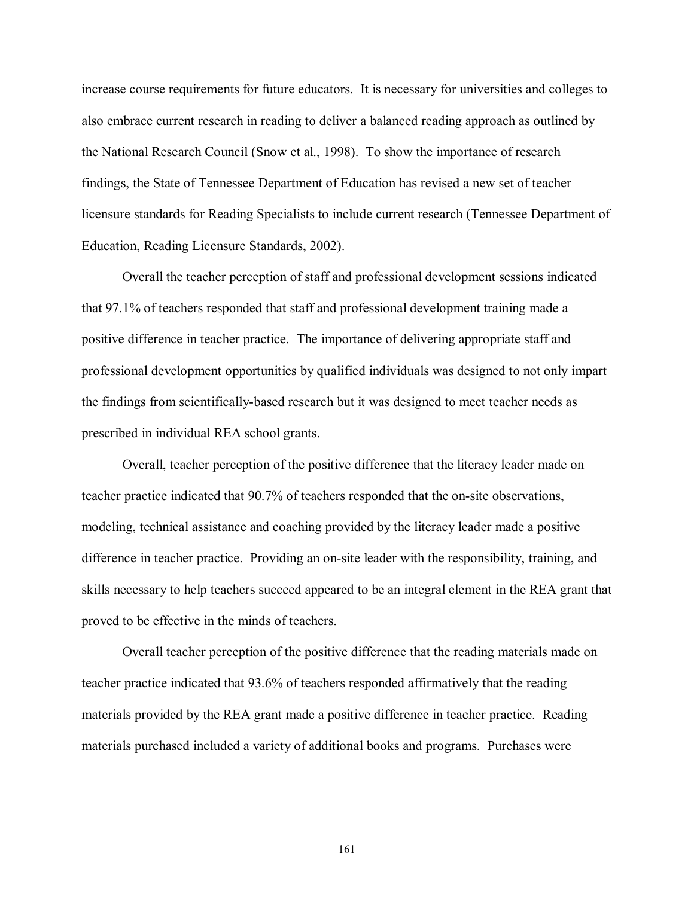increase course requirements for future educators. It is necessary for universities and colleges to also embrace current research in reading to deliver a balanced reading approach as outlined by the National Research Council (Snow et al., 1998). To show the importance of research findings, the State of Tennessee Department of Education has revised a new set of teacher licensure standards for Reading Specialists to include current research (Tennessee Department of Education, Reading Licensure Standards, 2002).

 Overall the teacher perception of staff and professional development sessions indicated that 97.1% of teachers responded that staff and professional development training made a positive difference in teacher practice. The importance of delivering appropriate staff and professional development opportunities by qualified individuals was designed to not only impart the findings from scientifically-based research but it was designed to meet teacher needs as prescribed in individual REA school grants.

 Overall, teacher perception of the positive difference that the literacy leader made on teacher practice indicated that 90.7% of teachers responded that the on-site observations, modeling, technical assistance and coaching provided by the literacy leader made a positive difference in teacher practice. Providing an on-site leader with the responsibility, training, and skills necessary to help teachers succeed appeared to be an integral element in the REA grant that proved to be effective in the minds of teachers.

 Overall teacher perception of the positive difference that the reading materials made on teacher practice indicated that 93.6% of teachers responded affirmatively that the reading materials provided by the REA grant made a positive difference in teacher practice. Reading materials purchased included a variety of additional books and programs. Purchases were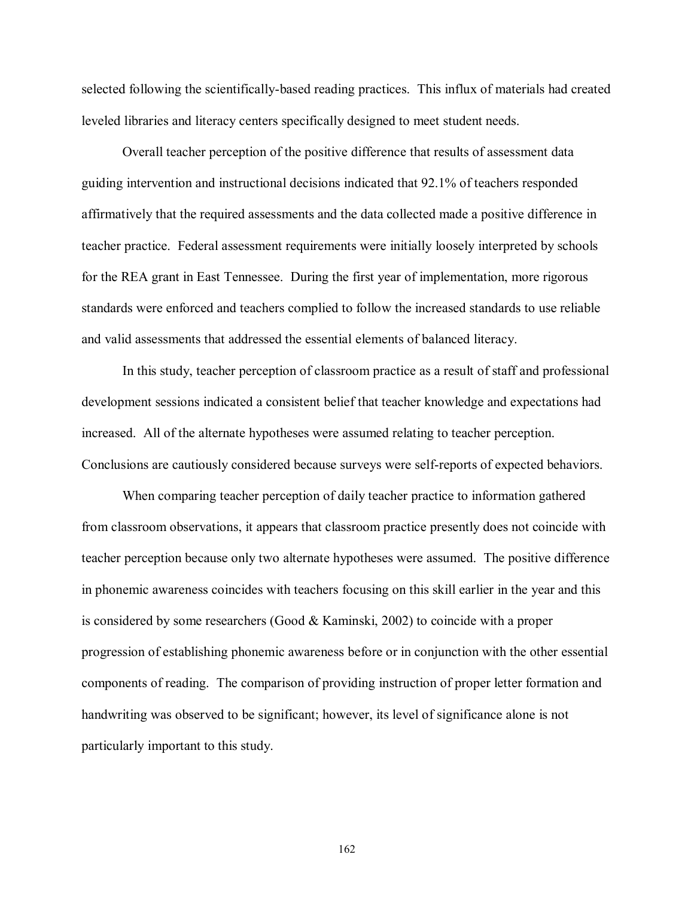selected following the scientifically-based reading practices. This influx of materials had created leveled libraries and literacy centers specifically designed to meet student needs.

 Overall teacher perception of the positive difference that results of assessment data guiding intervention and instructional decisions indicated that 92.1% of teachers responded affirmatively that the required assessments and the data collected made a positive difference in teacher practice. Federal assessment requirements were initially loosely interpreted by schools for the REA grant in East Tennessee. During the first year of implementation, more rigorous standards were enforced and teachers complied to follow the increased standards to use reliable and valid assessments that addressed the essential elements of balanced literacy.

 In this study, teacher perception of classroom practice as a result of staff and professional development sessions indicated a consistent belief that teacher knowledge and expectations had increased. All of the alternate hypotheses were assumed relating to teacher perception. Conclusions are cautiously considered because surveys were self-reports of expected behaviors.

 When comparing teacher perception of daily teacher practice to information gathered from classroom observations, it appears that classroom practice presently does not coincide with teacher perception because only two alternate hypotheses were assumed. The positive difference in phonemic awareness coincides with teachers focusing on this skill earlier in the year and this is considered by some researchers (Good & Kaminski, 2002) to coincide with a proper progression of establishing phonemic awareness before or in conjunction with the other essential components of reading. The comparison of providing instruction of proper letter formation and handwriting was observed to be significant; however, its level of significance alone is not particularly important to this study.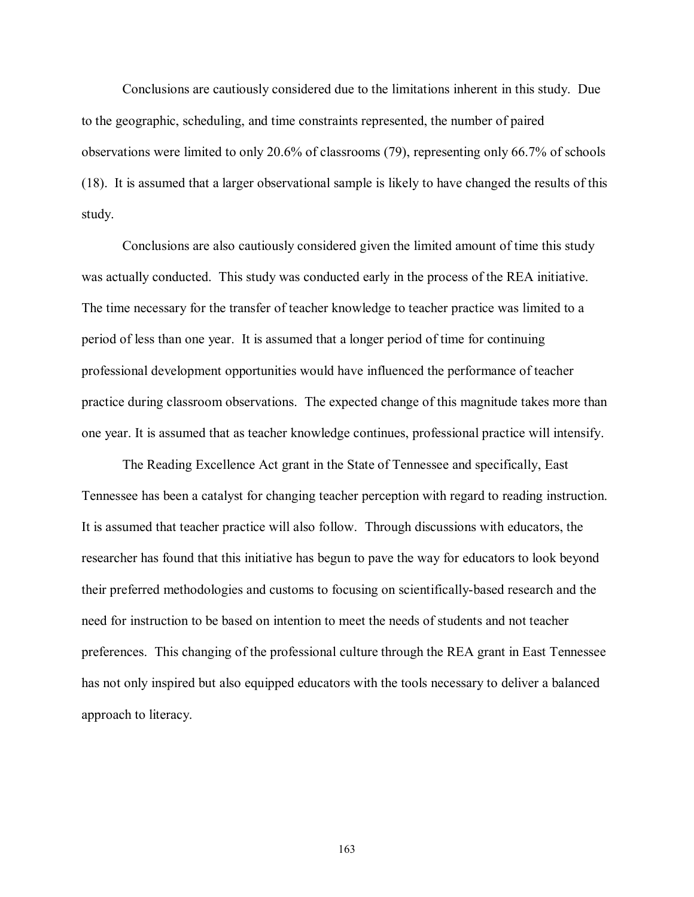Conclusions are cautiously considered due to the limitations inherent in this study. Due to the geographic, scheduling, and time constraints represented, the number of paired observations were limited to only 20.6% of classrooms (79), representing only 66.7% of schools (18). It is assumed that a larger observational sample is likely to have changed the results of this study.

 Conclusions are also cautiously considered given the limited amount of time this study was actually conducted. This study was conducted early in the process of the REA initiative. The time necessary for the transfer of teacher knowledge to teacher practice was limited to a period of less than one year. It is assumed that a longer period of time for continuing professional development opportunities would have influenced the performance of teacher practice during classroom observations. The expected change of this magnitude takes more than one year. It is assumed that as teacher knowledge continues, professional practice will intensify.

 The Reading Excellence Act grant in the State of Tennessee and specifically, East Tennessee has been a catalyst for changing teacher perception with regard to reading instruction. It is assumed that teacher practice will also follow. Through discussions with educators, the researcher has found that this initiative has begun to pave the way for educators to look beyond their preferred methodologies and customs to focusing on scientifically-based research and the need for instruction to be based on intention to meet the needs of students and not teacher preferences. This changing of the professional culture through the REA grant in East Tennessee has not only inspired but also equipped educators with the tools necessary to deliver a balanced approach to literacy.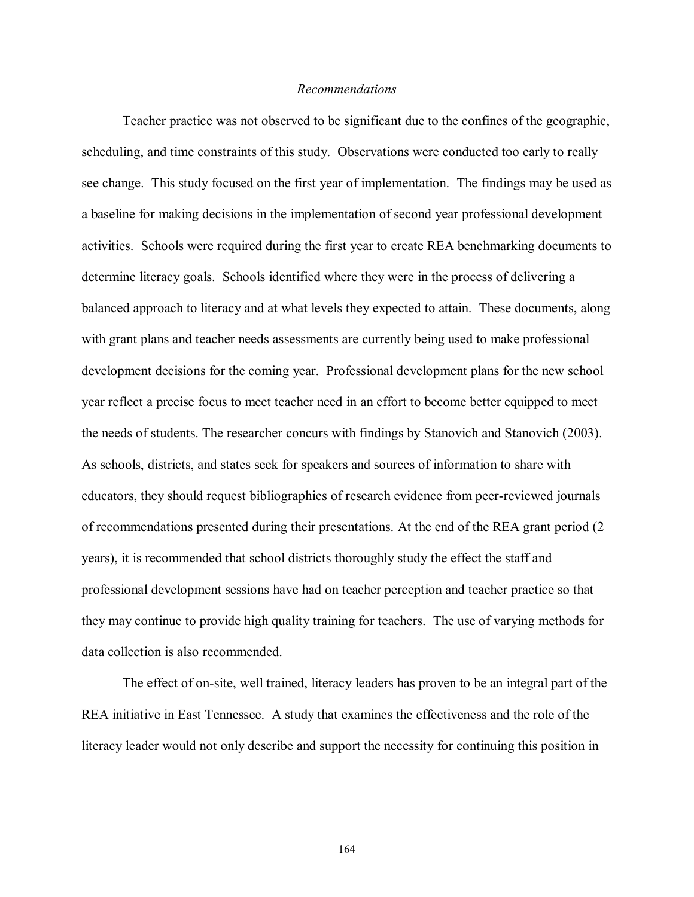#### *Recommendations*

Teacher practice was not observed to be significant due to the confines of the geographic, scheduling, and time constraints of this study. Observations were conducted too early to really see change. This study focused on the first year of implementation. The findings may be used as a baseline for making decisions in the implementation of second year professional development activities. Schools were required during the first year to create REA benchmarking documents to determine literacy goals. Schools identified where they were in the process of delivering a balanced approach to literacy and at what levels they expected to attain. These documents, along with grant plans and teacher needs assessments are currently being used to make professional development decisions for the coming year. Professional development plans for the new school year reflect a precise focus to meet teacher need in an effort to become better equipped to meet the needs of students. The researcher concurs with findings by Stanovich and Stanovich (2003). As schools, districts, and states seek for speakers and sources of information to share with educators, they should request bibliographies of research evidence from peer-reviewed journals of recommendations presented during their presentations. At the end of the REA grant period (2 years), it is recommended that school districts thoroughly study the effect the staff and professional development sessions have had on teacher perception and teacher practice so that they may continue to provide high quality training for teachers. The use of varying methods for data collection is also recommended.

 The effect of on-site, well trained, literacy leaders has proven to be an integral part of the REA initiative in East Tennessee. A study that examines the effectiveness and the role of the literacy leader would not only describe and support the necessity for continuing this position in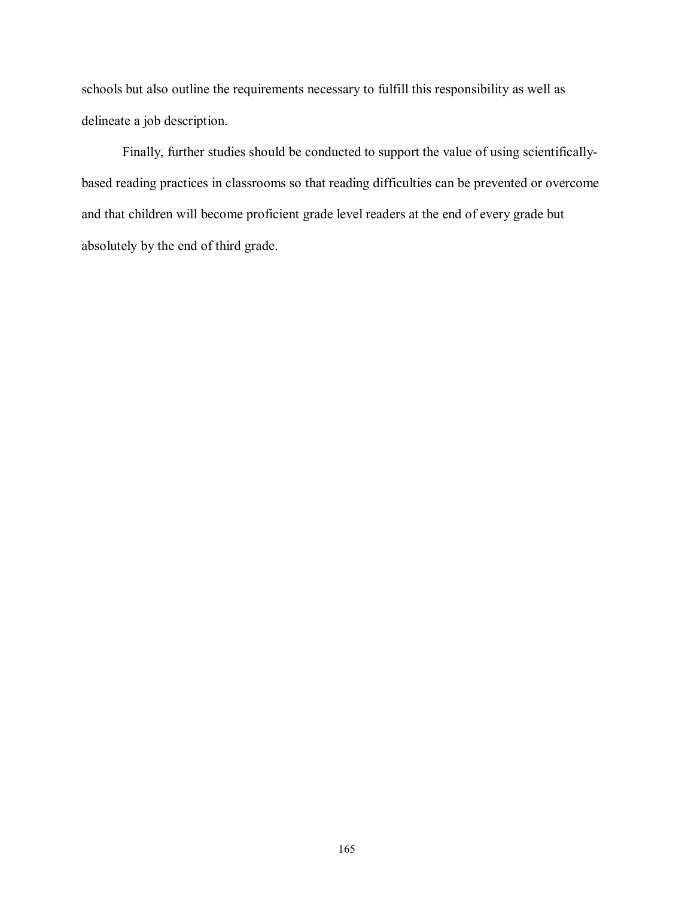schools but also outline the requirements necessary to fulfill this responsibility as well as delineate a job description.

 Finally, further studies should be conducted to support the value of using scientificallybased reading practices in classrooms so that reading difficulties can be prevented or overcome and that children will become proficient grade level readers at the end of every grade but absolutely by the end of third grade.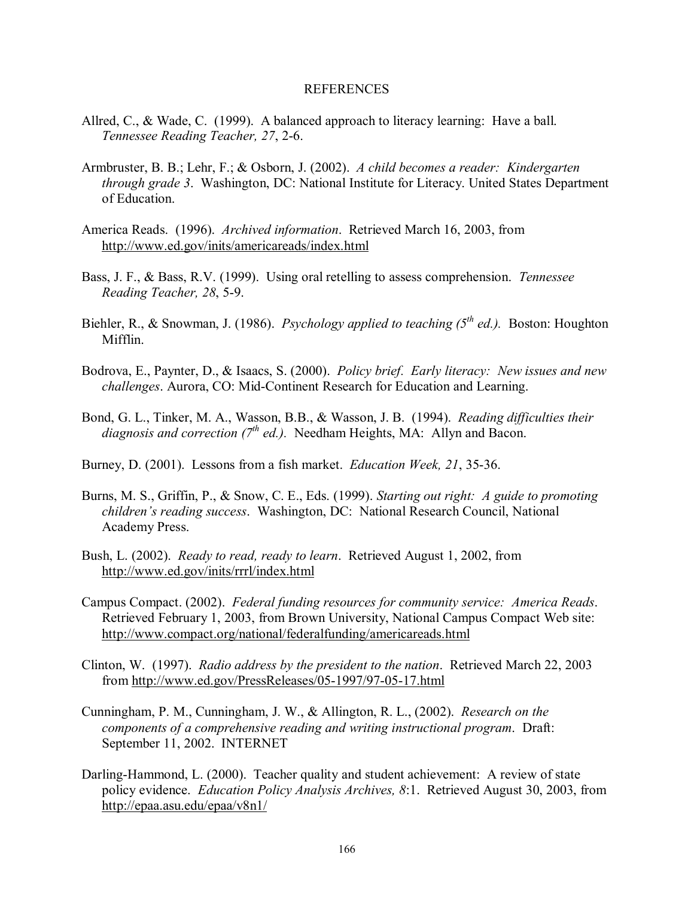#### REFERENCES

- Allred, C., & Wade, C. (1999). A balanced approach to literacy learning: Have a ball. *Tennessee Reading Teacher, 27*, 2-6.
- Armbruster, B. B.; Lehr, F.; & Osborn, J. (2002). *A child becomes a reader: Kindergarten through grade 3*. Washington, DC: National Institute for Literacy. United States Department of Education.
- America Reads. (1996). *Archived information*. Retrieved March 16, 2003, from http://www.ed.gov/inits/americareads/index.html
- Bass, J. F., & Bass, R.V. (1999). Using oral retelling to assess comprehension. *Tennessee Reading Teacher, 28*, 5-9.
- Biehler, R., & Snowman, J. (1986). *Psychology applied to teaching (5<sup>th</sup> ed.)*. Boston: Houghton Mifflin.
- Bodrova, E., Paynter, D., & Isaacs, S. (2000). *Policy brief. Early literacy: New issues and new challenges*. Aurora, CO: Mid-Continent Research for Education and Learning.
- Bond, G. L., Tinker, M. A., Wasson, B.B., & Wasson, J. B. (1994). *Reading difficulties their diagnosis and correction (7<sup>th</sup> ed.).* Needham Heights, MA: Allyn and Bacon.
- Burney, D. (2001). Lessons from a fish market. *Education Week, 21*, 35-36.
- Burns, M. S., Griffin, P., & Snow, C. E., Eds. (1999). *Starting out right: A guide to promoting childrenís reading success*. Washington, DC: National Research Council, National Academy Press.
- Bush, L. (2002). *Ready to read, ready to learn*. Retrieved August 1, 2002, from http://www.ed.gov/inits/rrrl/index.html
- Campus Compact. (2002). *Federal funding resources for community service: America Reads*. Retrieved February 1, 2003, from Brown University, National Campus Compact Web site: http://www.compact.org/national/federalfunding/americareads.html
- Clinton, W. (1997). *Radio address by the president to the nation*. Retrieved March 22, 2003 from http://www.ed.gov/PressReleases/05-1997/97-05-17.html
- Cunningham, P. M., Cunningham, J. W., & Allington, R. L., (2002). *Research on the components of a comprehensive reading and writing instructional program*. Draft: September 11, 2002. INTERNET
- Darling-Hammond, L. (2000). Teacher quality and student achievement: A review of state policy evidence. *Education Policy Analysis Archives, 8*:1. Retrieved August 30, 2003, from http://epaa.asu.edu/epaa/v8n1/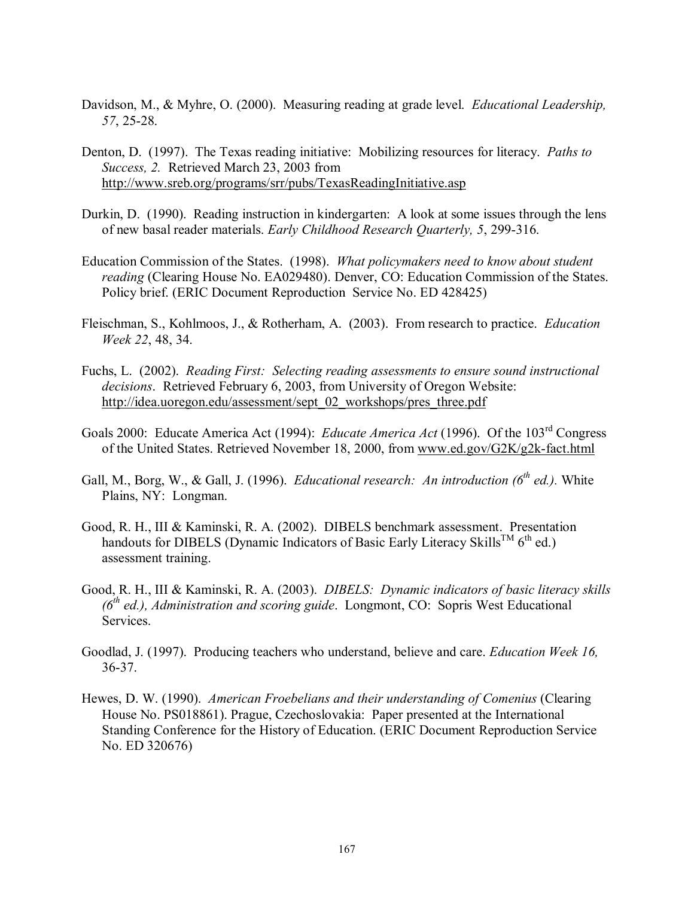- Davidson, M., & Myhre, O. (2000). Measuring reading at grade level. *Educational Leadership, 57*, 25-28.
- Denton, D. (1997). The Texas reading initiative: Mobilizing resources for literacy. *Paths to Success, 2.* Retrieved March 23, 2003 from http://www.sreb.org/programs/srr/pubs/TexasReadingInitiative.asp
- Durkin, D. (1990). Reading instruction in kindergarten: A look at some issues through the lens of new basal reader materials. *Early Childhood Research Quarterly, 5*, 299-316.
- Education Commission of the States. (1998). *What policymakers need to know about student reading* (Clearing House No. EA029480). Denver, CO: Education Commission of the States. Policy brief. (ERIC Document Reproduction Service No. ED 428425)
- Fleischman, S., Kohlmoos, J., & Rotherham, A. (2003). From research to practice. *Education Week 22*, 48, 34.
- Fuchs, L. (2002). *Reading First: Selecting reading assessments to ensure sound instructional decisions*. Retrieved February 6, 2003, from University of Oregon Website: http://idea.uoregon.edu/assessment/sept\_02\_workshops/pres\_three.pdf
- Goals 2000: Educate America Act (1994): *Educate America Act* (1996). Of the 103rd Congress of the United States. Retrieved November 18, 2000, from www.ed.gov/G2K/g2k-fact.html
- Gall, M., Borg, W., & Gall, J. (1996). *Educational research: An introduction (6<sup>th</sup> ed.)*. White Plains, NY: Longman.
- Good, R. H., III & Kaminski, R. A. (2002). DIBELS benchmark assessment. Presentation handouts for DIBELS (Dynamic Indicators of Basic Early Literacy Skills<sup>TM</sup> 6<sup>th</sup> ed.) assessment training.
- Good, R. H., III & Kaminski, R. A. (2003). *DIBELS: Dynamic indicators of basic literacy skills (6th ed.), Administration and scoring guide*. Longmont, CO: Sopris West Educational Services.
- Goodlad, J. (1997). Producing teachers who understand, believe and care. *Education Week 16,*  36-37.
- Hewes, D. W. (1990). *American Froebelians and their understanding of Comenius* (Clearing House No. PS018861). Prague, Czechoslovakia: Paper presented at the International Standing Conference for the History of Education. (ERIC Document Reproduction Service No. ED 320676)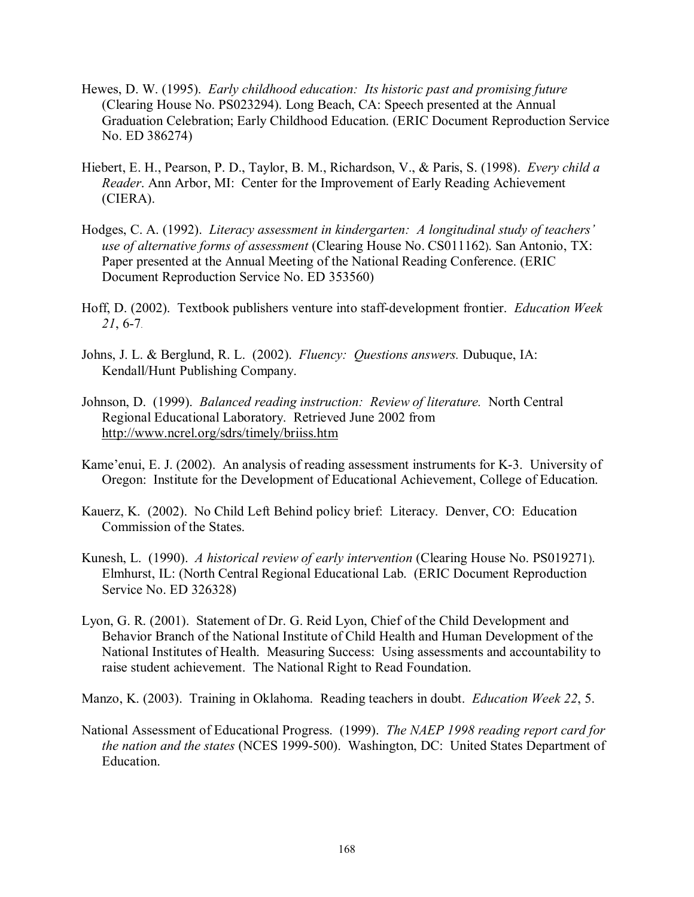- Hewes, D. W. (1995). *Early childhood education: Its historic past and promising future*  (Clearing House No. PS023294). Long Beach, CA: Speech presented at the Annual Graduation Celebration; Early Childhood Education. (ERIC Document Reproduction Service No. ED 386274)
- Hiebert, E. H., Pearson, P. D., Taylor, B. M., Richardson, V., & Paris, S. (1998). *Every child a Reader*. Ann Arbor, MI: Center for the Improvement of Early Reading Achievement (CIERA).
- Hodges, C. A. (1992). *Literacy assessment in kindergarten: A longitudinal study of teachersí use of alternative forms of assessment* (Clearing House No. CS011162). San Antonio, TX: Paper presented at the Annual Meeting of the National Reading Conference. (ERIC Document Reproduction Service No. ED 353560)
- Hoff, D. (2002). Textbook publishers venture into staff-development frontier. *Education Week 21*, 6-7.
- Johns, J. L. & Berglund, R. L. (2002). *Fluency: Questions answers.* Dubuque, IA: Kendall/Hunt Publishing Company.
- Johnson, D. (1999). *Balanced reading instruction: Review of literature.* North Central Regional Educational Laboratory. Retrieved June 2002 from http://www.ncrel.org/sdrs/timely/briiss.htm
- Kame'enui, E. J. (2002). An analysis of reading assessment instruments for K-3. University of Oregon: Institute for the Development of Educational Achievement, College of Education.
- Kauerz, K. (2002). No Child Left Behind policy brief: Literacy. Denver, CO: Education Commission of the States.
- Kunesh, L. (1990). *A historical review of early intervention* (Clearing House No. PS019271). Elmhurst, IL: (North Central Regional Educational Lab. (ERIC Document Reproduction Service No. ED 326328)
- Lyon, G. R. (2001). Statement of Dr. G. Reid Lyon, Chief of the Child Development and Behavior Branch of the National Institute of Child Health and Human Development of the National Institutes of Health. Measuring Success: Using assessments and accountability to raise student achievement. The National Right to Read Foundation.

Manzo, K. (2003). Training in Oklahoma. Reading teachers in doubt. *Education Week 22*, 5.

National Assessment of Educational Progress. (1999). *The NAEP 1998 reading report card for the nation and the states* (NCES 1999-500). Washington, DC: United States Department of Education.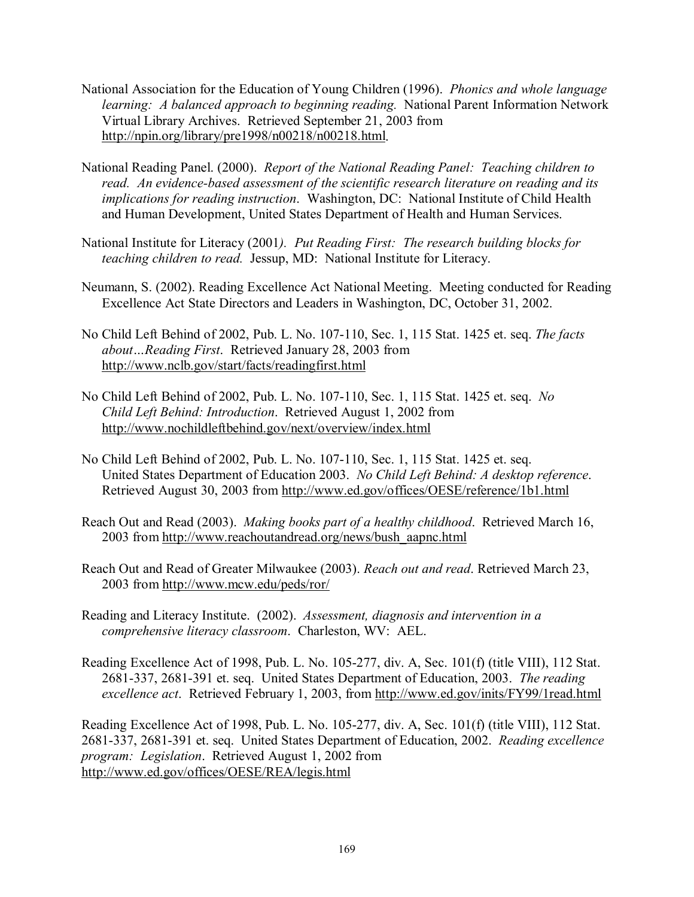- National Association for the Education of Young Children (1996). *Phonics and whole language learning: A balanced approach to beginning reading.* National Parent Information Network Virtual Library Archives. Retrieved September 21, 2003 from http://npin.org/library/pre1998/n00218/n00218.html.
- National Reading Panel. (2000). *Report of the National Reading Panel: Teaching children to read. An evidence-based assessment of the scientific research literature on reading and its implications for reading instruction*. Washington, DC: National Institute of Child Health and Human Development, United States Department of Health and Human Services.
- National Institute for Literacy (2001*). Put Reading First: The research building blocks for teaching children to read.* Jessup, MD: National Institute for Literacy.
- Neumann, S. (2002). Reading Excellence Act National Meeting. Meeting conducted for Reading Excellence Act State Directors and Leaders in Washington, DC, October 31, 2002.
- No Child Left Behind of 2002, Pub. L. No. 107-110, Sec. 1, 115 Stat. 1425 et. seq. *The facts*  about...Reading First. Retrieved January 28, 2003 from http://www.nclb.gov/start/facts/readingfirst.html
- No Child Left Behind of 2002, Pub. L. No. 107-110, Sec. 1, 115 Stat. 1425 et. seq. *No Child Left Behind: Introduction*. Retrieved August 1, 2002 from http://www.nochildleftbehind.gov/next/overview/index.html
- No Child Left Behind of 2002, Pub. L. No. 107-110, Sec. 1, 115 Stat. 1425 et. seq. United States Department of Education 2003. *No Child Left Behind: A desktop reference*. Retrieved August 30, 2003 from http://www.ed.gov/offices/OESE/reference/1b1.html
- Reach Out and Read (2003). *Making books part of a healthy childhood*. Retrieved March 16, 2003 from http://www.reachoutandread.org/news/bush\_aapnc.html
- Reach Out and Read of Greater Milwaukee (2003). *Reach out and read*. Retrieved March 23, 2003 from http://www.mcw.edu/peds/ror/
- Reading and Literacy Institute. (2002). *Assessment, diagnosis and intervention in a comprehensive literacy classroom*. Charleston, WV: AEL.
- Reading Excellence Act of 1998, Pub. L. No. 105-277, div. A, Sec. 101(f) (title VIII), 112 Stat. 2681-337, 2681-391 et. seq. United States Department of Education, 2003. *The reading excellence act*. Retrieved February 1, 2003, from http://www.ed.gov/inits/FY99/1read.html

Reading Excellence Act of 1998, Pub. L. No. 105-277, div. A, Sec. 101(f) (title VIII), 112 Stat. 2681-337, 2681-391 et. seq. United States Department of Education, 2002. *Reading excellence program: Legislation*. Retrieved August 1, 2002 from http://www.ed.gov/offices/OESE/REA/legis.html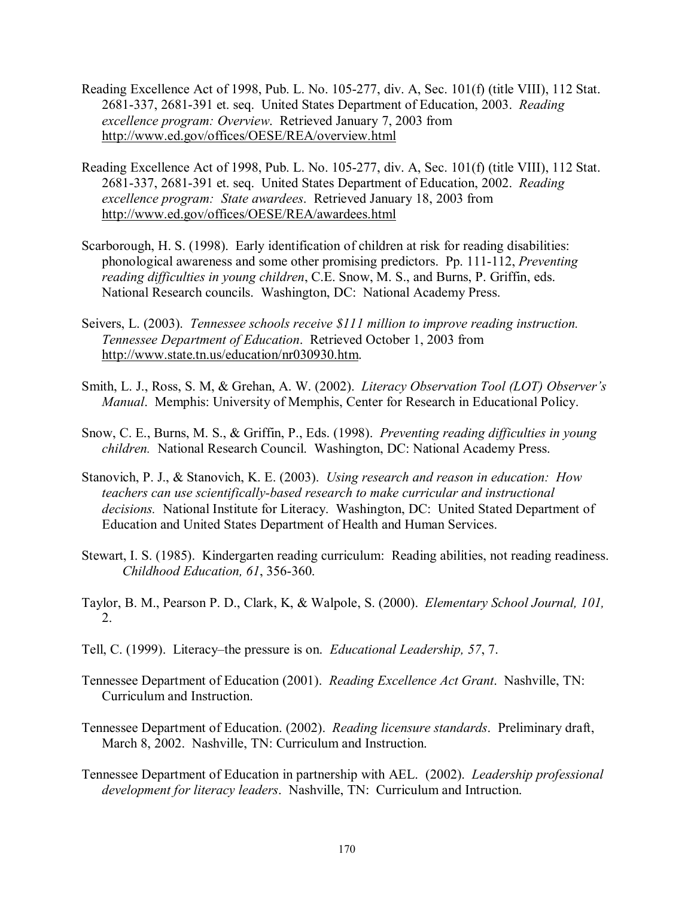- Reading Excellence Act of 1998, Pub. L. No. 105-277, div. A, Sec. 101(f) (title VIII), 112 Stat. 2681-337, 2681-391 et. seq. United States Department of Education, 2003. *Reading excellence program: Overview*. Retrieved January 7, 2003 from http://www.ed.gov/offices/OESE/REA/overview.html
- Reading Excellence Act of 1998, Pub. L. No. 105-277, div. A, Sec. 101(f) (title VIII), 112 Stat. 2681-337, 2681-391 et. seq. United States Department of Education, 2002. *Reading excellence program: State awardees*. Retrieved January 18, 2003 from http://www.ed.gov/offices/OESE/REA/awardees.html
- Scarborough, H. S. (1998). Early identification of children at risk for reading disabilities: phonological awareness and some other promising predictors. Pp. 111-112, *Preventing reading difficulties in young children*, C.E. Snow, M. S., and Burns, P. Griffin, eds. National Research councils. Washington, DC: National Academy Press.
- Seivers, L. (2003). *Tennessee schools receive \$111 million to improve reading instruction. Tennessee Department of Education*. Retrieved October 1, 2003 from http://www.state.tn.us/education/nr030930.htm.
- Smith, L. J., Ross, S. M, & Grehan, A. W. (2002). *Literacy Observation Tool (LOT) Observerís Manual*. Memphis: University of Memphis, Center for Research in Educational Policy.
- Snow, C. E., Burns, M. S., & Griffin, P., Eds. (1998). *Preventing reading difficulties in young children.* National Research Council. Washington, DC: National Academy Press.
- Stanovich, P. J., & Stanovich, K. E. (2003). *Using research and reason in education: How teachers can use scientifically-based research to make curricular and instructional decisions.* National Institute for Literacy. Washington, DC: United Stated Department of Education and United States Department of Health and Human Services.
- Stewart, I. S. (1985). Kindergarten reading curriculum: Reading abilities, not reading readiness. *Childhood Education, 61*, 356-360.
- Taylor, B. M., Pearson P. D., Clark, K, & Walpole, S. (2000). *Elementary School Journal, 101,*  2.
- Tell, C. (1999). Literacy–the pressure is on. *Educational Leadership*, 57, 7.
- Tennessee Department of Education (2001). *Reading Excellence Act Grant*. Nashville, TN: Curriculum and Instruction.
- Tennessee Department of Education. (2002). *Reading licensure standards*. Preliminary draft, March 8, 2002. Nashville, TN: Curriculum and Instruction.
- Tennessee Department of Education in partnership with AEL. (2002). *Leadership professional development for literacy leaders*. Nashville, TN: Curriculum and Intruction.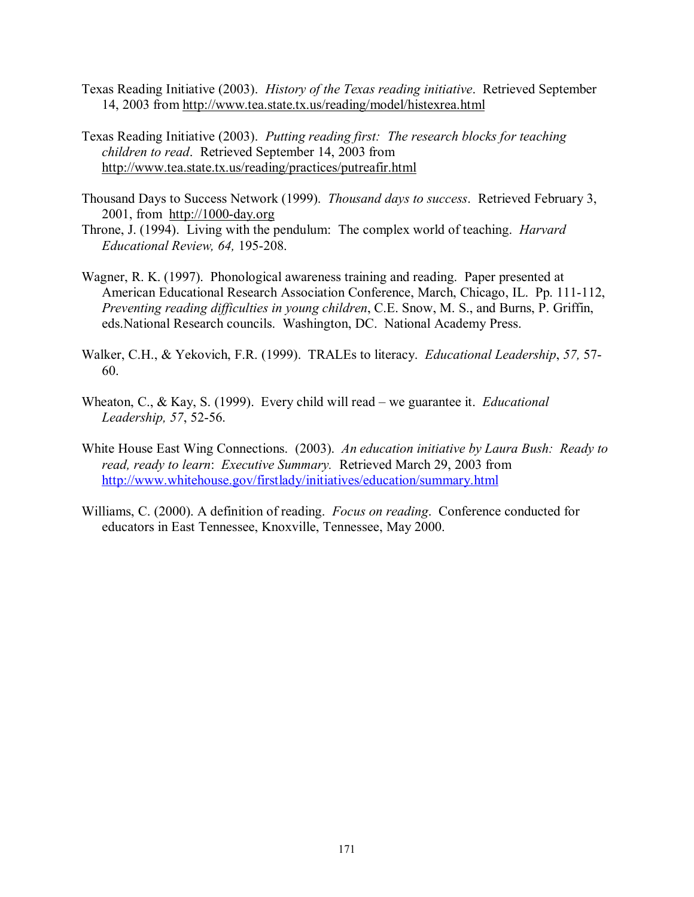- Texas Reading Initiative (2003). *History of the Texas reading initiative*. Retrieved September 14, 2003 from http://www.tea.state.tx.us/reading/model/histexrea.html
- Texas Reading Initiative (2003). *Putting reading first: The research blocks for teaching children to read*. Retrieved September 14, 2003 from http://www.tea.state.tx.us/reading/practices/putreafir.html
- Thousand Days to Success Network (1999). *Thousand days to success*. Retrieved February 3, 2001, from http://1000-day.org
- Throne, J. (1994). Living with the pendulum: The complex world of teaching. *Harvard Educational Review, 64,* 195-208.
- Wagner, R. K. (1997). Phonological awareness training and reading. Paper presented at American Educational Research Association Conference, March, Chicago, IL. Pp. 111-112, *Preventing reading difficulties in young children*, C.E. Snow, M. S., and Burns, P. Griffin, eds.National Research councils. Washington, DC. National Academy Press.
- Walker, C.H., & Yekovich, F.R. (1999). TRALEs to literacy. *Educational Leadership*, *57,* 57- 60.
- Wheaton, C., & Kay, S. (1999). Every child will read we guarantee it. *Educational Leadership, 57*, 52-56.
- White House East Wing Connections. (2003). *An education initiative by Laura Bush: Ready to read, ready to learn*: *Executive Summary.* Retrieved March 29, 2003 from http://www.whitehouse.gov/firstlady/initiatives/education/summary.html
- Williams, C. (2000). A definition of reading. *Focus on reading*. Conference conducted for educators in East Tennessee, Knoxville, Tennessee, May 2000.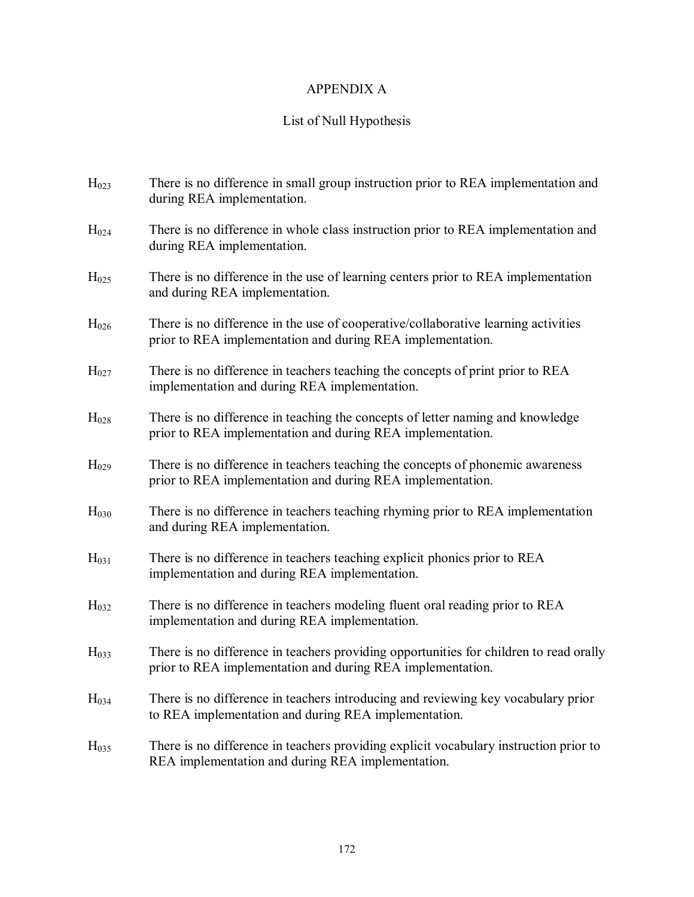# APPENDIX A

# List of Null Hypothesis

| H <sub>023</sub> | There is no difference in small group instruction prior to REA implementation and<br>during REA implementation.                                      |
|------------------|------------------------------------------------------------------------------------------------------------------------------------------------------|
| H <sub>024</sub> | There is no difference in whole class instruction prior to REA implementation and<br>during REA implementation.                                      |
| H <sub>025</sub> | There is no difference in the use of learning centers prior to REA implementation<br>and during REA implementation.                                  |
| H <sub>026</sub> | There is no difference in the use of cooperative/collaborative learning activities<br>prior to REA implementation and during REA implementation.     |
| $H_{027}$        | There is no difference in teachers teaching the concepts of print prior to REA<br>implementation and during REA implementation.                      |
| $H_{028}$        | There is no difference in teaching the concepts of letter naming and knowledge<br>prior to REA implementation and during REA implementation.         |
| H <sub>029</sub> | There is no difference in teachers teaching the concepts of phonemic awareness<br>prior to REA implementation and during REA implementation.         |
| H <sub>030</sub> | There is no difference in teachers teaching rhyming prior to REA implementation<br>and during REA implementation.                                    |
| H <sub>031</sub> | There is no difference in teachers teaching explicit phonics prior to REA<br>implementation and during REA implementation.                           |
| H <sub>032</sub> | There is no difference in teachers modeling fluent oral reading prior to REA<br>implementation and during REA implementation.                        |
| H <sub>033</sub> | There is no difference in teachers providing opportunities for children to read orally<br>prior to REA implementation and during REA implementation. |
| H <sub>034</sub> | There is no difference in teachers introducing and reviewing key vocabulary prior<br>to REA implementation and during REA implementation.            |
| H <sub>035</sub> | There is no difference in teachers providing explicit vocabulary instruction prior to<br>REA implementation and during REA implementation.           |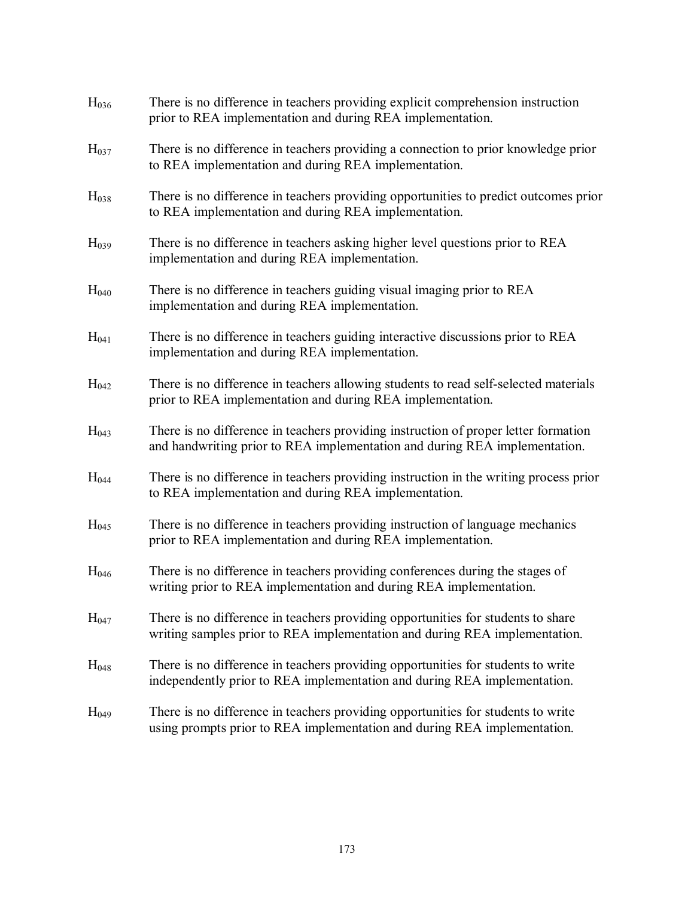| H <sub>036</sub> | There is no difference in teachers providing explicit comprehension instruction<br>prior to REA implementation and during REA implementation.                     |
|------------------|-------------------------------------------------------------------------------------------------------------------------------------------------------------------|
| H <sub>037</sub> | There is no difference in teachers providing a connection to prior knowledge prior<br>to REA implementation and during REA implementation.                        |
| H <sub>038</sub> | There is no difference in teachers providing opportunities to predict outcomes prior<br>to REA implementation and during REA implementation.                      |
| H <sub>039</sub> | There is no difference in teachers asking higher level questions prior to REA<br>implementation and during REA implementation.                                    |
| H <sub>040</sub> | There is no difference in teachers guiding visual imaging prior to REA<br>implementation and during REA implementation.                                           |
| H <sub>041</sub> | There is no difference in teachers guiding interactive discussions prior to REA<br>implementation and during REA implementation.                                  |
| H <sub>042</sub> | There is no difference in teachers allowing students to read self-selected materials<br>prior to REA implementation and during REA implementation.                |
| H <sub>043</sub> | There is no difference in teachers providing instruction of proper letter formation<br>and handwriting prior to REA implementation and during REA implementation. |
| H <sub>044</sub> | There is no difference in teachers providing instruction in the writing process prior<br>to REA implementation and during REA implementation.                     |
| H <sub>045</sub> | There is no difference in teachers providing instruction of language mechanics<br>prior to REA implementation and during REA implementation.                      |
| H <sub>046</sub> | There is no difference in teachers providing conferences during the stages of<br>writing prior to REA implementation and during REA implementation.               |
| H <sub>047</sub> | There is no difference in teachers providing opportunities for students to share<br>writing samples prior to REA implementation and during REA implementation.    |
| H <sub>048</sub> | There is no difference in teachers providing opportunities for students to write<br>independently prior to REA implementation and during REA implementation.      |
| H <sub>049</sub> | There is no difference in teachers providing opportunities for students to write<br>using prompts prior to REA implementation and during REA implementation.      |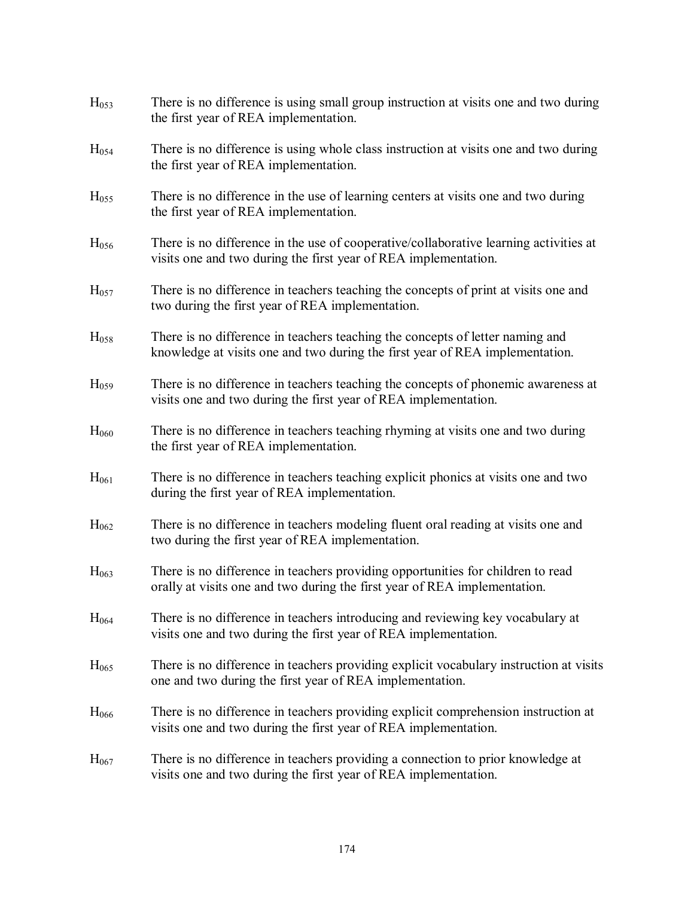| H <sub>053</sub> | There is no difference is using small group instruction at visits one and two during<br>the first year of REA implementation.                                 |
|------------------|---------------------------------------------------------------------------------------------------------------------------------------------------------------|
| H <sub>054</sub> | There is no difference is using whole class instruction at visits one and two during<br>the first year of REA implementation.                                 |
| H <sub>055</sub> | There is no difference in the use of learning centers at visits one and two during<br>the first year of REA implementation.                                   |
| H <sub>056</sub> | There is no difference in the use of cooperative/collaborative learning activities at<br>visits one and two during the first year of REA implementation.      |
| H <sub>057</sub> | There is no difference in teachers teaching the concepts of print at visits one and<br>two during the first year of REA implementation.                       |
| H <sub>058</sub> | There is no difference in teachers teaching the concepts of letter naming and<br>knowledge at visits one and two during the first year of REA implementation. |
| H <sub>059</sub> | There is no difference in teachers teaching the concepts of phonemic awareness at<br>visits one and two during the first year of REA implementation.          |
| H <sub>060</sub> | There is no difference in teachers teaching rhyming at visits one and two during<br>the first year of REA implementation.                                     |
| H <sub>061</sub> | There is no difference in teachers teaching explicit phonics at visits one and two<br>during the first year of REA implementation.                            |
| H <sub>062</sub> | There is no difference in teachers modeling fluent oral reading at visits one and<br>two during the first year of REA implementation.                         |
| H <sub>063</sub> | There is no difference in teachers providing opportunities for children to read<br>orally at visits one and two during the first year of REA implementation.  |
| H <sub>064</sub> | There is no difference in teachers introducing and reviewing key vocabulary at<br>visits one and two during the first year of REA implementation.             |
| H <sub>065</sub> | There is no difference in teachers providing explicit vocabulary instruction at visits<br>one and two during the first year of REA implementation.            |
| $H_{066}$        | There is no difference in teachers providing explicit comprehension instruction at<br>visits one and two during the first year of REA implementation.         |
| H <sub>067</sub> | There is no difference in teachers providing a connection to prior knowledge at<br>visits one and two during the first year of REA implementation.            |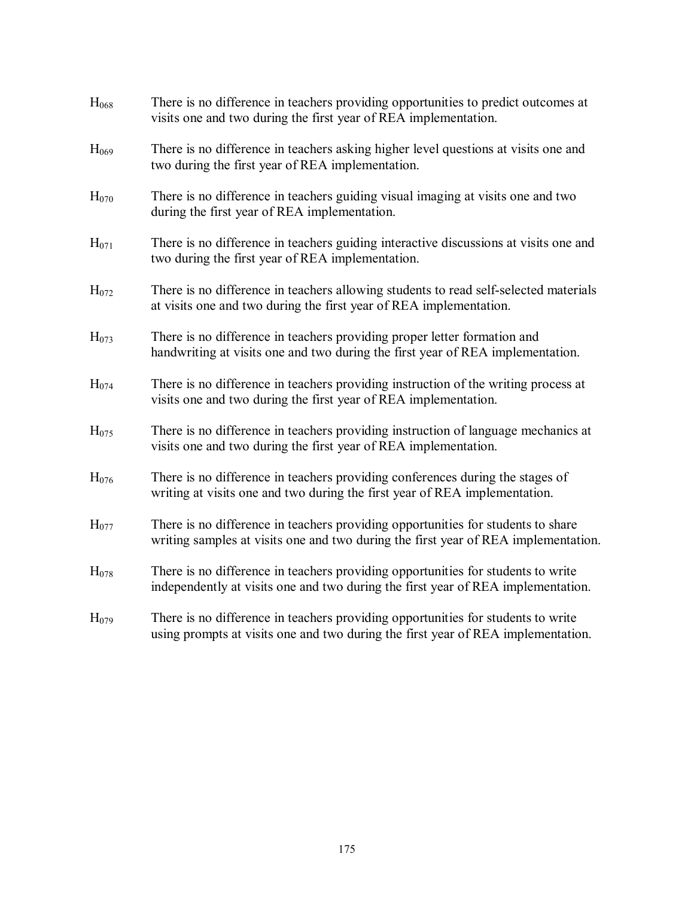| H <sub>068</sub> | There is no difference in teachers providing opportunities to predict outcomes at<br>visits one and two during the first year of REA implementation.                   |
|------------------|------------------------------------------------------------------------------------------------------------------------------------------------------------------------|
| H <sub>069</sub> | There is no difference in teachers asking higher level questions at visits one and<br>two during the first year of REA implementation.                                 |
| H <sub>070</sub> | There is no difference in teachers guiding visual imaging at visits one and two<br>during the first year of REA implementation.                                        |
| $H_{071}$        | There is no difference in teachers guiding interactive discussions at visits one and<br>two during the first year of REA implementation.                               |
| H <sub>072</sub> | There is no difference in teachers allowing students to read self-selected materials<br>at visits one and two during the first year of REA implementation.             |
| H <sub>073</sub> | There is no difference in teachers providing proper letter formation and<br>handwriting at visits one and two during the first year of REA implementation.             |
| H <sub>074</sub> | There is no difference in teachers providing instruction of the writing process at<br>visits one and two during the first year of REA implementation.                  |
| H <sub>075</sub> | There is no difference in teachers providing instruction of language mechanics at<br>visits one and two during the first year of REA implementation.                   |
| H <sub>076</sub> | There is no difference in teachers providing conferences during the stages of<br>writing at visits one and two during the first year of REA implementation.            |
| H <sub>077</sub> | There is no difference in teachers providing opportunities for students to share<br>writing samples at visits one and two during the first year of REA implementation. |
| H <sub>078</sub> | There is no difference in teachers providing opportunities for students to write<br>independently at visits one and two during the first year of REA implementation.   |
| H <sub>079</sub> | There is no difference in teachers providing opportunities for students to write<br>using prompts at visits one and two during the first year of REA implementation.   |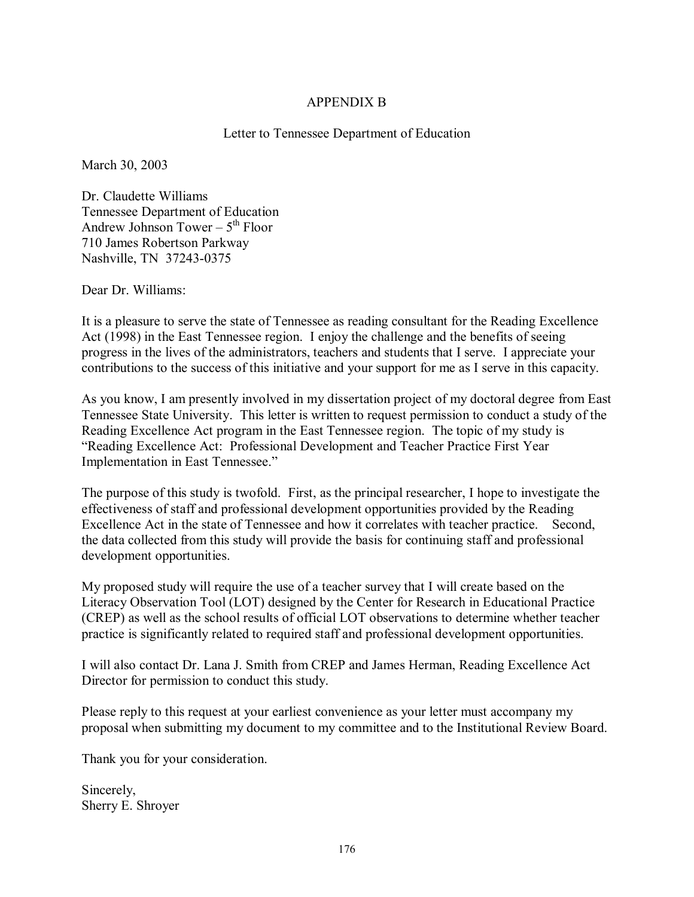## APPENDIX B

## Letter to Tennessee Department of Education

March 30, 2003

Dr. Claudette Williams Tennessee Department of Education Andrew Johnson Tower  $-5$ <sup>th</sup> Floor 710 James Robertson Parkway Nashville, TN 37243-0375

Dear Dr. Williams:

It is a pleasure to serve the state of Tennessee as reading consultant for the Reading Excellence Act (1998) in the East Tennessee region. I enjoy the challenge and the benefits of seeing progress in the lives of the administrators, teachers and students that I serve. I appreciate your contributions to the success of this initiative and your support for me as I serve in this capacity.

As you know, I am presently involved in my dissertation project of my doctoral degree from East Tennessee State University. This letter is written to request permission to conduct a study of the Reading Excellence Act program in the East Tennessee region. The topic of my study is ìReading Excellence Act: Professional Development and Teacher Practice First Year Implementation in East Tennessee."

The purpose of this study is twofold. First, as the principal researcher, I hope to investigate the effectiveness of staff and professional development opportunities provided by the Reading Excellence Act in the state of Tennessee and how it correlates with teacher practice. Second, the data collected from this study will provide the basis for continuing staff and professional development opportunities.

My proposed study will require the use of a teacher survey that I will create based on the Literacy Observation Tool (LOT) designed by the Center for Research in Educational Practice (CREP) as well as the school results of official LOT observations to determine whether teacher practice is significantly related to required staff and professional development opportunities.

I will also contact Dr. Lana J. Smith from CREP and James Herman, Reading Excellence Act Director for permission to conduct this study.

Please reply to this request at your earliest convenience as your letter must accompany my proposal when submitting my document to my committee and to the Institutional Review Board.

Thank you for your consideration.

Sincerely, Sherry E. Shroyer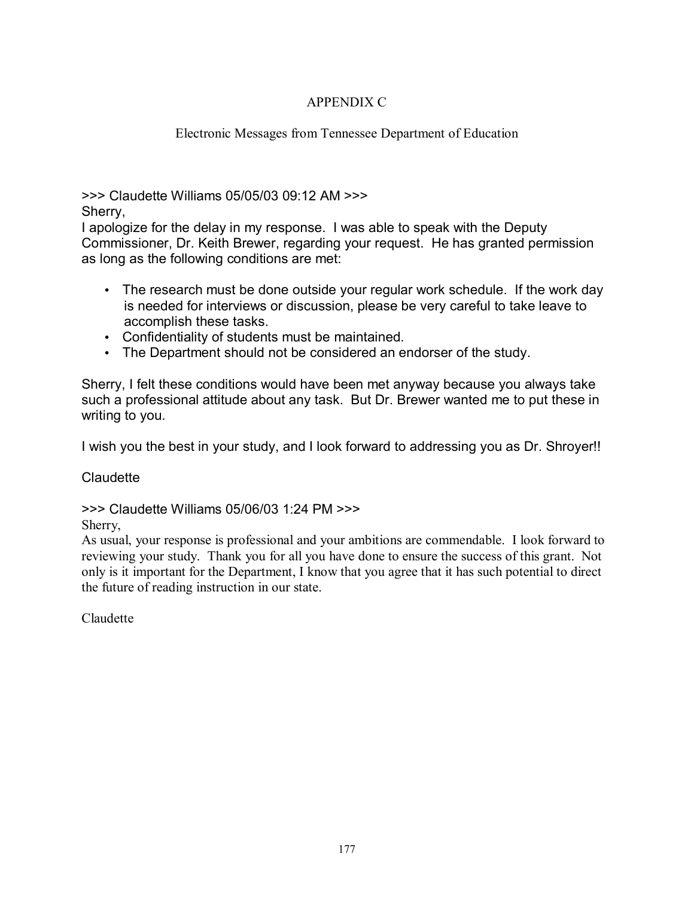# APPENDIX C

# Electronic Messages from Tennessee Department of Education

>>> Claudette Williams 05/05/03 09:12 AM >>> Sherry,

I apologize for the delay in my response. I was able to speak with the Deputy Commissioner, Dr. Keith Brewer, regarding your request. He has granted permission as long as the following conditions are met:

- The research must be done outside your regular work schedule. If the work day is needed for interviews or discussion, please be very careful to take leave to accomplish these tasks.
- Confidentiality of students must be maintained.
- The Department should not be considered an endorser of the study.

Sherry, I felt these conditions would have been met anyway because you always take such a professional attitude about any task. But Dr. Brewer wanted me to put these in writing to you.

I wish you the best in your study, and I look forward to addressing you as Dr. Shroyer!!

**Claudette** 

>>> Claudette Williams 05/06/03 1:24 PM >>>

Sherry,

As usual, your response is professional and your ambitions are commendable. I look forward to reviewing your study. Thank you for all you have done to ensure the success of this grant. Not only is it important for the Department, I know that you agree that it has such potential to direct the future of reading instruction in our state.

Claudette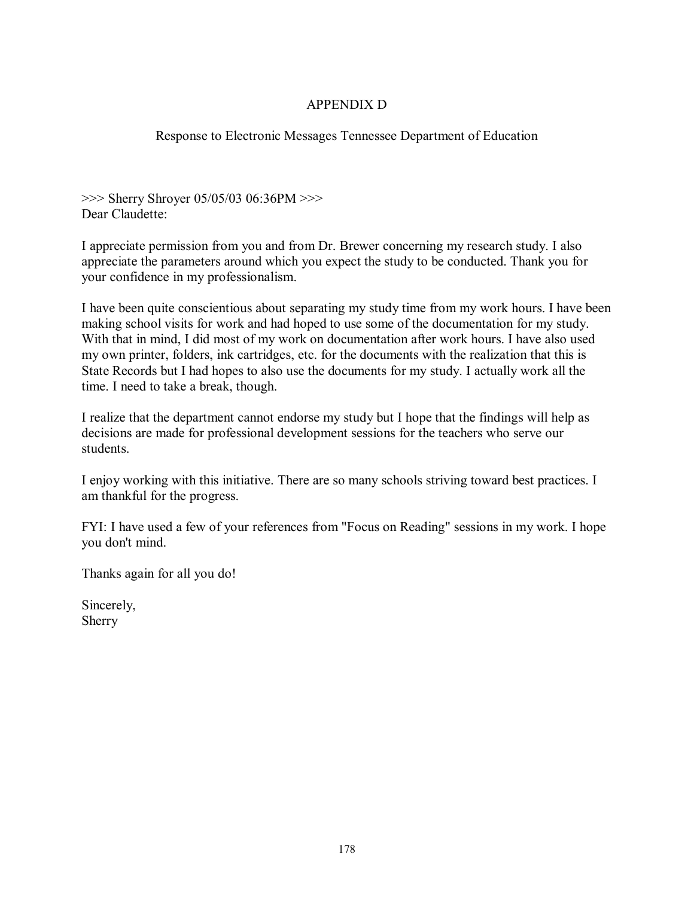# APPENDIX D

# Response to Electronic Messages Tennessee Department of Education

>>> Sherry Shroyer 05/05/03 06:36PM >>> Dear Claudette:

I appreciate permission from you and from Dr. Brewer concerning my research study. I also appreciate the parameters around which you expect the study to be conducted. Thank you for your confidence in my professionalism.

I have been quite conscientious about separating my study time from my work hours. I have been making school visits for work and had hoped to use some of the documentation for my study. With that in mind, I did most of my work on documentation after work hours. I have also used my own printer, folders, ink cartridges, etc. for the documents with the realization that this is State Records but I had hopes to also use the documents for my study. I actually work all the time. I need to take a break, though.

I realize that the department cannot endorse my study but I hope that the findings will help as decisions are made for professional development sessions for the teachers who serve our students.

I enjoy working with this initiative. There are so many schools striving toward best practices. I am thankful for the progress.

FYI: I have used a few of your references from "Focus on Reading" sessions in my work. I hope you don't mind.

Thanks again for all you do!

Sincerely, Sherry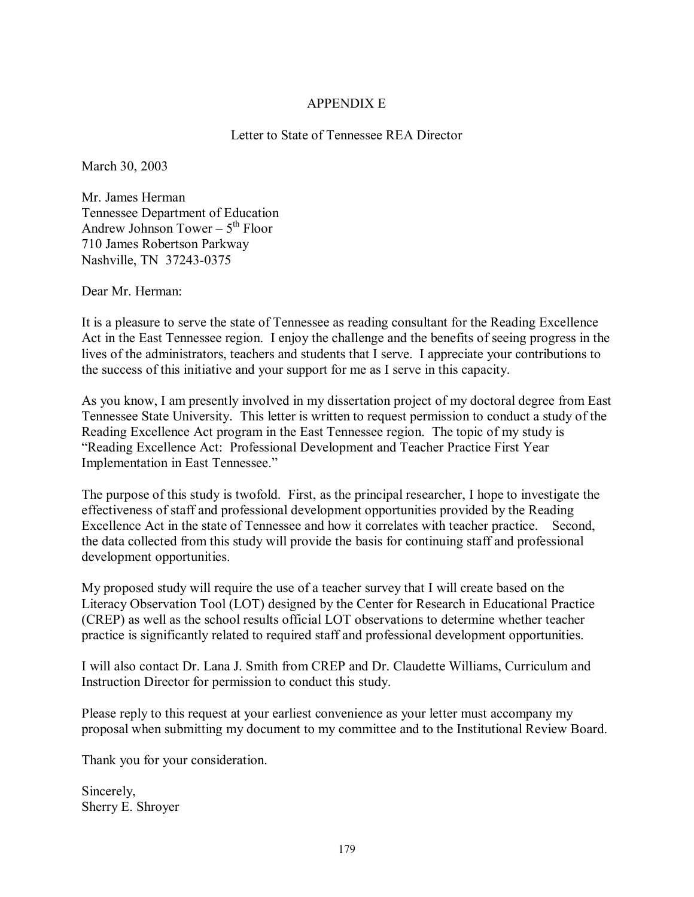# APPENDIX E

## Letter to State of Tennessee REA Director

March 30, 2003

Mr. James Herman Tennessee Department of Education Andrew Johnson Tower  $-5<sup>th</sup>$  Floor 710 James Robertson Parkway Nashville, TN 37243-0375

Dear Mr. Herman:

It is a pleasure to serve the state of Tennessee as reading consultant for the Reading Excellence Act in the East Tennessee region. I enjoy the challenge and the benefits of seeing progress in the lives of the administrators, teachers and students that I serve. I appreciate your contributions to the success of this initiative and your support for me as I serve in this capacity.

As you know, I am presently involved in my dissertation project of my doctoral degree from East Tennessee State University. This letter is written to request permission to conduct a study of the Reading Excellence Act program in the East Tennessee region. The topic of my study is ìReading Excellence Act: Professional Development and Teacher Practice First Year Implementation in East Tennessee."

The purpose of this study is twofold. First, as the principal researcher, I hope to investigate the effectiveness of staff and professional development opportunities provided by the Reading Excellence Act in the state of Tennessee and how it correlates with teacher practice. Second, the data collected from this study will provide the basis for continuing staff and professional development opportunities.

My proposed study will require the use of a teacher survey that I will create based on the Literacy Observation Tool (LOT) designed by the Center for Research in Educational Practice (CREP) as well as the school results official LOT observations to determine whether teacher practice is significantly related to required staff and professional development opportunities.

I will also contact Dr. Lana J. Smith from CREP and Dr. Claudette Williams, Curriculum and Instruction Director for permission to conduct this study.

Please reply to this request at your earliest convenience as your letter must accompany my proposal when submitting my document to my committee and to the Institutional Review Board.

Thank you for your consideration.

Sincerely, Sherry E. Shroyer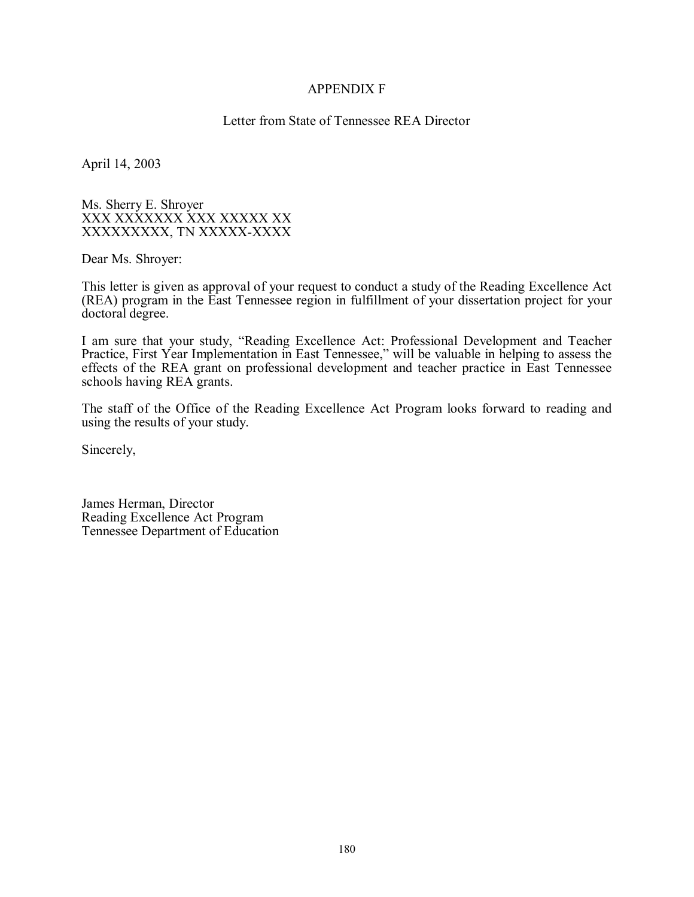#### APPENDIX F

#### Letter from State of Tennessee REA Director

April 14, 2003

Ms. Sherry E. Shroyer XXX XXXXXXX XXX XXXXX XX XXXXXXXXX, TN XXXXX-XXXX

Dear Ms. Shroyer:

This letter is given as approval of your request to conduct a study of the Reading Excellence Act (REA) program in the East Tennessee region in fulfillment of your dissertation project for your doctoral degree.

I am sure that your study, "Reading Excellence Act: Professional Development and Teacher Practice, First Year Implementation in East Tennessee," will be valuable in helping to assess the effects of the REA grant on professional development and teacher practice in East Tennessee schools having REA grants.

The staff of the Office of the Reading Excellence Act Program looks forward to reading and using the results of your study.

Sincerely,

James Herman, Director Reading Excellence Act Program Tennessee Department of Education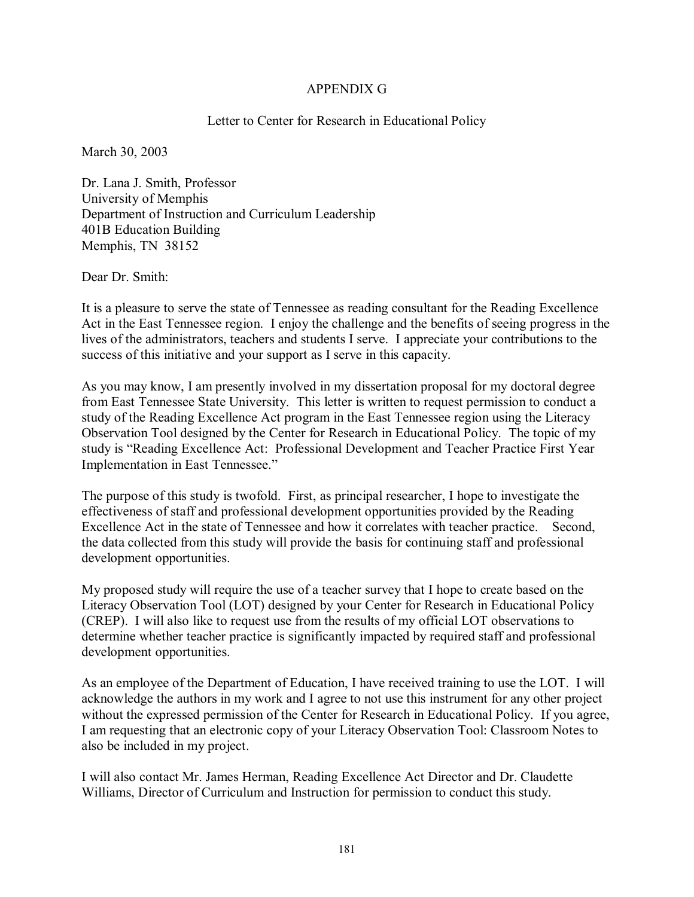#### APPENDIX G

#### Letter to Center for Research in Educational Policy

March 30, 2003

Dr. Lana J. Smith, Professor University of Memphis Department of Instruction and Curriculum Leadership 401B Education Building Memphis, TN 38152

Dear Dr. Smith:

It is a pleasure to serve the state of Tennessee as reading consultant for the Reading Excellence Act in the East Tennessee region. I enjoy the challenge and the benefits of seeing progress in the lives of the administrators, teachers and students I serve. I appreciate your contributions to the success of this initiative and your support as I serve in this capacity.

As you may know, I am presently involved in my dissertation proposal for my doctoral degree from East Tennessee State University. This letter is written to request permission to conduct a study of the Reading Excellence Act program in the East Tennessee region using the Literacy Observation Tool designed by the Center for Research in Educational Policy. The topic of my study is "Reading Excellence Act: Professional Development and Teacher Practice First Year Implementation in East Tennessee."

The purpose of this study is twofold. First, as principal researcher, I hope to investigate the effectiveness of staff and professional development opportunities provided by the Reading Excellence Act in the state of Tennessee and how it correlates with teacher practice. Second, the data collected from this study will provide the basis for continuing staff and professional development opportunities.

My proposed study will require the use of a teacher survey that I hope to create based on the Literacy Observation Tool (LOT) designed by your Center for Research in Educational Policy (CREP). I will also like to request use from the results of my official LOT observations to determine whether teacher practice is significantly impacted by required staff and professional development opportunities.

As an employee of the Department of Education, I have received training to use the LOT. I will acknowledge the authors in my work and I agree to not use this instrument for any other project without the expressed permission of the Center for Research in Educational Policy. If you agree, I am requesting that an electronic copy of your Literacy Observation Tool: Classroom Notes to also be included in my project.

I will also contact Mr. James Herman, Reading Excellence Act Director and Dr. Claudette Williams, Director of Curriculum and Instruction for permission to conduct this study.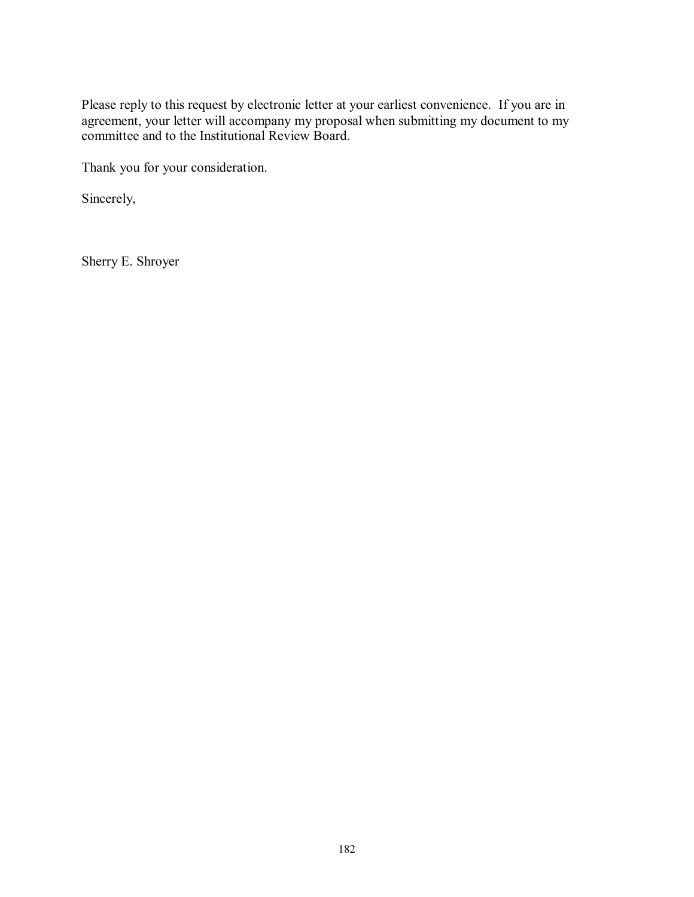Please reply to this request by electronic letter at your earliest convenience. If you are in agreement, your letter will accompany my proposal when submitting my document to my committee and to the Institutional Review Board.

Thank you for your consideration.

Sincerely,

Sherry E. Shroyer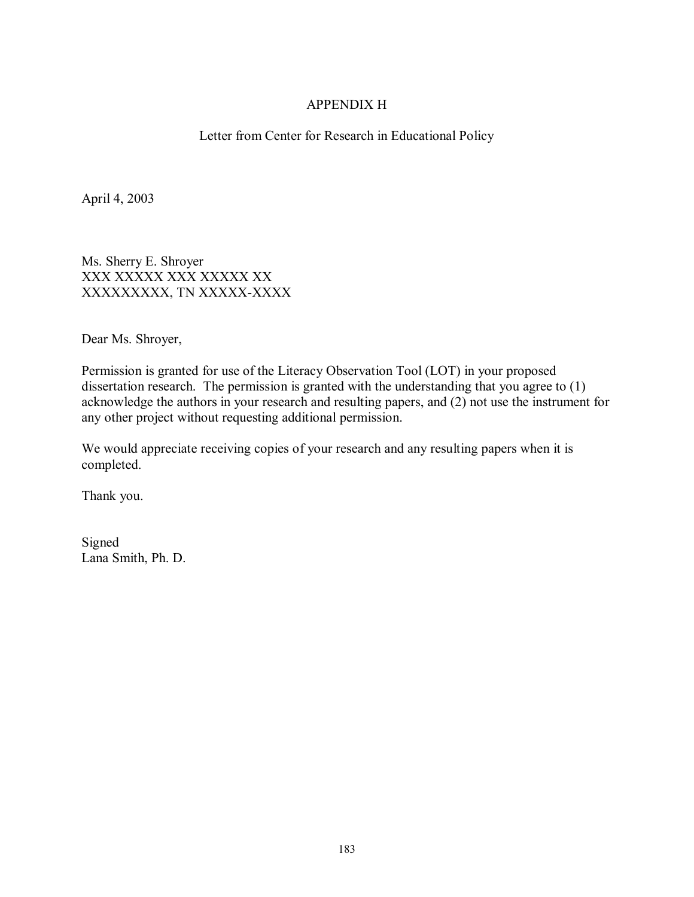#### APPENDIX H

Letter from Center for Research in Educational Policy

April 4, 2003

Ms. Sherry E. Shroyer XXX XXXXX XXX XXXXX XX XXXXXXXXX, TN XXXXX-XXXX

Dear Ms. Shroyer,

Permission is granted for use of the Literacy Observation Tool (LOT) in your proposed dissertation research. The permission is granted with the understanding that you agree to (1) acknowledge the authors in your research and resulting papers, and (2) not use the instrument for any other project without requesting additional permission.

We would appreciate receiving copies of your research and any resulting papers when it is completed.

Thank you.

Signed Lana Smith, Ph. D.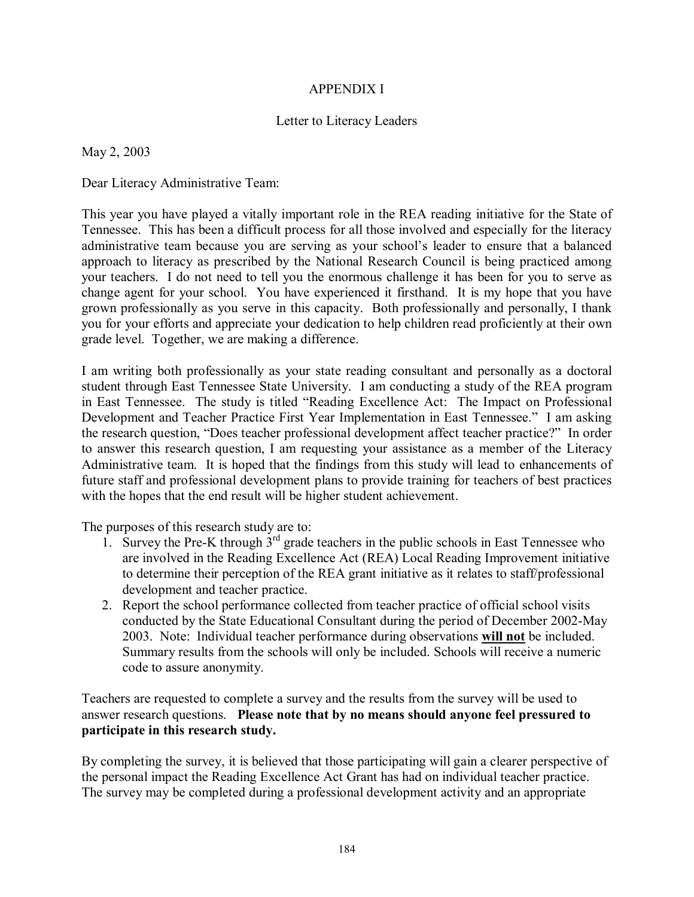#### APPENDIX I

#### Letter to Literacy Leaders

May 2, 2003

Dear Literacy Administrative Team:

This year you have played a vitally important role in the REA reading initiative for the State of Tennessee. This has been a difficult process for all those involved and especially for the literacy administrative team because you are serving as your school's leader to ensure that a balanced approach to literacy as prescribed by the National Research Council is being practiced among your teachers. I do not need to tell you the enormous challenge it has been for you to serve as change agent for your school. You have experienced it firsthand. It is my hope that you have grown professionally as you serve in this capacity. Both professionally and personally, I thank you for your efforts and appreciate your dedication to help children read proficiently at their own grade level. Together, we are making a difference.

I am writing both professionally as your state reading consultant and personally as a doctoral student through East Tennessee State University. I am conducting a study of the REA program in East Tennessee. The study is titled "Reading Excellence Act: The Impact on Professional Development and Teacher Practice First Year Implementation in East Tennessee." I am asking the research question, "Does teacher professional development affect teacher practice?" In order to answer this research question, I am requesting your assistance as a member of the Literacy Administrative team. It is hoped that the findings from this study will lead to enhancements of future staff and professional development plans to provide training for teachers of best practices with the hopes that the end result will be higher student achievement.

The purposes of this research study are to:

- 1. Survey the Pre-K through  $3<sup>rd</sup>$  grade teachers in the public schools in East Tennessee who are involved in the Reading Excellence Act (REA) Local Reading Improvement initiative to determine their perception of the REA grant initiative as it relates to staff/professional development and teacher practice.
- 2. Report the school performance collected from teacher practice of official school visits conducted by the State Educational Consultant during the period of December 2002-May 2003. Note: Individual teacher performance during observations **will not** be included. Summary results from the schools will only be included. Schools will receive a numeric code to assure anonymity.

Teachers are requested to complete a survey and the results from the survey will be used to answer research questions. **Please note that by no means should anyone feel pressured to participate in this research study.** 

By completing the survey, it is believed that those participating will gain a clearer perspective of the personal impact the Reading Excellence Act Grant has had on individual teacher practice. The survey may be completed during a professional development activity and an appropriate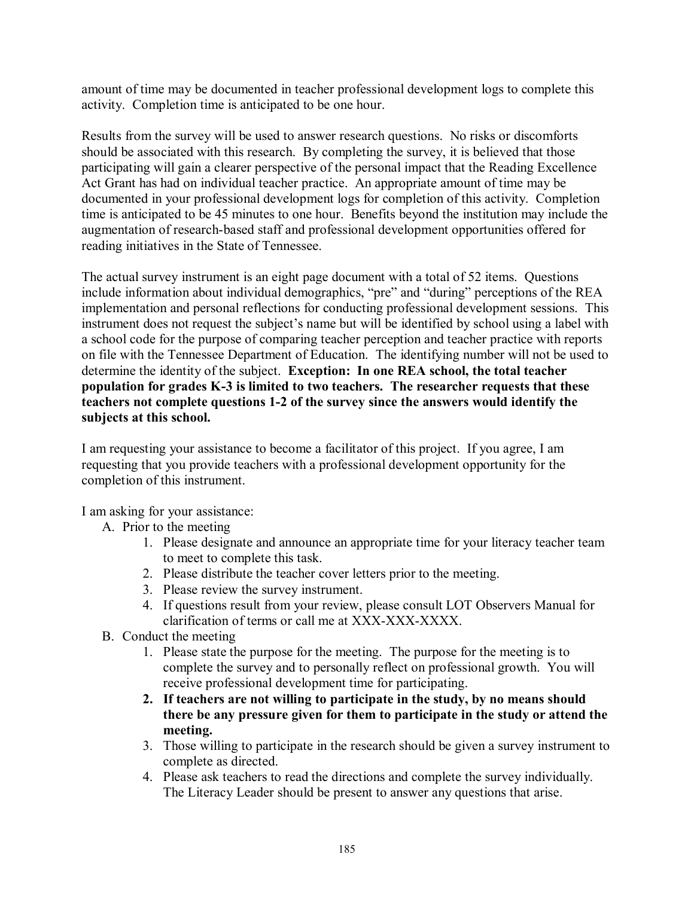amount of time may be documented in teacher professional development logs to complete this activity. Completion time is anticipated to be one hour.

Results from the survey will be used to answer research questions. No risks or discomforts should be associated with this research. By completing the survey, it is believed that those participating will gain a clearer perspective of the personal impact that the Reading Excellence Act Grant has had on individual teacher practice. An appropriate amount of time may be documented in your professional development logs for completion of this activity. Completion time is anticipated to be 45 minutes to one hour. Benefits beyond the institution may include the augmentation of research-based staff and professional development opportunities offered for reading initiatives in the State of Tennessee.

The actual survey instrument is an eight page document with a total of 52 items. Questions include information about individual demographics, "pre" and "during" perceptions of the REA implementation and personal reflections for conducting professional development sessions. This instrument does not request the subject's name but will be identified by school using a label with a school code for the purpose of comparing teacher perception and teacher practice with reports on file with the Tennessee Department of Education. The identifying number will not be used to determine the identity of the subject. **Exception: In one REA school, the total teacher population for grades K-3 is limited to two teachers. The researcher requests that these teachers not complete questions 1-2 of the survey since the answers would identify the subjects at this school.** 

I am requesting your assistance to become a facilitator of this project. If you agree, I am requesting that you provide teachers with a professional development opportunity for the completion of this instrument.

I am asking for your assistance:

- A. Prior to the meeting
	- 1. Please designate and announce an appropriate time for your literacy teacher team to meet to complete this task.
	- 2. Please distribute the teacher cover letters prior to the meeting.
	- 3. Please review the survey instrument.
	- 4. If questions result from your review, please consult LOT Observers Manual for clarification of terms or call me at XXX-XXX-XXXX.
- B. Conduct the meeting
	- 1. Please state the purpose for the meeting. The purpose for the meeting is to complete the survey and to personally reflect on professional growth. You will receive professional development time for participating.
	- **2. If teachers are not willing to participate in the study, by no means should there be any pressure given for them to participate in the study or attend the meeting.**
	- 3. Those willing to participate in the research should be given a survey instrument to complete as directed.
	- 4. Please ask teachers to read the directions and complete the survey individually. The Literacy Leader should be present to answer any questions that arise.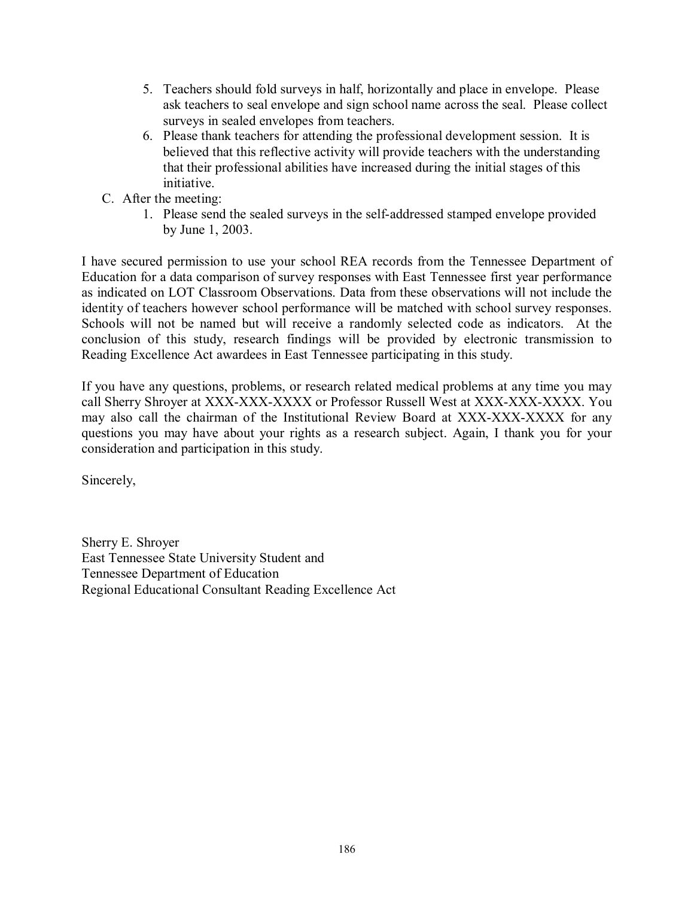- 5. Teachers should fold surveys in half, horizontally and place in envelope. Please ask teachers to seal envelope and sign school name across the seal. Please collect surveys in sealed envelopes from teachers.
- 6. Please thank teachers for attending the professional development session. It is believed that this reflective activity will provide teachers with the understanding that their professional abilities have increased during the initial stages of this initiative.
- C. After the meeting:
	- 1. Please send the sealed surveys in the self-addressed stamped envelope provided by June 1, 2003.

I have secured permission to use your school REA records from the Tennessee Department of Education for a data comparison of survey responses with East Tennessee first year performance as indicated on LOT Classroom Observations. Data from these observations will not include the identity of teachers however school performance will be matched with school survey responses. Schools will not be named but will receive a randomly selected code as indicators. At the conclusion of this study, research findings will be provided by electronic transmission to Reading Excellence Act awardees in East Tennessee participating in this study.

If you have any questions, problems, or research related medical problems at any time you may call Sherry Shroyer at XXX-XXX-XXXX or Professor Russell West at XXX-XXX-XXXX. You may also call the chairman of the Institutional Review Board at XXX-XXX-XXXX for any questions you may have about your rights as a research subject. Again, I thank you for your consideration and participation in this study.

Sincerely,

Sherry E. Shroyer East Tennessee State University Student and Tennessee Department of Education Regional Educational Consultant Reading Excellence Act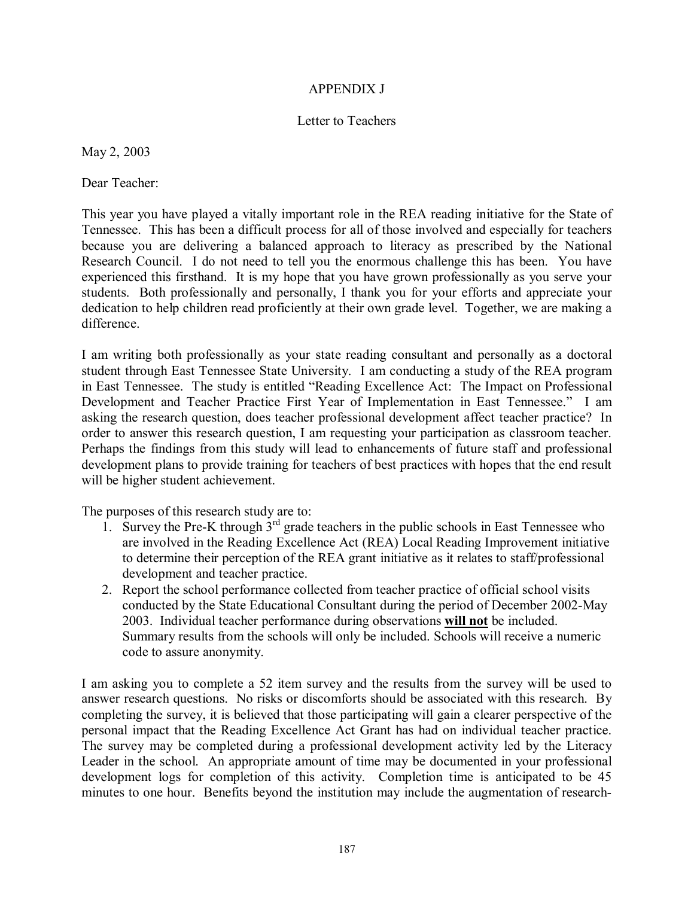#### APPENDIX J

#### Letter to Teachers

May 2, 2003

Dear Teacher:

This year you have played a vitally important role in the REA reading initiative for the State of Tennessee. This has been a difficult process for all of those involved and especially for teachers because you are delivering a balanced approach to literacy as prescribed by the National Research Council. I do not need to tell you the enormous challenge this has been. You have experienced this firsthand. It is my hope that you have grown professionally as you serve your students. Both professionally and personally, I thank you for your efforts and appreciate your dedication to help children read proficiently at their own grade level. Together, we are making a difference.

I am writing both professionally as your state reading consultant and personally as a doctoral student through East Tennessee State University. I am conducting a study of the REA program in East Tennessee. The study is entitled "Reading Excellence Act: The Impact on Professional Development and Teacher Practice First Year of Implementation in East Tennessee." I am asking the research question, does teacher professional development affect teacher practice? In order to answer this research question, I am requesting your participation as classroom teacher. Perhaps the findings from this study will lead to enhancements of future staff and professional development plans to provide training for teachers of best practices with hopes that the end result will be higher student achievement.

The purposes of this research study are to:

- 1. Survey the Pre-K through  $3<sup>rd</sup>$  grade teachers in the public schools in East Tennessee who are involved in the Reading Excellence Act (REA) Local Reading Improvement initiative to determine their perception of the REA grant initiative as it relates to staff/professional development and teacher practice.
- 2. Report the school performance collected from teacher practice of official school visits conducted by the State Educational Consultant during the period of December 2002-May 2003. Individual teacher performance during observations **will not** be included. Summary results from the schools will only be included. Schools will receive a numeric code to assure anonymity.

I am asking you to complete a 52 item survey and the results from the survey will be used to answer research questions. No risks or discomforts should be associated with this research. By completing the survey, it is believed that those participating will gain a clearer perspective of the personal impact that the Reading Excellence Act Grant has had on individual teacher practice. The survey may be completed during a professional development activity led by the Literacy Leader in the school. An appropriate amount of time may be documented in your professional development logs for completion of this activity. Completion time is anticipated to be 45 minutes to one hour. Benefits beyond the institution may include the augmentation of research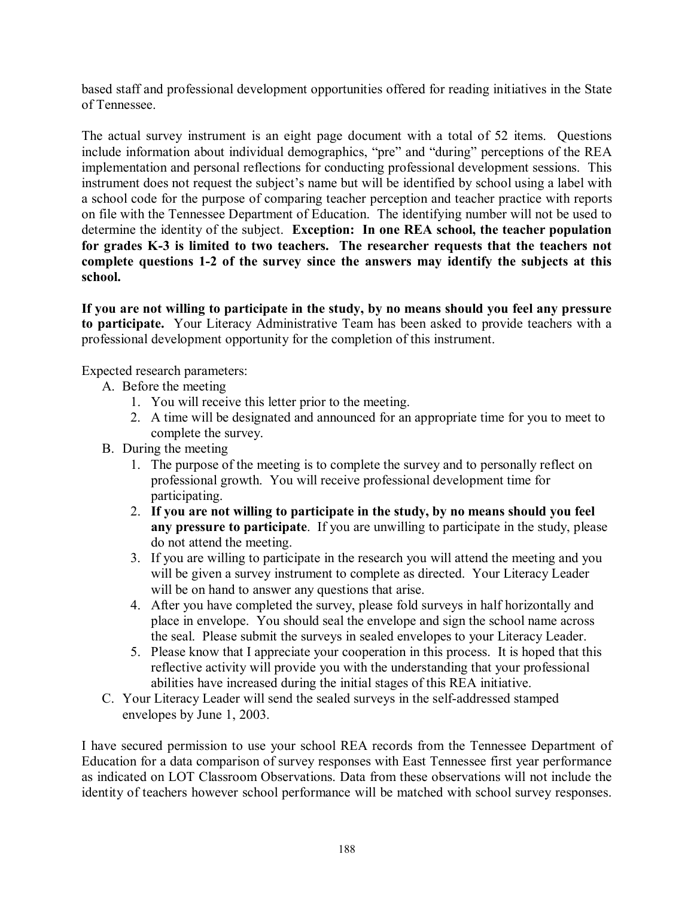based staff and professional development opportunities offered for reading initiatives in the State of Tennessee.

The actual survey instrument is an eight page document with a total of 52 items. Questions include information about individual demographics, "pre" and "during" perceptions of the REA implementation and personal reflections for conducting professional development sessions. This instrument does not request the subject's name but will be identified by school using a label with a school code for the purpose of comparing teacher perception and teacher practice with reports on file with the Tennessee Department of Education. The identifying number will not be used to determine the identity of the subject. **Exception: In one REA school, the teacher population for grades K-3 is limited to two teachers. The researcher requests that the teachers not complete questions 1-2 of the survey since the answers may identify the subjects at this school.** 

**If you are not willing to participate in the study, by no means should you feel any pressure to participate.** Your Literacy Administrative Team has been asked to provide teachers with a professional development opportunity for the completion of this instrument.

Expected research parameters:

- A. Before the meeting
	- 1. You will receive this letter prior to the meeting.
	- 2. A time will be designated and announced for an appropriate time for you to meet to complete the survey.
- B. During the meeting
	- 1. The purpose of the meeting is to complete the survey and to personally reflect on professional growth. You will receive professional development time for participating.
	- 2. **If you are not willing to participate in the study, by no means should you feel any pressure to participate**. If you are unwilling to participate in the study, please do not attend the meeting.
	- 3. If you are willing to participate in the research you will attend the meeting and you will be given a survey instrument to complete as directed. Your Literacy Leader will be on hand to answer any questions that arise.
	- 4. After you have completed the survey, please fold surveys in half horizontally and place in envelope. You should seal the envelope and sign the school name across the seal. Please submit the surveys in sealed envelopes to your Literacy Leader.
	- 5. Please know that I appreciate your cooperation in this process. It is hoped that this reflective activity will provide you with the understanding that your professional abilities have increased during the initial stages of this REA initiative.
- C. Your Literacy Leader will send the sealed surveys in the self-addressed stamped envelopes by June 1, 2003.

I have secured permission to use your school REA records from the Tennessee Department of Education for a data comparison of survey responses with East Tennessee first year performance as indicated on LOT Classroom Observations. Data from these observations will not include the identity of teachers however school performance will be matched with school survey responses.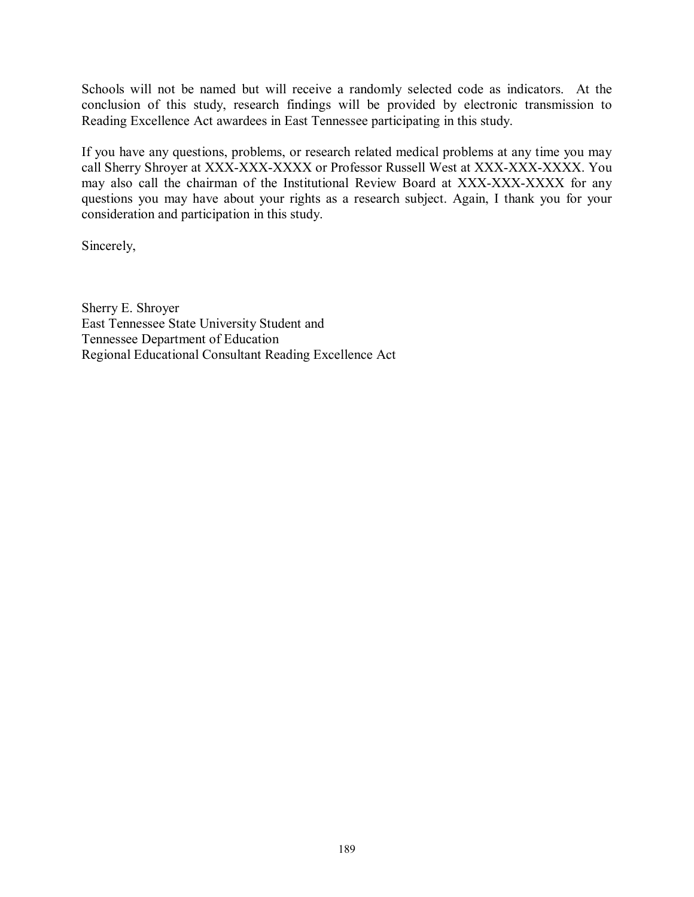Schools will not be named but will receive a randomly selected code as indicators. At the conclusion of this study, research findings will be provided by electronic transmission to Reading Excellence Act awardees in East Tennessee participating in this study.

If you have any questions, problems, or research related medical problems at any time you may call Sherry Shroyer at XXX-XXX-XXXX or Professor Russell West at XXX-XXX-XXXX. You may also call the chairman of the Institutional Review Board at XXX-XXX-XXXX for any questions you may have about your rights as a research subject. Again, I thank you for your consideration and participation in this study.

Sincerely,

Sherry E. Shroyer East Tennessee State University Student and Tennessee Department of Education Regional Educational Consultant Reading Excellence Act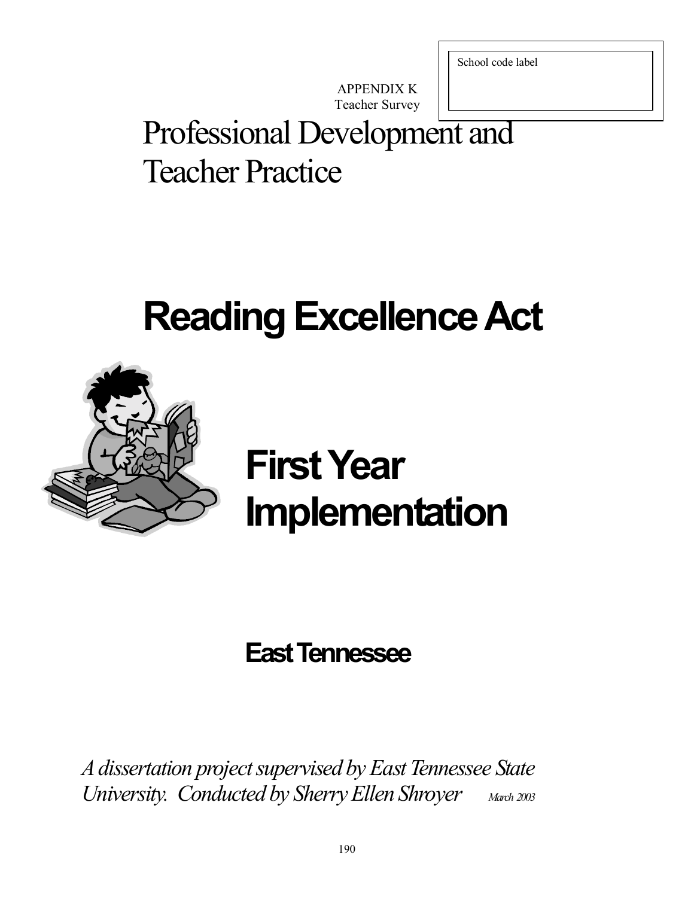School code label

APPENDIX K Teacher Survey

# Professional Development and Teacher Practice

# **Reading Excellence Act**



# **First Year Implementation**

# **East Tennessee**

*A dissertation project supervised by East Tennessee State University. Conducted by Sherry Ellen Shroyer March 2003*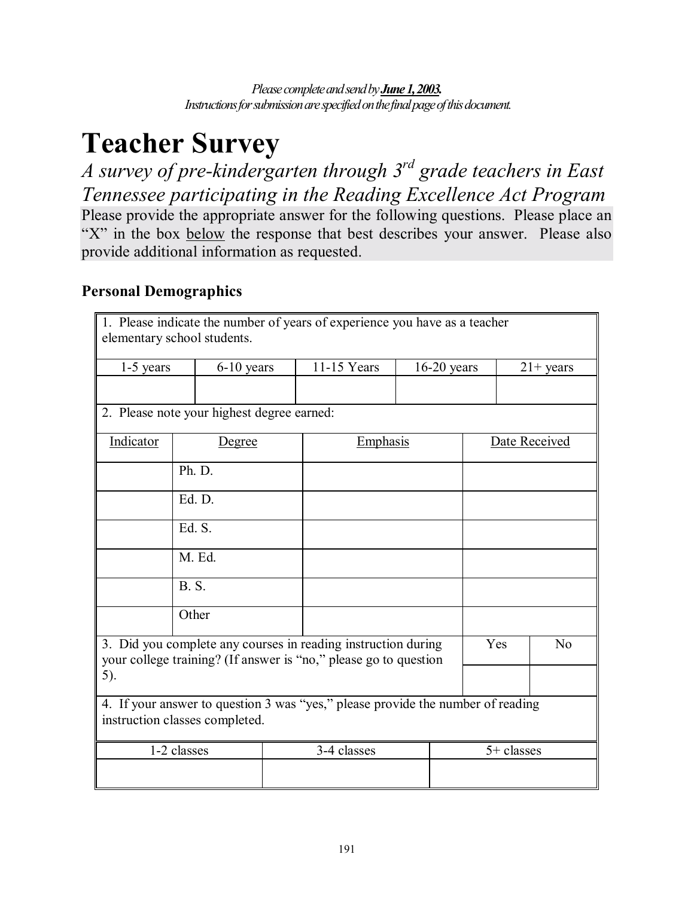*Please complete and send by June 1, 2003. Instructions for submission are specified on the final page of this document.* 

# **Teacher Survey**

*A survey of pre-kindergarten through 3rd grade teachers in East Tennessee participating in the Reading Excellence Act Program*  Please provide the appropriate answer for the following questions. Please place an "X" in the box below the response that best describes your answer. Please also provide additional information as requested.

# **Personal Demographics**

| 1. Please indicate the number of years of experience you have as a teacher<br>elementary school students.                                |              |               |  |             |  |               |                |  |  |
|------------------------------------------------------------------------------------------------------------------------------------------|--------------|---------------|--|-------------|--|---------------|----------------|--|--|
| $1-5$ years                                                                                                                              |              | 6-10 years    |  | 11-15 Years |  | $16-20$ years | $21+$ years    |  |  |
|                                                                                                                                          |              |               |  |             |  |               |                |  |  |
| 2. Please note your highest degree earned:                                                                                               |              |               |  |             |  |               |                |  |  |
| Indicator                                                                                                                                |              | <u>Degree</u> |  | Emphasis    |  |               | Date Received  |  |  |
|                                                                                                                                          | Ph. D.       |               |  |             |  |               |                |  |  |
|                                                                                                                                          | Ed. D.       |               |  |             |  |               |                |  |  |
|                                                                                                                                          | Ed. S.       |               |  |             |  |               |                |  |  |
|                                                                                                                                          |              | M. Ed.        |  |             |  |               |                |  |  |
|                                                                                                                                          | <b>B.</b> S. |               |  |             |  |               |                |  |  |
|                                                                                                                                          | Other        |               |  |             |  |               |                |  |  |
| 3. Did you complete any courses in reading instruction during<br>your college training? (If answer is "no," please go to question<br>5). |              |               |  |             |  | Yes           | N <sub>o</sub> |  |  |
| 4. If your answer to question 3 was "yes," please provide the number of reading<br>instruction classes completed.                        |              |               |  |             |  |               |                |  |  |
|                                                                                                                                          | 1-2 classes  |               |  | 3-4 classes |  |               | $5+$ classes   |  |  |
|                                                                                                                                          |              |               |  |             |  |               |                |  |  |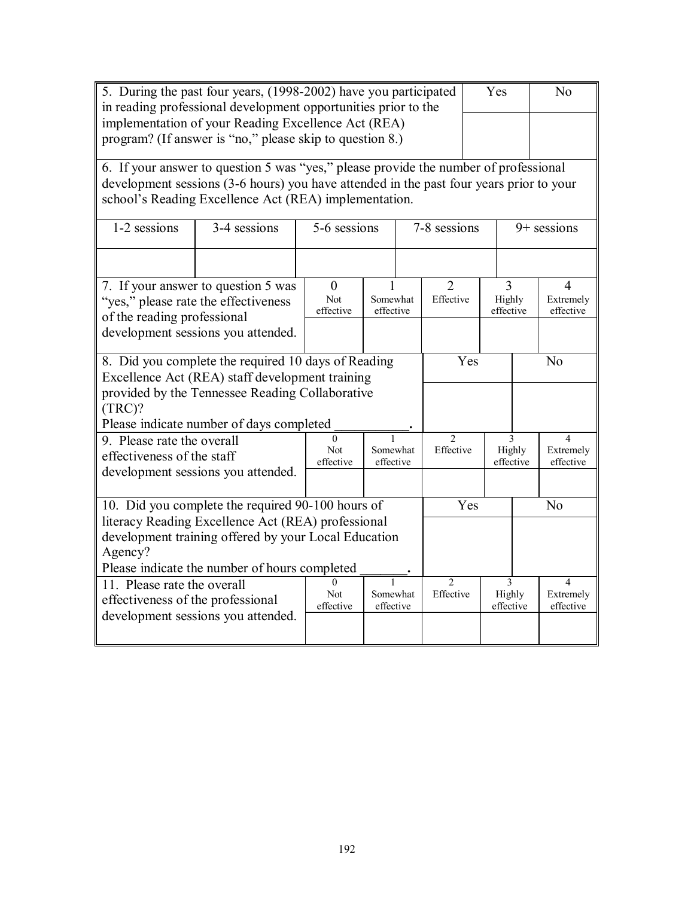| 5. During the past four years, (1998-2002) have you participated<br>in reading professional development opportunities prior to the |                                                                                                                                                  |                         |                       |  |                             | Yes                 |                     | N <sub>o</sub>         |  |
|------------------------------------------------------------------------------------------------------------------------------------|--------------------------------------------------------------------------------------------------------------------------------------------------|-------------------------|-----------------------|--|-----------------------------|---------------------|---------------------|------------------------|--|
| implementation of your Reading Excellence Act (REA)<br>program? (If answer is "no," please skip to question 8.)                    |                                                                                                                                                  |                         |                       |  |                             |                     |                     |                        |  |
|                                                                                                                                    |                                                                                                                                                  |                         |                       |  |                             |                     |                     |                        |  |
|                                                                                                                                    | 6. If your answer to question 5 was "yes," please provide the number of professional                                                             |                         |                       |  |                             |                     |                     |                        |  |
|                                                                                                                                    | development sessions (3-6 hours) you have attended in the past four years prior to your<br>school's Reading Excellence Act (REA) implementation. |                         |                       |  |                             |                     |                     |                        |  |
| 1-2 sessions                                                                                                                       | 3-4 sessions                                                                                                                                     | 5-6 sessions            |                       |  | 7-8 sessions                |                     |                     | $9+$ sessions          |  |
|                                                                                                                                    |                                                                                                                                                  |                         |                       |  |                             |                     |                     |                        |  |
|                                                                                                                                    | 7. If your answer to question 5 was                                                                                                              | $\theta$                |                       |  | $\overline{2}$              |                     | 3                   | 4                      |  |
| of the reading professional                                                                                                        | "yes," please rate the effectiveness                                                                                                             | <b>Not</b><br>effective | Somewhat<br>effective |  | Effective                   | Highly<br>effective |                     | Extremely<br>effective |  |
|                                                                                                                                    | development sessions you attended.                                                                                                               |                         |                       |  |                             |                     |                     |                        |  |
|                                                                                                                                    |                                                                                                                                                  |                         |                       |  |                             |                     |                     |                        |  |
|                                                                                                                                    | 8. Did you complete the required 10 days of Reading                                                                                              |                         |                       |  | Yes                         |                     |                     | N <sub>o</sub>         |  |
|                                                                                                                                    | Excellence Act (REA) staff development training<br>provided by the Tennessee Reading Collaborative                                               |                         |                       |  |                             |                     |                     |                        |  |
| (TRC)?                                                                                                                             |                                                                                                                                                  |                         |                       |  |                             |                     |                     |                        |  |
|                                                                                                                                    | Please indicate number of days completed                                                                                                         |                         |                       |  |                             |                     |                     |                        |  |
| 9. Please rate the overall                                                                                                         |                                                                                                                                                  | $\Omega$<br>Not         | 1<br>Somewhat         |  | $\mathfrak{D}$<br>Effective |                     | 3<br>Highly         | 4<br>Extremely         |  |
| effectiveness of the staff                                                                                                         |                                                                                                                                                  | effective               | effective             |  |                             |                     | effective           | effective              |  |
|                                                                                                                                    | development sessions you attended.                                                                                                               |                         |                       |  |                             |                     |                     |                        |  |
|                                                                                                                                    | 10. Did you complete the required 90-100 hours of                                                                                                |                         |                       |  | Yes                         |                     | N <sub>o</sub>      |                        |  |
|                                                                                                                                    | literacy Reading Excellence Act (REA) professional                                                                                               |                         |                       |  |                             |                     |                     |                        |  |
|                                                                                                                                    | development training offered by your Local Education                                                                                             |                         |                       |  |                             |                     |                     |                        |  |
| Agency?<br>Please indicate the number of hours completed                                                                           |                                                                                                                                                  |                         |                       |  |                             |                     |                     |                        |  |
| 11. Please rate the overall                                                                                                        |                                                                                                                                                  | $\Omega$                |                       |  | $\overline{2}$              |                     | 3                   | 4                      |  |
| effectiveness of the professional                                                                                                  |                                                                                                                                                  | <b>Not</b><br>effective | Somewhat<br>effective |  | Effective                   |                     | Highly<br>effective | Extremely<br>effective |  |
|                                                                                                                                    | development sessions you attended.                                                                                                               |                         |                       |  |                             |                     |                     |                        |  |
|                                                                                                                                    |                                                                                                                                                  |                         |                       |  |                             |                     |                     |                        |  |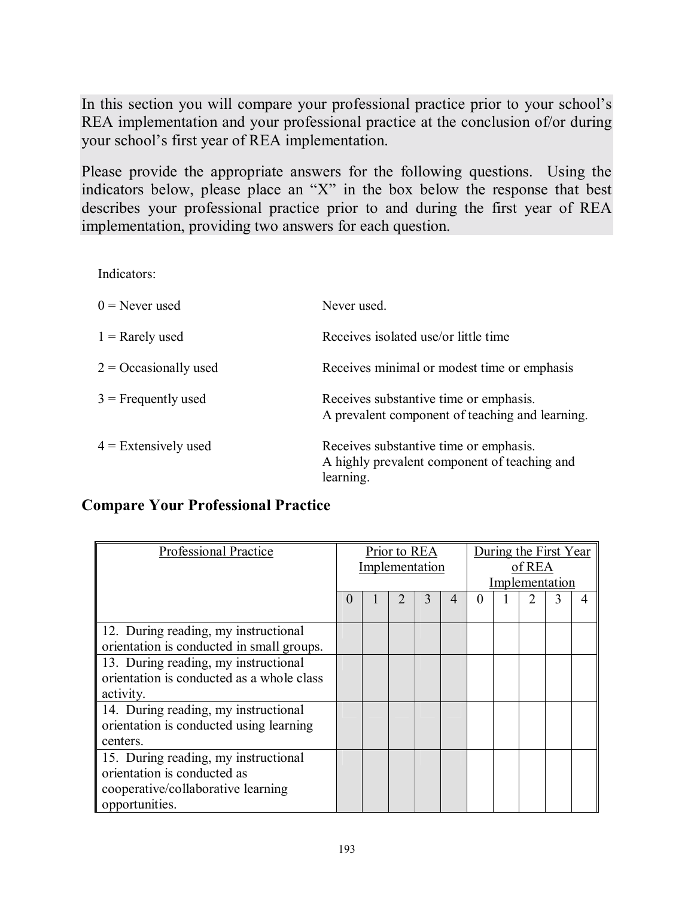In this section you will compare your professional practice prior to your school's REA implementation and your professional practice at the conclusion of/or during your school's first year of REA implementation.

Please provide the appropriate answers for the following questions. Using the indicators below, please place an  $X^*$  in the box below the response that best describes your professional practice prior to and during the first year of REA implementation, providing two answers for each question.

Indicators:

| $0$ = Never used        | Never used.                                                                                         |
|-------------------------|-----------------------------------------------------------------------------------------------------|
| $1 =$ Rarely used       | Receives isolated use/or little time                                                                |
| $2 = Occasionally used$ | Receives minimal or modest time or emphasis                                                         |
| $3$ = Frequently used   | Receives substantive time or emphasis.<br>A prevalent component of teaching and learning.           |
| $4$ = Extensively used  | Receives substantive time or emphasis.<br>A highly prevalent component of teaching and<br>learning. |

# **Compare Your Professional Practice**

| Professional Practice                     |          | Prior to REA<br>Implementation |  |   |   | During the First Year<br>of REA |                |  |  |  |
|-------------------------------------------|----------|--------------------------------|--|---|---|---------------------------------|----------------|--|--|--|
|                                           |          |                                |  |   |   |                                 | Implementation |  |  |  |
|                                           | $\theta$ |                                |  | 3 | 4 |                                 |                |  |  |  |
|                                           |          |                                |  |   |   |                                 |                |  |  |  |
| 12. During reading, my instructional      |          |                                |  |   |   |                                 |                |  |  |  |
| orientation is conducted in small groups. |          |                                |  |   |   |                                 |                |  |  |  |
| 13. During reading, my instructional      |          |                                |  |   |   |                                 |                |  |  |  |
| orientation is conducted as a whole class |          |                                |  |   |   |                                 |                |  |  |  |
| activity.                                 |          |                                |  |   |   |                                 |                |  |  |  |
| 14. During reading, my instructional      |          |                                |  |   |   |                                 |                |  |  |  |
| orientation is conducted using learning   |          |                                |  |   |   |                                 |                |  |  |  |
| centers.                                  |          |                                |  |   |   |                                 |                |  |  |  |
| 15. During reading, my instructional      |          |                                |  |   |   |                                 |                |  |  |  |
| orientation is conducted as               |          |                                |  |   |   |                                 |                |  |  |  |
| cooperative/collaborative learning        |          |                                |  |   |   |                                 |                |  |  |  |
| opportunities.                            |          |                                |  |   |   |                                 |                |  |  |  |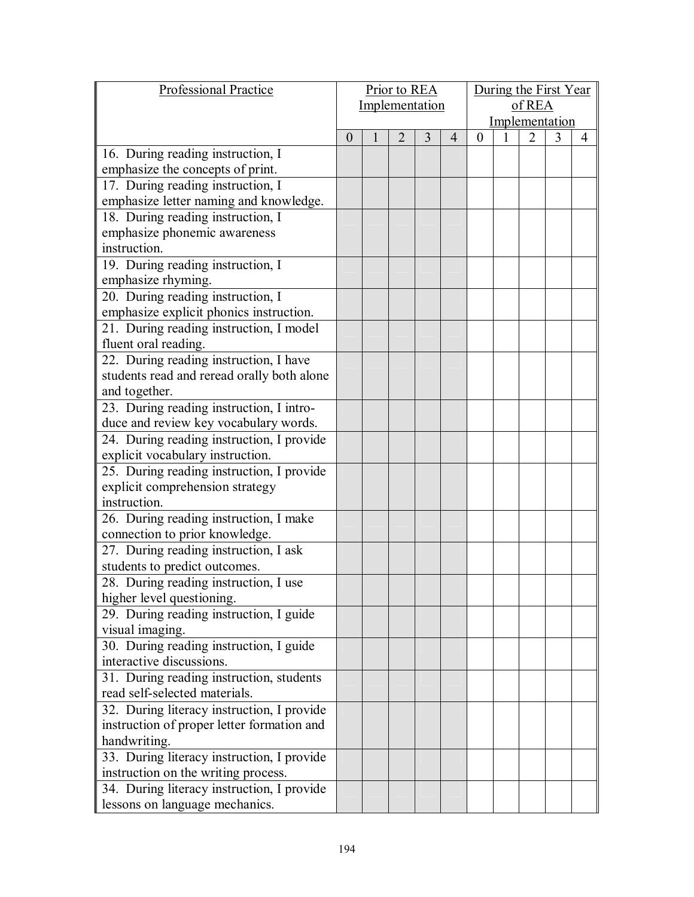| Professional Practice                      |          | Prior to REA   |                |   |   |          | During the First Year |   |   |                |  |
|--------------------------------------------|----------|----------------|----------------|---|---|----------|-----------------------|---|---|----------------|--|
|                                            |          | Implementation |                |   |   | of REA   |                       |   |   |                |  |
|                                            |          |                |                |   |   |          | Implementation        |   |   |                |  |
|                                            | $\theta$ |                | $\overline{2}$ | 3 | 4 | $\theta$ |                       | 2 | 3 | $\overline{4}$ |  |
| 16. During reading instruction, I          |          |                |                |   |   |          |                       |   |   |                |  |
| emphasize the concepts of print.           |          |                |                |   |   |          |                       |   |   |                |  |
| 17. During reading instruction, I          |          |                |                |   |   |          |                       |   |   |                |  |
| emphasize letter naming and knowledge.     |          |                |                |   |   |          |                       |   |   |                |  |
| 18. During reading instruction, I          |          |                |                |   |   |          |                       |   |   |                |  |
| emphasize phonemic awareness               |          |                |                |   |   |          |                       |   |   |                |  |
| instruction.                               |          |                |                |   |   |          |                       |   |   |                |  |
| 19. During reading instruction, I          |          |                |                |   |   |          |                       |   |   |                |  |
| emphasize rhyming.                         |          |                |                |   |   |          |                       |   |   |                |  |
| 20. During reading instruction, I          |          |                |                |   |   |          |                       |   |   |                |  |
| emphasize explicit phonics instruction.    |          |                |                |   |   |          |                       |   |   |                |  |
| 21. During reading instruction, I model    |          |                |                |   |   |          |                       |   |   |                |  |
| fluent oral reading.                       |          |                |                |   |   |          |                       |   |   |                |  |
| 22. During reading instruction, I have     |          |                |                |   |   |          |                       |   |   |                |  |
| students read and reread orally both alone |          |                |                |   |   |          |                       |   |   |                |  |
| and together.                              |          |                |                |   |   |          |                       |   |   |                |  |
| 23. During reading instruction, I intro-   |          |                |                |   |   |          |                       |   |   |                |  |
| duce and review key vocabulary words.      |          |                |                |   |   |          |                       |   |   |                |  |
| 24. During reading instruction, I provide  |          |                |                |   |   |          |                       |   |   |                |  |
| explicit vocabulary instruction.           |          |                |                |   |   |          |                       |   |   |                |  |
| 25. During reading instruction, I provide  |          |                |                |   |   |          |                       |   |   |                |  |
| explicit comprehension strategy            |          |                |                |   |   |          |                       |   |   |                |  |
| instruction.                               |          |                |                |   |   |          |                       |   |   |                |  |
| 26. During reading instruction, I make     |          |                |                |   |   |          |                       |   |   |                |  |
| connection to prior knowledge.             |          |                |                |   |   |          |                       |   |   |                |  |
| 27. During reading instruction, I ask      |          |                |                |   |   |          |                       |   |   |                |  |
| students to predict outcomes.              |          |                |                |   |   |          |                       |   |   |                |  |
| 28. During reading instruction, I use      |          |                |                |   |   |          |                       |   |   |                |  |
| higher level questioning.                  |          |                |                |   |   |          |                       |   |   |                |  |
| 29. During reading instruction, I guide    |          |                |                |   |   |          |                       |   |   |                |  |
| visual imaging.                            |          |                |                |   |   |          |                       |   |   |                |  |
| 30. During reading instruction, I guide    |          |                |                |   |   |          |                       |   |   |                |  |
| interactive discussions.                   |          |                |                |   |   |          |                       |   |   |                |  |
| 31. During reading instruction, students   |          |                |                |   |   |          |                       |   |   |                |  |
| read self-selected materials.              |          |                |                |   |   |          |                       |   |   |                |  |
| 32. During literacy instruction, I provide |          |                |                |   |   |          |                       |   |   |                |  |
| instruction of proper letter formation and |          |                |                |   |   |          |                       |   |   |                |  |
| handwriting.                               |          |                |                |   |   |          |                       |   |   |                |  |
| 33. During literacy instruction, I provide |          |                |                |   |   |          |                       |   |   |                |  |
| instruction on the writing process.        |          |                |                |   |   |          |                       |   |   |                |  |
| 34. During literacy instruction, I provide |          |                |                |   |   |          |                       |   |   |                |  |
| lessons on language mechanics.             |          |                |                |   |   |          |                       |   |   |                |  |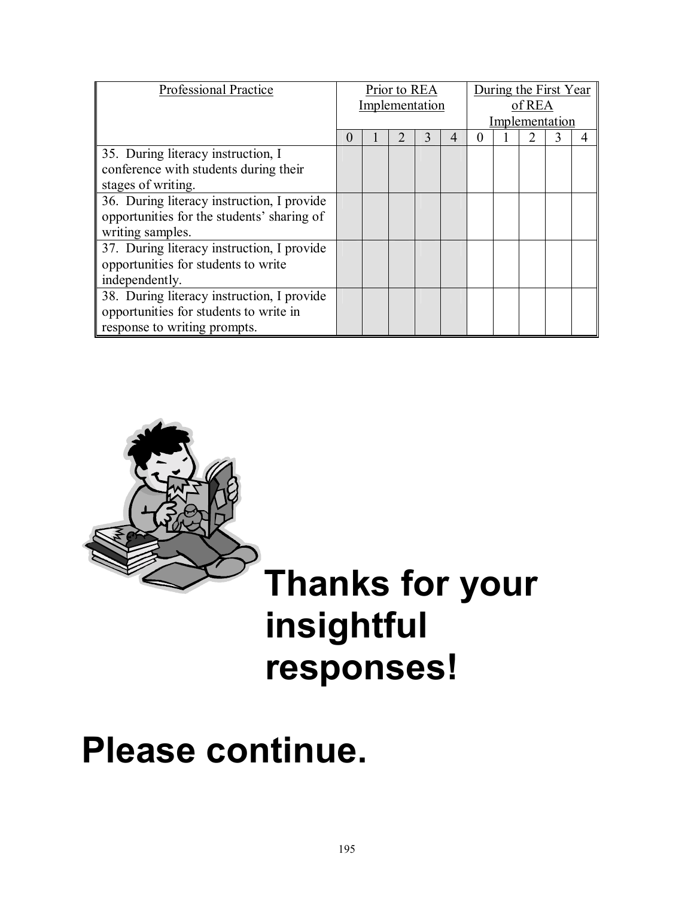| <b>Professional Practice</b>                                                                                         |  | Prior to REA<br>Implementation |  |  |  |  | During the First Year<br>of REA<br>Implementation |  |  |  |  |
|----------------------------------------------------------------------------------------------------------------------|--|--------------------------------|--|--|--|--|---------------------------------------------------|--|--|--|--|
|                                                                                                                      |  |                                |  |  |  |  |                                                   |  |  |  |  |
| 35. During literacy instruction, I<br>conference with students during their<br>stages of writing.                    |  |                                |  |  |  |  |                                                   |  |  |  |  |
| 36. During literacy instruction, I provide<br>opportunities for the students' sharing of<br>writing samples.         |  |                                |  |  |  |  |                                                   |  |  |  |  |
| 37. During literacy instruction, I provide<br>opportunities for students to write<br>independently.                  |  |                                |  |  |  |  |                                                   |  |  |  |  |
| 38. During literacy instruction, I provide<br>opportunities for students to write in<br>response to writing prompts. |  |                                |  |  |  |  |                                                   |  |  |  |  |



# **responses!**

# **Please continue.**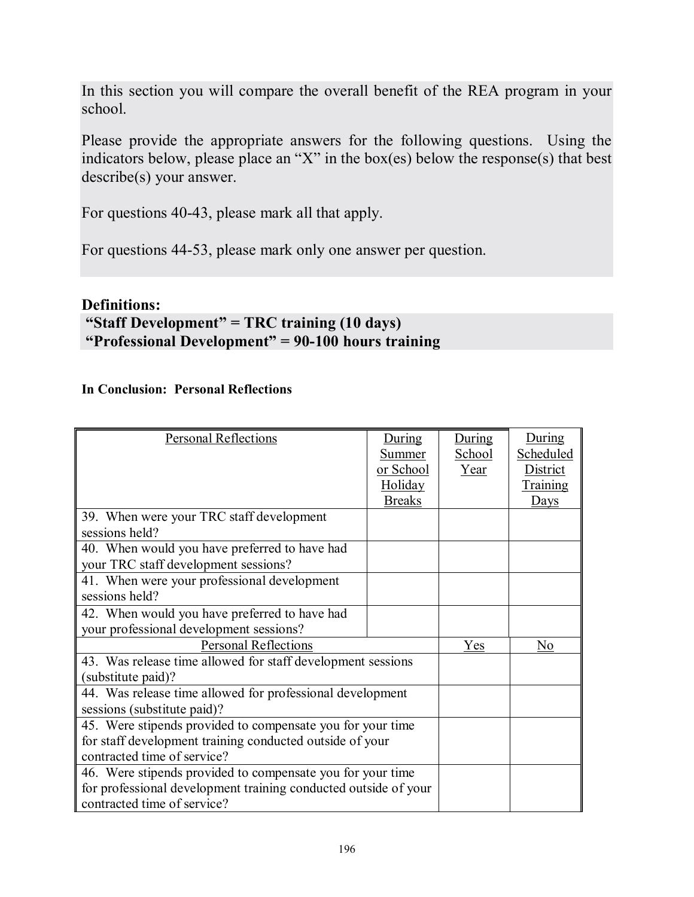In this section you will compare the overall benefit of the REA program in your school.

Please provide the appropriate answers for the following questions. Using the indicators below, please place an "X" in the box(es) below the response(s) that best describe(s) your answer.

For questions 40-43, please mark all that apply.

For questions 44-53, please mark only one answer per question.

## **Definitions:**

# **"Staff Development" = TRC training (10 days) "Professional Development"** = 90-100 hours training

### **In Conclusion: Personal Reflections**

| <b>Personal Reflections</b>                                     | During<br>Summer<br>or School<br>Holiday<br><b>Breaks</b> | During<br>School<br>Year | During<br>Scheduled<br><b>District</b><br><b>Training</b><br>Days |
|-----------------------------------------------------------------|-----------------------------------------------------------|--------------------------|-------------------------------------------------------------------|
| 39. When were your TRC staff development                        |                                                           |                          |                                                                   |
| sessions held?                                                  |                                                           |                          |                                                                   |
| 40. When would you have preferred to have had                   |                                                           |                          |                                                                   |
| your TRC staff development sessions?                            |                                                           |                          |                                                                   |
| 41. When were your professional development                     |                                                           |                          |                                                                   |
| sessions held?                                                  |                                                           |                          |                                                                   |
| 42. When would you have preferred to have had                   |                                                           |                          |                                                                   |
| your professional development sessions?                         |                                                           |                          |                                                                   |
| <b>Personal Reflections</b>                                     |                                                           | Yes                      | N <sub>0</sub>                                                    |
| 43. Was release time allowed for staff development sessions     |                                                           |                          |                                                                   |
| (substitute paid)?                                              |                                                           |                          |                                                                   |
| 44. Was release time allowed for professional development       |                                                           |                          |                                                                   |
| sessions (substitute paid)?                                     |                                                           |                          |                                                                   |
| 45. Were stipends provided to compensate you for your time      |                                                           |                          |                                                                   |
| for staff development training conducted outside of your        |                                                           |                          |                                                                   |
| contracted time of service?                                     |                                                           |                          |                                                                   |
| 46. Were stipends provided to compensate you for your time      |                                                           |                          |                                                                   |
| for professional development training conducted outside of your |                                                           |                          |                                                                   |
| contracted time of service?                                     |                                                           |                          |                                                                   |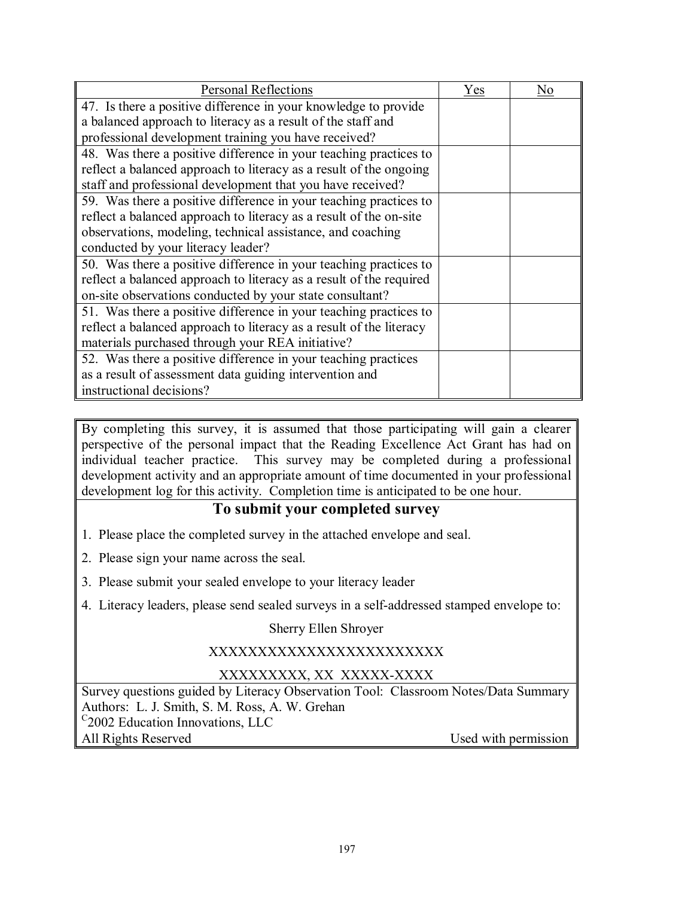| <b>Personal Reflections</b>                                         | Yes | No |  |  |
|---------------------------------------------------------------------|-----|----|--|--|
| 47. Is there a positive difference in your knowledge to provide     |     |    |  |  |
| a balanced approach to literacy as a result of the staff and        |     |    |  |  |
| professional development training you have received?                |     |    |  |  |
| 48. Was there a positive difference in your teaching practices to   |     |    |  |  |
| reflect a balanced approach to literacy as a result of the ongoing  |     |    |  |  |
| staff and professional development that you have received?          |     |    |  |  |
| 59. Was there a positive difference in your teaching practices to   |     |    |  |  |
| reflect a balanced approach to literacy as a result of the on-site  |     |    |  |  |
| observations, modeling, technical assistance, and coaching          |     |    |  |  |
| conducted by your literacy leader?                                  |     |    |  |  |
| 50. Was there a positive difference in your teaching practices to   |     |    |  |  |
| reflect a balanced approach to literacy as a result of the required |     |    |  |  |
| on-site observations conducted by your state consultant?            |     |    |  |  |
| 51. Was there a positive difference in your teaching practices to   |     |    |  |  |
| reflect a balanced approach to literacy as a result of the literacy |     |    |  |  |
| materials purchased through your REA initiative?                    |     |    |  |  |
| 52. Was there a positive difference in your teaching practices      |     |    |  |  |
| as a result of assessment data guiding intervention and             |     |    |  |  |
| instructional decisions?                                            |     |    |  |  |

By completing this survey, it is assumed that those participating will gain a clearer perspective of the personal impact that the Reading Excellence Act Grant has had on individual teacher practice. This survey may be completed during a professional development activity and an appropriate amount of time documented in your professional development log for this activity. Completion time is anticipated to be one hour.

# **To submit your completed survey**

- 1. Please place the completed survey in the attached envelope and seal.
- 2. Please sign your name across the seal.
- 3. Please submit your sealed envelope to your literacy leader
- 4. Literacy leaders, please send sealed surveys in a self-addressed stamped envelope to:

### Sherry Ellen Shroyer

### XXXXXXXXXXXXXXXXXXXXXXXX

# XXXXXXXXX, XX XXXXX-XXXX

Survey questions guided by Literacy Observation Tool: Classroom Notes/Data Summary Authors: L. J. Smith, S. M. Ross, A. W. Grehan <sup>C</sup>2002 Education Innovations, LLC All Rights Reserved Used with permission